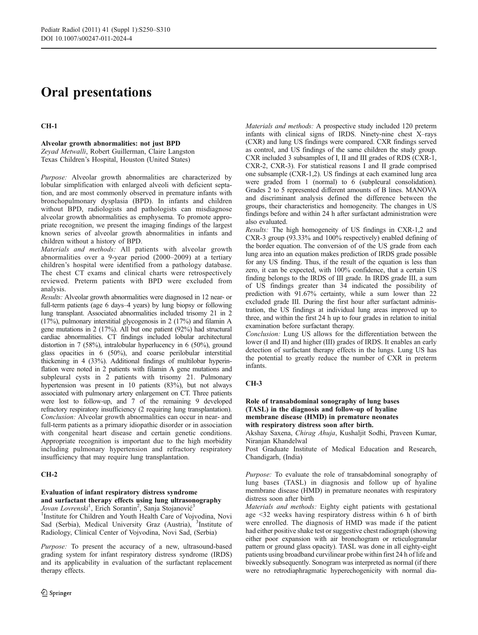# Oral presentations

## CH-1

## Alveolar growth abnormalities: not just BPD

Zeyad Metwalli, Robert Guillerman, Claire Langston Texas Children's Hospital, Houston (United States)

Purpose: Alveolar growth abnormalities are characterized by lobular simplification with enlarged alveoli with deficient septation, and are most commonly observed in premature infants with bronchopulmonary dysplasia (BPD). In infants and children without BPD, radiologists and pathologists can misdiagnose alveolar growth abnormalities as emphysema. To promote appropriate recognition, we present the imaging findings of the largest known series of alveolar growth abnormalities in infants and children without a history of BPD.

Materials and methods: All patients with alveolar growth abnormalities over a 9-year period (2000–2009) at a tertiary children's hospital were identified from a pathology database. The chest CT exams and clinical charts were retrospectively reviewed. Preterm patients with BPD were excluded from analysis.

Results: Alveolar growth abnormalities were diagnosed in 12 near- or full-term patients (age 6 days–4 years) by lung biopsy or following lung transplant. Associated abnormalities included trisomy 21 in 2 (17%), pulmonary interstitial glycogenosis in 2 (17%) and filamin A gene mutations in 2 (17%). All but one patient (92%) had structural cardiac abnormalities. CT findings included lobular architectural distortion in 7 (58%), intralobular hyperlucency in 6 (50%), ground glass opacities in 6 (50%), and coarse perilobular interstitial thickening in 4 (33%). Additional findings of multilobar hyperinflation were noted in 2 patients with filamin A gene mutations and subpleural cysts in 2 patients with trisomy 21. Pulmonary hypertension was present in 10 patients (83%), but not always associated with pulmonary artery enlargement on CT. Three patients were lost to follow-up, and 7 of the remaining 9 developed refractory respiratory insufficiency (2 requiring lung transplantation). Conclusion: Alveolar growth abnormalities can occur in near- and full-term patients as a primary idiopathic disorder or in association with congenital heart disease and certain genetic conditions. Appropriate recognition is important due to the high morbidity including pulmonary hypertension and refractory respiratory insufficiency that may require lung transplantation.

## CH-2

## Evaluation of infant respiratory distress syndrome and surfactant therapy effects using lung ultrasonography

Jovan Lovrenski<sup>1</sup>, Erich Sorantin<sup>2</sup>, Sanja Stojanović<sup>3</sup>

<sup>1</sup>Institute for Children and Youth Health Care of Vojvodina, Novi Sad (Serbia), Medical University Graz (Austria), <sup>3</sup>Institute of Radiology, Clinical Center of Vojvodina, Novi Sad, (Serbia)

Purpose: To present the accuracy of a new, ultrasound-based grading system for infant respiratory distress syndrome (IRDS) and its applicability in evaluation of the surfactant replacement therapy effects.

Materials and methods: A prospective study included 120 preterm infants with clinical signs of IRDS. Ninety-nine chest X–rays (CXR) and lung US findings were compared. CXR findings served as control, and US findings of the same children the study group. CXR included 3 subsamples of I, II and III grades of RDS (CXR-1, CXR-2, CXR-3). For statistical reasons I and II grade comprised one subsample (CXR-1,2). US findings at each examined lung area were graded from 1 (normal) to 6 (subpleural consolidation). Grades 2 to 5 represented different amounts of B lines. MANOVA and discriminant analysis defined the difference between the groups, their characteristics and homogeneity. The changes in US findings before and within 24 h after surfactant administration were also evaluated.

Results: The high homogeneity of US findings in CXR-1,2 and CXR-3 group (93.33% and 100% respectively) enabled defining of the border equation. The conversion of of the US grade from each lung area into an equation makes prediction of IRDS grade possible for any US finding. Thus, if the result of the equation is less than zero, it can be expected, with 100% confidence, that a certain US finding belongs to the IRDS of III grade. In IRDS grade III, a sum of US findings greater than 34 indicated the possibility of prediction with 91.67% certainty, while a sum lower than 22 excluded grade III. During the first hour after surfactant administration, the US findings at individual lung areas improved up to three, and within the first 24 h up to four grades in relation to initial examination before surfactant therapy.

Conclusion: Lung US allows for the differentiation between the lower (I and II) and higher (III) grades of IRDS. It enables an early detection of surfactant therapy effects in the lungs. Lung US has the potential to greatly reduce the number of CXR in preterm infants.

## CH-3

## Role of transabdominal sonography of lung bases (TASL) in the diagnosis and follow-up of hyaline membrane disease (HMD) in premature neonates with respiratory distress soon after birth.

Akshay Saxena, Chirag Ahuja, Kushaljit Sodhi, Praveen Kumar, Niranjan Khandelwal

Post Graduate Institute of Medical Education and Research, Chandigarh, (India)

Purpose: To evaluate the role of transabdominal sonography of lung bases (TASL) in diagnosis and follow up of hyaline membrane disease (HMD) in premature neonates with respiratory distress soon after birth

Materials and methods: Eighty eight patients with gestational age <32 weeks having respiratory distress within 6 h of birth were enrolled. The diagnosis of HMD was made if the patient had either positive shake test or suggestive chest radiograph (showing either poor expansion with air bronchogram or reticulogranular pattern or ground glass opacity). TASL was done in all eighty-eight patients using broadband curvilinear probe within first 24 h of life and biweekly subsequently. Sonogram was interpreted as normal (if there were no retrodiaphragmatic hyperechogenicity with normal dia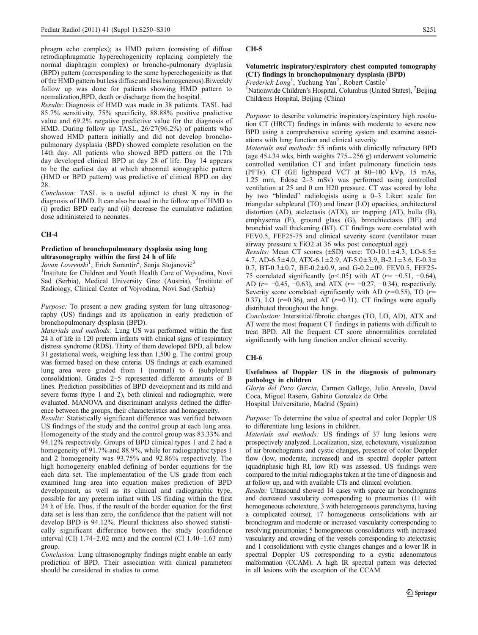phragm echo complex); as HMD pattern (consisting of diffuse retrodiaphragmatic hyperechogenicity replacing completely the normal diaphragm complex) or broncho-pulmonary dysplasia (BPD) pattern (corresponding to the same hyperechogenicity as that of the HMD pattern but less diffuse and less homogeneous).Biweekly follow up was done for patients showing HMD pattern to normalization,BPD, death or discharge from the hospital.

Results: Diagnosis of HMD was made in 38 patients. TASL had 85.7% sensitivity, 75% specificity, 88.88% positive predictive value and 69.2% negative predictive value for the diagnosis of HMD. During follow up TASL, 26/27(96.2%) of patients who showed HMD pattern initially and did not develop bronchopulmonary dysplasia (BPD) showed complete resolution on the 14th day. All patients who showed BPD pattern on the 17th day developed clinical BPD at day 28 of life. Day 14 appears to be the earliest day at which abnormal sonographic pattern (HMD or BPD pattern) was predictive of clinical BPD on day 28.

Conclusion: TASL is a useful adjunct to chest X ray in the diagnosis of HMD. It can also be used in the follow up of HMD to (i) predict BPD early and (ii) decrease the cumulative radiation dose administered to neonates.

### CH-4

## Prediction of bronchopulmonary dysplasia using lung ultrasonography within the first 24 h of life

Jovan Lovrenski<sup>1</sup>, Erich Sorantin<sup>2</sup>, Sanja Stojanović<sup>3</sup>

<sup>1</sup>Institute for Children and Youth Health Care of Vojvodina, Novi Sad (Serbia), Medical University Graz (Austria), <sup>3</sup>Institute of Radiology, Clinical Center of Vojvodina, Novi Sad (Serbia)

Purpose: To present a new grading system for lung ultrasonography (US) findings and its application in early prediction of bronchopulmonary dysplasia (BPD).

Materials and methods: Lung US was performed within the first 24 h of life in 120 preterm infants with clinical signs of respiratory distress syndrome (RDS). Thirty of them developed BPD, all below 31 gestational week, weighing less than 1,500 g. The control group was formed based on these criteria. US findings at each examined lung area were graded from 1 (normal) to 6 (subpleural consolidation). Grades 2–5 represented different amounts of B lines. Prediction possibilities of BPD development and its mild and severe forms (type 1 and 2), both clinical and radiographic, were evaluated. MANOVA and discriminant analysis defined the difference between the groups, their characteristics and homogeneity.

Results: Statistically significant difference was verified between US findings of the study and the control group at each lung area. Homogeneity of the study and the control group was 83.33% and 94.12% respectively. Groups of BPD clinical types 1 and 2 had a homogeneity of 91.7% and 88.9%, while for radiographic types 1 and 2 homogeneity was 93.75% and 92.86% respectively. The high homogeneity enabled defining of border equations for the each data set. The implementation of the US grade from each examined lung area into equation makes prediction of BPD development, as well as its clinical and radiographic type, possible for any preterm infant with US finding within the first 24 h of life. Thus, if the result of the border equation for the first data set is less than zero, the confidence that the patient will not develop BPD is 94.12%. Pleural thickness also showed statistically significant difference between the study (confidence interval  $\overline{C}$ ) 1.74–2.02 mm) and the control  $\overline{C}$  (CI 1.40–1.63 mm) group.

Conclusion: Lung ultrasonography findings might enable an early prediction of BPD. Their association with clinical parameters should be considered in studies to come.

### CH-5

## Volumetric inspiratory/expiratory chest computed tomography (CT) findings in bronchopulmonary dysplasia (BPD)

Frederick Long<sup>1</sup>, Yuchung Yan<sup>2</sup>, Robert Castile<sup>1</sup>

<sup>1</sup>Nationwide Children's Hospital, Columbus (United States), <sup>2</sup>Beijing Childrens Hospital, Beijing (China)

Purpose: to describe volumetric inspiratory/expiratory high resolution CT (HRCT) findings in infants with moderate to severe new BPD using a comprehensive scoring system and examine associations with lung function and clinical severity.

Materials and methods: 55 infants with clinically refractory BPD (age  $45\pm34$  wks, birth weights  $775\pm256$  g) underwent volumetric controlled ventilation CT and infant pulmonary functioin tests (PFTs). CT (GE lightspeed VCT at 80–100 kVp, 15 mAs, 1.25 mm, Edose 2–3 mSv) was performed using controlled ventilation at 25 and 0 cm H20 pressure. CT was scored by lobe by two "blinded" radiologists using a 0–3 Likert scale for: triangular subpleural (TO) and linear (LO) opacities, architectural distortion (AD), atelectasis (ATX), air trapping (AT), bulla (B), emphysema (E), ground glass (G), bronchiectasis (BE) and bronchial wall thickening (BT). CT findings were correlated with FEV0.5, FEF25-75 and clinical severity score (ventilator mean airway pressure x FiO2 at 36 wks post conceptual age).

*Results:* Mean CT scores ( $\pm$ SD) were: TO-10.1 $\pm$ 4.3, LO-8.5 $\pm$ 4.7, AD-6.5 $\pm$ 4.0, ATX-6.1 $\pm$ 2.9, AT-5.0 $\pm$ 3.9, B-2.1 $\pm$ 3.6, E-0.3 $\pm$ 0.7, BT-0.3 $\pm$ 0.7, BE-0.2 $\pm$ 0.9, and G-0.2 $\pm$ 09. FEV0.5, FEF25-75 correlated significantly ( $p$ <.05) with AT ( $r$ = -0.51, -0.64), AD ( $r = -0.45, -0.63$ ), and ATX ( $r = -0.27, -0.34$ ), respectively. Severity score correlated significantly with AD ( $r=0.55$ ), TO ( $r=$ 0.37), LO  $(r=0.36)$ , and AT  $(r=0.31)$ . CT findings were equally distributed throughout the lungs.

Conclusion: Interstitial/fibrotic changes (TO, LO, AD), ATX and AT were the most frequent CT findings in patients with difficult to treat BPD. All the frequent CT score abnormalities correlated significantly with lung function and/or clinical severity.

### CH-6

## Usefulness of Doppler US in the diagnosis of pulmonary pathology in children

Gloria del Pozo Garcia, Carmen Gallego, Julio Arevalo, David Coca, Miguel Rasero, Gabino Gonzalez de Orbe Hospital Universitario, Madrid (Spain)

Purpose: To determine the value of spectral and color Doppler US to differentiate lung lesions in children.

Materials and methods: US findings of 37 lung lesions were prospectively analyzed. Localization, size, echotexture, visualization of air bronchograms and cystic changes, presence of color Doppler flow (low, moderate, increased) and its spectral doppler pattern (quadriphasic high RI, low RI) was assessed. US findings were compared to the initial radiographs taken at the time of diagnosis and at follow up, and with available CTs and clinical evolution.

Results: Ultrasound showed 14 cases with sparce air bronchograms and decreased vascularity corresponding to pneumonias (11 with homogeneous echotexture, 3 with heterogeneous parenchyma, having a complicated course); 17 homogeneous consolidations with air bronchogram and moderate or increased vascularity corresponding to resolving pneumonias; 5 homogeneous consolidations with increased vascularity and crowding of the vessels corresponding to atelectasis; and 1 consolidationn with cystic changes changes and a lower IR in spectral Doppler US corresponding to a cystic adenomatous malformation (CCAM). A high IR spectral pattern was detected in all lesions with the exception of the CCAM.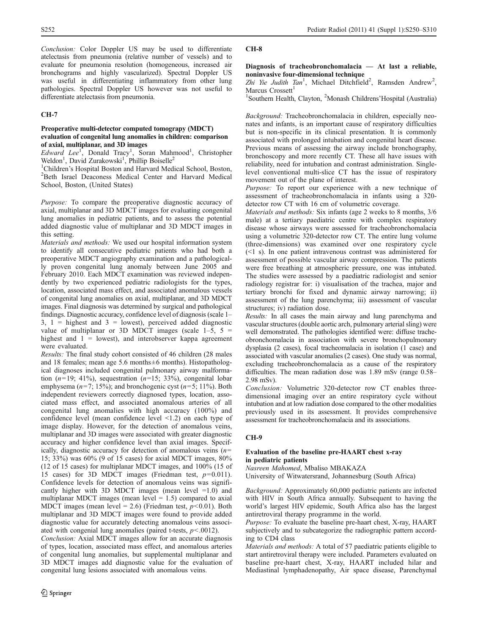Conclusion: Color Doppler US may be used to differentiate atelectasis from pneumonia (relative number of vessels) and to evaluate for pneumonia resolution (homogeneous, increased air bronchograms and highly vascularized). Spectral Doppler US was useful in differentiating inflammatory from other lung pathologies. Spectral Doppler US however was not useful to differentiate atelectasis from pneumonia.

## CH-7

## Preoperative multi-detector computed tomograpy (MDCT) evaluation of congenital lung anomalies in children: comparison of axial, multiplanar, and 3D images

Edward Lee<sup>1</sup>, Donald Tracy<sup>1</sup>, Soran Mahmood<sup>1</sup>, Christopher Weldon<sup>1</sup>, David Zurakowski<sup>1</sup>, Phillip Boiselle<sup>2</sup>

<sup>1</sup>Children's Hospital Boston and Harvard Medical School, Boston, <sup>2</sup><br><sup>2</sup> Beth, Israel, Deaconess, Medical Center, and Harvard, Medical <sup>2</sup>Beth Israel Deaconess Medical Center and Harvard Medical School, Boston, (United States)

Purpose: To compare the preoperative diagnostic accuracy of axial, multiplanar and 3D MDCT images for evaluating congenital lung anomalies in pediatric patients, and to assess the potential added diagnostic value of multiplanar and 3D MDCT images in this setting.

Materials and methods: We used our hospital information system to identify all consecutive pediatric patients who had both a preoperative MDCT angiography examination and a pathologically proven congenital lung anomaly between June 2005 and February 2010. Each MDCT examination was reviewed independently by two experienced pediatric radiologists for the types, location, associated mass effect, and associated anomalous vessels of congenital lung anomalies on axial, multiplanar, and 3D MDCT images. Final diagnosis was determined by surgical and pathological findings. Diagnostic accuracy, confidence level of diagnosis (scale 1–  $3, 1$  = highest and  $3$  = lowest), perceived added diagnostic value of multiplanar or 3D MDCT images (scale  $1-\overline{5}$ ,  $5 =$ highest and  $1 =$  lowest), and interobserver kappa agreement were evaluated.

Results: The final study cohort consisted of 46 children (28 males and 18 females; mean age 5.6 months±6 months). Histopathological diagnoses included congenital pulmonary airway malformation  $(n=19; 41\%)$ , sequestration  $(n=15; 33\%)$ , congenital lobar emphysema ( $n=7$ ; 15%); and bronchogenic cyst ( $n=5$ ; 11%). Both independent reviewers correctly diagnosed types, location, associated mass effect, and associated anomalous arteries of all congenital lung anomalies with high accuracy (100%) and confidence level (mean confidence level <1.2) on each type of image display. However, for the detection of anomalous veins, multiplanar and 3D images were associated with greater diagnostic accuracy and higher confidence level than axial images. Specifically, diagnostic accuracy for detection of anomalous veins  $(n=$ 15; 33%) was 60% (9 of 15 cases) for axial MDCT images, 80% (12 of 15 cases) for multiplanar MDCT images, and 100% (15 of 15 cases) for 3D MDCT images (Friedman test,  $p=0.011$ ). Confidence levels for detection of anomalous veins was significantly higher with 3D MDCT images (mean level  $=1.0$ ) and multiplanar MDCT images (mean level  $= 1.5$ ) compared to axial MDCT images (mean level = 2.6) (Friedman test,  $p < 0.01$ ). Both multiplanar and 3D MDCT images were found to provide added diagnostic value for accurately detecting anomalous veins associated with congenial lung anomalies (paired t-tests,  $p < .0012$ ).

Conclusion: Axial MDCT images allow for an accurate diagnosis of types, location, associated mass effect, and anomalous arteries of congenital lung anomalies, but supplemental multiplanar and 3D MDCT images add diagnostic value for the evaluation of congenital lung lesions associated with anomalous veins.

## CH-8

## Diagnosis of tracheobronchomalacia — At last a reliable, noninvasive four-dimensional technique

Zhi Yie Judith Tan<sup>1</sup>, Michael Ditchfield<sup>2</sup>, Ramsden Andrew<sup>2</sup>, Marcus Crossett<sup>1</sup>

<sup>1</sup>Southern Health, Clayton, <sup>2</sup>Monash Childrens'Hospital (Australia)

Background: Tracheobronchomalacia in children, especially neonates and infants, is an important cause of respiratory difficulties but is non-specific in its clinical presentation. It is commonly associated with prolonged intubation and congenital heart disease. Previous means of assessing the airway include bronchography, bronchoscopy and more recently CT. These all have issues with reliability, need for intubation and contrast administration. Singlelevel conventional multi-slice CT has the issue of respiratory movement out of the plane of interest.

Purpose: To report our experience with a new technique of assessment of tracheobronchomalacia in infants using a 320 detector row CT with 16 cm of volumetric coverage.

Materials and methods: Six infants (age 2 weeks to 8 months, 3/6 male) at a tertiary paediatric centre with complex respiratory disease whose airways were assessed for tracheobronchomalacia using a volumetric 320-detector row CT. The entire lung volume (three-dimensions) was examined over one respiratory cycle  $(\leq 1)$  s). In one patient intravenous contrast was administered for assessment of possible vascular airway compression. The patients were free breathing at atmospheric pressure, one was intubated. The studies were assessed by a paediatric radiologist and senior radiology registrar for: i) visualisation of the trachea, major and tertiary bronchi for fixed and dynamic airway narrowing; ii) assessment of the lung parenchyma; iii) assessment of vascular structures; iv) radiation dose.

Results: In all cases the main airway and lung parenchyma and vascular structures (double aortic arch, pulmonary arterial sling) were well demonstrated. The pathologies identified were: diffuse tracheobronchomalacia in association with severe bronchopulmonary dysplasia (2 cases), focal tracheomalacia in isolation (1 case) and associated with vascular anomalies (2 cases). One study was normal, excluding tracheobronchomalacia as a cause of the respiratory difficulties. The mean radiation dose was 1.89 mSv (range 0.58– 2.98 mSv).

Conclusion: Volumetric 320-detector row CT enables threedimensional imaging over an entire respiratory cycle without intubation and at low radiation dose compared to the other modalities previously used in its assessment. It provides comprehensive assessment for tracheobronchomalacia and its associations.

## CH-9

## Evaluation of the baseline pre-HAART chest x-ray in pediatric patients

Nasreen Mahomed, Mbaliso MBAKAZA

University of Witwatersrand, Johannesburg (South Africa)

Background: Approximately 60,000 pediatric patients are infected with HIV in South Africa annually. Subsequent to having the world's largest HIV epidemic, South Africa also has the largest antiretroviral therapy programme in the world.

Purpose: To evaluate the baseline pre-haart chest, X-ray, HAART subjectively and to subcategorize the radiographic pattern according to CD4 class

Materials and methods: A total of 57 paediatric patients eligible to start antiretroviral therapy were included. Parameters evaluated on baseline pre-haart chest, X-ray, HAART included hilar and Mediastinal lymphadenopathy, Air space disease, Parenchymal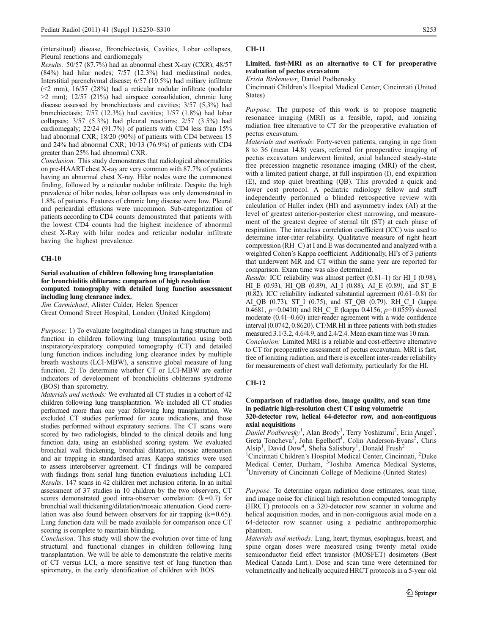(interstitual) disease, Bronchiectasis, Cavities, Lobar collapses, Pleural reactions and cardiomegaly

Results: 50/57 (87.7%) had an abnormal chest X-ray (CXR); 48/57 (84%) had hilar nodes; 7/57 (12.3%) had mediastinal nodes, Interstitial parenchymal disease; 6/57 (10.5%) had miliary infiltrate  $(\leq 2$  mm),  $16/57$  (28%) had a reticular nodular infiltrate (nodular  $>2$  mm); 12/57 (21%) had airspace consolidation, chronic lung disease assessed by bronchiectasis and cavities; 3/57 (5,3%) had bronchiectasis; 7/57 (12.3%) had cavities; 1/57 (1.8%) had lobar collapses; 3/57 (5.3%) had pleural reactions; 2/57 (3.5%) had cardiomegaly; 22/24 (91.7%) of patients with CD4 less than 15% had abnormal CXR; 18/20 (90%) of patients with CD4 between 15 and 24% had abnormal CXR; 10/13 (76.9%) of patients with CD4 greater than 25% had abnormal CXR.

Conclusion: This study demonstrates that radiological abnormalities on pre-HAART chest X-ray are very common with 87.7% of patients having an abnormal chest X-ray. Hilar nodes were the commonest finding, followed by a reticular nodular infiltrate. Despite the high prevalence of hilar nodes, lobar collapses was only demonstrated in 1.8% of patients. Features of chronic lung disease were low. Pleural and pericardial effusions were uncommon. Sub-categorization of patients according to CD4 counts demonstrated that patients with the lowest CD4 counts had the highest incidence of abnormal chest X-Ray with hilar nodes and reticular nodular infiltrate having the highest prevalence.

### CH-10

## Serial evaluation of children following lung transplantation for bronchiolitis obliterans: comparison of high resolution computed tomography with detailed lung function assessment including lung clearance index.

Jim Carmichael, Alister Calder, Helen Spencer

Great Ormond Street Hospital, London (United Kingdom)

Purpose: 1) To evaluate longitudinal changes in lung structure and function in children following lung transplantation using both inspiratory/expiratory computed tomography (CT) and detailed lung function indices including lung clearance index by multiple breath washouts (LCI-MBW), a sensitive global measure of lung function. 2) To determine whether CT or LCI-MBW are earlier indicators of development of bronchiolitis obliterans syndrome (BOS) than spirometry.

Materials and methods: We evaluated all CT studies in a cohort of 42 children following lung transplantation. We included all CT studies performed more than one year following lung transplantation. We excluded CT studies performed for acute indications, and those studies performed without expiratory sections. The CT scans were scored by two radiologists, blinded to the clinical details and lung function data, using an established scoring system. We evaluated bronchial wall thickening, bronchial dilatation, mosaic attenuation and air trapping in standardised areas. Kappa statistics were used to assess interobserver agreement. CT findings will be compared with findings from serial lung function evaluations including LCI. Results: 147 scans in 42 children met inclusion criteria. In an initial assessment of 37 studies in 10 children by the two observers, CT scores demonstrated good intra-observer correlation:  $(k=0.7)$  for bronchial wall thickening/dilatation/mosaic attenuation. Good correlation was also found between observers for air trapping  $(k=0.65)$ . Lung function data will be made available for comparison once CT scoring is complete to maintain blinding.

Conclusion: This study will show the evolution over time of lung structural and functional changes in children following lung transplantation. We will be able to demonstrate the relative merits of CT versus LCI, a more sensitive test of lung function than spirometry, in the early identification of children with BOS.

### CH-11

### Limited, fast-MRI as an alternative to CT for preoperative evaluation of pectus excavatum

Krista Birkemeier, Daniel Podberesky

Cincinnati Children's Hospital Medical Center, Cincinnati (United States)

Purpose: The purpose of this work is to propose magnetic resonance imaging (MRI) as a feasible, rapid, and ionizing radiation free alternative to CT for the preoperative evaluation of pectus excavatum.

Materials and methods: Forty-seven patients, ranging in age from 8 to 36 (mean 14.8) years, referred for preoperative imaging of pectus excavatum underwent limited, axial balanced steady-state free precession magnetic resonance imaging (MRI) of the chest, with a limited patient charge, at full inspiration (I), end expiration (E), and stop quiet breathing (QB). This provided a quick and lower cost protocol. A pediatric radiology fellow and staff independently performed a blinded retrospective review with calculation of Haller index (HI) and asymmetry index (AI) at the level of greatest anterior-posterior chest narrowing, and measurement of the greatest degree of sternal tilt (ST) at each phase of respiration. The intraclass correlation coefficient (ICC) was used to determine inter-rater reliability. Qualitative measure of right heart compression (RH\_C) at I and E was documented and analyzed with a weighted Cohen's Kappa coefficient. Additionally, HI's of 3 patients that underwent MR and CT within the same year are reported for comparison. Exam time was also determined.

*Results:* ICC reliability was almost perfect  $(0.81-1)$  for HI I (0.98), HI\_E (0.93), HI\_QB (0.89), AI\_I (0.88), AI\_E (0.89), and ST\_E (0.82). ICC reliability indicated substantial agreement (0.61–0.8) for AI\_QB (0.73), ST\_I (0.75), and ST\_QB (0.79). RH\_C\_I (kappa 0.4681,  $p=0.0410$ ) and RH\_C\_E (kappa 0.4156,  $p=0.0559$ ) showed moderate (0.41–0.60) inter-reader agreement with a wide confidence interval (0.0742, 0.8620). CT/MR HI in three patients with both studies measured 3.1/3.2, 4.6/4.9, and 2.4/2.4. Mean exam time was 10 min. Conclusion: Limited MRI is a reliable and cost-effective alternative to CT for preoperative assessment of pectus excavatum. MRI is fast, free of ionizing radiation, and there is excellent inter-reader reliability for measurements of chest wall deformity, particularly for the HI.

### CH-12

Comparison of radiation dose, image quality, and scan time in pediatric high-resolution chest CT using volumetric 320-detector row, helical 64-detector row, and non-contiguous axial acquisitions

Daniel Podberesky<sup>1</sup>, Alan Brody<sup>1</sup>, Terry Yoshizumi<sup>2</sup>, Erin Angel<sup>3</sup>, Greta Toncheva<sup>3</sup>, John Egelhoff<sup>1</sup>, Colin Anderson-Evans<sup>2</sup>, Chris Alsip<sup>1</sup>, David Dow<sup>4</sup>, Shelia Salisbury<sup>1</sup>, Donald Frush<sup>2</sup>

<sup>1</sup>Cincinnati Children's Hospital Medical Center, Cincinnati, <sup>2</sup>Duke Medical Center, Durham, <sup>3</sup> Toshiba America Medical Systems, University of Cincinnati College of Medicine (United States)

Purpose: To determine organ radiation dose estimates, scan time, and image noise for clinical high resolution computed tomography (HRCT) protocols on a 320-detector row scanner in volume and helical acquisition modes, and in non-contiguous axial mode on a 64-detector row scanner using a pediatric anthropomorphic phantom.

Materials and methods: Lung, heart, thymus, esophagus, breast, and spine organ doses were measured using twenty metal oxide semiconductor field effect transistor (MOSFET) dosimeters (Best Medical Canada Lmt.). Dose and scan time were determined for volumetrically and helically acquired HRCT protocols in a 5-year old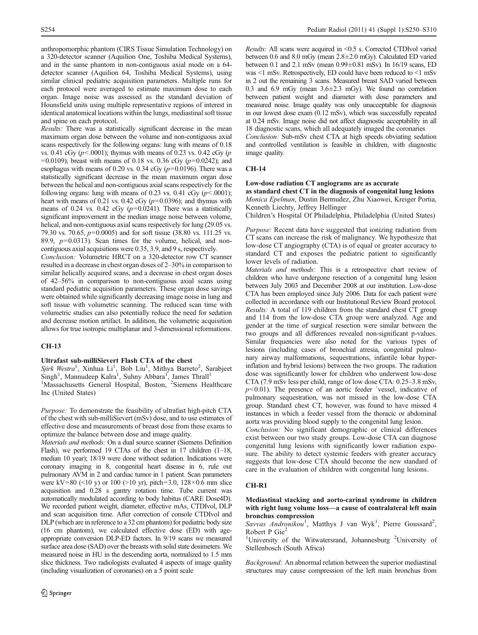anthropomorphic phantom (CIRS Tissue Simulation Technology) on a 320-detector scanner (Aquilion One, Toshiba Medical Systems), and in the same phantom in non-contiguous axial mode on a 64 detector scanner (Aquilion 64, Toshiba Medical Systems), using similar clinical pediatric acquisition parameters. Multiple runs for each protocol were averaged to estimate maximum dose to each organ. Image noise was assessed as the standard deviation of Hounsfield units using multiple representative regions of interest in identical anatomical locations within the lungs, mediastinal soft tissue and spine on each protocol.

Results: There was a statistically significant decrease in the mean maximum organ dose between the volume and non-contiguous axial scans respectively for the following organs: lung with means of 0.18 vs. 0.41 cGy ( $p$ <.0001); thymus with means of 0.23 vs. 0.42 cGy ( $p$ )  $=0.0109$ ; breast with means of 0.18 vs. 0.36 cGy ( $p=0.0242$ ); and esophagus with means of 0.20 vs. 0.34 cGy ( $p=0.0196$ ). There was a statistically significant decrease in the mean maximum organ dose between the helical and non-contiguous axial scans respectively for the following organs: lung with means of 0.23 vs. 0.41 cGy  $(p<.0001)$ ; heart with means of 0.21 vs. 0.42 cGy ( $p=0.0396$ ); and thymus with means of 0.24 vs. 0.42 cGy  $(p=0.0241)$ . There was a statistically significant improvement in the median image noise between volume, helical, and non-contiguous axial scans respectively for lung (29.05 vs. 79.30 vs. 70.65,  $p=0.0005$ ) and for soft tissue (38.80 vs. 111.25 vs. 89.9,  $p=0.0313$ ). Scan times for the volume, helical, and noncontiguous axial acquisitions were 0.35, 3.9, and 9 s, respectively.

Conclusion: Volumetric HRCT on a 320-detector row CT scanner resulted in a decrease in chest organ doses of 2–30% in comparison to similar helically acquired scans, and a decrease in chest organ doses of 42–56% in comparison to non-contiguous axial scans using standard pediatric acquisition parameters. These organ dose savings were obtained while significantly decreasing image noise in lung and soft tissue with volumetric scanning. The reduced scan time with volumetric studies can also potentially reduce the need for sedation and decrease motion artifact. In addition, the volumetric acquisition allows for true isotropic multiplanar and 3-dimensional reformations.

### CH-13

## Ultrafast sub-milliSievert Flash CTA of the chest

Sjirk Westra<sup>1</sup>, Xinhua Li<sup>1</sup>, Bob Liu<sup>1</sup>, Mithya Barreto<sup>2</sup>, Sarabjeet<br>Singh<sup>1</sup>, Mannudeep Kalra<sup>1</sup>, Suhny Abbara<sup>1</sup>, James Thrall<sup>1</sup><br><sup>1</sup>Massachusetts General Hospital, Boston, <sup>2</sup>Siemens Healthcare Inc (United States)

Purpose: To demonstrate the feasibility of ultrafast high-pitch CTA of the chest with sub-milliSievert (mSv) dose, and to use estimates of effective dose and measurements of breast dose from these exams to optimize the balance between dose and image quality.

Materials and methods: On a dual source scanner (Siemens Definition Flash), we performed 19 CTAs of the chest in 17 children (1–18, median 10 year); 18/19 were done without sedation. Indications were coronary imaging in 8, congenital heart disease in 6, rule out pulmonary AVM in 2 and cardiac tumor in 1 patient. Scan parameters were kV=80 (<10 y) or 100 (>10 yr), pitch=3.0,  $128 \times 0.6$  mm slice acquisition and 0.28 s gantry rotation time. Tube current was automatically modulated according to body habitus (CARE Dose4D). We recorded patient weight, diameter, effective mAs, CTDIvol, DLP and scan acquisition time. After correction of console CTDIvol and DLP (which are in reference to a 32 cm phantom) for pediatric body size (16 cm phantom), we calculated effective dose (ED) with ageappropriate conversion DLP-ED factors. In 9/19 scans we measured surface area dose (SAD) over the breasts with solid state dosimeters. We measured noise in HU in the descending aorta, normalized to 1.5 mm slice thickness. Two radiologists evaluated 4 aspects of image quality (including visualization of coronaries) on a 5 point scale

Results: All scans were acquired in <0.5 s. Corrected CTDIvol varied between 0.6 and 8.0 mGy (mean 2.8±2.0 mGy). Calculated ED varied between 0.1 and 2.1 mSv (mean 0.99±0.81 mSv). In 16/19 scans, ED was <1 mSv. Retrospectively, ED could have been reduced to <1 mSv in 2 out the remaining 3 scans. Measured breast SAD varied between 0.3 and 6.9 mGy (mean  $3.6 \pm 2.3$  mGy). We found no correlation between patient weight and diameter with dose parameters and measured noise. Image quality was only unacceptable for diagnosis in our lowest dose exam (0.12 mSv), which was successfully repeated at 0.24 mSv. Image noise did not affect diagnostic acceptability in all 18 diagnostic scans, which all adequately imaged the coronaries

Conclusion: Sub-mSv chest CTA at high speeds obviating sedation and controlled ventilation is feasible in children, with diagnostic image quality.

## CH-14

### Low-dose radiation CT angiograms are as accurate

as standard chest CT in the diagnosis of congenital lung lesions Monica Epelman, Dustin Bermudez, Zhu Xiaowei, Kreiger Portia, Kenneth Liechty, Jeffrey Hellinger

Children's Hospital Of Philadelphia, Philadelphia (United States)

Purpose: Recent data have suggested that ionizing radiation from CT scans can increase the risk of malignancy. We hypothesize that low-dose CT angiography (CTA) is of equal or greater accuracy to standard CT and exposes the pediatric patient to significantly lower levels of radiation.

Materials and methods: This is a retrospective chart review of children who have undergone resection of a congenital lung lesion between July 2003 and December 2008 at our institution. Low-dose CTA has been employed since July 2006. Data for each patient were collected in accordance with our Institutional Review Board protocol. Results: A total of 119 children from the standard chest CT group and 114 from the low-dose CTA group were analyzed. Age and gender at the time of surgical resection were similar between the two groups and all differences revealed non-significant p-values. Similar frequencies were also noted for the various types of lesions (including cases of bronchial atresia, congenital pulmonary airway malformations, sequestrations, infantile lobar hyperinflation and hybrid lesions) between the two groups. The radiation dose was significantly lower for children who underwent low-dose CTA (7.9 mSv less per child, range of low dose CTA: 0.25–3.8 mSv,  $p<0.01$ ). The presence of an aortic feeder `vessel, indicative of pulmonary sequestration, was not missed in the low-dose CTA group. Standard chest CT, however, was found to have missed 4 instances in which a feeder vessel from the thoracic or abdominal aorta was providing blood supply to the congenital lung lesion.

Conclusion: No significant demographic or clinical differences exist between our two study groups. Low-dose CTA can diagnose congenital lung lesions with significantly lower radiation exposure. The ability to detect systemic feeders with greater accuracy suggests that low-dose CTA should become the new standard of care in the evaluation of children with congenital lung lesions.

## CH-R1

### Mediastinal stacking and aorto-carinal syndrome in children with right lung volume loss—a cause of contralateral left main bronchus compression

Savvas Andronikou<sup>1</sup>, Matthys J van Wyk<sup>1</sup>, Pierre Goussard<sup>2</sup>, Robert P  $\text{Gie}^2$ 

<sup>1</sup>University of the Witwatersrand, Johannesburg <sup>2</sup>University of Stellenbosch (South Africa)

Background: An abnormal relation between the superior mediastinal structures may cause compression of the left main bronchus from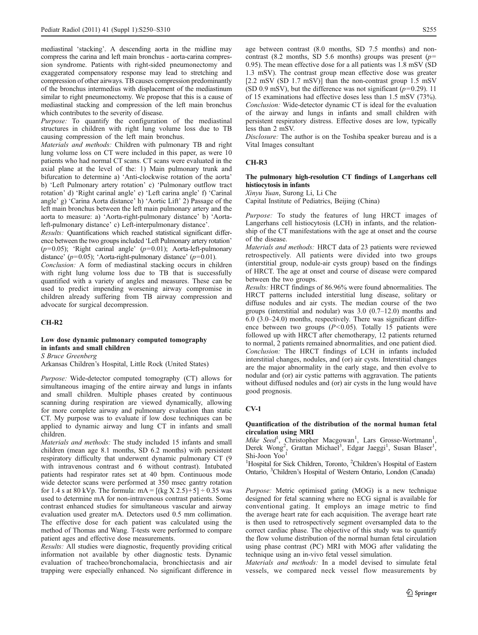mediastinal 'stacking'. A descending aorta in the midline may compress the carina and left main bronchus - aorta-carina compression syndrome. Patients with right-sided pneumonectomy and exaggerated compensatory response may lead to stretching and compression of other airways. TB causes compression predominantly of the bronchus intermedius with displacement of the mediastinum similar to right pneumonectomy. We propose that this is a cause of mediastinal stacking and compression of the left main bronchus which contributes to the severity of disease.

Purpose: To quantify the configuration of the mediastinal structures in children with right lung volume loss due to TB causing compression of the left main bronchus.

Materials and methods: Children with pulmonary TB and right lung volume loss on CT were included in this paper, as were 10 patients who had normal CT scans. CT scans were evaluated in the axial plane at the level of the: 1) Main pulmonary trunk and bifurcation to determine a) 'Anti-clockwise rotation of the aorta' b) 'Left Pulmonary artery rotation' c) 'Pulmonary outflow tract rotation' d) 'Right carinal angle' e) 'Left carina angle' f) 'Carinal angle' g) 'Carina Aorta distance' h) 'Aortic Lift' 2) Passage of the left main bronchus between the left main pulmonary artery and the aorta to measure: a) 'Aorta-right-pulmonary distance' b) 'Aortaleft-pulmonary distance' c) Left-interpulmonary distance'.

Results: Quantifications which reached statistical significant difference between the two groups included 'Left Pulmonary artery rotation'  $(p=0.05)$ ; 'Right carinal angle'  $(p=0.01)$ ; Aorta-left-pulmonary distance' ( $p=0.05$ ); 'Aorta-right-pulmonary distance' ( $p=0.01$ ).

Conclusion: A form of mediastinal stacking occurs in children with right lung volume loss due to TB that is successfully quantified with a variety of angles and measures. These can be used to predict impending worsening airway compromise in children already suffering from TB airway compression and advocate for surgical decompression.

### CH-R2

## Low dose dynamic pulmonary computed tomography in infants and small children

S Bruce Greenberg

Arkansas Children's Hospital, Little Rock (United States)

Purpose: Wide-detector computed tomography (CT) allows for simultaneous imaging of the entire airway and lungs in infants and small children. Multiple phases created by continuous scanning during respiration are viewed dynamically, allowing for more complete airway and pulmonary evaluation than static CT. My purpose was to evaluate if low dose techniques can be applied to dynamic airway and lung CT in infants and small children.

Materials and methods: The study included 15 infants and small children (mean age 8.1 months, SD 6.2 months) with persistent respiratory difficulty that underwent dynamic pulmonary CT (9 with intravenous contrast and 6 without contrast). Intubated patients had respirator rates set at 40 bpm. Continuous mode wide detector scans were performed at 350 msec gantry rotation for 1.4 s at 80 kVp. The formula:  $mA = [(kg X 2.5) + 5] \div 0.35$  was used to determine mA for non-intravenous contrast patients. Some contrast enhanced studies for simultaneous vascular and airway evaluation used greater mA. Detectors used 0.5 mm collimation. The effective dose for each patient was calculated using the method of Thomas and Wang. T-tests were performed to compare patient ages and effective dose measurements.

Results: All studies were diagnostic, frequently providing critical information not available by other diagnostic tests. Dynamic evaluation of tracheo/bronchomalacia, bronchiectasis and air trapping were especially enhanced. No significant difference in age between contrast (8.0 months, SD 7.5 months) and noncontrast (8.2 months, SD 5.6 months) groups was present ( $p=$ 0.95). The mean effective dose for a all patients was 1.8 mSV (SD 1.3 mSV). The contrast group mean effective dose was greater [2.2 mSV (SD 1.7 mSV)] than the non-contrast group 1.5 mSV (SD 0.9 mSV), but the difference was not significant  $(p=0.29)$ . 11 of 15 examinations had effective doses less than 1.5 mSV (73%). Conclusion: Wide-detector dynamic CT is ideal for the evaluation of the airway and lungs in infants and small children with persistent respiratory distress. Effective doses are low, typically less than 2 mSV.

Disclosure: The author is on the Toshiba speaker bureau and is a Vital Images consultant

## CH-R3

### The pulmonary high-resolution CT findings of Langerhans cell histiocytosis in infants

Xinyu Yuan, Surong Li, Li Che

Capital Institute of Pediatrics, Beijing (China)

Purpose: To study the features of lung HRCT images of Langerhans cell histiocytosis (LCH) in infants, and the relationship of the CT manifestations with the age at onset and the course of the disease.

Materials and methods: HRCT data of 23 patients were reviewed retrospectively. All patients were divided into two groups (interstitial group, nodule-air cysts group) based on the findings of HRCT. The age at onset and course of disease were compared between the two groups.

Results: HRCT findings of 86.96% were found abnormalities. The HRCT patterns included interstitial lung disease, solitary or diffuse nodules and air cysts. The median course of the two groups (interstitial and nodular) was 3.0 (0.7–12.0) months and 6.0 (3.0–24.0) months, respectively. There was significant difference between two groups  $(P<0.05)$ . Totally 15 patients were followed up with HRCT after chemotherapy, 12 patients returned to normal, 2 patients remained abnormalities, and one patient died. Conclusion: The HRCT findings of LCH in infants included interstitial changes, nodules, and (or) air cysts. Interstitial changes are the major abnormality in the early stage, and then evolve to nodular and (or) air cystic patterns with aggravation. The patients without diffused nodules and (or) air cysts in the lung would have good prognosis.

### CV-1

## Quantification of the distribution of the normal human fetal circulation using MRI

Mike Seed<sup>1</sup>, Christopher Macgowan<sup>1</sup>, Lars Grosse-Wortmann<sup>1</sup> Mike Seed<sup>1</sup>, Christopher Macgowan<sup>1</sup>, Lars Grosse-Wortmann<sup>1</sup>, Derek Wong<sup>2</sup>, Grattan Michael<sup>3</sup>, Edgar Jaeggi<sup>1</sup>, Susan Blaser<sup>1</sup>, Shi-Joon Yoo

<sup>1</sup>Hospital for Sick Children, Toronto, <sup>2</sup>Children's Hospital of Eastern Ontario, <sup>3</sup> Children's Hospital of Western Ontario, London (Canada)

Purpose: Metric optimised gating (MOG) is a new technique designed for fetal scanning where no ECG signal is available for conventional gating. It employs an image metric to find the average heart rate for each acquisition. The average heart rate is then used to retrospectively segment oversampled data to the correct cardiac phase. The objective of this study was to quantify the flow volume distribution of the normal human fetal circulation using phase contrast (PC) MRI with MOG after validating the technique using an in-vivo fetal vessel simulation.

Materials and methods: In a model devised to simulate fetal vessels, we compared neck vessel flow measurements by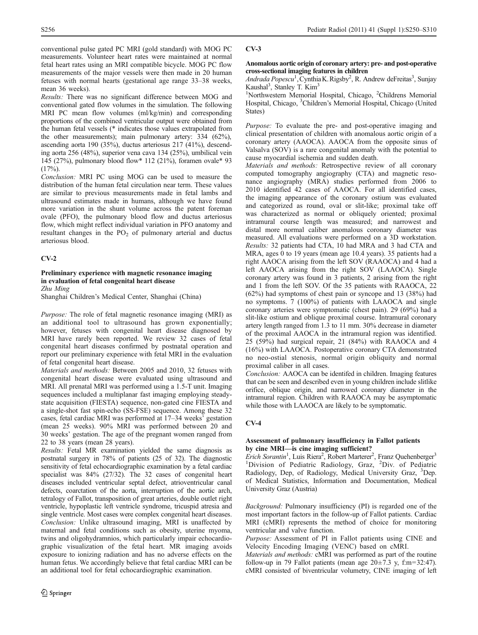conventional pulse gated PC MRI (gold standard) with MOG PC measurements. Volunteer heart rates were maintained at normal fetal heart rates using an MRI compatible bicycle. MOG PC flow measurements of the major vessels were then made in 20 human fetuses with normal hearts (gestational age range 33–38 weeks, mean 36 weeks).

Results: There was no significant difference between MOG and conventional gated flow volumes in the simulation. The following MRI PC mean flow volumes (ml/kg/min) and corresponding proportions of the combined ventricular output were obtained from the human fetal vessels (\* indicates those values extrapolated from the other measurements); main pulmonary artery: 334 (62%), ascending aorta 190 (35%), ductus arteriosus 217 (41%), descending aorta 256 (48%), superior vena cava 134 (25%), umbilical vein 145 (27%), pulmonary blood flow\* 112 (21%), foramen ovale\* 93  $(17\%)$ .

Conclusion: MRI PC using MOG can be used to measure the distribution of the human fetal circulation near term. These values are similar to previous measurements made in fetal lambs and ultrasound estimates made in humans, although we have found more variation in the shunt volume across the patent foreman ovale (PFO), the pulmonary blood flow and ductus arteriosus flow, which might reflect individual variation in PFO anatomy and resultant changes in the  $PO<sub>2</sub>$  of pulmonary arterial and ductus arteriosus blood.

## CV-2

### Preliminary experience with magnetic resonance imaging in evaluation of fetal congenital heart disease Zhu Ming

Shanghai Children's Medical Center, Shanghai (China)

Purpose: The role of fetal magnetic resonance imaging (MRI) as an additional tool to ultrasound has grown exponentially; however, fetuses with congenital heart disease diagnosed by MRI have rarely been reported. We review 32 cases of fetal congenital heart diseases confirmed by postnatal operation and report our preliminary experience with fetal MRI in the evaluation of fetal congenital heart disease.

Materials and methods: Between 2005 and 2010, 32 fetuses with congenital heart disease were evaluated using ultrasound and MRI. All prenatal MRI was performed using a 1.5-T unit. Imaging sequences included a multiplanar fast imaging employing steadystate acquisition (FIESTA) sequence, non-gated cine FIESTA and a single-shot fast spin-echo (SS-FSE) sequence. Among these 32 cases, fetal cardiac MRI was performed at 17–34 weeks' gestation (mean 25 weeks). 90% MRI was performed between 20 and 30 weeks' gestation. The age of the pregnant women ranged from 22 to 38 years (mean 28 years).

Results: Fetal MR examination yielded the same diagnosis as postnatal surgery in 78% of patients (25 of 32). The diagnostic sensitivity of fetal echocardiographic examination by a fetal cardiac specialist was 84% (27/32). The 32 cases of congenital heart diseases included ventricular septal defect, atrioventricular canal defects, coarctation of the aorta, interruption of the aortic arch, tetralogy of Fallot, transposition of great arteries, double outlet right ventricle, hypoplastic left ventricle syndrome, tricuspid atresia and single ventricle. Most cases were complex congenital heart diseases. Conclusion: Unlike ultrasound imaging, MRI is unaffected by maternal and fetal conditions such as obesity, uterine myoma, twins and oligohydramnios, which particularly impair echocardiographic visualization of the fetal heart. MR imaging avoids exposure to ionizing radiation and has no adverse effects on the human fetus. We accordingly believe that fetal cardiac MRI can be an additional tool for fetal echocardiographic examination.

## CV-3

## Anomalous aortic origin of coronary artery: pre- and post-operative cross-sectional imaging features in children

Andrada Popescu<sup>1</sup>, Cynthia K. Rigsby<sup>2</sup>, R. Andrew deFreitas<sup>3</sup>, Sunjay Kaushal<sup>3</sup>, Stanley T. Kim<sup>3</sup>

<sup>1</sup>Northwestern Memorial Hospital, Chicago, <sup>2</sup>Childrens Memorial Hospital, Chicago, <sup>3</sup>Children's Memorial Hospital, Chicago (United States)

Purpose: To evaluate the pre- and post-operative imaging and clinical presentation of children with anomalous aortic origin of a coronary artery (AAOCA). AAOCA from the opposite sinus of Valsalva (SOV) is a rare congenital anomaly with the potential to cause myocardial ischemia and sudden death.

Materials and methods: Retrospective review of all coronary computed tomography angiography (CTA) and magnetic resonance angiography (MRA) studies performed from 2006 to 2010 identified 42 cases of AAOCA. For all identified cases, the imaging appearance of the coronary ostium was evaluated and categorized as round, oval or slit-like; proximal take off was characterized as normal or obliquely oriented; proximal intramural course length was measured; and narrowest and distal more normal caliber anomalous coronary diameter was measured. All evaluations were performed on a 3D workstation. Results: 32 patients had CTA, 10 had MRA and 3 had CTA and MRA, ages 0 to 19 years (mean age 10.4 years). 35 patients had a right AAOCA arising from the left SOV (RAAOCA) and 4 had a left AAOCA arising from the right SOV (LAAOCA). Single coronary artery was found in 3 patients, 2 arising from the right and 1 from the left SOV. Of the 35 patients with RAAOCA, 22 (62%) had symptoms of chest pain or syncope and 13 (38%) had no symptoms. 7 (100%) of patients with LAAOCA and single coronary arteries were symptomatic (chest pain). 29 (69%) had a slit-like ostium and oblique proximal course. Intramural coronary artery length ranged from 1.3 to 11 mm. 30% decrease in diameter of the proximal AAOCA in the intramural region was identified. 25 (59%) had surgical repair, 21 (84%) with RAAOCA and 4 (16%) with LAAOCA. Postoperative coronary CTA demonstrated no neo-ostial stenosis, normal origin obliquity and normal proximal caliber in all cases.

Conclusion: AAOCA can be identifed in children. Imaging features that can be seen and described even in young children include slitlike orifice, oblique origin, and narrowed coronary diameter in the intramural region. Children with RAAOCA may be asymptomatic while those with LAAOCA are likely to be symptomatic.

## CV-4

## Assessment of pulmonary insufficiency in Fallot patients by cine MRI—is cine imaging sufficient?

Erich Sorantin<sup>1</sup>, Luis Riera<sup>2</sup>, Robert Marterer<sup>2</sup>, Franz Quehenberger<sup>3</sup> <sup>1</sup>Division of Pediatric Radiology, Graz, <sup>2</sup>Div. of Pediatric Radiology, Dep, of Radiology, Medical University Graz, <sup>3</sup>Dep. of Medical Statistics, Information and Documentation, Medical University Graz (Austria)

Background: Pulmonary insufficiency (PI) is regarded one of the most important factors in the follow-up of Fallot patients. Cardiac MRI (cMRI) represents the method of choice for monitoring ventricular and valve function.

Purpose: Assessment of PI in Fallot patients using CINE and Velocity Encoding Imaging (VENC) based on cMRI.

Materials and methods: cMRI was performed as part of the routine follow-up in 79 Fallot patients (mean age  $20\pm7.3$  y, f:m=32:47). cMRI consisted of biventricular volumetry, CINE imaging of left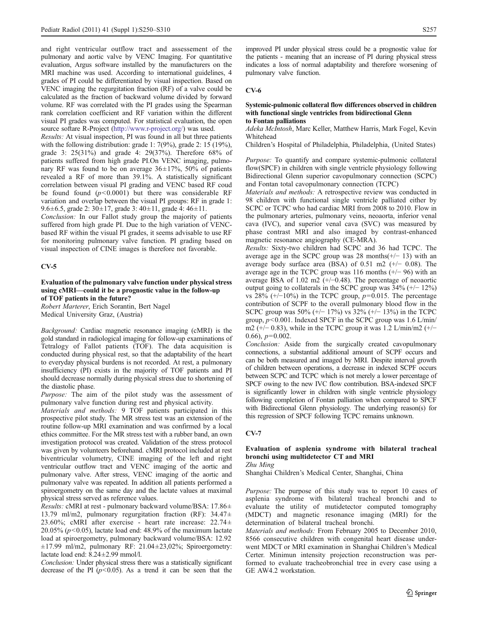and right ventricular outflow tract and assessement of the pulmonary and aortic valve by VENC Imaging. For quantitative evaluation, Argus software installed by the manufacturers on the MRI machine was used. According to international guidelines, 4 grades of PI could be differentiated by visual inspection. Based on VENC imaging the regurgitation fraction (RF) of a valve could be calculated as the fraction of backward volume divided by forward volume. RF was correlated with the PI grades using the Spearman rank correlation coefficient and RF variation within the different visual PI grades was computed. For statistical evaluation, the open source softare R-Project ([http://www.r-project.org/\)](http://www.r-project.org/) was used.

Results: At visual inspection, PI was found in all but three patients with the following distribution: grade 1: 7(9%), grade 2: 15 (19%), grade 3: 25(31%) and grade 4: 29(37%). Therefore 68% of patients suffered from high grade PI.On VENC imaging, pulmonary RF was found to be on average  $36\pm17\%$ ,  $50\%$  of patients revealed a RF of more than 39.1%. A statistically significant correlation between visual PI grading and VENC based RF coud be found found  $(p<0.0001)$  but there was considerable RF variation and overlap between the visual PI groups: RF in grade 1: 9.6±6.5, grade 2: 30±17, grade 3: 40±11, grade 4: 46±11.

Conclusion: In our Fallot study group the majority of patients suffered from high grade PI. Due to the high variation of VENCbased RF within the visual PI grades, it seems advisable to use RF for monitoring pulmonary valve function. PI grading based on visual inspection of CINE images is therefore not favorable.

## CV-5

Evaluation of the pulmonary valve function under physical stress using cMRI—could it be a prognostic value in the follow-up of TOF patients in the future?

Robert Marterer, Erich Sorantin, Bert Nagel Medical University Graz, (Austria)

Background: Cardiac magnetic resonance imaging (cMRI) is the gold standard in radiological imaging for follow-up examinations of Tetralogy of Fallot patients (TOF). The data acquisition is conducted during physical rest, so that the adaptability of the heart to everyday physical burdens is not recorded. At rest, a pulmonary insufficiency (PI) exists in the majority of TOF patients and PI should decrease normally during physical stress due to shortening of the diastolic phase.

Purpose: The aim of the pilot study was the assessment of pulmonary valve function during rest and physical activity.

Materials and methods: 9 TOF patients participated in this prospective pilot study. The MR stress test was an extension of the routine follow-up MRI examination and was confirmed by a local ethics committee. For the MR stress test with a rubber band, an own investigation protocol was created. Validation of the stress protocol was given by volunteers beforehand. cMRI protocol included at rest biventricular volumetry, CINE imaging of the left and right ventricular outflow tract and VENC imaging of the aortic and pulmonary valve. After stress, VENC imaging of the aortic and pulmonary valve was repeated. In addition all patients performed a spiroergometry on the same day and the lactate values at maximal physical stress served as reference values.

Results: cMRI at rest - pulmonary backward volume/BSA: 17.86± 13.79 ml/m2, pulmonary regurgitation fraction (RF): 34.47± 23.60%; cMRI after exercise - heart rate increase: 22.74± 20.05% ( $p$ <0.05), lactate load end: 48.9% of the maximum lactate load at spiroergometry, pulmonary backward volume/BSA: 12.92 ±17.99 ml/m2, pulmonary RF: 21.04±23,02%; Spiroergometry: lactate load end: 8.24±2.99 mmol/l.

Conclusion: Under physical stress there was a statistically significant decrease of the PI  $(p<0.05)$ . As a trend it can be seen that the improved PI under physical stress could be a prognostic value for the patients - meaning that an increase of PI during physical stress indicates a loss of normal adaptability and therefore worsening of pulmonary valve function.

## CV-6

### Systemic-pulmonic collateral flow differences observed in children with functional single ventricles from bidirectional Glenn to Fontan palliations

Adeka McIntosh, Marc Keller, Matthew Harris, Mark Fogel, Kevin Whitehead

Children's Hospital of Philadelphia, Philadelphia, (United States)

Purpose: To quantify and compare systemic-pulmonic collateral flow(SPCF) in children with single ventricle physiology following Bidirectional Glenn superior cavopulmonary connection (SCPC) and Fontan total cavopulmonary connection (TCPC)

Materials and methods: A retrospective review was conducted in 98 children with functional single ventricle palliated either by SCPC or TCPC who had cardiac MRI from 2008 to 2010. Flow in the pulmonary arteries, pulmonary veins, neoaorta, inferior venal cava (IVC), and superior venal cava (SVC) was measured by phase contrast MRI and also imaged by contrast-enhanced magnetic resonance angiography (CE-MRA).

Results: Sixty-two children had SCPC and 36 had TCPC. The average age in the SCPC group was 28 months(+/− 13) with an average body surface area (BSA) of 0.51 m2  $(+/- 0.08)$ . The average age in the TCPC group was 116 months (+/− 96) with an average BSA of 1.02 m2 (+/−0.48). The percentage of neoaortic output going to collaterals in the SCPC group was 34% (+/− 12%) vs 28%  $(+/-10\%)$  in the TCPC group,  $p=0.015$ . The percentage contribution of SCPF to the overall pulmonary blood flow in the SCPC group was  $50\%$  (+/−  $17\%$ ) vs  $32\%$  (+/−  $13\%$ ) in the TCPC group,  $p$ <0.001. Indexed SPCF in the SCPC group was 1.6 L/min/ m2 (+/− 0.83), while in the TCPC group it was 1.2 L/min/m2 (+/− 0.66),  $p=0.002$ .

Conclusion: Aside from the surgically created cavopulmonary connections, a substantial additional amount of SCPF occurs and can be both measured and imaged by MRI. Despite interval growth of children between operations, a decrease in indexed SCPF occurs between SCPC and TCPC which is not merely a lower percentage of SPCF owing to the new IVC flow contribution. BSA-indexed SPCF is significantly lower in children with single ventricle physiology following completion of Fontan palliation when compared to SPCF with Bidirectional Glenn physiology. The underlying reason(s) for this regression of SPCF following TCPC remains unknown.

## CV-7

### Evaluation of asplenia syndrome with bilateral tracheal bronchi using multidetector CT and MRI Zhu Ming

Shanghai Children's Medical Center, Shanghai, China

Purpose: The purpose of this study was to report 10 cases of asplenia syndrome with bilateral tracheal bronchi and to evaluate the utility of mutidetector computed tomography (MDCT) and magnetic resonance imaging (MRI) for the determination of bilateral tracheal bronchi.

Materials and methods: From February 2005 to December 2010, 8566 consecutive children with congenital heart disease underwent MDCT or MRI examination in Shanghai Children's Medical Certer. Minimun intensity projection reconstruction was performed to evaluate tracheobronchial tree in every case using a GE AW4.2 workstation.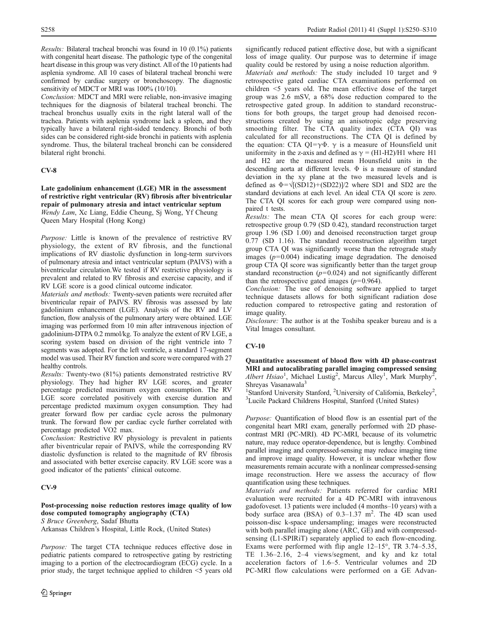Results: Bilateral tracheal bronchi was found in 10 (0.1%) patients with congenital heart disease. The pathologic type of the congenital heart disease in this group was very distinct. All of the 10 patients had asplenia syndrome. All 10 cases of bilateral tracheal bronchi were confirmed by cardiac surgery or bronchoscopy. The diagnostic sensitivity of MDCT or MRI was 100% (10/10).

Conclusion: MDCT and MRI were reliable, non-invasive imaging techniques for the diagnosis of bilateral tracheal bronchi. The tracheal bronchus usually exits in the right lateral wall of the trachea. Patients with asplenia syndrome lack a spleen, and they typically have a bilateral right-sided tendency. Bronchi of both sides can be considered right-side bronchi in patients with asplenia syndrome. Thus, the bilateral tracheal bronchi can be considered bilateral right bronchi.

## CV-8

Late gadolinium enhancement (LGE) MR in the assessment of restrictive right ventricular (RV) fibrosis after biventricular repair of pulmonary atresia and intact ventricular septum Wendy Lam, Xc Liang, Eddie Cheung, Sj Wong, Yf Cheung Queen Mary Hospital (Hong Kong)

Purpose: Little is known of the prevalence of restrictive RV physiology, the extent of RV fibrosis, and the functional implications of RV diastolic dysfunction in long-term survivors of pulmonary atresia and intact ventricular septum (PAIVS) with a biventricular circulation.We tested if RV restrictive physiology is prevalent and related to RV fibrosis and exercise capacity, and if RV LGE score is a good clinical outcome indicator.

Materials and methods: Twenty-seven patients were recruited after biventricular repair of PAIVS. RV fibrosis was assessed by late gadolinium enhancement (LGE). Analysis of the RV and LV function, flow analysis of the pulmonary artery were obtained. LGE imaging was performed from 10 min after intravenous injection of gadolinium-DTPA 0.2 mmol/kg. To analyze the extent of RV LGE, a scoring system based on division of the right ventricle into 7 segments was adopted. For the left ventricle, a standard 17-segment model was used. Their RV function and score were compared with 27 healthy controls.

Results: Twenty-two (81%) patients demonstrated restrictive RV physiology. They had higher RV LGE scores, and greater percentage predicted maximum oxygen consumption. The RV LGE score correlated positively with exercise duration and percentage predicted maximum oxygen consumption. They had greater forward flow per cardiac cycle across the pulmonary trunk. The forward flow per cardiac cycle further correlated with percentage predicted VO2 max.

Conclusion: Restrictive RV physiology is prevalent in patients after biventricular repair of PAIVS, while the corresponding RV diastolic dysfunction is related to the magnitude of RV fibrosis and associated with better exercise capacity. RV LGE score was a good indicator of the patients' clinical outcome.

## CV-9

## Post-processing noise reduction restores image quality of low dose computed tomography angiography (CTA) S Bruce Greenberg, Sadaf Bhutta

Arkansas Children's Hospital, Little Rock, (United States)

Purpose: The target CTA technique reduces effective dose in pediatric patients compared to retrospective gating by restricting imaging to a portion of the electrocardiogram (ECG) cycle. In a prior study, the target technique applied to children <5 years old significantly reduced patient effective dose, but with a significant loss of image quality. Our purpose was to determine if image quality could be restored by using a noise reduction algorithm.

Materials and methods: The study included 10 target and 9 retrospective gated cardiac CTA examinations performed on children <5 years old. The mean effective dose of the target group was 2.6 mSV, a 68% dose reduction compared to the retrospective gated group. In addition to standard reconstructions for both groups, the target group had denoised reconstructions created by using an anisotropic edge preserving smoothing filter. The CTA quality index (CTA QI) was calculated for all reconstructions. The CTA QI is defined by the equation: CTA QI=γ $\Phi$ . γ is a measure of Hounsfield unit uniformity in the z-axis and defined as  $\gamma = (H1-H2)/H1$  where H1 and H2 are the measured mean Hounsfield units in the descending aorta at different levels. Φ is a measure of standard deviation in the xy plane at the two measured levels and is defined as  $\Phi = \sqrt{(SD12)+(SD22)}/2$  where SD1 and SD2 are the standard deviations at each level. An ideal CTA QI score is zero. The CTA QI scores for each group were compared using nonpaired t tests.

Results: The mean CTA QI scores for each group were: retrospective group 0.79 (SD 0.42), standard reconstruction target group 1.96 (SD 1.00) and denoised reconstruction target group 0.77 (SD 1.16). The standard reconstruction algorithm target group CTA QI was significantly worse than the retrograde study images  $(p=0.004)$  indicating image degradation. The denoised group CTA QI score was significantly better than the target group standard reconstruction  $(p=0.024)$  and not significantly different than the retrospective gated images  $(p=0.964)$ .

Conclusion: The use of denoising software applied to target technique datasets allows for both significant radiation dose reduction compared to retrospective gating and restoration of image quality.

Disclosure: The author is at the Toshiba speaker bureau and is a Vital Images consultant.

## CV-10

Quantitative assessment of blood flow with 4D phase-contrast MRI and autocalibrating parallel imaging compressed sensing Albert Hsiao<sup>1</sup>, Michael Lustig<sup>2</sup>, Marcus Alley<sup>1</sup>, Mark Murphy<sup>2</sup>, Shreyas Vasanawala<sup>3</sup>

<sup>1</sup>Stanford University Stanford, <sup>2</sup>University of California, Berkeley<sup>2</sup>,  $\frac{3}{5}$ Lucile Bockard Childrens Hospital, Stanford (United States) Lucile Packard Childrens Hospital, Stanford (United States)

Purpose: Quantification of blood flow is an essential part of the congenital heart MRI exam, generally performed with 2D phasecontrast MRI (PC-MRI). 4D PC-MRI, because of its volumetric nature, may reduce operator-dependence, but is lengthy. Combined parallel imaging and compressed-sensing may reduce imaging time and improve image quality. However, it is unclear whether flow measurements remain accurate with a nonlinear compressed-sensing image reconstruction. Here we assess the accuracy of flow quantification using these techniques.

Materials and methods: Patients referred for cardiac MRI evaluation were recruited for a 4D PC-MRI with intravenous gadofoveset. 13 patients were included (4 months–10 years) with a body surface area (BSA) of  $0.3-1.37$  m<sup>2</sup>. The 4D scan used poisson-disc k-space undersampling; images were reconstructed with both parallel imaging alone (ARC, GE) and with compressedsensing (L1-SPIRiT) separately applied to each flow-encoding. Exams were performed with flip angle 12–15°, TR 3.74–5.35, TE 1.36–2.16, 2–4 views/segment, and ky and kz total acceleration factors of 1.6–5. Ventricular volumes and 2D PC-MRI flow calculations were performed on a GE Advan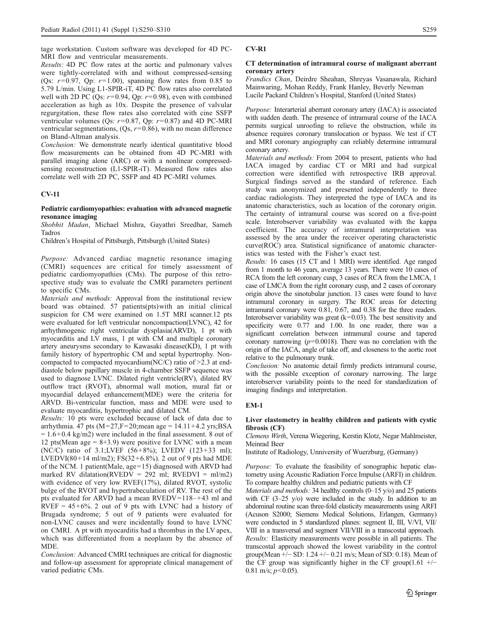tage workstation. Custom software was developed for 4D PC-MRI flow and ventricular measurements.

Results: 4D PC flow rates at the aortic and pulmonary valves were tightly-correlated with and without compressed-sensing (Qs:  $r=0.97$ , Qp:  $r=1.00$ ), spanning flow rates from 0.85 to 5.79 L/min. Using L1-SPIR-iT, 4D PC flow rates also correlated well with 2D PC (Qs:  $r=0.94$ , Qp:  $r=0.98$ ), even with combined acceleration as high as 10x. Despite the presence of valvular regurgitation, these flow rates also correlated with cine SSFP ventricular volumes (Qs:  $r=0.87$ , Qp:  $r=0.87$ ) and 4D PC-MRI ventricular segmentations,  $(Os, r=0.86)$ , with no mean difference on Bland-Altman analysis.

Conclusion: We demonstrate nearly identical quantitative blood flow measurements can be obtained from 4D PC-MRI with parallel imaging alone (ARC) or with a nonlinear compressedsensing reconstruction (L1-SPIR-iT). Measured flow rates also correlate well with 2D PC, SSFP and 4D PC-MRI volumes.

### CV-11

### Pediatric cardiomyopathies: evaluation with advanced magnetic resonance imaging

Shobhit Madan, Michael Mishra, Gayathri Sreedhar, Sameh Tadros

Children's Hospital of Pittsburgh, Pittsburgh (United States)

Purpose: Advanced cardiac magnetic resonance imaging (CMRI) sequences are critical for timely assessment of pediatric cardiomyopathies (CMs). The purpose of this retrospective study was to evaluate the CMRI parameters pertinent to specific CMs.

Materials and methods: Approval from the institutional review board was obtained. 57 patients(pts)with an initial clinical suspicion for CM were examined on 1.5T MRI scanner.12 pts were evaluated for left ventricular noncompaction(LVNC), 42 for arrhythmogenic right ventricular dysplasia(ARVD), 1 pt with myocarditis and LV mass, 1 pt with CM and multiple coronary artery aneurysms secondary to Kawasaki disease(KD), 1 pt with family history of hypertrophic CM and septal hypertrophy. Noncompacted to compacted myocardium(NC/C) ratio of  $\geq$  2.3 at enddiastole below papillary muscle in 4-chamber SSFP sequence was used to diagnose LVNC. Dilated right ventricle(RV), dilated RV outflow tract (RVOT), abnormal wall motion, mural fat or myocardial delayed enhancement(MDE) were the criteria for ARVD. Bi-ventricular function, mass and MDE were used to evaluate myocarditis, hypertrophic and dilated CM.

Results: 10 pts were excluded because of lack of data due to arrhythmia.  $\frac{47}{9}$  pts (M=27,F=20; mean age = 14.11+4.2 yrs; BSA  $= 1.6 + 0.4$  kg/m2) were included in the final assessment. 8 out of 12 pts(Mean age  $= 8+3.9$ ) were positive for LVNC with a mean (NC/C) ratio of 3.1;LVEF (56+8%); LVEDV (123+33 ml); LVEDVI(80+14 ml/m2); FS(32+6.8%). 2 out of 9 pts had MDE of the NCM. 1 patient(Male, age=15) diagnosed with ARVD had marked RV dilatation(RVEDV = 292 ml; RVEDVI = ml/m2) with evidence of very low RVEF(17%), dilated RVOT, systolic bulge of the RVOT and hypertrabeculation of RV. The rest of the pts evaluated for ARVD had a mean RVEDV=118–+43 ml and  $RVEF = 45+6%$ . 2 out of 9 pts with LVNC had a history of Brugada syndrome; 5 out of 9 patients were evaluated for non-LVNC causes and were incidentally found to have LVNC on CMRI. A pt with myocarditis had a thrombus in the LV apex, which was differentiated from a neoplasm by the absence of MDE.

Conclusion: Advanced CMRI techniques are critical for diagnostic and follow-up assessment for appropriate clinical management of varied pediatric CMs.

### CV-R1

### CT determination of intramural course of malignant aberrant coronary artery

Frandics Chan, Deirdre Sheahan, Shreyas Vasanawala, Richard Mainwaring, Mohan Reddy, Frank Hanley, Beverly Newman Lucile Packard Children's Hospital, Stanford (United States)

Purpose: Interarterial aberrant coronary artery (IACA) is associated with sudden death. The presence of intramural course of the IACA permits surgical unroofing to relieve the obstruction, while its absence requires coronary translocation or bypass. We test if CT and MRI coronary angiography can reliably determine intramural coronary artery.

Materials and methods: From 2004 to present, patients who had IACA imaged by cardiac CT or MRI and had surgical correction were identified with retrospective IRB approval. Surgical findings served as the standard of reference. Each study was anonymized and presented independently to three cardiac radiologists. They interpreted the type of IACA and its anatomic characteristics, such as location of the coronary origin. The certainty of intramural course was scored on a five-point scale. Interobserver variability was evaluated with the kappa coefficient. The accuracy of intramural interpretation was assessed by the area under the receiver operating characteristic curve(ROC) area. Statistical significance of anatomic characteristics was tested with the Fisher's exact test.

Results: 16 cases (15 CT and 1 MRI) were identified. Age ranged from 1 month to 46 years, average 13 years. There were 10 cases of RCA from the left coronary cusp, 3 cases of RCA from the LMCA, 1 case of LMCA from the right coronary cusp, and 2 cases of coronary origin above the sinotubular junction. 13 cases were found to have intramural coronary in surgery. The ROC areas for detecting intramural coronary were 0.81, 0.67, and 0.38 for the three readers. Interobserver variability was great  $(k=0.03)$ . The best sensitivity and specificity were 0.77 and 1.00. In one reader, there was a significant correlation between intramural course and tapered coronary narrowing  $(p=0.0018)$ . There was no correlation with the origin of the IACA, angle of take off, and closeness to the aortic root relative to the pulmonary trunk.

Conclusion: No anatomic detail firmly predicts intramural course, with the possible exception of coronary narrowing. The large interobserver variability points to the need for standardization of imaging findings and interpretation.

## EM-1

### Liver elastometry in healthy children and patients with cystic fibrosis (CF)

Clemens Wirth, Verena Wiegering, Kerstin Klotz, Negar Mahlmeister, Meinrad Beer

Institute of Radiology, Unniversity of Wuerzburg, (Germany)

Purpose: To evaluate the feasibility of sonographic hepatic elastometry using Acoustic Radiation Force Impulse (ARFI) in children. To compare healthy children and pediatric patients with CF

Materials and methods: 34 healthy controls (0–15 y/o) and 25 patients with CF (3–25 y/o) were included in the study. In addition to an abdominal routine scan three-fold elasticity measurements using ARFI (Acuson S2000; Siemens Medical Solutions, Erlangen, Germany) were conducted in 5 standardized planes: segment II, III, V/VI, VII/ VIII in a transversal and segment VII/VIII in a transcostal approach. Results: Elasticity measurements were possible in all patients. The transcostal approach showed the lowest variability in the control group(Mean +/− SD: 1.24 +/− 0.21 m/s; Mean of SD: 0.18). Mean of the CF group was significantly higher in the CF group(1.61 +/− 0.81 m/s;  $p<0.05$ ).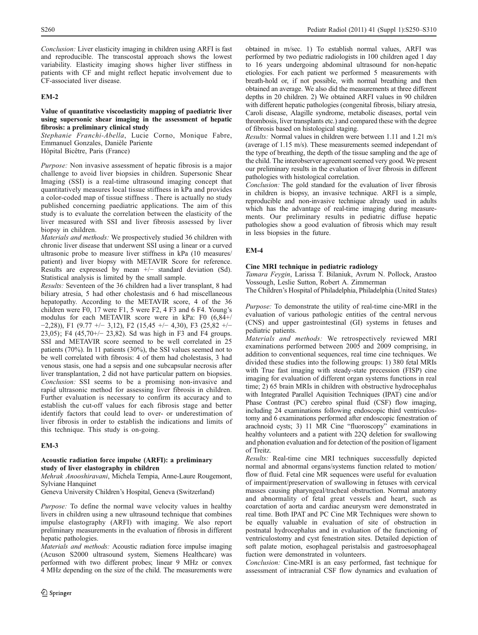Conclusion: Liver elasticity imaging in children using ARFI is fast and reproducible. The transcostal approach shows the lowest variability. Elasticity imaging shows higher liver stiffness in patients with CF and might reflect hepatic involvement due to CF-associated liver disease.

## EM-2

### Value of quantitative viscoelasticity mapping of paediatric liver using supersonic shear imaging in the assessment of hepatic fibrosis: a preliminary clinical study

Stephanie Franchi-Abella, Lucie Corno, Monique Fabre, Emmanuel Gonzales, Danièle Pariente

Hôpital Bicêtre, Paris (France)

Purpose: Non invasive assessment of hepatic fibrosis is a major challenge to avoid liver biopsies in children. Supersonic Shear Imaging (SSI) is a real-time ultrasound imaging concept that quantitatively measures local tissue stiffness in kPa and provides a color-coded map of tissue stiffness . There is actually no study published concerning paediatric applications. The aim of this study is to evaluate the correlation between the elasticity of the liver measured with SSI and liver fibrosis assessed by liver biopsy in children.

Materials and methods: We prospectively studied 36 children with chronic liver disease that underwent SSI using a linear or a curved ultrasonic probe to measure liver stiffness in kPa (10 measures/ patient) and liver biopsy with METAVIR Score for reference. Results are expressed by mean +/− standard deviation (Sd). Statistical analysis is limited by the small sample.

Results: Seventeen of the 36 children had a liver transplant, 8 had biliary atresia, 5 had other cholestasis and 6 had miscellaneous hepatopathy. According to the METAVIR score, 4 of the 36 children were F0, 17 were F1, 5 were F2, 4 F3 and 6 F4. Young's modulus for each METAVIR score were in kPa: F0 (6,84+/ −2,28)), F1 (9.77 +/− 3,12), F2 (15,45 +/− 4,30), F3 (25,82 +/− 23,05); F4 (45,70+/− 23,82). Sd was high in F3 and F4 groups. SSI and METAVIR score seemed to be well correlated in 25 patients (70%). In 11 patients (30%), the SSI values seemed not to be well correlated with fibrosis: 4 of them had cholestasis, 3 had venous stasis, one had a sepsis and one subcapsular necrosis after liver transplantation, 2 did not have particular pattern on biopsies. Conclusion: SSI seems to be a promising non-invasive and rapid ultrasonic method for assessing liver fibrosis in children. Further evaluation is necessary to confirm its accuracy and to establish the cut-off values for each fibrosis stage and better identify factors that could lead to over- or underestimation of liver fibrosis in order to establish the indications and limits of this technique. This study is on-going.

## EM-3

### Acoustic radiation force impulse (ARFI): a preliminary study of liver elastography in children

Mehrak Anooshiravani, Michela Tempia, Anne-Laure Rougemont, Sylviane Hanquinet

Geneva University Children's Hospital, Geneva (Switzerland)

Purpose: To define the normal wave velocity values in healthy livers in children using a new ultrasound technique that combines impulse elastography (ARFI) with imaging. We also report preliminary measurements in the evaluation of fibrosis in different hepatic pathologies.

Materials and methods: Acoustic radiation force impulse imaging (Acuson S2000 ultrasound system, Siemens Healthcare) was performed with two different probes; linear 9 MHz or convex 4 MHz depending on the size of the child. The measurements were obtained in m/sec. 1) To establish normal values, ARFI was performed by two pediatric radiologists in 100 children aged 1 day to 16 years undergoing abdominal ultrasound for non-hepatic etiologies. For each patient we performed 5 measurements with breath-hold or, if not possible, with normal breathing and then obtained an average. We also did the measurements at three different depths in 20 children. 2) We obtained ARFI values in 90 children with different hepatic pathologies (congenital fibrosis, biliary atresia, Caroli disease, Alagille syndrome, metabolic diseases, portal vein thrombosis, liver transplants etc.) and compared these with the degree of fibrosis based on histological staging.

Results: Normal values in children were between 1.11 and 1.21 m/s (average of 1.15 m/s). These measurements seemed independant of the type of breathing, the depth of the tissue sampling and the age of the child. The interobserver agreement seemed very good. We present our preliminary results in the evaluation of liver fibrosis in different pathologies with histological correlation.

Conclusion: The gold standard for the evaluation of liver fibrosis in children is biopsy, an invasive technique. ARFI is a simple, reproducible and non-invasive technique already used in adults which has the advantage of real-time imaging during measurements. Our preliminary results in pediatric diffuse hepatic pathologies show a good evaluation of fibrosis which may result in less biopsies in the future.

## EM-4

## Cine MRI technique in pediatric radiology

Tamara Feygin, Larissa T. Bilaniuk, Avrum N. Pollock, Arastoo Vossough, Leslie Sutton, Robert A. Zimmerman

The Children's Hospital of Philadelphia, Philadelphia (United States)

Purpose: To demonstrate the utility of real-time cine-MRI in the evaluation of various pathologic entities of the central nervous (CNS) and upper gastrointestinal (GI) systems in fetuses and pediatric patients.

Materials and methods: We retrospectively reviewed MRI examinations performed between 2005 and 2009 comprising, in addition to conventional sequences, real time cine techniques. We divided these studies into the following groups: 1) 380 fetal MRIs with True fast imaging with steady-state precession (FISP) cine imaging for evaluation of different organ systems functions in real time; 2) 65 brain MRIs in children with obstructive hydrocephalus with Integrated Parallel Aquisition Techniques (IPAT) cine and/or Phase Contrast (PC) cerebro spinal fluid (CSF) flow imaging, including 24 examinations following endoscopic third ventriculostomy and 6 examinations performed after endoscopic fenestration of arachnoid cysts; 3) 11 MR Cine "fluoroscopy" examinations in healthy volunteers and a patient with 22Q deletion for swallowing and phonation evaluation and for detection of the position of ligament of Treitz.

Results: Real-time cine MRI techniques successfully depicted normal and abnormal organs/systems function related to motion/ flow of fluid. Fetal cine MR sequences were useful for evaluation of impairment/preservation of swallowing in fetuses with cervical masses causing pharyngeal/tracheal obstruction. Normal anatomy and abnormality of fetal great vessels and heart, such as coarctation of aorta and cardiac aneurysm were demonstrated in real time. Both IPAT and PC Cine MR Techniques were shown to be equally valuable in evaluation of site of obstruction in postnatal hydrocephalus and in evaluation of the functioning of ventriculostomy and cyst fenestration sites. Detailed depiction of soft palate motion, esophageal peristalsis and gastroesophageal fuction were demonstrated in volunteers.

Conclusion: Cine-MRI is an easy performed, fast technique for assessment of intracranial CSF flow dynamics and evaluation of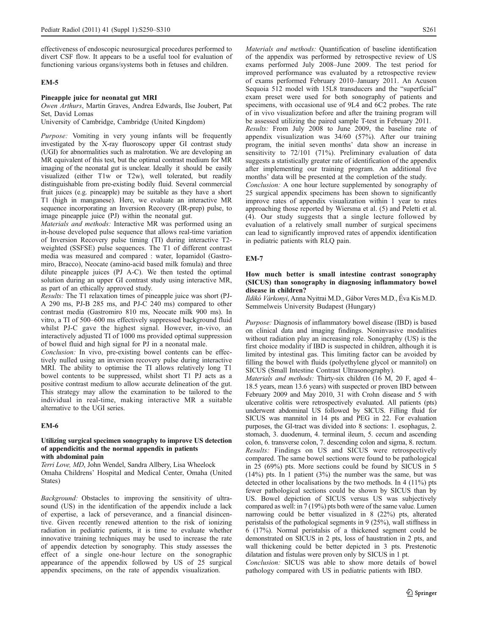effectiveness of endoscopic neurosurgical procedures performed to divert CSF flow. It appears to be a useful tool for evaluation of functioning various organs/systems both in fetuses and children.

### EM-5

### Pineapple juice for neonatal gut MRI

Owen Arthurs, Martin Graves, Andrea Edwards, Ilse Joubert, Pat Set, David Lomas

University of Cambridge, Cambridge (United Kingdom)

Purpose: Vomiting in very young infants will be frequently investigated by the X-ray fluoroscopy upper GI contrast study (UGI) for abnormalities such as malrotation. We are developing an MR equivalent of this test, but the optimal contrast medium for MR imaging of the neonatal gut is unclear. Ideally it should be easily visualized (either T1w or T2w), well tolerated, but readily distinguishable from pre-existing bodily fluid. Several commercial fruit juices (e.g. pineapple) may be suitable as they have a short T1 (high in manganese). Here, we evaluate an interactive MR sequence incorporating an Inversion Recovery (IR-prep) pulse, to image pineapple juice (PJ) within the neonatal gut.

Materials and methods: Interactive MR was performed using an in-house developed pulse sequence that allows real-time variation of Inversion Recovery pulse timing (TI) during interactive T2 weighted (SSFSE) pulse sequences. The T1 of different contrast media was measured and compared : water, Iopamidol (Gastromiro, Bracco), Neocate (amino-acid based milk fomula) and three dilute pineapple juices (PJ A-C). We then tested the optimal solution during an upper GI contrast study using interactive MR, as part of an ethically approved study.

Results: The T1 relaxation times of pineapple juice was short (PJ-A 290 ms, PJ-B 285 ms, and PJ-C 240 ms) compared to other contrast media (Gastromiro 810 ms, Neocate milk 900 ms). In vitro, a TI of 500–600 ms effectively suppressed background fluid whilst PJ-C gave the highest signal. However, in-vivo, an interactively adjusted TI of 1000 ms provided optimal suppression of bowel fluid and high signal for PJ in a neonatal male.

Conclusion: In vivo, pre-existing bowel contents can be effectively nulled using an inversion recovery pulse during interactive MRI. The ability to optimise the TI allows relatively long T1 bowel contents to be suppressed, whilst short T1 PJ acts as a positive contrast medium to allow accurate delineation of the gut. This strategy may allow the examination to be tailored to the individual in real-time, making interactive MR a suitable alternative to the UGI series.

## EM-6

## Utilizing surgical specimen sonography to improve US detection of appendicitis and the normal appendix in patients with abdominal pain

Terri Love, MD, John Wendel, Sandra Allbery, Lisa Wheelock Omaha Childrens' Hospital and Medical Center, Omaha (United States)

Background: Obstacles to improving the sensitivity of ultrasound (US) in the identification of the appendix include a lack of expertise, a lack of perseverance, and a financial disincentive. Given recently renewed attention to the risk of ionizing radiation in pediatric patients, it is time to evaluate whether innovative training techniques may be used to increase the rate of appendix detection by sonography. This study assesses the effect of a single one-hour lecture on the sonographic appearance of the appendix followed by US of 25 surgical appendix specimens, on the rate of appendix visualization.

Materials and methods: Quantification of baseline identification of the appendix was performed by retrospective review of US exams performed July 2008–June 2009. The test period for improved performance was evaluated by a retrospective review of exams performed February 2010–January 2011. An Acuson Sequoia 512 model with 15L8 transducers and the "superficial" exam preset were used for both sonography of patients and specimens, with occasional use of 9L4 and 6C2 probes. The rate of in vivo visualization before and after the training program will be assessed utilizing the paired sample T-test in February 2011.

Results: From July 2008 to June 2009, the baseline rate of appendix visualization was 34/60 (57%). After our training program, the initial seven months' data show an increase in sensitivity to 72/101 (71%). Preliminary evaluation of data suggests a statistically greater rate of identification of the appendix after implementing our training program. An additional five months' data will be presented at the completion of the study.

Conclusion: A one hour lecture supplemented by sonography of 25 surgical appendix specimens has been shown to significantly improve rates of appendix visualization within 1 year to rates approaching those reported by Wiersma et al. (5) and Peletti et al. (4). Our study suggests that a single lecture followed by evaluation of a relatively small number of surgical specimens can lead to significantly improved rates of appendix identification in pediatric patients with RLQ pain.

## EM-7

### How much better is small intestine contrast sonography (SICUS) than sonography in diagnosing inflammatory bowel disease in children?

Ildikó Várkonyi, Anna Nyitrai M.D., Gábor Veres M.D., Éva Kis M.D. Semmelweis University Budapest (Hungary)

Purpose: Diagnosis of inflammatory bowel disease (IBD) is based on clinical data and imaging findings. Noninvasive modalities without radiation play an increasing role. Sonography (US) is the first choice modality if IBD is suspected in children, although it is limited by intestinal gas. This limiting factor can be avoided by filling the bowel with fluids (polyethylene glycol or mannitol) on SICUS (Small Intestine Contrast Ultrasonography).

Materials and methods: Thirty-six children (16 M, 20 F, aged 4– 18.5 years, mean 13.6 years) with suspected or proven IBD between February 2009 and May 2010, 31 with Crohn disease and 5 with ulcerative colitis were retrospectively evaluated. All patients (pts) underwent abdominal US followed by SICUS. Filling fluid for SICUS was mannitol in 14 pts and PEG in 22. For evaluation purposes, the GI-tract was divided into 8 sections: 1. esophagus, 2. stomach, 3. duodenum, 4. terminal ileum, 5. cecum and ascending colon, 6. transverse colon, 7. descending colon and sigma, 8. rectum. Results: Findings on US and SICUS were retrospectively compared. The same bowel sections were found to be pathological in 25 (69%) pts. More sections could be found by SICUS in 5  $(14%)$  pts. In 1 patient  $(3%)$  the number was the same, but was detected in other localisations by the two methods. In 4 (11%) pts fewer pathological sections could be shown by SICUS than by US. Bowel depiction of SICUS versus US was subjectively compared as well: in 7 (19%) pts both were of the same value. Lumen narrowing could be better visualized in 8 (22%) pts, alterated peristalsis of the pathological segments in 9 (25%), wall stiffness in 6 (17%). Normal peristalsis of a thickened segment could be demonstrated on SICUS in 2 pts, loss of haustration in 2 pts, and wall thickening could be better depicted in 3 pts. Prestenotic dilatation and fistulas were proven only by SICUS in 1 pt.

Conclusion: SICUS was able to show more details of bowel pathology compared with US in pediatric patients with IBD.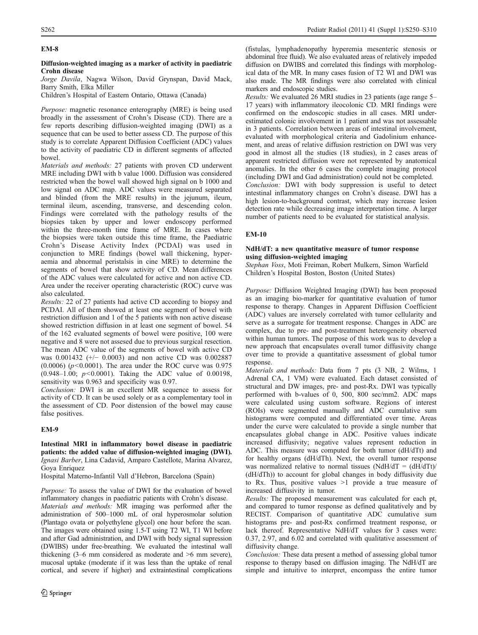## EM-8

### Diffusion-weighted imaging as a marker of activity in paediatric Crohn disease

Jorge Davila, Nagwa Wilson, David Grynspan, David Mack, Barry Smith, Elka Miller

Children's Hospital of Eastern Ontario, Ottawa (Canada)

Purpose: magnetic resonance enterography (MRE) is being used broadly in the assessment of Crohn's Disease (CD). There are a few reports describing diffusion-weighted imaging (DWI) as a sequence that can be used to better assess CD. The purpose of this study is to correlate Apparent Diffusion Coefficient (ADC) values to the activity of paediatric CD in different segments of affected bowel.

Materials and methods: 27 patients with proven CD underwent MRE including DWI with b value 1000. Diffusion was considered restricted when the bowel wall showed high signal on b 1000 and low signal on ADC map. ADC values were measured separated and blinded (from the MRE results) in the jejunum, ileum, terminal ileum, ascending, transverse, and descending colon. Findings were correlated with the pathology results of the biopsies taken by upper and lower endoscopy performed within the three-month time frame of MRE. In cases where the biopsies were taken outside this time frame, the Paediatric Crohn's Disease Activity Index (PCDAI) was used in conjunction to MRE findings (bowel wall thickening, hyperaemia and abnormal peristalsis in cine MRE) to determine the segments of bowel that show activity of CD. Mean differences of the ADC values were calculated for active and non active CD. Area under the receiver operating characteristic (ROC) curve was also calculated.

Results: 22 of 27 patients had active CD according to biopsy and PCDAI. All of them showed at least one segment of bowel with restriction diffusion and 1 of the 5 patients with non active disease showed restriction diffusion in at least one segment of bowel. 54 of the 162 evaluated segments of bowel were positive, 100 were negative and 8 were not assesed due to previous surgical resection. The mean ADC value of the segments of bowel with active CD was 0.001432 (+/− 0.0003) and non active CD was 0.002887  $(0.0006)$  ( $p<0.0001$ ). The area under the ROC curve was 0.975 (0.948–1.00;  $p < 0.0001$ ). Taking the ADC value of 0.00198, sensitivity was 0.963 and specificity was 0.97.

Conclusion: DWI is an excellent MR sequence to assess for activity of CD. It can be used solely or as a complementary tool in the assessment of CD. Poor distension of the bowel may cause false positives.

## EM-9

Intestinal MRI in inflammatory bowel disease in paediatric patients: the added value of diffusion-weighted imaging (DWI). Ignasi Barber, Lina Cadavid, Amparo Castellote, Marina Alvarez, Goya Enriquez

Hospital Materno-Infantil Vall d'Hebron, Barcelona (Spain)

Purpose: To assess the value of DWI for the evaluation of bowel inflammatory changes in paediatric patients with Crohn's disease. Materials and methods: MR imaging was performed after the administration of 500–1000 mL of oral hyperosmolar solution (Plantago ovata or polyethylene glycol) one hour before the scan. The images were obtained using 1.5-T using T2 WI, T1 WI before and after Gad administration, and DWI with body signal supression (DWIBS) under free-breathing. We evaluated the intestinal wall thickening (3–6 mm considered as moderate and >6 mm severe), mucosal uptake (moderate if it was less than the uptake of renal cortical, and severe if higher) and extraintestinal complications (fistulas, lymphadenopathy hyperemia mesenteric stenosis or abdominal free fluid). We also evaluated areas of relatively impeded diffusion on DWIBS and correlated this findings with morphological data of the MR. In many cases fusion of T2 WI and DWI was also made. The MR findings were also correlated with clinical markers and endoscopic studies.

Results: We evaluated 26 MRI studies in 23 patients (age range 5– 17 years) with inflammatory ileocolonic CD. MRI findings were confirmed on the endoscopic studies in all cases. MRI underestimated colonic involvement in 1 patient and was not assessable in 3 patients. Correlation between areas of intestinal involvement, evaluated with morphological criteria and Gadolinium enhancement, and areas of relative diffusion restriction on DWI was very good in almost all the studies (18 studies), in 2 cases areas of apparent restricted diffusion were not represented by anatomical anomalies. In the other 6 cases the complete imaging protocol (including DWI and Gad administration) could not be completed. Conclusion: DWI with body suppression is useful to detect intestinal inflammatory changes on Crohn's disease. DWI has a high lesion-to-background contrast, which may increase lesion detection rate while decreasing image interpretation time. A larger number of patients need to be evaluated for statistical analysis.

## EM-10

## NdH/dT: a new quantitative measure of tumor response using diffusion-weighted imaging

Stephan Voss, Moti Freiman, Robert Mulkern, Simon Warfield Children's Hospital Boston, Boston (United States)

Purpose: Diffusion Weighted Imaging (DWI) has been proposed as an imaging bio-marker for quantitative evaluation of tumor response to therapy. Changes in Apparent Diffusion Coefficient (ADC) values are inversely correlated with tumor cellularity and serve as a surrogate for treatment response. Changes in ADC are complex, due to pre- and post-treatment heterogeneity observed within human tumors. The purpose of this work was to develop a new approach that encapsulates overall tumor diffusivity change over time to provide a quantitative assessment of global tumor response.

Materials and methods: Data from 7 pts (3 NB, 2 Wilms, 1 Adrenal CA, 1 VM) were evaluated. Each dataset consisted of structural and DW images, pre- and post-Rx. DWI was typically performed with b-values of 0, 500, 800 sec/mm2. ADC maps were calculated using custom software. Regions of interest (ROIs) were segmented manually and ADC cumulative sum histograms were computed and differentiated over time. Areas under the curve were calculated to provide a single number that encapsulates global change in ADC. Positive values indicate increased diffusivity; negative values represent reduction in ADC. This measure was computed for both tumor (dH/dTt) and for healthy organs (dH/dTh). Next, the overall tumor response was normalized relative to normal tissues (NdH/dT =  $(dH/dTt)$ ) (dH/dTh)) to account for global changes in body diffusivity due to Rx. Thus, positive values >1 provide a true measure of increased diffusivity in tumor.

Results: The proposed measurement was calculated for each pt, and compared to tumor response as defined qualitatively and by RECIST. Comparison of quantitative ADC cumulative sum histograms pre- and post-Rx confirmed treatment response, or lack thereof. Representative NdH/dT values for 3 cases were: 0.37, 2.97, and 6.02 and correlated with qualitative assessment of diffusivity change.

Conclusion: These data present a method of assessing global tumor response to therapy based on diffusion imaging. The NdH/dT are simple and intuitive to interpret, encompass the entire tumor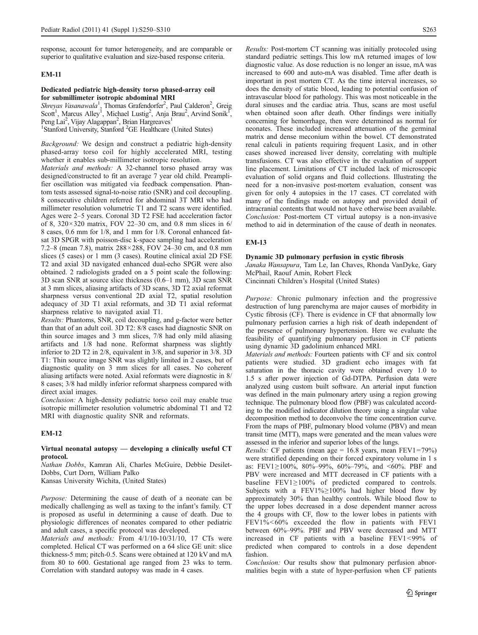response, account for tumor heterogeneity, and are comparable or superior to qualitative evaluation and size-based response criteria.

## EM-11

### Dedicated pediatric high-density torso phased-array coil for submillimeter isotropic abdominal MRI

Shreyas Vasanawala<sup>1</sup>, Thomas Grafendorfer<sup>2</sup>, Paul Calderon<sup>2</sup>, Greig<br>Scott<sup>1</sup>, Marcus Alley<sup>1</sup>, Michael Lustig<sup>2</sup>, Anja Brau<sup>2</sup>, Arvind Sonik<sup>1</sup>, Peng Lai<sup>2</sup>, Vijay Alagappan<sup>2</sup>, Brian Hargreaves<sup>1</sup> <sup>1</sup>Stanford University, Stanford <sup>2</sup>GE Healthcare (United States)

Background: We design and construct a pediatric high-density phased-array torso coil for highly accelerated MRI, testing

whether it enables sub-millimeter isotropic resolution. Materials and methods: A 32-channel torso phased array was designed/constructed to fit an average 7 year old child. Preamplifier oscillation was mitigated via feedback compensation. Phantom tests assessed signal-to-noise ratio (SNR) and coil decoupling. 8 consecutive children referred for abdominal 3T MRI who had millimeter resolution volumetric T1 and T2 scans were identified. Ages were 2–5 years. Coronal 3D T2 FSE had acceleration factor of 8,  $320 \times 320$  matrix, FOV 22-30 cm, and 0.8 mm slices in 6/ 8 cases, 0.6 mm for 1/8, and 1 mm for 1/8. Coronal enhanced fatsat 3D SPGR with poisson-disc k-space sampling had acceleration 7.2–8 (mean 7.8), matrix 288×288, FOV 24–30 cm, and 0.8 mm slices (5 cases) or 1 mm (3 cases). Routine clinical axial 2D FSE T2 and axial 3D navigated enhanced dual-echo SPGR were also obtained. 2 radiologists graded on a 5 point scale the following: 3D scan SNR at source slice thickness (0.6–1 mm), 3D scan SNR at 3 mm slices, aliasing artifacts of 3D scans, 3D T2 axial reformat sharpness versus conventional 2D axial T2, spatial resolution adequacy of 3D T1 axial reformats, and 3D T1 axial reformat sharpness relative to navigated axial T1.

Results: Phantoms, SNR, coil decoupling, and g-factor were better than that of an adult coil. 3D T2: 8/8 cases had diagnostic SNR on thin source images and 3 mm slices, 7/8 had only mild aliasing artifacts and 1/8 had none. Reformat sharpness was slightly inferior to 2D T2 in 2/8, equivalent in 3/8, and superior in 3/8. 3D T1: Thin source image SNR was slightly limited in 2 cases, but of diagnostic quality on 3 mm slices for all cases. No coherent aliasing artifacts were noted. Axial reformats were diagnostic in 8/ 8 cases; 3/8 had mildly inferior reformat sharpness compared with direct axial images.

Conclusion: A high-density pediatric torso coil may enable true isotropic millimeter resolution volumetric abdominal T1 and T2 MRI with diagnostic quality SNR and reformats.

## EM-12

### Virtual neonatal autopsy — developing a clinically useful CT protocol.

Nathan Dobbs, Kamran Ali, Charles McGuire, Debbie Desilet-Dobbs, Curt Dorn, William Palko

Kansas University Wichita, (United States)

Purpose: Determining the cause of death of a neonate can be medically challenging as well as taxing to the infant's family. CT is proposed as useful in determining a cause of death. Due to physiologic differences of neonates compared to other pediatric and adult cases, a specific protocol was developed.

Materials and methods: From 4/1/10-10/31/10, 17 CTs were completed. Helical CT was performed on a 64 slice GE unit: slice thickness-5 mm; pitch-0.5. Scans were obtained at 120 kV and mA from 80 to 600. Gestational age ranged from 23 wks to term. Correlation with standard autopsy was made in 4 cases.

Results: Post-mortem CT scanning was initially protocoled using standard pediatric settings.This low mA returned images of low diagnostic value. As dose reduction is no longer an issue, mA was increased to 600 and auto-mA was disabled. Time after death is important in post mortem CT. As the time interval increases, so does the density of static blood, leading to potential confusion of intravascular blood for pathology. This was most noticeable in the dural sinuses and the cardiac atria. Thus, scans are most useful when obtained soon after death. Other findings were initially concerning for hemorrhage, then were determined as normal for neonates. These included increased attenuation of the germinal matrix and dense meconium within the bowel. CT demonstrated renal calculi in patients requiring frequent Lasix, and in other cases showed increased liver density, correlating with multiple transfusions. CT was also effective in the evaluation of support line placement. Limitations of CT included lack of microscopic evaluation of solid organs and fluid collections. Illustrating the need for a non-invasive post-mortem evaluation, consent was given for only 4 autopsies in the 17 cases. CT correlated with many of the findings made on autopsy and provided detail of intracranial contents that would not have otherwise been available. Conclusion: Post-mortem CT virtual autopsy is a non-invasive method to aid in determination of the cause of death in neonates.

## EM-13

### Dynamic 3D pulmonary perfusion in cystic fibrosis

Janaka Wansapura, Tam Le, Ian Chaves, Rhonda VanDyke, Gary McPhail, Raouf Amin, Robert Fleck

Cincinnati Children's Hospital (United States)

Purpose: Chronic pulmonary infection and the progressive destruction of lung parenchyma are major causes of morbidity in Cystic fibrosis (CF). There is evidence in CF that abnormally low pulmonary perfusion carries a high risk of death independent of the presence of pulmonary hypertension. Here we evaluate the feasibility of quantifying pulmonary perfusion in CF patients using dynamic 3D gadolinium enhanced MRI.

Materials and methods: Fourteen patients with CF and six control patients were studied. 3D gradient echo images with fat saturation in the thoracic cavity were obtained every 1.0 to 1.5 s after power injection of Gd-DTPA. Perfusion data were analyzed using custom built software. An arterial input function was defined in the main pulmonary artery using a region growing technique. The pulmonary blood flow (PBF) was calculated according to the modified indicator dilution theory using a singular value decomposition method to deconvolve the time concentration curve. From the maps of PBF, pulmonary blood volume (PBV) and mean transit time (MTT), maps were generated and the mean values were assessed in the inferior and superior lobes of the lungs.

*Results:* CF patients (mean age =  $16.8$  years, mean FEV1=79%) were stratified depending on their forced expiratory volume in 1 s as: FEV1≥100%, 80%–99%, 60%–79%, and <60%. PBF and PBV were increased and MTT decreased in CF patients with a baseline FEV1≥100% of predicted compared to controls. Subjects with a FEV1%≥100% had higher blood flow by approximately 30% than healthy controls. While blood flow to the upper lobes decreased in a dose dependent manner across the 4 groups with CF, flow to the lower lobes in patients with FEV1%<60% exceeded the flow in patients with FEV1 between 60%–99%. PBF and PBV were decreased and MTT increased in CF patients with a baseline FEV1<99% of predicted when compared to controls in a dose dependent fashion.

Conclusion: Our results show that pulmonary perfusion abnormalities begin with a state of hyper-perfusion when CF patients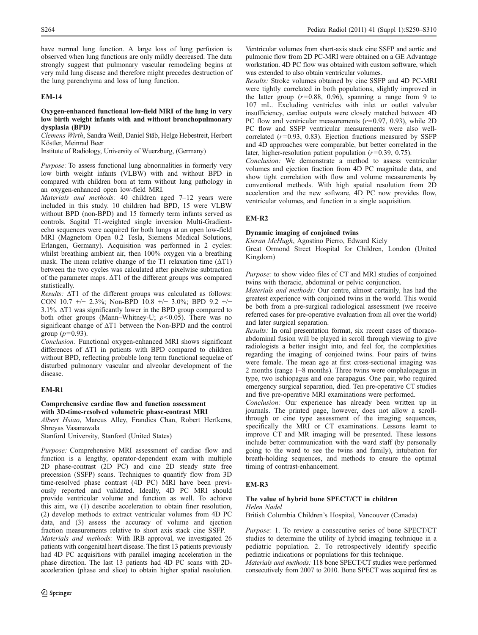have normal lung function. A large loss of lung perfusion is observed when lung functions are only mildly decreased. The data strongly suggest that pulmonary vascular remodeling begins at very mild lung disease and therefore might precedes destruction of the lung parenchyma and loss of lung function.

## EM-14

### Oxygen-enhanced functional low-field MRI of the lung in very low birth weight infants with and without bronchopulmonary dysplasia (BPD)

Clemens Wirth, Sandra Weiß, Daniel Stäb, Helge Hebestreit, Herbert Köstler, Meinrad Beer

Institute of Radiology, University of Wuerzburg, (Germany)

Purpose: To assess functional lung abnormalities in formerly very low birth weight infants (VLBW) with and without BPD in compared with children born at term without lung pathology in an oxygen-enhanced open low-field MRI.

Materials and methods: 40 children aged 7-12 years were included in this study. 10 children had BPD, 15 were VLBW without BPD (non-BPD) and 15 formerly term infants served as controls. Sagital T1-weighted single inversion Multi-Gradientecho sequences were acquired for both lungs at an open low-field MRI (Magnetom Open 0.2 Tesla, Siemens Medical Solutions, Erlangen, Germany). Acquisition was performed in 2 cycles: whilst breathing ambient air, then 100% oxygen via a breathing mask. The mean relative change of the T1 relaxation time  $(\Delta T1)$ between the two cycles was calculated after pixelwise subtraction of the parameter maps. ΔT1 of the different groups was compared statistically.

Results: ΔT1 of the different groups was calculated as follows: CON 10.7 +/− 2.3%; Non-BPD 10.8 +/− 3.0%; BPD 9.2 +/− 3.1%. ΔT1 was significantly lower in the BPD group compared to both other groups (Mann–Whitney-U;  $p$ <0.05). There was no significant change of ΔT1 between the Non-BPD and the control group ( $p=0.93$ ).

Conclusion: Functional oxygen-enhanced MRI shows significant differences of ΔT1 in patients with BPD compared to children without BPD, reflecting probable long term functional sequelae of disturbed pulmonary vascular and alveolar development of the disease.

## EM-R1

## Comprehensive cardiac flow and function assessment with 3D-time-resolved volumetric phase-contrast MRI

Albert Hsiao, Marcus Alley, Frandics Chan, Robert Herfkens, Shreyas Vasanawala

Stanford University, Stanford (United States)

Purpose: Comprehensive MRI assessment of cardiac flow and function is a lengthy, operator-dependent exam with multiple 2D phase-contrast (2D PC) and cine 2D steady state free precession (SSFP) scans. Techniques to quantify flow from 3D time-resolved phase contrast (4D PC) MRI have been previously reported and validated. Ideally, 4D PC MRI should provide ventricular volume and function as well. To achieve this aim, we (1) describe acceleration to obtain finer resolution, (2) develop methods to extract ventricular volumes from 4D PC data, and (3) assess the accuracy of volume and ejection fraction measurements relative to short axis stack cine SSFP. Materials and methods: With IRB approval, we investigated 26

patients with congenital heart disease. The first 13 patients previously had 4D PC acquisitions with parallel imaging acceleration in the phase direction. The last 13 patients had 4D PC scans with 2Dacceleration (phase and slice) to obtain higher spatial resolution.

Ventricular volumes from short-axis stack cine SSFP and aortic and pulmonic flow from 2D PC-MRI were obtained on a GE Advantage workstation. 4D PC flow was obtained with custom software, which was extended to also obtain ventricular volumes.

Results: Stroke volumes obtained by cine SSFP and 4D PC-MRI were tightly correlated in both populations, slightly improved in the latter group  $(r=0.88, 0.96)$ , spanning a range from 9 to 107 mL. Excluding ventricles with inlet or outlet valvular insufficiency, cardiac outputs were closely matched between 4D PC flow and ventricular measurements  $(r=0.97, 0.93)$ , while 2D PC flow and SSFP ventricular measurements were also wellcorrelated  $(r=0.93, 0.83)$ . Ejection fractions measured by SSFP and 4D approaches were comparable, but better correlated in the later, higher-resolution patient population  $(r=0.39, 0.75)$ .

Conclusion: We demonstrate a method to assess ventricular volumes and ejection fraction from 4D PC magnitude data, and show tight correlation with flow and volume measurements by conventional methods. With high spatial resolution from 2D acceleration and the new software, 4D PC now provides flow, ventricular volumes, and function in a single acquisition.

## EM-R2

## Dynamic imaging of conjoined twins

Kieran McHugh, Agostino Pierro, Edward Kiely

Great Ormond Street Hospital for Children, London (United Kingdom)

Purpose: to show video files of CT and MRI studies of conjoined twins with thoracic, abdominal or pelvic conjunction.

Materials and methods: Our centre, almost certainly, has had the greatest experience with conjoined twins in the world. This would be both from a pre-surgical radiological assessment (we receive referred cases for pre-operative evaluation from all over the world) and later surgical separation.

Results: In oral presentation format, six recent cases of thoracoabdominal fusion will be played in scroll through viewing to give radiologists a better insight into, and feel for, the complexities regarding the imaging of conjoined twins. Four pairs of twins were female. The mean age at first cross-sectional imaging was 2 months (range 1–8 months). Three twins were omphalopagus in type, two ischiopagus and one parapagus. One pair, who required emergency surgical separation, died. Ten pre-operative CT studies and five pre-operative MRI examinations were performed.

Conclusion: Our experience has already been written up in journals. The printed page, however, does not allow a scrollthrough or cine type assessment of the imaging sequences, specifically the MRI or CT examinations. Lessons learnt to improve CT and MR imaging will be presented. These lessons include better communication with the ward staff (by personally going to the ward to see the twins and family), intubation for breath-holding sequences, and methods to ensure the optimal timing of contrast-enhancement.

## EM-R3

### The value of hybrid bone SPECT/CT in children

Helen Nadel

British Columbia Children's Hospital, Vancouver (Canada)

Purpose: 1. To review a consecutive series of bone SPECT/CT studies to determine the utility of hybrid imaging technique in a pediatric population. 2. To retrospectively identify specific pediatric indications or populations for this technique.

Materials and methods: 118 bone SPECT/CT studies were performed consecutively from 2007 to 2010. Bone SPECT was acquired first as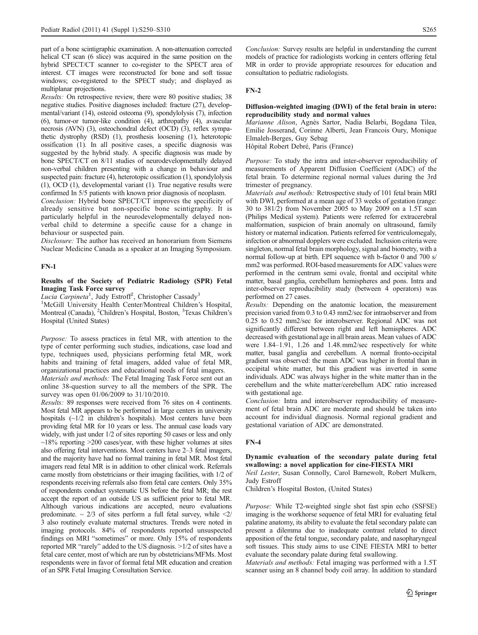part of a bone scintigraphic examination. A non-attenuation corrected helical CT scan (6 slice) was acquired in the same position on the hybrid SPECT/CT scanner to co-register to the SPECT area of interest. CT images were reconstructed for bone and soft tissue windows; co-registered to the SPECT study; and displayed as multiplanar projections.

Results: On retrospective review, there were 80 positive studies; 38 negative studies. Positive diagnoses included: fracture (27), developmental/variant (14), osteoid osteoma (9), spondylolysis (7), infection (6), tumor-or tumor-like condition (4), arthropathy (4), avascular necrosis (AVN) (3), osteochondral defect (OCD) (3), reflex sympathetic dystrophy (RSD) (1), prosthesis loosening (1), heterotopic ossification (1). In all positive cases, a specific diagnosis was suggested by the hybrid study. A specific diagnosis was made by bone SPECT/CT on 8/11 studies of neurodevelopmentally delayed non-verbal children presenting with a change in behaviour and suspected pain: fracture (4), heterotopic ossification (1), spondylolysis (1), OCD (1), developmental variant (1). True negative results were confirmed In 5/5 patients with known prior diagnosis of neoplasm.

Conclusion: Hybrid bone SPECT/CT improves the specificity of already sensitive but non-specific bone scintigraphy. It is particularly helpful in the neurodevelopmentally delayed nonverbal child to determine a specific cause for a change in behaviour or suspected pain.

Disclosure: The author has received an honorarium from Siemens Nuclear Medicine Canada as a speaker at an Imaging Symposium.

### FN-1

## Results of the Society of Pediatric Radiology (SPR) Fetal Imaging Task Force survey

Lucia Carpineta<sup>1</sup>, Judy Estroff<sup>2</sup>, Christopher Cassady<sup>3</sup>

<sup>1</sup>McGill University Health Center/Montreal Children's Hospital, Montreal (Canada), <sup>2</sup>Children's Hospital, Boston, <sup>3</sup>Texas Children's Hospital (United States)

Purpose: To assess practices in fetal MR, with attention to the type of center performing such studies, indications, case load and type, techniques used, physicians performing fetal MR, work habits and training of fetal imagers, added value of fetal MR, organizational practices and educational needs of fetal imagers.

Materials and methods: The Fetal Imaging Task Force sent out an online 38-question survey to all the members of the SPR. The survey was open 01/06/2009 to 31/10/2010.

Results: 89 responses were received from 76 sites on 4 continents. Most fetal MR appears to be performed in large centers in university hospitals  $(\sim 1/2$  in children's hospitals). Most centers have been providing fetal MR for 10 years or less. The annual case loads vary widely, with just under 1/2 of sites reporting 50 cases or less and only  $~18\%$  reporting  $~200$  cases/year, with these higher volumes at sites also offering fetal interventions. Most centers have 2–3 fetal imagers, and the majority have had no formal training in fetal MR. Most fetal imagers read fetal MR is in addition to other clinical work. Referrals came mostly from obstetricians or their imaging facilities, with 1/2 of respondents receiving referrals also from fetal care centers. Only 35% of respondents conduct systematic US before the fetal MR; the rest accept the report of an outside US as sufficient prior to fetal MR. Although various indications are accepted, neuro evaluations predominate.  $\sim$  2/3 of sites perform a full fetal survey, while  $\leq$ 2/ 3 also routinely evaluate maternal structures. Trends were noted in imaging protocols. 84% of respondents reported unsuspected findings on MRI "sometimes" or more. Only 15% of respondents reported MR "rarely" added to the US diagnosis. >1/2 of sites have a fetal care center, most of which are run by obstetricians/MFMs. Most respondents were in favor of formal fetal MR education and creation of an SPR Fetal Imaging Consultation Service.

Conclusion: Survey results are helpful in understanding the current models of practice for radiologists working in centers offering fetal MR in order to provide appropriate resources for education and consultation to pediatric radiologists.

#### FN-2

### Diffusion-weighted imaging (DWI) of the fetal brain in utero: reproducibility study and normal values

Marianne Alison, Agnès Sartor, Nadia Belarbi, Bogdana Tilea, Emilie Josserand, Corinne Alberti, Jean Francois Oury, Monique Elmaleh-Berges, Guy Sebag

Hôpital Robert Debré, Paris (France)

Purpose: To study the intra and inter-observer reproducibility of measurements of Apparent Diffusion Coefficient (ADC) of the fetal brain. To determine regional normal values during the 3rd trimester of pregnancy.

Materials and methods: Retrospective study of 101 fetal brain MRI with DWI, performed at a mean age of 33 weeks of gestation (range: 30 to 381/2) from November 2005 to May 2009 on a 1.5T scan (Philips Medical system). Patients were referred for extracerebral malformation, suspicion of brain anomaly on ultrasound, family history or maternal indication. Patients referred for ventriculomegaly, infection or abnormal dopplers were excluded. Inclusion criteria were singleton, normal fetal brain morphology, signal and biometry, with a normal follow-up at birth. EPI sequence with b-factor 0 and 700 s/ mm2 was performed. ROI-based measurements for ADC values were performed in the centrum semi ovale, frontal and occipital white matter, basal ganglia, cerebellum hemispheres and pons. Intra and inter-observer reproducibility study (between 4 operators) was performed on 27 cases.

Results: Depending on the anatomic location, the measurement precision varied from 0.3 to 0.43 mm2/sec for intraobserver and from 0.25 to 0.52 mm2/sec for interobserver. Regional ADC was not significantly different between right and left hemispheres. ADC decreased with gestational age in all brain areas. Mean values of ADC were 1.84–1.91, 1.26 and 1.48.mm2/sec respectively for white matter, basal ganglia and cerebellum. A normal fronto-occipital gradient was observed: the mean ADC was higher in frontal than in occipital white matter, but this gradient was inverted in some individuals. ADC was always higher in the white matter than in the cerebellum and the white matter/cerebellum ADC ratio increased with gestational age.

Conclusion: Intra and interobserver reproducibility of measurement of fetal brain ADC are moderate and should be taken into account for individual diagnosis. Normal regional gradient and gestational variation of ADC are demonstrated.

### FN-4

## Dynamic evaluation of the secondary palate during fetal swallowing: a novel application for cine-FIESTA MRI

Neil Lester, Susan Connolly, Carol Barnewolt, Robert Mulkern, Judy Estroff

Children's Hospital Boston, (United States)

Purpose: While T2-weighted single shot fast spin echo (SSFSE) imaging is the workhorse sequence of fetal MRI for evaluating fetal palatine anatomy, its ability to evaluate the fetal secondary palate can present a dilemma due to inadequate contrast related to direct apposition of the fetal tongue, secondary palate, and nasopharyngeal soft tissues. This study aims to use CINE FIESTA MRI to better evaluate the secondary palate during fetal swallowing.

Materials and methods: Fetal imaging was performed with a 1.5T scanner using an 8 channel body coil array. In addition to standard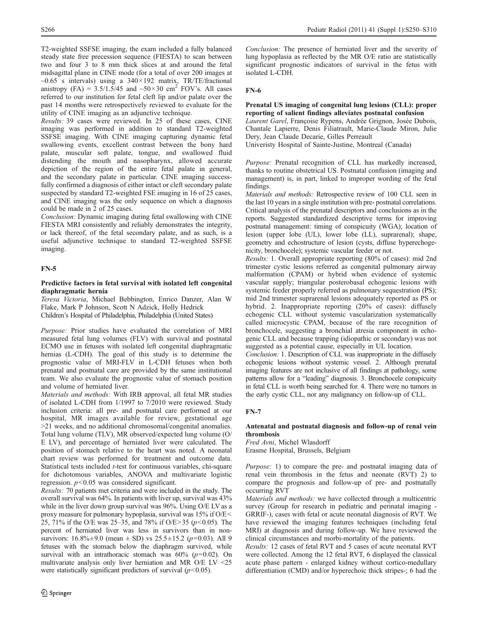Results: 39 cases were reviewed. In 25 of these cases, CINE imaging was performed in addition to standard T2-weighted SSFSE imaging. With CINE imaging capturing dynamic fetal swallowing events, excellent contrast between the bony hard palate, muscular soft palate, tongue, and swallowed fluid distending the mouth and nasopharynx, allowed accurate depiction of the region of the entire fetal palate in general, and the secondary palate in particular. CINE imaging successfully confirmed a diagnosis of either intact or cleft secondary palate suspected by standard T2-weighted FSE imaging in 16 of 25 cases, and CINE imaging was the only sequence on which a diagnosis could be made in 2 of 25 cases.

Conclusion: Dynamic imaging during fetal swallowing with CINE FIESTA MRI consistently and reliably demonstrates the integrity, or lack thereof, of the fetal secondary palate, and as such, is a useful adjunctive technique to standard T2-weighted SSFSE imaging.

## FN-5

## Predictive factors in fetal survival with isolated left congenital diaphragmatic hernia

Teresa Victoria, Michael Bebbington, Enrico Danzer, Alan W Flake, Mark P Johnson, Scott N Adzick, Holly Hedrick Children's Hospital of Philadelphia, Philadelphia (United States)

Purpose: Prior studies have evaluated the correlation of MRI measured fetal lung volumes (FLV) with survival and postnatal ECMO use in fetuses with isolated left congenital diaphragmatic hernias (L-CDH). The goal of this study is to determine the prognostic value of MRI-FLV in L-CDH fetuses when both prenatal and postnatal care are provided by the same institutional team. We also evaluate the prognostic value of stomach position and volume of herniated liver.

Materials and methods: With IRB approval, all fetal MR studies of isolated L-CDH from 1/1997 to 7/2010 were reviewed. Study inclusion criteria: all pre- and postnatal care performed at our hospital, MR images available for review, gestational age >21 weeks, and no additional chromosomal/congenital anomalies. Total lung volume (TLV), MR observed/expected lung volume (O/ E LV), and percentage of herniated liver were calculated. The position of stomach relative to the heart was noted. A neonatal chart review was performed for treatment and outcome data. Statistical tests included t-test for continuous variables, chi-square for dichotomous variables, ANOVA and multivariate logistic regression.  $p < 0.05$  was considered significant.

Results: 70 patients met criteria and were included in the study. The overall survival was 64%. In patients with liver up, survival was 43% while in the liver down group survival was 96%. Using O/E LV as a proxy measure for pulmonary hypoplasia, survival was 15% if O/E< 25, 71% if the O/E was 25–35, and 78% if O/E>35 ( $p$ <0.05). The percent of herniated liver was less in survivors than in nonsurvivors:  $16.8\% \pm 9.0$  (mean  $\pm$  SD) vs  $25.5 \pm 15.2$  ( $p=0.03$ ). All 9 fetuses with the stomach below the diaphragm survived, while survival with an intrathoracic stomach was  $60\%$  ( $p=0.02$ ). On multivariate analysis only liver herniation and MR O/E LV <25 were statistically significant predictors of survival  $(p<0.05)$ .

Conclusion: The presence of herniated liver and the severity of lung hypoplasia as reflected by the MR O/E ratio are statistically significant prognostic indicators of survival in the fetus with isolated L-CDH.

## FN-6

## Prenatal US imaging of congenital lung lesions (CLL): proper reporting of salient findings alleviates postnatal confusion

Laurent Garel, Françoise Rypens, Andrée Grignon, Josée Dubois, Chantale Lapierre, Denis Filiatrault, Marie-Claude Miron, Julie Dery, Jean Claude Decarie, Gilles Perreault

Univeristy Hospital of Sainte-Justine, Montreal (Canada)

Purpose: Prenatal recognition of CLL has markedly increased, thanks to routine obstetrical US. Postnatal confusion (imaging and management) is, in part, linked to improper wording of the fetal findings.

Materials and methods: Retrospective review of 100 CLL seen in the last 10 years in a single institution with pre- postnatal correlations. Critical analysis of the prenatal descriptors and conclusions as in the reports. Suggested standardized descriptive terms for improving postnatal management: timing of conspicuity (WGA); location of lesion (upper lobe (UL), lower lobe (LL), suprarenal); shape, geometry and echostructure of lesion (cysts, diffuse hyperechogenicity, bronchocele); systemic vascular feeder or not.

Results: 1. Overall appropriate reporting (80% of cases): mid 2nd trimester cystic lesions referred as congenital pulmonary airway malformation (CPAM) or hybrid when evidence of systemic vascular supply; triangular posterobasal echogenic lesions with systemic feeder properly referred as pulmonary sequestration (PS); mid 2nd trimester suprarenal lesions adequately reported as PS or hybrid. 2. Inappropriate reporting (20% of cases): diffusely echogenic CLL without systemic vascularization systematically called microcystic CPAM, because of the rare recognition of bronchocele, suggesting a bronchial atresia component in echogenic CLL and because trapping (idiopathic or secondary) was not suggested as a potential cause, especially in UL location.

Conclusion: 1. Description of CLL was inappropriate in the diffusely echogenic lesions without systemic vessel. 2. Although prenatal imaging features are not inclusive of all findings at pathology, some patterns allow for a "leading" diagnosis. 3. Bronchocele conspicuity in fetal CLL is worth being searched for. 4. There were no tumors in the early cystic CLL, nor any malignancy on follow-up of CLL.

## FN-7

## Antenatal and postnatal diagnosis and follow-up of renal vein thrombosis

Fred Avni, Michel Wlasdorff Erasme Hospital, Brussels, Belgium

Purpose: 1) to compare the pre- and postnatal imaging data of renal vein thrombosis in the fetus and neonate (RVT) 2) to compare the prognosis and follow-up of pre- and postnatally occurring RVT

Materials and methods: we have collected through a multicentric survey (Group for research in pediatric and perinatal imaging - GRRIF-), cases with fetal or acute neonatal diagnosis of RVT. We have reviewed the imaging features techniques (including fetal MRI) at diagnosis and during follow-up. We have reviewed the clinical circumstances and morbi-mortality of the patients.

Results: 12 cases of fetal RVT and 5 cases of acute neonatal RVT were collected. Among the 12 fetal RVT, 6 displayed the classical acute phase pattern - enlarged kidney without cortico-medullary differentiation (CMD) and/or hyperechoic thick stripes-; 6 had the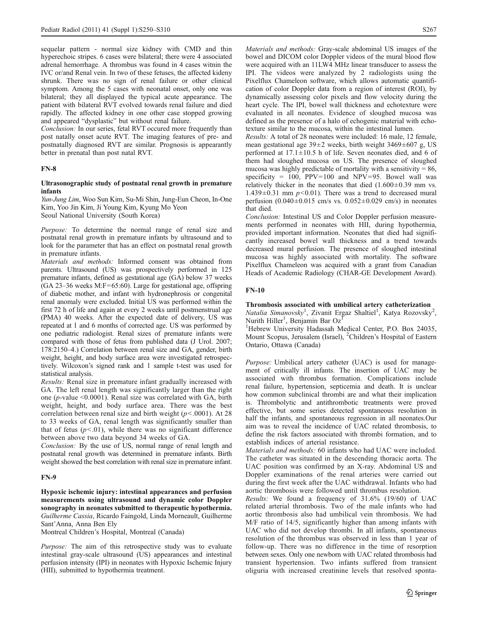sequelar pattern - normal size kidney with CMD and thin hyperechoic stripes. 6 cases were bilateral; there were 4 associated adrenal hemorrhage. A thrombus was found in 4 cases witnin the IVC or/and Renal vein. In two of these fetuses, the affected kideny shrunk. There was no sign of renal failure or other clinical symptom. Among the 5 cases with neonatal onset, only one was bilateral; they all displayed the typical acute appearance. The patient with bilateral RVT evolved towards renal failure and died rapidly. The affected kidney in one other case stopped growing and appeared "dysplastic" but without renal failure.

Conclusion: In our series, fetal RVT occured more frequently than post natally onset acute RVT. The imaging features of pre- and postnatally diagnosed RVT are similar. Prognosis is appearantly better in prenatal than post natal RVT.

## FN-8

### Ultrasonographic study of postnatal renal growth in premature infants

Yun-Jung Lim, Woo Sun Kim, Su-Mi Shin, Jung-Eun Cheon, In-One Kim, Yoo Jin Kim, Ji Young Kim, Kyung Mo Yeon Seoul National University (South Korea)

Purpose: To determine the normal range of renal size and postnatal renal growth in premature infants by ultrasound and to look for the parameter that has an effect on postnatal renal growth in premature infants.

Materials and methods: Informed consent was obtained from parents. Ultrasound (US) was prospectively performed in 125 premature infants, defined as gestational age (GA) below 37 weeks  $(GA 23-36$  weeks M:F=65:60). Large for gestational age, offspring of diabetic mother, and infant with hydronephrosis or congenital renal anomaly were excluded. Initial US was performed within the first 72 h of life and again at every 2 weeks until postmenstrual age (PMA) 40 weeks. After the expected date of delivery, US was repeated at 1 and 6 months of corrected age. US was performed by one pediatric radiologist. Renal sizes of premature infants were compared with those of fetus from published data (J Urol. 2007; 178:2150–4.) Correlation between renal size and GA, gender, birth weight, height, and body surface area were investigated retrospectively. Wilcoxon's signed rank and 1 sample t-test was used for statistical analysis.

Results: Renal size in premature infant gradually increased with GA. The left renal length was significantly larger than the right one (p-value <0.0001). Renal size was correlated with GA, birth weight, height, and body surface area. There was the best correlation between renal size and birth weight ( $p$ <.0001). At 28 to 33 weeks of GA, renal length was significantly smaller than that of fetus  $(p<.01)$ , while there was no significant difference between above two data beyond 34 weeks of GA.

Conclusion: By the use of US, normal range of renal length and postnatal renal growth was determined in premature infants. Birth weight showed the best correlation with renal size in premature infant.

## FN-9

Hypoxic ischemic injury: intestinal appearances and perfusion measurements using ultrasound and dynamic color Doppler sonography in neonates submitted to therapeutic hypothermia. Guilherme Cassia, Ricardo Faingold, Linda Morneault, Guilherme Sant'Anna, Anna Ben Ely

Montreal Children's Hospital, Montreal (Canada)

Purpose: The aim of this retrospective study was to evaluate intestinal gray-scale ultrasound (US) appearances and intestinal perfusion intensity (IPI) in neonates with Hypoxic Ischemic Injury (HII), submitted to hypothermia treatment.

Materials and methods: Gray-scale abdominal US images of the bowel and DICOM color Doppler videos of the mural blood flow were acquired with an 11LW4 MHz linear transducer to assess the IPI. The videos were analyzed by 2 radiologists using the Pixelflux Chameleon software, which allows automatic quantification of color Doppler data from a region of interest (ROI), by dynamically assessing color pixels and flow velocity during the heart cycle. The IPI, bowel wall thickness and echotexture were evaluated in all neonates. Evidence of sloughed mucosa was defined as the presence of a halo of echogenic material with echotexture similar to the mucosa, within the intestinal lumen.

Results: A total of 28 neonates were included: 16 male, 12 female, mean gestational age 39±2 weeks, birth weight 3469±607 g, US performed at 17.1±10.5 h of life. Seven neonates died, and 6 of them had sloughed mucosa on US. The presence of sloughed mucosa was highly predictable of mortality with a sensitivity  $= 86$ , specificity =  $100$ , PPV=100 and NPV=95. Bowel wall was relatively thicker in the neonates that died  $(1.600\pm0.39 \text{ mm} \text{ vs.}$  $1.439\pm0.31$  mm  $p<0.01$ ). There was a trend to decreased mural perfusion  $(0.040 \pm 0.015$  cm/s vs.  $0.052 \pm 0.029$  cm/s) in neonates that died.

Conclusion: Intestinal US and Color Doppler perfusion measurements performed in neonates with HII, during hypothermia, provided important information. Neonates that died had significantly increased bowel wall thickness and a trend towards decreased mural perfusion. The presence of sloughed intestinal mucosa was highly associated with mortality. The software Pixelflux Chameleon was acquired with a grant from Canadian Heads of Academic Radiology (CHAR-GE Development Award).

## FN-10

### Thrombosis associated with umbilical artery catheterization

Natalia Simanovsky<sup>1</sup>, Zivanit Ergaz Shaltiel<sup>1</sup>, Katya Rozovsky<sup>2</sup>, Nurith Hiller<sup>1</sup>, Benjamin Bar Oz<sup>1</sup>

<sup>1</sup>Hebrew University Hadassah Medical Center, P.O. Box 24035, Mount Scopus, Jerusalem (Israel), <sup>2</sup>Children's Hospital of Eastern Ontario, Ottawa (Canada)

Purpose: Umbilical artery catheter (UAC) is used for management of critically ill infants. The insertion of UAC may be associated with thrombus formation. Complications include renal failure, hypertension, septicemia and death. It is unclear how common subclinical thrombi are and what their implication is. Thrombolytic and antithrombotic treatments were proved effective, but some series detected spontaneous resolution in half the infants, and spontaneous regression in all neonates.Our aim was to reveal the incidence of UAC related thrombosis, to define the risk factors associated with thrombi formation, and to establish indices of arterial resistance.

Materials and methods: 60 infants who had UAC were included. The catheter was situated in the descending thoracic aorta. The UAC position was confirmed by an X-ray. Abdominal US and Doppler examinations of the renal arteries were carried out during the first week after the UAC withdrawal. Infants who had aortic thrombosis were followed until thrombus resolution.

Results: We found a frequency of 31.6% (19/60) of UAC related arterial thrombosis. Two of the male infants who had aortic thrombosis also had umbilical vein thrombosis. We had M/F ratio of 14/5, significantly higher than among infants with UAC who did not develop thrombi. In all infants, spontaneous resolution of the thrombus was observed in less than 1 year of follow-up. There was no difference in the time of resorption between sexes. Only one newborn with UAC related thrombosis had transient hypertension. Two infants suffered from transient oliguria with increased creatinine levels that resolved sponta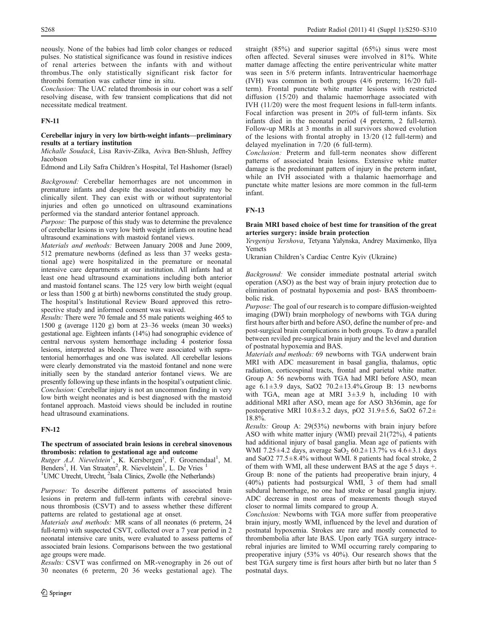neously. None of the babies had limb color changes or reduced pulses. No statistical significance was found in resistive indices of renal arteries between the infants with and without thrombus.The only statistically significant risk factor for thrombi formation was catheter time in situ.

Conclusion: The UAC related thrombosis in our cohort was a self resolving disease, with few transient complications that did not necessitate medical treatment.

## FN-11

## Cerebellar injury in very low birth-weight infants—preliminary results at a tertiary institution

Michalle Soudack, Lisa Raviv-Zilka, Aviva Ben-Shlush, Jeffrey Jacobson

Edmond and Lily Safra Children's Hospital, Tel Hashomer (Israel)

Background: Cerebellar hemorrhages are not uncommon in premature infants and despite the associated morbidity may be clinically silent. They can exist with or without supratentorial injuries and often go unnoticed on ultrasound examinations performed via the standard anterior fontanel approach.

Purpose: The purpose of this study was to determine the prevalence of cerebellar lesions in very low birth weight infants on routine head ultrasound examinations with mastoid fontanel views.

Materials and methods: Between January 2008 and June 2009, 512 premature newborns (defined as less than 37 weeks gestational age) were hospitalized in the premature or neonatal intensive care departments at our institution. All infants had at least one head ultrasound examinations including both anterior and mastoid fontanel scans. The 125 very low birth weight (equal or less than 1500 g at birth) newborns constituted the study group. The hospital's Institutional Review Board approved this retrospective study and informed consent was waived.

Results: There were 70 female and 55 male patients weighing 465 to 1500 g (average 1120 g) born at 23–36 weeks (mean 30 weeks) gestational age. Eighteen infants (14%) had sonographic evidence of central nervous system hemorrhage including 4 posterior fossa lesions, interpreted as bleeds. Three were associated with supratentorial hemorrhages and one was isolated. All cerebellar lesions were clearly demonstrated via the mastoid fontanel and none were initially seen by the standard anterior fontanel views. We are presently following up these infants in the hospital's outpatient clinic. Conclusion: Cerebellar injury is not an uncommon finding in very low birth weight neonates and is best diagnosed with the mastoid fontanel approach. Mastoid views should be included in routine head ultrasound examinations.

## FN-12

### The spectrum of associated brain lesions in cerebral sinovenous thrombosis: relation to gestational age and outcome

Rutger A.J. Nievelstein<sup>1</sup>, K. Kersbergen<sup>1</sup>, F. Groenendaal<sup>1</sup>, M. Benders<sup>1</sup>, H. Van Straaten<sup>2</sup>, R. Nievelstein<sup>1</sup>, L. De Vries<sup>1</sup> <sup>1</sup>UMC Utrecht, Utrecht, <sup>2</sup>Isala Clinics, Zwolle (the Netherlands)

Purpose: To describe different patterns of associated brain lesions in preterm and full-term infants with cerebral sinovenous thrombosis (CSVT) and to assess whether these different patterns are related to gestational age at onset.

Materials and methods: MR scans of all neonates (6 preterm, 24 full-term) with suspected CSVT, collected over a 7 year period in 2 neonatal intensive care units, were evaluated to assess patterns of associated brain lesions. Comparisons between the two gestational age groups were made.

Results: CSVT was confirmed on MR-venography in 26 out of 30 neonates (6 preterm, 20 36 weeks gestational age). The

straight (85%) and superior sagittal (65%) sinus were most often affected. Several sinuses were involved in 81%. White matter damage affecting the entire periventricular white matter was seen in 5/6 preterm infants. Intraventricular haemorrhage (IVH) was common in both groups (4/6 preterm; 16/20 fullterm). Frontal punctate white matter lesions with restricted diffusion (15/20) and thalamic haemorrhage associated with IVH (11/20) were the most frequent lesions in full-term infants. Focal infarction was present in 20% of full-term infants. Six infants died in the neonatal period (4 preterm, 2 full-term). Follow-up MRIs at 3 months in all survivors showed evolution of the lesions with frontal atrophy in 13/20 (12 full-term) and delayed myelination in 7/20 (6 full-term).

Conclusion: Preterm and full-term neonates show different patterns of associated brain lesions. Extensive white matter damage is the predominant pattern of injury in the preterm infant, while an IVH associated with a thalamic haemorrhage and punctate white matter lesions are more common in the full-term infant.

## FN-13

### Brain MRI based choice of best time for transition of the great arteries surgery: inside brain protection

Yevgeniya Yershova, Tetyana Yalynska, Andrey Maximenko, Illya Yemets

Ukranian Children's Cardiac Centre Kyiv (Ukraine)

Background: We consider immediate postnatal arterial switch operation (ASO) as the best way of brain injury protection due to elimination of postnatal hypoxemia and post- BAS thromboembolic risk.

Purpose: The goal of our research is to compare diffusion-weighted imaging (DWI) brain morphology of newborns with TGA during first hours after birth and before ASO, define the number of pre- and post-surgical brain complications in both groups. To draw a parallel between reviled pre-surgical brain injury and the level and duration of postnatal hypoxemia and BAS.

Materials and methods: 69 newborns with TGA underwent brain MRI with ADC measurement in basal ganglia, thalamus, optic radiation, corticospinal tracts, frontal and parietal white matter. Group A: 56 newborns with TGA had MRI before ASO, mean age  $6.1 \pm 3.9$  days, SaO2  $70.2 \pm 13.4\%$ . Group B: 13 newborns with TGA, mean age at MRI 3±3.9 h, including 10 with additional MRI after ASO, mean age for ASO 3h36min, age for postoperative MRI 10.8±3.2 days, pO2 31.9±5.6, SaO2 67.2± 18.8%.

Results: Group A: 29(53%) newborns with brain injury before ASO with white matter injury (WMI) prevail 21(72%), 4 patients had additional injury of basal ganglia. Mean age of patients with WMI 7.25 $\pm$ 4.2 days, average SaO<sub>2</sub> 60.2 $\pm$ 13.7% vs 4.6 $\pm$ 3.1 days and SaO2 77.5±8.4% without WMI. 8 patients had focal stroke, 2 of them with WMI, all these underwent BAS at the age 5 days +. Group B: none of the patients had preoperative brain injury, 4 (40%) patients had postsurgical WMI, 3 of them had small subdural hemorrhage, no one had stroke or basal ganglia injury. ADC decrease in most areas of measurements though stayed closer to normal limits compared to group A.

Conclusion: Newborns with TGA more suffer from preoperative brain injury, mostly WMI, influenced by the level and duration of postnatal hypoxemia. Strokes are rare and mostly connected to thrombembolia after late BAS. Upon early TGA surgery intracerebral injuries are limited to WMI occurring rarely comparing to preoperative injury (53% vs 40%). Our research shows that the best TGA surgery time is first hours after birth but no later than 5 postnatal days.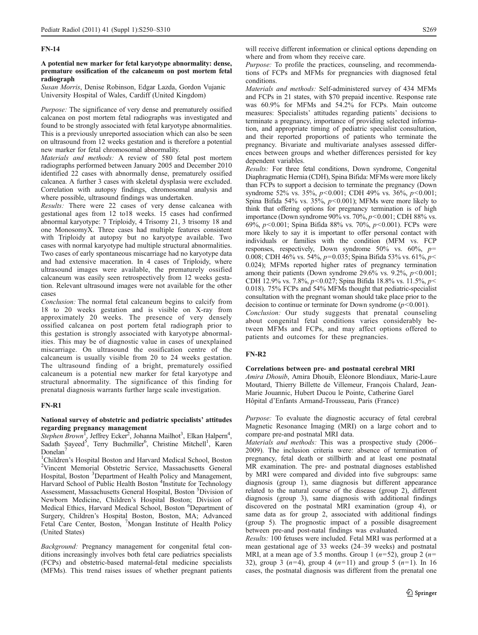## FN-14

## A potential new marker for fetal karyotype abnormality: dense, premature ossification of the calcaneum on post mortem fetal radiograph

Susan Morris, Denise Robinson, Edgar Lazda, Gordon Vujanic University Hospital of Wales, Cardiff (United Kingdom)

Purpose: The significance of very dense and prematurely ossified calcanea on post mortem fetal radiographs was investigated and found to be strongly associated with fetal karyotype abnormalities. This is a previously unreported association which can also be seen on ultrasound from 12 weeks gestation and is therefore a potential new marker for fetal chromosomal abnormality.

Materials and methods: A review of 580 fetal post mortem radiographs performed between January 2005 and December 2010 identified 22 cases with abnormally dense, prematurely ossified calcanea. A further 3 cases with skeletal dysplasia were excluded. Correlation with autopsy findings, chromosomal analysis and where possible, ultrasound findings was undertaken.

Results: There were 22 cases of very dense calcanea with gestational ages from 12 to18 weeks. 15 cases had confirmed abnormal karyotype: 7 Triploidy, 4 Trisomy 21, 3 trisomy 18 and one MonosomyX. Three cases had multiple features consistent with Triploidy at autopsy but no karyotype available. Two cases with normal karyotype had multiple structural abnormalities. Two cases of early spontaneous miscarriage had no karyotype data and had extensive maceration. In 4 cases of Triploidy, where ultrasound images were available, the prematurely ossified calcaneum was easily seen retrospectively from 12 weeks gestation. Relevant ultrasound images were not available for the other cases

Conclusion: The normal fetal calcaneum begins to calcify from 18 to 20 weeks gestation and is visible on X-ray from approximately 20 weeks. The presence of very densely ossified calcanea on post portem fetal radiograph prior to this gestation is strongly associated with karyotype abnormalities. This may be of diagnostic value in cases of unexplained miscarriage. On ultrasound the ossification centre of the calcaneum is usually visible from 20 to 24 weeks gestation. The ultrasound finding of a bright, prematurely ossified calcaneum is a potential new marker for fetal karyotype and structural abnormality. The significance of this finding for prenatal diagnosis warrants further large scale investigation.

### FN-R1

## National survey of obstetric and pediatric specialists' attitudes regarding pregnancy management

Stephen Brown<sup>T</sup>, Jeffrey Ecker<sup>2</sup>, Johanna Mailhot<sup>3</sup>, Elkan Halpern<sup>4</sup>, Sadath Sayeed<sup>5</sup>, Terry Buchmiller<sup>6</sup>, Christine Mitchell<sup>1</sup>, Karen Donelan<sup>7</sup>

<sup>1</sup>Children's Hospital Boston and Harvard Medical School, Boston <sup>2</sup>Vincent, Memorial, Obstatric, Service, Massachusetts, General <sup>2</sup>Vincent Memorial Obstetric Service, Massachusetts General Hospital, Boston <sup>3</sup>Department of Health Policy and Management, Harvard School of Public Health Boston <sup>4</sup>Institute for Technology Assessment, Massachusetts General Hospital, Boston <sup>5</sup>Division of Newborn Medicine, Children's Hospital Boston; Division of Medical Ethics, Harvard Medical School, Boston <sup>6</sup>Department of Surgery, Children's Hospital Boston, Boston, MA; Advanced Fetal Care Center, Boston, <sup>7</sup>Mongan Institute of Health Policy (United States)

Background: Pregnancy management for congenital fetal conditions increasingly involves both fetal care pediatrics specialists (FCPs) and obstetric-based maternal-fetal medicine specialists (MFMs). This trend raises issues of whether pregnant patients

will receive different information or clinical options depending on where and from whom they receive care.

Purpose: To profile the practices, counseling, and recommendations of FCPs and MFMs for pregnancies with diagnosed fetal conditions.

Materials and methods: Self-administered survey of 434 MFMs and FCPs in 21 states, with \$70 prepaid incentive. Response rate was 60.9% for MFMs and 54.2% for FCPs. Main outcome measures: Specialists' attitudes regarding patients' decisions to terminate a pregnancy, importance of providing selected information, and appropriate timing of pediatric specialist consultation, and their reported proportions of patients who terminate the pregnancy. Bivariate and multivariate analyses assessed differences between groups and whether differences persisted for key dependent variables.

Results: For three fetal conditions, Down syndrome, Congenital Diaphragmatic Hernia (CDH), Spina Bifida: MFMs were more likely than FCPs to support a decision to terminate the pregnancy (Down syndrome 52% vs. 35%,  $p<0.001$ ; CDH 49% vs. 36%,  $p<0.001$ ; Spina Bifida 54% vs. 35%,  $p<0.001$ ); MFMs were more likely to think that offering options for pregnancy termination is of high importance (Down syndrome  $90\%$  vs.  $70\%, p < 0.001$ ; CDH 88% vs. 69%, p<0.001; Spina Bifida 88% vs. 70%, p<0.001). FCPs were more likely to say it is important to offer personal contact with individuals or families with the condition (MFM vs. FCP responses, respectively, Down syndrome  $50\%$  vs.  $60\%$ ,  $p=$ 0.008; CDH 46% vs. 54%,  $p=0.035$ ; Spina Bifida 53% vs. 61%,  $p<$ 0.024); MFMs reported higher rates of pregnancy termination among their patients (Down syndrome  $29.6\%$  vs.  $9.2\%$ ,  $p<0.001$ ; CDH 12.9% vs. 7.8%,  $p<0.027$ ; Spina Bifida 18.8% vs. 11.5%,  $p<$ 0.018). 75% FCPs and 54% MFMs thought that pediatric-specialist consultation with the pregnant woman should take place prior to the decision to continue or terminate for Down syndrome  $(p<0.001)$ .

Conclusion: Our study suggests that prenatal counseling about congenital fetal conditions varies considerably between MFMs and FCPs, and may affect options offered to patients and outcomes for these pregnancies.

## FN-R2

### Correlations between pre- and postnatal cerebral MRI

Amira Dhouib, Amira Dhouib, Eléonore Blondiaux, Marie-Laure Moutard, Thierry Billette de Villemeur, François Chalard, Jean-Marie Jouannic, Hubert Ducou le Pointe, Catherine Garel Hôpital d'Enfants Armand-Trousseau, Paris (France)

Purpose: To evaluate the diagnostic accuracy of fetal cerebral Magnetic Resonance Imaging (MRI) on a large cohort and to compare pre-and postnatal MRI data.

Materials and methods: This was a prospective study (2006– 2009). The inclusion criteria were: absence of termination of pregnancy, fetal death or stillbirth and at least one postnatal MR examination. The pre- and postnatal diagnoses established by MRI were compared and divided into five subgroups: same diagnosis (group 1), same diagnosis but different appearance related to the natural course of the disease (group 2), different diagnosis (group 3), same diagnosis with additional findings discovered on the postnatal MRI examination (group 4), or same data as for group 2, associated with additional findings (group 5). The prognostic impact of a possible disagreement between pre-and post-natal findings was evaluated.

Results: 100 fetuses were included. Fetal MRI was performed at a mean gestational age of 33 weeks (24–39 weeks) and postnatal MRI, at a mean age of 3.5 months. Group 1 ( $n=52$ ), group 2 ( $n=$ 32), group 3 ( $n=4$ ), group 4 ( $n=11$ ) and group 5 ( $n=1$ ). In 16 cases, the postnatal diagnosis was different from the prenatal one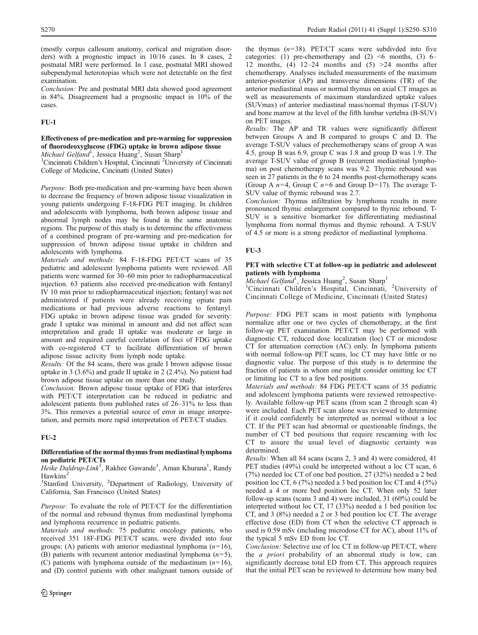(mostly corpus callosum anatomy, cortical and migration disorders) with a prognostic impact in 10/16 cases. In 8 cases, 2 postnatal MRI were performed. In 1 case, postnatal MRI showed subependymal heterotopias which were not detectable on the first examination.

Conclusion: Pre and postnatal MRI data showed good agreement in 84%. Disagreement had a prognostic impact in 10% of the cases.

## FU-1

## Effectiveness of pre-medication and pre-warming for suppression of fluorodeoxyglucose (FDG) uptake in brown adipose tissue

Michael Gelfand<sup>1</sup>, Jessica Huang<sup>2</sup>, Susan Sharp<sup>1</sup>

<sup>1</sup>Cincinnati Children's Hospital, Cincinnati <sup>2</sup>University of Cincinnati College of Medicine, Cincinatti (United States)

Purpose: Both pre-medication and pre-warming have been shown to decrease the frequency of brown adipose tissue visualization in young patients undergoing F-18-FDG PET imaging. In children and adolescents with lymphoma, both brown adipose tissue and abnormal lymph nodes may be found in the same anatomic regions. The purpose of this study is to determine the effectiveness of a combined program of pre-warming and pre-medication for suppression of brown adipose tissue uptake in children and adolescents with lymphoma.

Materials and methods: 84 F-18-FDG PET/CT scans of 35 pediatric and adolescent lymphoma patients were reviewed. All patients were warmed for 30–60 min prior to radiopharmaceutical injection. 63 patients also received pre-medication with fentanyl IV 10 min prior to radiopharmaceutical injection; fentanyl was not administered if patients were already receiving opiate pain medications or had previous adverse reactions to fentanyl. FDG uptake in brown adipose tissue was graded for severity: grade I uptake was minimal in amount and did not affect scan interpretation and grade II uptake was moderate or large in amount and required careful correlation of foci of FDG uptake with co-registered CT to facilitate differentiation of brown adipose tissue activity from lymph node uptake.

Results: Of the 84 scans, there was grade I brown adipose tissue uptake in 3 (3.6%) and grade II uptake in 2 (2.4%). No patient had brown adipose tissue uptake on more than one study.

Conclusion: Brown adipose tissue uptake of FDG that interferes with PET/CT interpretation can be reduced in pediatric and adolescent patients from published rates of 26–31% to less than 3%. This removes a potential source of error in image interpretation, and permits more rapid interpretation of PET/CT studies.

## FU-2

## Differentiation of the normal thymus from mediastinal lymphoma on pediatric PET/CTs

Heike Daldrup-Link<sup>1</sup>, Rakhee Gawande<sup>1</sup>, Aman Khurana<sup>1</sup>, Randy **Hawkins** 

<sup>1</sup>Stanford University, <sup>2</sup>Department of Radiology, University of California, San Francisco (United States)

Purpose: To evaluate the role of PET/CT for the differentiation of the normal and rebound thymus from mediastinal lymphoma and lymphoma recurrence in pediatric patients.

Materials and methods: 75 pediatric oncology patients, who received 351 18F-FDG PET/CT scans, were divided into four groups: (A) patients with anterior mediastinal lymphoma  $(n=16)$ , (B) patients with recurrent anterior mediastinal lymphoma  $(n=5)$ , (C) patients with lymphoma outside of the mediastinum  $(n=16)$ , and (D) control patients with other malignant tumors outside of

the thymus  $(n=38)$ . PET/CT scans were subdivded into five categories: (1) pre-chemotherapy and (2)  $\leq 6$  months, (3) 6– 12 months, (4)  $12-24$  months and (5)  $>24$  months after chemotherapy. Analyses included measurements of the maximum anterior-posterior (AP) and transverse dimensions (TR) of the anterior mediastinal mass or normal thymus on axial CT images as well as measurements of maximum standardized uptake values (SUVmax) of anterior mediastinal mass/normal thymus (T-SUV) and bone marrow at the level of the fifth lumbar vertebra (B-SUV) on PET images.

Results: The AP and TR values were significantly different between Groups A and B compared to groups C and D. The average T-SUV values of prechemotherapy scans of group A was 4.5, group B was 6.9, group C was 1.8 and group D was 1.9. The average T-SUV value of group B (recurrent mediastinal lymphoma) on post chemotherapy scans was 9.2. Thymic rebound was seen in 27 patients in the 6 to 24 months post-chemotherapy scans (Group A  $n=4$ , Group C  $n=6$  and Group D=17). The average T-SUV value of thymic rebound was 2.7.

Conclusion: Thymus infiltration by lymphoma results in more pronounced thymic enlargement compared to thymic rebound. T-SUV is a sensitive biomarker for differentiating mediastinal lymphoma from normal thymus and thymic rebound. A T-SUV of 4.5 or more is a strong predictor of mediastinal lymphoma.

## FU-3

## PET with selective CT at follow-up in pediatric and adolescent patients with lymphoma

Michael Gelfand<sup>1</sup>, Jessica Huang<sup>2</sup>, Susan Sharp<sup>1</sup><br><sup>1</sup>Cincinnati Children's Hospital, Cincinnati, <sup>2</sup>University of Cincinnati College of Medicine, Cincinnati (United States)

Purpose: FDG PET scans in most patients with lymphoma normalize after one or two cycles of chemotherapy, at the first follow-up PET examination. PET/CT may be performed with diagnostic CT, reduced dose localization (loc) CT or microdose CT for attenuation correction (AC) only. In lymphoma patients with normal follow-up PET scans, loc CT may have little or no diagnostic value. The purpose of this study is to determine the fraction of patients in whom one might consider omitting loc CT or limiting loc CT to a few bed positions.

Materials and methods: 84 FDG PET/CT scans of 35 pediatric and adolescent lymphoma patients were reviewed retrospectively. Available follow-up PET scans (from scan 2 through scan 4) were included. Each PET scan alone was reviewed to determine if it could confidently be interpreted as normal without a loc CT. If the PET scan had abnormal or questionable findings, the number of CT bed positions that require rescanning with loc CT to assure the usual level of diagnostic certainty was determined.

Results: When all 84 scans (scans 2, 3 and 4) were considered, 41 PET studies (49%) could be interpreted without a loc CT scan, 6 (7%) needed loc CT of one bed position, 27 (32%) needed a 2 bed position loc CT, 6 (7%) needed a 3 bed position loc CT and 4 (5%) needed a 4 or more bed position loc CT. When only 52 later follow-up scans (scans 3 and 4) were included, 31 (60%) could be interpreted without loc CT, 17 (33%) needed a 1 bed position loc CT, and 3 (8%) needed a 2 or 3 bed position loc CT. The average effective dose (ED) from CT when the selective CT approach is used is 0.59 mSv (including microdose CT for AC), about 11% of the typical 5 mSv ED from loc CT.

Conclusion: Selective use of loc CT in follow-up PET/CT, where the a priori probability of an abnormal study is low, can significantly decrease total ED from CT. This approach requires that the initial PET scan be reviewed to determine how many bed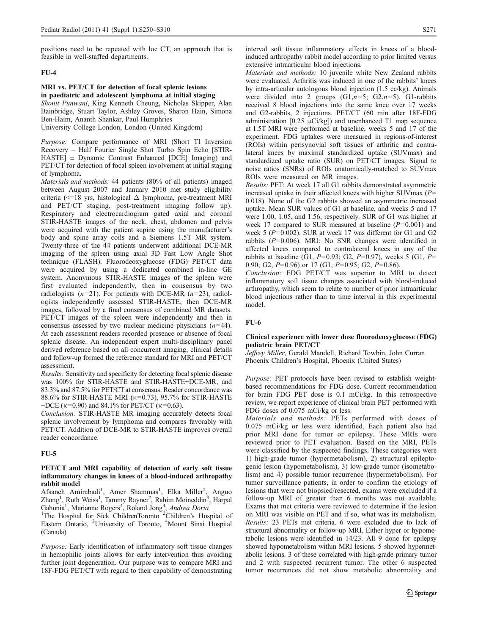positions need to be repeated with loc CT, an approach that is feasible in well-staffed departments.

### FU-4

## MRI vs. PET/CT for detection of focal splenic lesions in paediatric and adolescent lymphoma at initial staging

Shonit Punwani, King Kenneth Cheung, Nicholas Skipper, Alan Bainbridge, Stuart Taylor, Ashley Groves, Sharon Hain, Simona Ben-Haim, Ananth Shankar, Paul Humphries

University College London, London (United Kingdom)

Purpose: Compare performance of MRI (Short TI Inversion Recovery – Half Fourier Single Shot Turbo Spin Echo [STIR-HASTE] ± Dynamic Contrast Enhanced [DCE] Imaging) and PET/CT for detection of focal spleen involvement at initial staging of lymphoma.

Materials and methods: 44 patients (80% of all patients) imaged between August 2007 and January 2010 met study eligibility criteria ( $\leq$ =18 yrs, histological  $\Delta$  lymphoma, pre-treatment MRI and PET/CT staging, post-treatment imaging follow up). Respiratory and electrocardiogram gated axial and coronal STIR-HASTE images of the neck, chest, abdomen and pelvis were acquired with the patient supine using the manufacturer's body and spine array coils and a Siemens 1.5T MR system. Twenty-three of the 44 patients underwent additional DCE-MR imaging of the spleen using axial 3D Fast Low Angle Shot technique (FLASH). Fluorodeoxyglucose (FDG) PET/CT data were acquired by using a dedicated combined in-line GE system. Anonymous STIR-HASTE images of the spleen were first evaluated independently, then in consensus by two radiologists  $(n=21)$ . For patients with DCE-MR  $(n=23)$ , radiologists independently assessed STIR-HASTE, then DCE-MR images, followed by a final consensus of combined MR datasets. PET/CT images of the spleen were independently and then in consensus assessed by two nuclear medicine physicians  $(n=44)$ . At each assessment readers recorded presence or absence of focal splenic disease. An independent expert multi-disciplinary panel derived reference based on all concurrent imaging, clinical details and follow-up formed the reference standard for MRI and PET/CT assessment.

Results: Sensitivity and specificity for detecting focal splenic disease was 100% for STIR-HASTE and STIR-HASTE+DCE-MR, and 83.3% and 87.5% for PET/CT at consensus. Reader concordance was 88.6% for STIR-HASTE MRI (κ=0.73), 95.7% for STIR-HASTE +DCE ( $\kappa$ =0.90) and 84.1% for PET/CT ( $\kappa$ =0.63).

Conclusion: STIR-HASTE MR imaging accurately detects focal splenic involvement by lymphoma and compares favorably with PET/CT. Addition of DCE-MR to STIR-HASTE improves overall reader concordance.

### FU-5

## PET/CT and MRI capability of detection of early soft tissue inflammatory changes in knees of a blood-induced arthropathy rabbit model

Afsaneh Amirabadi<sup>1</sup>, Amer Shammas<sup>1</sup>, Elka Miller<sup>2</sup>, Anguo Zhong<sup>1</sup>, Ruth Weiss<sup>1</sup>, Tammy Rayner<sup>2</sup>, Rahim Moineddin<sup>3</sup>, Harpal Gahunia<sup>1</sup>, Marianne Rogers<sup>4</sup>, Roland Jong<sup>4</sup>, *Andrea Doria*<sup>1</sup><br><sup>1</sup>The Hospital for Sick ChildrenToronto <sup>2</sup>Children's Hospital of

Eastern Ontario, <sup>3</sup>University of Toronto, <sup>4</sup>Mount Sinai Hospital (Canada)

Purpose: Early identification of inflammatory soft tissue changes in hemophilic joints allows for early intervention thus avoiding further joint degeneration. Our purpose was to compare MRI and 18F-FDG PET/CT with regard to their capability of demonstrating interval soft tissue inflammatory effects in knees of a bloodinduced arthropathy rabbit model according to prior limited versus extensive intraarticular blood injections.

Materials and methods: 10 juvenile white New Zealand rabbits were evaluated. Arthritis was induced in one of the rabbits' knees by intra-articular autologous blood injection (1.5 cc/kg). Animals were divided into 2 groups  $(G1, n=5; G2, n=5)$ . G1-rabbits received 8 blood injections into the same knee over 17 weeks and G2-rabbits, 2 injections. PET/CT (60 min after 18F-FDG administration [0.25  $\mu$ Ci/kg]) and unenhanced T1 map sequence at 1.5T MRI were performed at baseline, weeks 5 and 17 of the experiment. FDG uptakes were measured in regions-of-interest (ROIs) within perisynovial soft tissues of arthritic and contralateral knees by maximal standardized uptake (SUVmax) and standardized uptake ratio (SUR) on PET/CT images. Signal to noise ratios (SNRs) of ROIs anatomically-matched to SUVmax ROIs were measured on MR images.

Results: PET: At week 17 all G1 rabbits demonstrated asymmetric increased uptake in their affected knees with higher SUVmax  $(P=$ 0.018). None of the G2 rabbits showed an asymmetric increased uptake. Mean SUR values of G1 at baseline, and weeks 5 and 17 were 1.00, 1.05, and 1.56, respectively. SUR of G1 was higher at week 17 compared to SUR measured at baseline  $(P=0.001)$  and week 5 ( $P=0.002$ ). SUR at week 17 was different for G1 and G2 rabbits (P=0.006). MRI: No SNR changes were identified in affected knees compared to contralateral knees in any of the rabbits at baseline (G1,  $P=0.93$ ; G2,  $P=0.97$ ), weeks 5 (G1,  $P=$ 0.90; G2,  $P=0.96$  or 17 (G1,  $P=0.95$ ; G2,  $P=0.86$ ).

Conclusion: FDG PET/CT was superior to MRI to detect inflammatory soft tissue changes associated with blood-induced arthropathy, which seem to relate to number of prior intraarticular blood injections rather than to time interval in this experimental model.

## FU-6

### Clinical experience with lower dose fluorodeoxyglucose (FDG) pediatric brain PET/CT

Jeffrey Miller, Gerald Mandell, Richard Towbin, John Curran Phoenix Children's Hospital, Phoenix (United States)

Purpose: PET protocols have been revised to establish weightbased recommendations for FDG dose. Current recommendation for brain FDG PET dose is 0.1 mCi/kg. In this retrospective review, we report experience of clinical brain PET performed with FDG doses of 0.075 mCi/kg or less.

Materials and methods: PETs performed with doses of 0.075 mCi/kg or less were identified. Each patient also had prior MRI done for tumor or epilepsy. These MRIs were reviewed prior to PET evaluation. Based on the MRI, PETs were classified by the suspected findings. These categories were 1) high-grade tumor (hypermetabolism), 2) structural epileptogenic lesion (hypometabolism), 3) low-grade tumor (isometabolism) and 4) possible tumor recurrence (hypermetabolism). For tumor surveillance patients, in order to confirm the etiology of lesions that were not biopsied/resected, exams were excluded if a follow-up MRI of greater than 6 months was not available. Exams that met criteria were reviewed to determine if the lesion on MRI was visible on PET and if so, what was its metabolism. Results: 23 PETs met criteria. 6 were excluded due to lack of structural abnormality or follow-up MRI. Either hyper or hypometabolic lesions were identified in 14/23. All 9 done for epilepsy showed hypometabolism within MRI lesions. 5 showed hypermetabolic lesions. 3 of these correlated with high-grade primary tumor and 2 with suspected recurrent tumor. The other 6 suspected tumor recurrences did not show metabolic abnormality and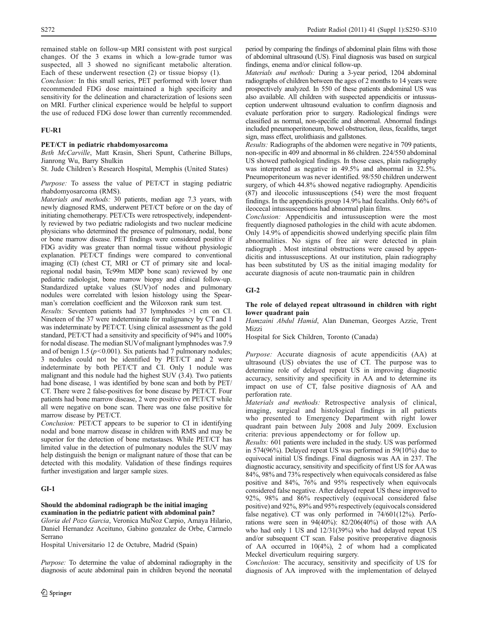Conclusion: In this small series, PET performed with lower than recommended FDG dose maintained a high specificity and sensitivity for the delineation and characterization of lesions seen on MRI. Further clinical experience would be helpful to support the use of reduced FDG dose lower than currently recommended.

## FU-R1

## PET/CT in pediatric rhabdomyosarcoma

Beth McCarville, Matt Krasin, Sheri Spunt, Catherine Billups, Jianrong Wu, Barry Shulkin

St. Jude Children's Research Hospital, Memphis (United States)

Purpose: To assess the value of PET/CT in staging pediatric rhabdomyosarcoma (RMS).

Materials and methods: 30 patients, median age 7.3 years, with newly diagnosed RMS, underwent PET/CT before or on the day of initiating chemotherapy. PET/CTs were retrospectively, independently reviewed by two pediatric radiologists and two nuclear medicine physicians who determined the presence of pulmonary, nodal, bone or bone marrow disease. PET findings were considered positive if FDG avidity was greater than normal tissue without physiologic explanation. PET/CT findings were compared to conventional imaging (CI) (chest CT, MRI or CT of primary site and localregional nodal basin, Tc99m MDP bone scan) reviewed by one pediatric radiologist, bone marrow biopsy and clinical follow-up. Standardized uptake values (SUV)of nodes and pulmonary nodules were correlated with lesion histology using the Spearman's correlation coefficient and the Wilcoxon rank sum test.

Results: Seventeen patients had 37 lymphnodes >1 cm on CI. Nineteen of the 37 were indeterminate for malignancy by CT and 1 was indeterminate by PET/CT. Using clinical assessment as the gold standard, PET/CT had a sensitivity and specificity of 94% and 100% for nodal disease. The median SUVof malignant lymphnodes was 7.9 and of benign 1.5 ( $p$ <0.001). Six patients had 7 pulmonary nodules; 3 nodules could not be identified by PET/CT and 2 were indeterminate by both PET/CT and CI. Only 1 nodule was malignant and this nodule had the highest SUV (3.4). Two patients had bone disease, 1 was identified by bone scan and both by PET/ CT. There were 2 false-positives for bone disease by PET/CT. Four patients had bone marrow disease, 2 were positive on PET/CT while all were negative on bone scan. There was one false positive for marrow disease by PET/CT.

Conclusion: PET/CT appears to be superior to CI in identifying nodal and bone marrow disease in children with RMS and may be superior for the detection of bone metastases. While PET/CT has limited value in the detection of pulmonary nodules the SUV may help distinguish the benign or malignant nature of those that can be detected with this modality. Validation of these findings requires further investigation and larger sample sizes.

## GI-1

### Should the abdominal radiograph be the initial imaging examination in the pediatric patient with abdominal pain?

Gloria del Pozo Garcia, Veronica MuÑoz Carpio, Amaya Hilario, Daniel Hernandez Aceituno, Gabino gonzalez de Orbe, Carmelo Serrano

Hospital Universitario 12 de Octubre, Madrid (Spain)

Purpose: To determine the value of abdominal radiography in the diagnosis of acute abdominal pain in children beyond the neonatal period by comparing the findings of abdominal plain films with those of abdominal ultrasound (US). Final diagnosis was based on surgical findings, enema and/or clinical follow-up.

Materials and methods: During a 3-year period, 1204 abdominal radiographs of children between the ages of 2 months to 14 years were prospectively analyzed. In 550 of these patients abdominal US was also available. All children with suspected appendicitis or intussusception underwent ultrasound evaluation to confirm diagnosis and evaluate perforation prior to surgery. Radiological findings were classified as normal, non-specific and abnormal. Abnormal findings included pneumoperitoneum, bowel obstruction, ileus, fecaliths, target sign, mass effect, urolithiasis and gallstones.

Results: Radiographs of the abdomen were negative in 709 patients, non-specific in 409 and abnormal in 86 children. 224/550 abdominal US showed pathological findings. In those cases, plain radiography was interpreted as negative in 49.5% and abnormal in 32.5%. Pneumoperitoneum was never identified. 98/550 children underwent surgery, of which 44.8% showed negative radiography. Apendicitis (87) and ileocolic intussusceptions (54) were the most frequent findings. In the appendicitis group 14.9% had fecaliths. Only 66% of ileocecal intussusceptions had abnormal plain films.

Conclusion: Appendicitis and intussusception were the most frequently diagnosed pathologies in the child with acute abdomen. Only 14.9% of appendicitis showed underlying specific plain film abnormalities. No signs of free air were detected in plain radiograph . Most intestinal obstructions were caused by appendicitis and intussusceptions. At our institution, plain radiography has been substituted by US as the initial imaging modality for accurate diagnosis of acute non-traumatic pain in children

## GI-2

## The role of delayed repeat ultrasound in children with right lower quadrant pain

Hamzaini Abdul Hamid, Alan Daneman, Georges Azzie, Trent Mizzi

Hospital for Sick Children, Toronto (Canada)

Purpose: Accurate diagnosis of acute appendicitis (AA) at ultrasound (US) obviates the use of CT. The purpose was to determine role of delayed repeat US in improving diagnostic accuracy, sensitivity and specificity in AA and to determine its impact on use of CT, false positive diagnosis of AA and perforation rate.

Materials and methods: Retrospective analysis of clinical, imaging, surgical and histological findings in all patients who presented to Emergency Department with right lower quadrant pain between July 2008 and July 2009. Exclusion criteria: previous appendectomy or for follow up.

Results: 601 patients were included in the study. US was performed in 574(96%). Delayed repeat US was performed in 59(10%) due to equivocal initial US findings. Final diagnosis was AA in 237. The diagnostic accuracy, sensitivity and specificity of first US for AAwas 84%, 98% and 73% respectively when equivocals considered as false positive and 84%, 76% and 95% respectively when equivocals considered false negative. After delayed repeat US these improved to 92%, 98% and 86% respectively (equivocal considered false positive) and 92%, 89% and 95% respectively (equivocals considered false negative). CT was only performed in 74/601(12%). Perforations were seen in  $94(40\%)$ :  $82/206(40\%)$  of those with AA who had only 1 US and 12/31(39%) who had delayed repeat US and/or subsequent CT scan. False positive preoperative diagnosis of AA occurred in 10(4%), 2 of whom had a complicated Meckel diverticulum requiring surgery.

Conclusion: The accuracy, sensitivity and specificity of US for diagnosis of AA improved with the implementation of delayed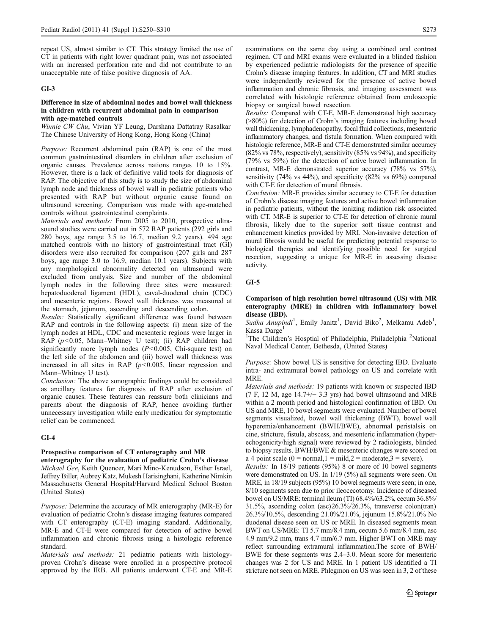repeat US, almost similar to CT. This strategy limited the use of CT in patients with right lower quadrant pain, was not associated with an increased perforation rate and did not contribute to an unacceptable rate of false positive diagnosis of AA.

## GI-3

### Difference in size of abdominal nodes and bowel wall thickness in children with recurrent abdominal pain in comparison with age-matched controls

Winnie CW Chu, Vivian YF Leung, Darshana Dattatray Rasalkar The Chinese University of Hong Kong, Hong Kong (China)

Purpose: Recurrent abdominal pain (RAP) is one of the most common gastrointestinal disorders in children after exclusion of organic causes. Prevalence across nations ranges 10 to 15%. However, there is a lack of definitive valid tools for diagnosis of RAP. The objective of this study is to study the size of abdominal lymph node and thickness of bowel wall in pediatric patients who presented with RAP but without organic cause found on ultrasound screening. Comparison was made with age-matched controls without gastrointestinal complaints.

Materials and methods: From 2005 to 2010, prospective ultrasound studies were carried out in 572 RAP patients (292 girls and 280 boys, age range 3.5 to 16.7, median 9.2 years). 494 age matched controls with no history of gastrointestinal tract (GI) disorders were also recruited for comparison (207 girls and 287 boys, age range 3.0 to 16.9, median 10.1 years). Subjects with any morphological abnormality detected on ultrasound were excluded from analysis. Size and number of the abdominal lymph nodes in the following three sites were measured: hepatoduodenal ligament (HDL), caval-duodenal chain (CDC) and mesenteric regions. Bowel wall thickness was measured at the stomach, jejunum, ascending and descending colon.

Results: Statistically significant difference was found between RAP and controls in the following aspects: (i) mean size of the lymph nodes at HDL, CDC and mesenteric regions were larger in RAP ( $p$ <0.05, Mann–Whitney U test); (ii) RAP children had significantly more lymph nodes  $(P<0.005$ , Chi-square test) on the left side of the abdomen and (iii) bowel wall thickness was increased in all sites in RAP  $(p<0.005$ , linear regression and Mann–Whitney U test).

Conclusion: The above sonographic findings could be considered as ancillary features for diagnosis of RAP after exclusion of organic causes. These features can reassure both clinicians and parents about the diagnosis of RAP, hence avoiding further unnecessary investigation while early medication for symptomatic relief can be commenced.

### GI-4

### Prospective comparison of CT enterography and MR enterography for the evaluation of pediatric Crohn's disease

Michael Gee, Keith Quencer, Mari Mino-Kenudson, Esther Israel, Jeffrey Biller, Aubrey Katz, Mukesh Harisinghani, Katherine Nimkin Massachusetts General Hospital/Harvard Medical School Boston (United States)

Purpose: Determine the accuracy of MR enterography (MR-E) for evaluation of pediatric Crohn's disease imaging features compared with CT enterography (CT-E) imaging standard. Additionally, MR-E and CT-E were compared for detection of active bowel inflammation and chronic fibrosis using a histologic reference standard.

Materials and methods: 21 pediatric patients with histologyproven Crohn's disease were enrolled in a prospective protocol approved by the IRB. All patients underwent CT-E and MR-E examinations on the same day using a combined oral contrast regimen. CT and MRI exams were evaluated in a blinded fashion by experienced pediatric radiologists for the presence of specific Crohn's disease imaging features. In addition, CT and MRI studies were independently reviewed for the presence of active bowel inflammation and chronic fibrosis, and imaging assessment was correlated with histologic reference obtained from endoscopic biopsy or surgical bowel resection.

Results: Compared with CT-E, MR-E demonstrated high accuracy (>80%) for detection of Crohn's imaging features including bowel wall thickening, lymphadenopathy, focal fluid collections, mesenteric inflammatory changes, and fistula formation. When compared with histologic reference, MR-E and CT-E demonstrated similar accuracy (82% vs 78%, respectively), sensitivity (85% vs 94%), and specificity (79% vs 59%) for the detection of active bowel inflammation. In contrast, MR-E demonstrated superior accuracy (78% vs 57%), sensitivity (74% vs 44%), and specificity (82% vs 69%) compared with CT-E for detection of mural fibrosis.

Conclusion: MR-E provides similar accuracy to CT-E for detection of Crohn's disease imaging features and active bowel inflammation in pediatric patients, without the ionizing radiation risk associated with CT. MR-E is superior to CT-E for detection of chronic mural fibrosis, likely due to the superior soft tissue contrast and enhancement kinetics provided by MRI. Non-invasive detection of mural fibrosis would be useful for predicting potential response to biological therapies and identifying possible need for surgical resection, suggesting a unique for MR-E in assessing disease activity.

## GI-5

## Comparison of high resolution bowel ultrasound (US) with MR enterography (MRE) in children with inflammatory bowel disease (IBD).

Sudha Anupindi<sup>1</sup>, Emily Janitz<sup>1</sup>, David Biko<sup>2</sup>, Melkamu Adeb<sup>1</sup>, Kassa Darge<sup>1</sup>

<sup>1</sup>The Children's Hosptial of Philadelphia, Philadelphia<sup>2</sup>National Naval Medical Center, Bethesda, (United States)

Purpose: Show bowel US is sensitive for detecting IBD. Evaluate intra- and extramural bowel pathology on US and correlate with MRE.

Materials and methods: 19 patients with known or suspected IBD (7 F, 12 M, age 14.7+/− 3.3 yrs) had bowel ultrasound and MRE within a 2 month period and histological confirmation of IBD. On US and MRE, 10 bowel segments were evaluated. Number of bowel segments visualized, bowel wall thickening (BWT), bowel wall hyperemia/enhancement (BWH/BWE), abnormal peristalsis on cine, stricture, fistula, abscess, and mesenteric inflammation (hyperechogenicity/high signal) were reviewed by 2 radiologists, blinded to biopsy results. BWH/BWE & mesenteric changes were scored on a 4 point scale  $(0 = normal, 1 = mild, 2 = moderate, 3 = severe)$ .

Results: In 18/19 patients (95%) 8 or more of 10 bowel segments were demonstrated on US. In 1/19 (5%) all segments were seen. On MRE, in 18/19 subjects (95%) 10 bowel segments were seen; in one, 8/10 segments seen due to prior ileocecotomy. Incidence of diseased bowel on US/MRE: terminal ileum (TI) 68.4%/63.2%, cecum 36.8%/ 31.5%, ascending colon (asc)26.3%/26.3%, transverse colon(tran) 26.3%/10.5%, descending 21.0%/21.0%, jejunum 15.8%/21.0% No duodenal disease seen on US or MRE. In diseased segments mean BWT on US/MRE: TI 5.7 mm/8.4 mm, cecum 5.6 mm/8.4 mm, asc 4.9 mm/9.2 mm, trans 4.7 mm/6.7 mm. Higher BWT on MRE may reflect surrounding extramural inflammation.The score of BWH/ BWE for these segments was 2.4–3.0. Mean score for mesenteric changes was 2 for US and MRE. In 1 patient US identified a TI stricture not seen on MRE. Phlegmon on US was seen in 3, 2 of these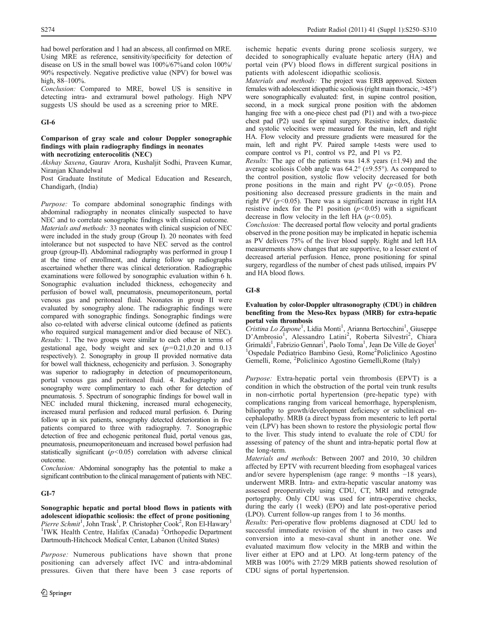had bowel perforation and 1 had an abscess, all confirmed on MRE. Using MRE as reference, sensitivity/specificity for detection of disease on US in the small bowel was 100%/67%and colon 100%/ 90% respectively. Negative predictive value (NPV) for bowel was high, 88-100%.

Conclusion: Compared to MRE, bowel US is sensitive in detecting intra- and extramural bowel pathology. High NPV suggests US should be used as a screening prior to MRE.

## GI-6

### Comparison of gray scale and colour Doppler sonographic findings with plain radiography findings in neonates with necrotizing enterocolitis (NEC)

Akshay Saxena, Gaurav Arora, Kushaljit Sodhi, Praveen Kumar,

Niranjan Khandelwal

Post Graduate Institute of Medical Education and Research, Chandigarh, (India)

Purpose: To compare abdominal sonographic findings with abdominal radiography in neonates clinically suspected to have NEC and to correlate sonographic findings with clinical outcome. Materials and methods: 33 neonates with clinical suspicion of NEC were included in the study group (Group I). 20 neonates with feed intolerance but not suspected to have NEC served as the control group (group-II). Abdominal radiography was performed in group I at the time of enrollment, and during follow up radiographs ascertained whether there was clinical deterioration. Radiographic examinations were followed by sonographic evaluation within 6 h. Sonographic evaluation included thickness, echogenecity and perfusion of bowel wall, pneumatosis, pneumoperitoneum, portal venous gas and peritoneal fluid. Neonates in group II were evaluated by sonography alone. The radiographic findings were compared with sonographic findings. Sonographic findings were also co-related with adverse clinical outcome (defined as patients who required surgical management and/or died because of NEC). Results: 1. The two groups were similar to each other in terms of gestational age, body weight and sex  $(p=0.21,0.20$  and 0.13 respectively). 2. Sonography in group II provided normative data for bowel wall thickness, echogenicity and perfusion. 3. Sonography was superior to radiography in detection of pneumoperitoneum, portal venous gas and peritoneal fluid. 4. Radiography and sonography were complimentary to each other for detection of pneumatosis. 5. Spectrum of sonographic findings for bowel wall in NEC included mural thickening, increased mural echogenecity, increased mural perfusion and reduced mural perfusion. 6. During follow up in six patients, sonography detected deterioration in five patients compared to three with radiography. 7. Sonographic detection of free and echogenic peritoneal fluid, portal venous gas, pneumatosis, pneumoperitoneuam and increased bowel perfusion had statistically significant  $(p<0.05)$  correlation with adverse clinical outcome.

Conclusion: Abdominal sonography has the potential to make a significant contribution to the clinical management of patients with NEC.

## GI-7

Sonographic hepatic and portal blood flows in patients with adolescent idiopathic scoliosis: the effect of prone positioning Pierre Schmit<sup>1</sup>, John Trask<sup>1</sup>, P. Christopher Cook<sup>2</sup>, Ron El-Hawary<sup>1</sup> <sup>1</sup>IWK Health Centre, Halifax (Canada) <sup>2</sup>Orthopedic Department Dartmouth-Hitchcock Medical Center, Labanon (United States)

Purpose: Numerous publications have shown that prone positioning can adversely affect IVC and intra-abdominal pressures. Given that there have been 3 case reports of ischemic hepatic events during prone scoliosis surgery, we decided to sonographically evaluate hepatic artery (HA) and portal vein (PV) blood flows in different surgical positions in patients with adolescent idiopathic scoliosis.

Materials and methods: The project was ERB approved. Sixteen females with adolescent idiopathic scoliosis (right main thoracic, >45°) were sonographically evaluated: first, in supine control position, second, in a mock surgical prone position with the abdomen hanging free with a one-piece chest pad (P1) and with a two-piece chest pad (P2) used for spinal surgery. Resistive index, diastolic and systolic velocities were measured for the main, left and right HA. Flow velocity and pressure gradients were measured for the main, left and right PV. Paired sample t-tests were used to compare control vs P1, control vs P2, and P1 vs P2.

*Results:* The age of the patients was 14.8 years  $(\pm 1.94)$  and the average scoliosis Cobb angle was  $64.2^{\circ}$  ( $\pm$ 9.55°). As compared to the control position, systolic flow velocity decreased for both prone positions in the main and right PV  $(p<0.05)$ . Prone positioning also decreased pressure gradients in the main and right PV  $(p<0.05)$ . There was a significant increase in right HA resistive index for the P1 position  $(p<0.05)$  with a significant decrease in flow velocity in the left HA  $(p<0.05)$ .

Conclusion: The decreased portal flow velocity and portal gradients observed in the prone position may be implicated in hepatic ischemia as PV delivers 75% of the liver blood supply. Right and left HA measurements show changes that are supportive, to a lesser extent of decreased arterial perfusion. Hence, prone positioning for spinal surgery, regardless of the number of chest pads utilised, impairs PV and HA blood flows.

## GI-8

## Evaluation by color-Doppler ultrasonography (CDU) in children benefiting from the Meso-Rex bypass (MRB) for extra-hepatic portal vein thrombosis

Cristina Lo Zupone<sup>1</sup>, Lidia Monti<sup>1</sup>, Arianna Bertocchini<sup>1</sup>, Giuseppe D'Ambrosio<sup>1</sup>, Alessandro Latini<sup>2</sup>, Roberta Silvestri<sup>2</sup>, Chiara Grimaldi<sup>1</sup>, Fabrizio Gennari<sup>1</sup>, Paolo Toma<sup>1</sup>, Jean De Ville de Goyet<sup>1</sup> <sup>1</sup>Ospedale Pediatrico Bambino Gesù, Rome<sup>2</sup>Policlinico Agostino Gemelli, Rome, <sup>2</sup> Policlinico Agostino Gemelli,Rome (Italy)

Purpose: Extra-hepatic portal vein thrombosis (EPVT) is a condition in which the obstruction of the portal vein trunk results in non-cirrhotic portal hypertension (pre-hepatic type) with complications ranging from variceal hemorrhage, hypersplenism, biliopathy to growth/development deficiency or subclinical encephalopathy. MRB (a direct bypass from mesenteric to left portal vein (LPV) has been shown to restore the physiologic portal flow to the liver. This study intend to evaluate the role of CDU for assessing of patency of the shunt and intra-hepatic portal flow at the long-term.

Materials and methods: Between 2007 and 2010, 30 children affected by EPTV with recurrent bleeding from esophageal varices and/or severe hypersplenism (age range: 9 months −18 years), underwent MRB. Intra- and extra-hepatic vascular anatomy was assessed preoperatively using CDU, CT, MRI and retrograde portography. Only CDU was used for intra-operative checks, during the early (1 week) (EPO) and late post-operative period (LPO). Current follow-up ranges from 1 to 36 months.

Results: Peri-operative flow problems diagnosed at CDU led to successful immediate revision of the shunt in two cases and conversion into a meso-caval shunt in another one. We evaluated maximum flow velocity in the MRB and within the liver either at EPO and at LPO. At long-term patency of the MRB was 100% with 27/29 MRB patients showed resolution of CDU signs of portal hypertension.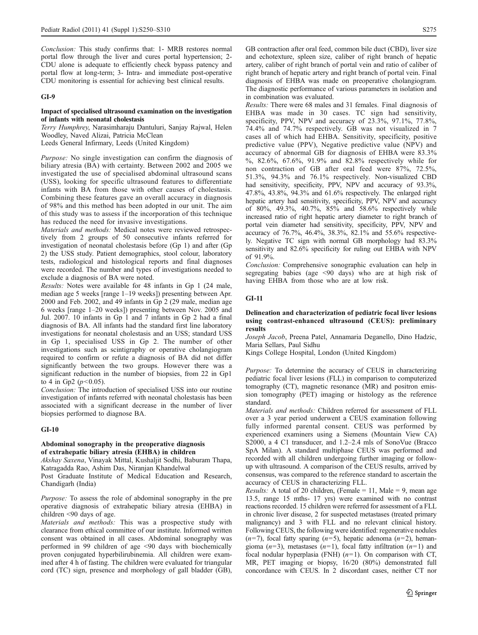Conclusion: This study confirms that: 1- MRB restores normal portal flow through the liver and cures portal hypertension; 2- CDU alone is adequate to efficiently check bypass patency and portal flow at long-term; 3- Intra- and immediate post-operative CDU monitoring is essential for achieving best clinical results.

### GI-9

### Impact of specialised ultrasound examination on the investigation of infants with neonatal cholestasis

Terry Humphrey, Narasimharaju Dantuluri, Sanjay Rajwal, Helen Woodley, Naved Alizai, Patricia McClean

Leeds General Infirmary, Leeds (United Kingdom)

Purpose: No single investigation can confirm the diagnosis of biliary atresia (BA) with certainty. Between 2002 and 2005 we investigated the use of specialised abdominal ultrasound scans (USS), looking for specific ultrasound features to differentiate infants with BA from those with other causes of cholestasis. Combining these features gave an overall accuracy in diagnosis of 98% and this method has been adopted in our unit. The aim of this study was to assess if the incorporation of this technique has reduced the need for invasive investigations.

Materials and methods: Medical notes were reviewed retrospectively from 2 groups of 50 consecutive infants referred for investigation of neonatal cholestasis before (Gp 1) and after (Gp 2) the USS study. Patient demographics, stool colour, laboratory tests, radiological and histological reports and final diagnoses were recorded. The number and types of investigations needed to exclude a diagnosis of BA were noted.

Results: Notes were available for 48 infants in Gp 1 (24 male, median age 5 weeks [range 1–19 weeks]) presenting between Apr. 2000 and Feb. 2002, and 49 infants in Gp 2 (29 male, median age 6 weeks [range 1–20 weeks]) presenting between Nov. 2005 and Jul. 2007. 10 infants in Gp 1 and 7 infants in Gp 2 had a final diagnosis of BA. All infants had the standard first line laboratory investigations for neonatal cholestasis and an USS; standard USS in Gp 1, specialised USS in Gp 2. The number of other investigations such as scintigraphy or operative cholangiogram required to confirm or refute a diagnosis of BA did not differ significantly between the two groups. However there was a significant reduction in the number of biopsies, from 22 in Gp1 to 4 in Gp2 ( $p$ <0.05).

Conclusion: The introduction of specialised USS into our routine investigation of infants referred with neonatal cholestasis has been associated with a significant decrease in the number of liver biopsies performed to diagnose BA.

### GI-10

### Abdominal sonography in the preoperative diagnosis of extrahepatic biliary atresia (EHBA) in children

Akshay Saxena, Vinayak Mittal, Kushaljit Sodhi, Baburam Thapa, Katragadda Rao, Ashim Das, Niranjan Khandelwal

Post Graduate Institute of Medical Education and Research, Chandigarh (India)

Purpose: To assess the role of abdominal sonography in the pre operative diagnosis of extrahepatic biliary atresia (EHBA) in children <90 days of age.

Materials and methods: This was a prospective study with clearance from ethical committee of our institute. Informed written consent was obtained in all cases. Abdominal sonography was performed in 99 children of age <90 days with biochemically proven conjugated hyperbilirubinemia. All children were examined after 4 h of fasting. The children were evaluated for triangular cord (TC) sign, presence and morphology of gall bladder (GB), GB contraction after oral feed, common bile duct (CBD), liver size and echotexture, spleen size, caliber of right branch of hepatic artery, caliber of right branch of portal vein and ratio of caliber of right branch of hepatic artery and right branch of portal vein. Final diagnosis of EHBA was made on preoperative cholangiogram. The diagnostic performance of various parameters in isolation and in combination was evaluated.

Results: There were 68 males and 31 females. Final diagnosis of EHBA was made in 30 cases. TC sign had sensitivity, specificity, PPV, NPV and accuracy of 23.3%, 97.1%, 77.8%, 74.4% and 74.7% respectively. GB was not visualized in 7 cases all of which had EHBA. Sensitivity, specificity, positive predictive value (PPV), Negative predictive value (NPV) and accuracy of abnormal GB for diagnosis of EHBA were 83.3% %, 82.6%, 67.6%, 91.9% and 82.8% respectively while for non contraction of GB after oral feed were 87%, 72.5%, 51.3%, 94.3% and 76.1% respectively. Non-visualized CBD had sensitivity, specificity, PPV, NPV and accuracy of 93.3%, 47.8%, 43.8%, 94.3% and 61.6% respectively. The enlarged right hepatic artery had sensitivity, specificity, PPV, NPV and accuracy of 80%, 49.3%, 40.7%, 85% and 58.6% respectively while increased ratio of right hepatic artery diameter to right branch of portal vein diameter had sensitivity, specificity, PPV, NPV and accuracy of 76.7%, 46.4%, 38.3%, 82.1% and 55.6% respectively. Negative TC sign with normal GB morphology had 83.3% sensitivity and 82.6% specificity for ruling out EHBA with NPV of 91.9%.

Conclusion: Comprehensive sonographic evaluation can help in segregating babies (age <90 days) who are at high risk of having EHBA from those who are at low risk.

## GI-11

### Delineation and characterization of pediatric focal liver lesions using contrast-enhanced ultrasound (CEUS): preliminary results

Joseph Jacob, Preena Patel, Annamaria Deganello, Dino Hadzic, Maria Sellars, Paul Sidhu

Kings College Hospital, London (United Kingdom)

Purpose: To determine the accuracy of CEUS in characterizing pediatric focal liver lesions (FLL) in comparison to computerized tomography (CT), magnetic resonance (MR) and positron emission tomography (PET) imaging or histology as the reference standard.

Materials and methods: Children referred for assessment of FLL over a 3 year period underwent a CEUS examination following fully informed parental consent. CEUS was performed by experienced examiners using a Siemens (Mountain View CA) S2000, a 4 C1 transducer, and 1.2–2.4 mls of SonoVue (Bracco) SpA Milan). A standard multiphase CEUS was performed and recorded with all children undergoing further imaging or followup with ultrasound. A comparison of the CEUS results, arrived by consensus, was compared to the reference standard to ascertain the accuracy of CEUS in characterizing FLL.

*Results:* A total of 20 children, (Female = 11, Male = 9, mean age 13.5, range 15 mths- 17 yrs) were examined with no contrast reactions recorded. 15 children were referred for assessment of a FLL in chronic liver disease, 2 for suspected metastases (treated primary malignancy) and 3 with FLL and no relevant clinical history. Following CEUS, the following were identified: regenerative nodules  $(n=7)$ , focal fatty sparing  $(n=5)$ , hepatic adenoma  $(n=2)$ , hemangioma  $(n=3)$ , metastases  $(n=1)$ , focal fatty infiltration  $(n=1)$  and focal nodular hyperplasia (FNH)  $(n=1)$ . On comparison with CT, MR, PET imaging or biopsy, 16/20 (80%) demonstrated full concordance with CEUS. In 2 discordant cases, neither CT nor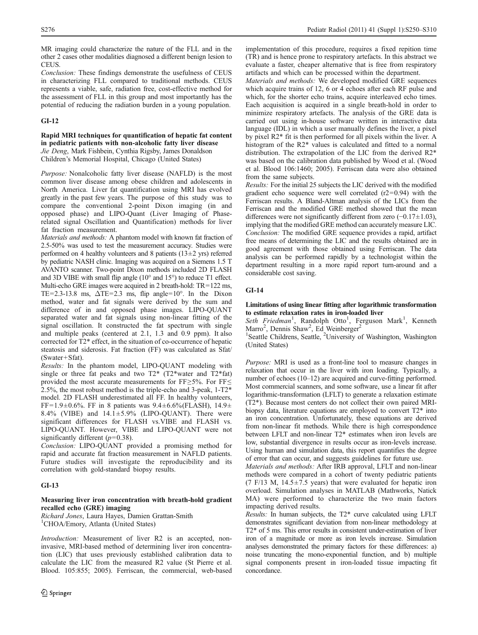MR imaging could characterize the nature of the FLL and in the other 2 cases other modalities diagnosed a different benign lesion to CEUS.

Conclusion: These findings demonstrate the usefulness of CEUS in characterizing FLL compared to traditional methods. CEUS represents a viable, safe, radiation free, cost-effective method for the assessment of FLL in this group and most importantly has the potential of reducing the radiation burden in a young population.

## GI-12

## Rapid MRI techniques for quantification of hepatic fat content in pediatric patients with non-alcoholic fatty liver disease Jie Deng, Mark Fishbein, Cynthia Rigsby, James Donaldson Children's Memorial Hospital, Chicago (United States)

Purpose: Nonalcoholic fatty liver disease (NAFLD) is the most common liver disease among obese children and adolescents in North America. Liver fat quantification using MRI has evolved greatly in the past few years. The purpose of this study was to compare the conventional 2-point Dixon imaging (in and opposed phase) and LIPO-Quant (Liver Imaging of Phaserelated signal Oscillation and Quantification) methods for liver fat fraction measurement.

Materials and methods: A phantom model with known fat fraction of 2.5-50% was used to test the measurement accuracy. Studies were performed on 4 healthy volunteers and 8 patients ( $13±2$  yrs) referred by pediatric NASH clinic. Imaging was acquired on a Siemens 1.5 T AVANTO scanner. Two-point Dixon methods included 2D FLASH and 3D VIBE with small flip angle (10° and 15°) to reduce T1 effect. Multi-echo GRE images were acquired in 2 breath-hold: TR=122 ms, TE=2.3-13.8 ms,  $\Delta$ TE=2.3 ms, flip angle=10°. In the Dixon method, water and fat signals were derived by the sum and difference of in and opposed phase images. LIPO-QUANT separated water and fat signals using non-linear fitting of the signal oscillation. It constructed the fat spectrum with single and multiple peaks (centered at 2.1, 1.3 and 0.9 ppm). It also corrected for T2\* effect, in the situation of co-occurrence of hepatic steatosis and siderosis. Fat fraction (FF) was calculated as Sfat/ (Swater+Sfat).

Results: In the phantom model, LIPO-QUANT modeling with single or three fat peaks and two  $T2^*$  (T2\*water and T2\*fat) provided the most accurate measurements for FF≥5%. For FF≤ 2.5%, the most robust method is the triple-echo and 3-peak, 1-T2\* model. 2D FLASH underestimated all FF. In healthy volunteers, FF=1.9±0.6%. FF in 8 patients was  $9.4 \pm 6.6\%$  (FLASH),  $14.9 \pm$ 8.4% (VIBE) and  $14.1 \pm 5.9$ % (LIPO-QUANT). There were significant differences for FLASH vs.VIBE and FLASH vs. LIPO-QUANT. However, VIBE and LIPO-QUANT were not significantly different  $(p=0.38)$ .

Conclusion: LIPO-QUANT provided a promising method for rapid and accurate fat fraction measurement in NAFLD patients. Future studies will investigate the reproducibility and its correlation with gold-standard biopsy results.

## GI-13

## Measuring liver iron concentration with breath-hold gradient recalled echo (GRE) imaging

Richard Jones, Laura Hayes, Damien Grattan-Smith <sup>1</sup>CHOA/Emory, Atlanta (United States)

Introduction: Measurement of liver R2 is an accepted, noninvasive, MRI-based method of determining liver iron concentration (LIC) that uses previously established calibration data to calculate the LIC from the measured R2 value (St Pierre et al. Blood. 105:855; 2005). Ferriscan, the commercial, web-based implementation of this procedure, requires a fixed repition time (TR) and is hence prone to respiratory artefacts. In this abstract we evaluate a faster, cheaper alternative that is free from respiratory artifacts and which can be processed within the department.

Materials and methods: We developed modified GRE sequences which acquire trains of 12, 6 or 4 echoes after each RF pulse and which, for the shorter echo trains, acquire interleaved echo times. Each acquisition is acquired in a single breath-hold in order to minimize respiratory artefacts. The analysis of the GRE data is carried out using in-house software written in interactive data language (IDL) in which a user manually defines the liver, a pixel by pixel R2\* fit is then performed for all pixels within the liver. A histogram of the R2\* values is calculated and fitted to a normal distribution. The extrapolation of the LIC from the derived R2\* was based on the calibration data published by Wood et al. (Wood et al. Blood 106:1460; 2005). Ferriscan data were also obtained from the same subjects.

Results: For the initial 25 subjects the LIC derived with the modified gradient echo sequence were well correlated  $(r2=0.94)$  with the Ferriscan results. A Bland-Altman analysis of the LICs from the Ferriscan and the modified GRE method showed that the mean differences were not significantly different from zero (−0.17±1.03), implying that the modified GRE method can accurately measure LIC. Conclusion: The modified GRE sequence provides a rapid, artifact free means of determining the LIC and the results obtained are in good agreement with those obtained using Ferriscan. The data analysis can be performed rapidly by a technologist within the department resulting in a more rapid report turn-around and a considerable cost saving.

## GI-14

## Limitations of using linear fitting after logarithmic transformation to estimate relaxation rates in iron-loaded liver

Seth Friedman<sup>1</sup>, Randolph Otto<sup>1</sup>, Ferguson Mark<sup>1</sup>, Kenneth Marro<sup>2</sup>, Dennis Shaw<sup>2</sup>, Ed Weinberger<sup>2</sup>

<sup>1</sup>Seattle Childrens, Seattle, <sup>2</sup>University of Washington, Washington (United States)

Purpose: MRI is used as a front-line tool to measure changes in relaxation that occur in the liver with iron loading. Typically, a number of echoes (10–12) are acquired and curve-fitting performed. Most commercial scanners, and some software, use a linear fit after logarithmic-transformation (LFLT) to generate a relaxation estimate (T2\*). Because most centers do not collect their own paired MRIbiopsy data, literature equations are employed to convert T2\* into an iron concentration. Unfortunately, these equations are derived from non-linear fit methods. While there is high correspondence between LFLT and non-linear T2\* estimates when iron levels are low, substantial divergence in results occur as iron-levels increase. Using human and simulation data, this report quantifies the degree of error that can occur, and suggests guidelines for future use.

Materials and methods: After IRB approval, LFLT and non-linear methods were compared in a cohort of twenty pediatric patients (7 F/13 M,  $14.5 \pm 7.5$  years) that were evaluated for hepatic iron overload. Simulation analyses in MATLAB (Mathworks, Natick MA) were performed to characterize the two main factors impacting derived results.

Results: In human subjects, the T2\* curve calculated using LFLT demonstrates significant deviation from non-linear methodology at T2\* of 5 ms. This error results in consistent under-estimation of liver iron of a magnitude or more as iron levels increase. Simulation analyses demonstrated the primary factors for these differences: a) noise truncating the mono-exponential function, and b) multiple signal components present in iron-loaded tissue impacting fit concordance.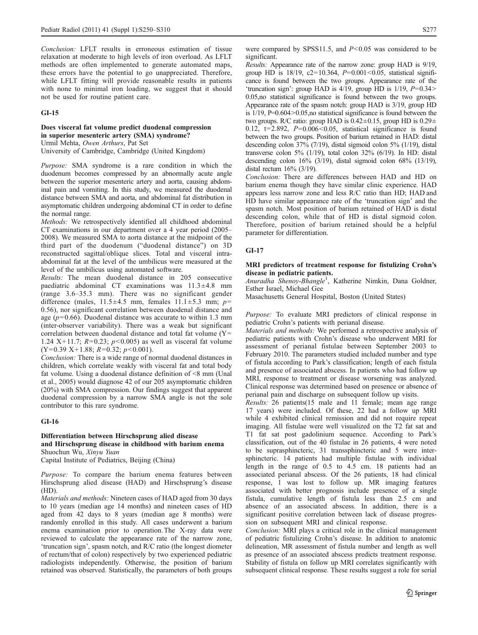Conclusion: LFLT results in erroneous estimation of tissue relaxation at moderate to high levels of iron overload. As LFLT methods are often implemented to generate automated maps, these errors have the potential to go unappreciated. Therefore, while LFLT fitting will provide reasonable results in patients with none to minimal iron loading, we suggest that it should not be used for routine patient care.

## GI-15

## Does visceral fat volume predict duodenal compression in superior mesenteric artery (SMA) syndrome? Urmil Mehta, Owen Arthurs, Pat Set

University of Cambridge, Cambridge (United Kingdom)

Purpose: SMA syndrome is a rare condition in which the duodenum becomes compressed by an abnormally acute angle between the superior mesenteric artery and aorta, causing abdominal pain and vomiting. In this study, we measured the duodenal distance between SMA and aorta, and abdominal fat distribution in asymptomatic children undergoing abdominal CT in order to define the normal range.

Methods: We retrospectively identified all childhood abdominal CT examinations in our department over a 4 year period (2005– 2008). We measured SMA to aorta distance at the midpoint of the third part of the duodenum ("duodenal distance") on 3D reconstructed sagittal/oblique slices. Total and visceral intraabdominal fat at the level of the umbilicus were measured at the level of the umbilicus using automated software.

Results: The mean duodenal distance in 205 consecutive paediatric abdominal CT examinations was 11.3±4.8 mm (range 3.6–35.3 mm). There was no significant gender difference (males,  $11.5 \pm 4.5$  mm, females  $11.1 \pm 5.3$  mm;  $p=$ 0.56), nor significant correlation between duodenal distance and age ( $p=0.66$ ). Duodenal distance was accurate to within 1.3 mm (inter-observer variability). There was a weak but significant correlation between duodenal distance and total fat volume (Y= 1.24 X+11.7;  $R=0.23$ ;  $p<0.005$ ) as well as visceral fat volume  $(Y=0.39 \text{ X}+1.88; R=0.32; p<0.001).$ 

Conclusion: There is a wide range of normal duodenal distances in children, which correlate weakly with visceral fat and total body fat volume. Using a duodenal distance definition of <8 mm (Unal et al., 2005) would diagnose 42 of our 205 asymptomatic children (20%) with SMA compression. Our findings suggest that apparent duodenal compression by a narrow SMA angle is not the sole contributor to this rare syndrome.

### GI-16

### Differentiation between Hirschsprung alied disease and Hirschsprung disease in childhood with barium enema Shuochun Wu, Xinyu Yuan

Capital Institute of Pediatrics, Beijing (China)

Purpose: To compare the barium enema features between Hirschsprung alied disease (HAD) and Hirschsprung's disease (HD).

Materials and methods: Nineteen cases of HAD aged from 30 days to 10 years (median age 14 months) and nineteen cases of HD aged from 42 days to 8 years (median age 8 months) were randomly enrolled in this study. All cases underwent a barium enema examination prior to operation.The X-ray data were reviewed to calculate the appearance rate of the narrow zone, 'truncation sign', spasm notch, and R/C ratio (the longest diometer of rectum/that of colon) respectively by two experienced pediatric radiologists independently. Otherwise, the position of barium retained was observed. Statistically, the parameters of both groups

were compared by SPSS11.5, and  $P < 0.05$  was considered to be significant.

Results: Appearance rate of the narrow zone: group HAD is 9/19, group HD is 18/19, c2=10.364,  $P=0.001<0.05$ , statistical significance is found between the two groups. Appearance rate of the 'truncation sign': group HAD is  $4/19$ , group HD is  $1/19$ ,  $P=0.34>$ 0.05,no statistical significance is found between the two groups. Appearance rate of the spasm notch: group HAD is 3/19, group HD is  $1/19$ , P=0.604 > 0.05,no statistical significance is found between the two groups. R/C ratio: group HAD is  $0.42 \pm 0.15$ , group HD is  $0.29 \pm$ 0.12,  $t=2.892$ ,  $P=0.006<0.05$ , statistical significance is found between the two groups. Position of barium retained in HAD: distal descending colon 37% (7/19), distal sigmoid colon 5% (1/19), distal transverse colon 5% (1/19), total colon 32% (6/19). In HD: distal descending colon  $16\%$  (3/19), distal sigmoid colon  $68\%$  (13/19), distal rectum 16% (3/19).

Conclusion: There are differences between HAD and HD on barium enema though they have similar clinic experience. HAD appears less narrow zone and less R/C ratio than HD; HAD and HD have similar appearance rate of the 'truncation sign' and the spasm notch. Most position of barium retained of HAD is distal descending colon, while that of HD is distal sigmoid colon. Therefore, position of barium retained should be a helpful parameter for differentiation.

## GI-17

## MRI predictors of treatment response for fistulizing Crohn's disease in pediatric patients.

Anuradha Shenoy-Bhangle<sup>1</sup>, Katherine Nimkin, Dana Goldner, Esther Israel, Michael Gee

Masachusetts General Hospital, Boston (United States)

Purpose: To evaluate MRI predictors of clinical response in pediatric Crohn's patients with perianal disease.

Materials and methods: We performed a retrospective analysis of pediatric patients with Crohn's disease who underwent MRI for assessment of perianal fistulae between September 2003 to February 2010. The parameters studied included number and type of fistula according to Park's classification; length of each fistula and presence of associated abscess. In patients who had follow up MRI, response to treatment or disease worsening was analyzed. Clinical response was determined based on presence or absence of perianal pain and discharge on subsequent follow up visits.

Results: 26 patients(15 male and 11 female; mean age range 17 years) were included. Of these, 22 had a follow up MRI while 4 exhibited clinical remission and did not require repeat imaging. All fistulae were well visualized on the T2 fat sat and T1 fat sat post gadolinium sequence. According to Park's classification, out of the 40 fistulae in 26 patients, 4 were noted to be suprasphincteric, 31 transsphincteric and 5 were intersphincteric. 14 patients had multiple fistulae with individual length in the range of 0.5 to 4.5 cm. 18 patients had an associated perianal abscess. Of the 26 patients, 18 had clinical response, 1 was lost to follow up. MR imaging features associated with better prognosis include presence of a single fistula, cumulative length of fistula less than 2.5 cm and absence of an associated abscess. In addition, there is a significant positive correlation between lack of disease progression on subsequent MRI and clinical response.

Conclusion: MRI plays a critical role in the clinical management of pediatric fistulizing Crohn's disease. In addition to anatomic delineation, MR assessment of fistula number and length as well as presence of an associated abscess predicts treatment response. Stability of fistula on follow up MRI correlates significantly with subsequent clinical response. These results suggest a role for serial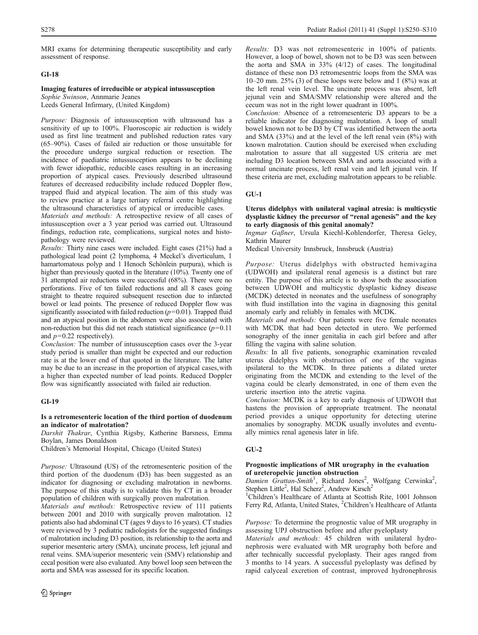MRI exams for determining therapeutic susceptibility and early assessment of response.

## GI-18

## Imaging features of irreducible or atypical intussusception

Sophie Swinson, Annmarie Jeanes Leeds General Infirmary, (United Kingdom)

Purpose: Diagnosis of intussusception with ultrasound has a sensitivity of up to 100%. Fluoroscopic air reduction is widely used as first line treatment and published reduction rates vary (65–90%). Cases of failed air reduction or those unsuitable for the procedure undergo surgical reduction or resection. The incidence of paediatric intussusception appears to be declining with fewer idiopathic, reducible cases resulting in an increasing proportion of atypical cases. Previously described ultrasound features of decreased reducibility include reduced Doppler flow, trapped fluid and atypical location. The aim of this study was to review practice at a large tertiary referral centre highlighting the ultrasound characteristics of atypical or irreducible cases.

Materials and methods: A retrospective review of all cases of intussusception over a 3 year period was carried out. Ultrasound findings, reduction rate, complications, surgical notes and histopathology were reviewed.

Results: Thirty nine cases were included. Eight cases (21%) had a pathological lead point (2 lymphoma, 4 Meckel's diverticulum, 1 hamartomatous polyp and 1 Henoch Schönlein purpura), which is higher than previously quoted in the literature (10%). Twenty one of 31 attempted air reductions were successful (68%). There were no perforations. Five of ten failed reductions and all 8 cases going straight to theatre required subsequent resection due to infarcted bowel or lead points. The presence of reduced Doppler flow was significantly associated with failed reduction  $(p=0.01)$ . Trapped fluid and an atypical position in the abdomen were also associated with non-reduction but this did not reach statistical significance  $(p=0.11)$ and  $p=0.22$  respectively).

Conclusion: The number of intussusception cases over the 3-year study period is smaller than might be expected and our reduction rate is at the lower end of that quoted in the literature. The latter may be due to an increase in the proportion of atypical cases,with a higher than expected number of lead points. Reduced Doppler flow was significantly associated with failed air reduction.

### GI-19

### Is a retromesenteric location of the third portion of duodenum an indicator of malrotation?

Darshit Thakrar, Cynthia Rigsby, Katherine Barsness, Emma Boylan, James Donaldson

Children's Memorial Hospital, Chicago (United States)

Purpose: Ultrasound (US) of the retromesenteric position of the third portion of the duodenum (D3) has been suggested as an indicator for diagnosing or excluding malrotation in newborns. The purpose of this study is to validate this by CT in a broader population of children with surgically proven malrotation.

Materials and methods: Retrospective review of 111 patients between 2001 and 2010 with surgically proven malrotation. 12 patients also had abdominal CT (ages 9 days to 16 years). CT studies were reviewed by 3 pediatric radiologists for the suggested findings of malrotation including D3 position, its relationship to the aorta and superior mesenteric artery (SMA), uncinate process, left jejunal and renal veins. SMA/superior mesenteric vein (SMV) relationship and cecal position were also evaluated. Any bowel loop seen between the aorta and SMA was assessed for its specific location.

Results: D3 was not retromesenteric in 100% of patients. However, a loop of bowel, shown not to be D3 was seen between the aorta and SMA in 33% (4/12) of cases. The longitudinal distance of these non D3 retromesentric loops from the SMA was 10–20 mm.  $25\%$  (3) of these loops were below and 1 (8%) was at the left renal vein level. The uncinate process was absent, left jejunal vein and SMA/SMV relationship were altered and the cecum was not in the right lower quadrant in 100%.

Conclusion: Absence of a retromesenteric D3 appears to be a reliable indicator for diagnosing malrotation. A loop of small bowel known not to be D3 by CT was identified between the aorta and SMA (33%) and at the level of the left renal vein (8%) with known malrotation. Caution should be exercised when excluding malrotation to assure that all suggested US criteria are met including D3 location between SMA and aorta associated with a normal uncinate process, left renal vein and left jejunal vein. If these criteria are met, excluding malrotation appears to be reliable.

### $GU-1$

Uterus didelphys with unilateral vaginal atresia: is multicystic dysplastic kidney the precursor of "renal agenesis" and the key to early diagnosis of this genital anomaly?

Ingmar Gaßner, Ursula Kiechl-Kohlendorfer, Theresa Geley, Kathrin Maurer

Medical University Innsbruck, Innsbruck (Austria)

Purpose: Uterus didelphys with obstructed hemivagina (UDWOH) and ipsilateral renal agenesis is a distinct but rare entity. The purpose of this article is to show both the association between UDWOH and multicystic dysplastic kidney disease (MCDK) detected in neonates and the usefulness of sonography with fluid instillation into the vagina in diagnosing this genital anomaly early and reliably in females with MCDK.

Materials and methods: Our patients were five female neonates with MCDK that had been detected in utero. We performed sonography of the inner genitalia in each girl before and after filling the vagina with saline solution.

Results: In all five patients, sonographic examination revealed uterus didelphys with obstruction of one of the vaginas ipsilateral to the MCDK. In three patients a dilated ureter originating from the MCDK and extending to the level of the vagina could be clearly demonstrated, in one of them even the ureteric insertion into the atretic vagina.

Conclusion: MCDK is a key to early diagnosis of UDWOH that hastens the provision of appropriate treatment. The neonatal period provides a unique opportunity for detecting uterine anomalies by sonography. MCDK usually involutes and eventually mimics renal agenesis later in life.

### GU-2

### Prognostic implications of MR urography in the evaluation of ureteropelvic junction obstruction

Damien Grattan-Smith<sup>1</sup>, Richard Jones<sup>2</sup>, Wolfgang Cerwinka<sup>2</sup>, Stephen Little<sup>2</sup>, Hal Scherz<sup>2</sup>, Andrew Kirsch<sup>2</sup>

<sup>1</sup>Children's Healthcare of Atlanta at Scottish Rite, 1001 Johnson Ferry Rd, Atlanta, United States, <sup>2</sup>Children's Healthcare of Atlanta

Purpose: To determine the prognostic value of MR urography in assessing UPJ obstruction before and after pyeloplasty

Materials and methods: 45 children with unilateral hydronephrosis were evaluated with MR urography both before and after technically successful pyeloplasty. Their ages ranged from 3 months to 14 years. A successful pyeloplasty was defined by rapid calyceal excretion of contrast, improved hydronephrosis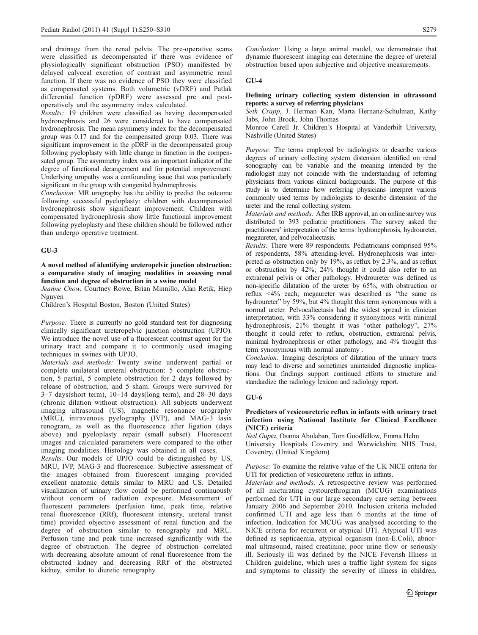and drainage from the renal pelvis. The pre-operative scans were classified as decompensated if there was evidence of physiologically significant obstruction (PSO) manifested by delayed calyceal excretion of contrast and asymmetric renal function. If there was no evidence of PSO they were classified as compensated systems. Both volumetric (vDRF) and Patlak differential function (pDRF) were assessed pre and postoperatively and the asymmetry index calculated.

Results: 19 children were classified as having decompensated hydronephrosis and 26 were considered to have compensated hydronephrosis. The mean asymmetry index for the decompensated group was 0.17 and for the compensated group 0.03. There was significant improvement in the pDRF in the decompensated group following pyeloplasty with little change in function in the compensated group. The asymmetry index was an important indicator of the degree of functional derangement and for potential improvement. Underlying uropathy was a confounding issue that was particularly significant in the group with congenital hydronephrosis.

Conclusion: MR urography has the ability to predict the outcome following successful pyeloplasty: children with decompensated hydronephrosis show significant improvement. Children with compensated hydronephrosis show little functional improvement following pyeloplasty and these children should be followed rather than undergo operative treatment.

## GU-3

## A novel method of identifying ureteropelvic junction obstruction: a comparative study of imaging modalities in assessing renal function and degree of obstruction in a swine model

Jeanne Chow, Courtney Rowe, Brian Minnillo, Alan Retik, Hiep Nguyen

Children's Hospital Boston, Boston (United States)

Purpose: There is currently no gold standard test for diagnosing clinically significant ureteropelvic junction obstruction (UPJO). We introduce the novel use of a fluorescent contrast agent for the urinary tract and compare it to commonly used imaging techniques in swines with UPJO.

Materials and methods: Twenty swine underwent partial or complete unilateral ureteral obstruction: 5 complete obstruction, 5 partial, 5 complete obstruction for 2 days followed by release of obstruction, and 5 sham. Groups were survived for 3–7 days(short term), 10–14 days(long term), and 28–30 days (chronic dilation without obstruction). All subjects underwent imaging ultrasound (US), magnetic resonance urography (MRU), intravenous pyelography (IVP), and MAG-3 lasix renogram, as well as the fluorescence after ligation (days above) and pyeloplasty repair (small subset). Fluorescent images and calculated parameters were compared to the other imaging modalities. Histology was obtained in all cases.

Results: Our models of UPJO could be distinguished by US, MRU, IVP, MAG-3 and fluorescence. Subjective assessment of the images obtained from fluorescent imaging provided excellent anatomic details similar to MRU and US. Detailed visualization of urinary flow could be performed continuously without concern of radiation exposure. Measurement of fluorescent parameters (perfusion time, peak time, relative renal fluorescence (RRf), fluorescent intensity, ureteral transit time) provided objective assessment of renal function and the degree of obstruction similar to renography and MRU. Perfusion time and peak time increased significantly with the degree of obstruction. The degree of obstruction correlated with decreasing absolute amount of renal fluorescence from the obstructed kidney and decreasing RRf of the obstructed kidney, similar to diuretic renography.

Conclusion: Using a large animal model, we demonstrate that dynamic fluorescent imaging can determine the degree of ureteral obstruction based upon subjective and objective measurements.

### GU-4

## Defining urinary collecting system distension in ultrasound reports: a survey of referring physicians

Seth Crapp, J. Herman Kan, Marta Hernanz-Schulman, Kathy Jabs, John Brock, John Thomas

Monroe Carell Jr. Children's Hospital at Vanderbilt University, Nashville (United States)

Purpose: The terms employed by radiologists to describe various degrees of urinary collecting system distension identified on renal sonography can be variable and the meaning intended by the radiologist may not coincide with the understanding of referring physicians from various clinical backgrounds. The purpose of this study is to determine how referring physicians interpret various commonly used terms by radiologists to describe distension of the ureter and the renal collecting system.

Materials and methods: After IRB approval, an on online survey was distributed to 393 pediatric practitioners. The survey asked the practitioners' interpretation of the terms: hydronephrosis, hydroureter, megaureter, and pelvocaliectasis.

Results: There were 89 respondents. Pediatricians comprised 95% of respondents, 58% attending-level. Hydronephrosis was interpreted as obstruction only by 19%, as reflux by 2.3%, and as reflux or obstruction by 42%; 24% thought it could also refer to an extrarenal pelvis or other pathology. Hydroureter was defined as non-specific dilatation of the ureter by 65%, with obstruction or reflux <4% each; megaureter was described as "the same as hydroureter" by 59%, but 4% thought this term synonymous with a normal ureter. Pelvocaliectasis had the widest spread in clinician interpretation, with 33% considering it synonymous with minimal hydronephrosis, 21% thought it was "other pathology", 27% thought it could refer to reflux, obstruction, extrarenal pelvis, minimal hydronephrosis or other pathology, and 4% thought this term synonymous with normal anatomy .

Conclusion: Imaging descriptors of dilatation of the urinary tracts may lead to diverse and sometimes unintended diagnostic implications. Our findings support continued efforts to structure and standardize the radiology lexicon and radiology report.

### GU-6

### Predictors of vesicoureteric reflux in infants with urinary tract infection using National Institute for Clinical Excellence (NICE) criteria

Neil Gupta, Osama Abulaban, Tom Goodfellow, Emma Helm University Hospitals Coventry and Warwickshire NHS Trust, Coventry, (United Kingdom)

Purpose: To examine the relative value of the UK NICE criteria for UTI for prediction of vesicoureteric reflux in infants.

Materials and methods: A retrospective review was performed of all micturating cystourethrogram (MCUG) examinations performed for UTI in our large secondary care setting between January 2006 and September 2010. Inclusion criteria included confirmed UTI and age less than 6 months at the time of infection. Indication for MCUG was analysed according to the NICE criteria for recurrent or atypical UTI. Atypical UTI was defined as septicaemia, atypical organism (non-E.Coli), abnormal ultrasound, raised creatinine, poor urine flow or seriously ill. Seriously ill was defined by the NICE Feverish Illness in Children guideline, which uses a traffic light system for signs and symptoms to classify the severity of illness in children.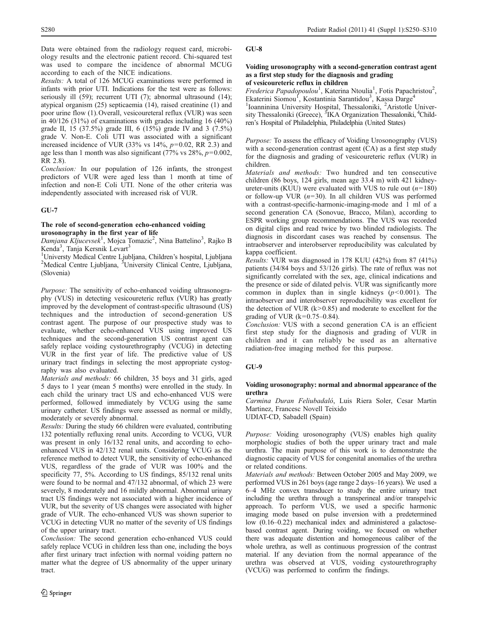Data were obtained from the radiology request card, microbiology results and the electronic patient record. Chi-squared test was used to compare the incidence of abnormal MCUG according to each of the NICE indications.

Results: A total of 126 MCUG examinations were performed in infants with prior UTI. Indications for the test were as follows: seriously ill (59); recurrent UTI (7); abnormal ultrasound (14); atypical organism (25) septicaemia (14), raised creatinine (1) and poor urine flow (1).Overall, vesicoureteral reflux (VUR) was seen in 40/126 (31%) of examinations with grades including 16 (40%) grade II, 15 (37.5%) grade III, 6 (15%) grade IV and 3 (7.5%) grade V. Non-E. Coli UTI was associated with a significant increased incidence of VUR (33% vs  $14\%$ ,  $p=0.02$ , RR 2.3) and age less than 1 month was also significant (77% vs  $28\%$ ,  $p=0.002$ , RR 2.8).

Conclusion: In our population of 126 infants, the strongest predictors of VUR were aged less than 1 month at time of infection and non-E Coli UTI. None of the other criteria was independently associated with increased risk of VUR.

## GU-7

### The role of second-generation echo-enhanced voiding urosonography in the first year of life

Damjana Kljucevsek<sup>1</sup>, Mojca Tomazic<sup>2</sup>, Nina Battelino<sup>3</sup>, Rajko B Kenda<sup>3</sup>, Tanja Kersnik Levart<sup>3</sup>

<sup>1</sup>Universty Medical Centre Ljubljana, Children's hospital, Ljubljana Medical Centre Ljubljana, <sup>3</sup>University Clinical Centre, Ljubljana, (Slovenia)

Purpose: The sensitivity of echo-enhanced voiding ultrasonography (VUS) in detecting vesicoureteric reflux (VUR) has greatly improved by the development of contrast-specific ultrasound (US) techniques and the introduction of second-generation US contrast agent. The purpose of our prospective study was to evaluate, whether echo-enhanced VUS using improved US techniques and the second-generation US contrast agent can safely replace voiding cystourethrography (VCUG) in detecting VUR in the first year of life. The predictive value of US urinary tract findings in selecting the most appropriate cystography was also evaluated.

Materials and methods: 66 children, 35 boys and 31 girls, aged 5 days to 1 year (mean 5 months) were enrolled in the study. In each child the urinary tract US and echo-enhanced VUS were performed, followed immediately by VCUG using the same urinary catheter. US findings were assessed as normal or mildly, moderately or severely abnormal.

Results: During the study 66 children were evaluated, contributing 132 potentially refluxing renal units. According to VCUG, VUR was present in only 16/132 renal units, and according to echoenhanced VUS in 42/132 renal units. Considering VCUG as the reference method to detect VUR, the sensitivity of echo-enhanced VUS, regardless of the grade of VUR was 100% and the specificity 77, 5%. According to US findings, 85/132 renal units were found to be normal and 47/132 abnormal, of which 23 were severely, 8 moderately and 16 mildly abnormal. Abnormal urinary tract US findings were not associated with a higher incidence of VUR, but the severity of US changes were associated with higher grade of VUR. The echo-enhanced VUS was shown superior to VCUG in detecting VUR no matter of the severity of US findings of the upper urinary tract.

Conclusion: The second generation echo-enhanced VUS could safely replace VCUG in children less than one, including the boys after first urinary tract infection with normal voiding pattern no matter what the degree of US abnormality of the upper urinary tract.

## GU-8

### Voiding urosonography with a second-generation contrast agent as a first step study for the diagnosis and grading of vesicoureteric reflux in children

Frederica Papadopoulou<sup>1</sup>, Katerina Ntoulia<sup>1</sup>, Fotis Papachristou<sup>2</sup>, Ekaterini Siomou<sup>f</sup>, Kostantinia Sarantidou<sup>3</sup>, Kassa Darge<sup>4</sup>

<sup>1</sup>Ioanninina University Hospital, Thessaloniki, <sup>2</sup>Aristotle University Thessaloniki (Greece), <sup>3</sup>IKA Organization Thessaloniki, <sup>4</sup>Children's Hospital of Philadelphia, Philadelphia (United States)

Purpose: To assess the efficacy of Voiding Urosonography (VUS) with a second-generation contrast agent (CA) as a first step study for the diagnosis and grading of vesicoureteric reflux (VUR) in children.

Materials and methods: Two hundred and ten consecutive children (86 boys, 124 girls, mean age 33.4 m) with 421 kidneyureter-units (KUU) were evaluated with VUS to rule out  $(n=180)$ or follow-up VUR  $(n=30)$ . In all children VUS was performed with a contrast-specific-harmonic-imaging-mode and 1 ml of a second generation CA (Sonovue, Bracco, Milan), according to ESPR working group recommendations. The VUS was recorded on digital clips and read twice by two blinded radiologists. The diagnosis in discordant cases was reached by consensus. The intraobserver and interobserver reproducibility was calculated by kappa coefficient.

Results: VUR was diagnosed in 178 KUU (42%) from 87 (41%) patients (34/84 boys and 53/126 girls). The rate of reflux was not significantly correlated with the sex, age, clinical indications and the presence or side of dilated pelvis. VUR was significantly more common in duplex than in single kidneys  $(p<0.001)$ . The intraobserver and interobserver reproducibility was excellent for the detection of VUR  $(k>0.85)$  and moderate to excellent for the grading of VUR  $(k=0.75-0.84)$ .

Conclusion: VUS with a second generation CA is an efficient first step study for the diagnosis and grading of VUR in children and it can reliably be used as an alternative radiation-free imaging method for this purpose.

## GU-9

## Voiding urosonography: normal and abnormal appearance of the urethra

Carmina Duran Feliubadaló, Luis Riera Soler, Cesar Martin Martinez, Francesc Novell Teixido UDIAT-CD, Sabadell (Spain)

Purpose: Voiding urosonography (VUS) enables high quality morphologic studies of both the upper urinary tract and male urethra. The main purpose of this work is to demonstrate the diagnostic capacity of VUS for congenital anomalies of the urethra or related conditions.

Materials and methods: Between October 2005 and May 2009, we performed VUS in 261 boys (age range 2 days–16 years). We used a 6–4 MHz convex transducer to study the entire urinary tract including the urethra through a transperineal and/or transpelvic approach. To perform VUS, we used a specific harmonic imaging mode based on pulse inversion with a predetermined low (0.16–0.22) mechanical index and administered a galactosebased contrast agent. During voiding, we focused on whether there was adequate distention and homogeneous caliber of the whole urethra, as well as continuous progression of the contrast material. If any deviation from the normal appearance of the urethra was observed at VUS, voiding cystourethrography (VCUG) was performed to confirm the findings.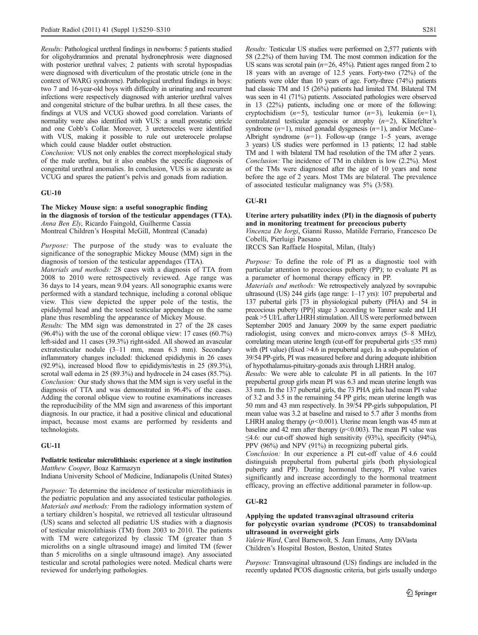Results: Pathological urethral findings in newborns: 5 patients studied for oligohydramnios and prenatal hydronephrosis were diagnosed with posterior urethral valves; 2 patients with scrotal hypospadias were diagnosed with diverticulum of the prostatic utricle (one in the context of WARG syndrome). Pathological urethral findings in boys: two 7 and 16-year-old boys with difficulty in urinating and recurrent infections were respectively diagnosed with anterior urethral valves and congenital stricture of the bulbar urethra. In all these cases, the findings at VUS and VCUG showed good correlation. Variants of normality were also identified with VUS: a small prostatic utricle and one Cobb's Collar. Moreover, 3 ureteroceles were identified with VUS, making it possible to rule out ureterocele prolapse which could cause bladder outlet obstruction.

Conclusion: VUS not only enables the correct morphological study of the male urethra, but it also enables the specific diagnosis of congenital urethral anomalies. In conclusion, VUS is as accurate as VCUG and spares the patient's pelvis and gonads from radiation.

### GU-10

## The Mickey Mouse sign: a useful sonographic finding in the diagnosis of torsion of the testicular appendages (TTA). Anna Ben Ely, Ricardo Faingold, Guilherme Cassia Montreal Children's Hospital McGill, Montreal (Canada)

Purpose: The purpose of the study was to evaluate the significance of the sonographic Mickey Mouse (MM) sign in the diagnosis of torsion of the testicular appendages (TTA).

Materials and methods: 28 cases with a diagnosis of TTA from 2008 to 2010 were retrospectively reviewed. Age range was 36 days to 14 years, mean 9.04 years. All sonographic exams were performed with a standard technique, including a coronal oblique view. This view depicted the upper pole of the testis, the epididymal head and the torsed testicular appendage on the same plane thus resembling the appearance of Mickey Mouse.

Results: The MM sign was demonstrated in 27 of the 28 cases (96.4%) with the use of the coronal oblique view: 17 cases (60.7%) left-sided and 11 cases (39.3%) right-sided. All showed an avascular extratesticular nodule (3–11 mm, mean 6.3 mm). Secondary inflammatory changes included: thickened epididymis in 26 cases (92.9%), increased blood flow to epididymis/testis in 25 (89.3%), scrotal wall edema in 25 (89.3%) and hydrocele in 24 cases (85.7%). Conclusion: Our study shows that the MM sign is very useful in the diagnosis of TTA and was demonstrated in 96.4% of the cases. Adding the coronal oblique view to routine examinations increases the reproducibility of the MM sign and awareness of this important diagnosis. In our practice, it had a positive clinical and educational impact, because most exams are performed by residents and technologists.

## GU-11

### Pediatric testicular microlithiasis: experience at a single institution Matthew Cooper, Boaz Karmazyn

Indiana University School of Medicine, Indianapolis (United States)

Purpose: To determine the incidence of testicular microlithiasis in the pediatric population and any associated testicular pathologies. Materials and methods: From the radiology information system of a tertiary children's hospital, we retrieved all testicular ultrasound (US) scans and selected all pediatric US studies with a diagnosis of testicular microlithiasis (TM) from 2003 to 2010. The patients with TM were categorized by classic TM (greater than 5 microliths on a single ultrasound image) and limited TM (fewer than 5 microliths on a single ultrasound image). Any associated testicular and scrotal pathologies were noted. Medical charts were reviewed for underlying pathologies.

Results: Testicular US studies were performed on 2,577 patients with 58 (2.2%) of them having TM. The most common indication for the US scans was scrotal pain ( $n=26, 45%$ ). Patient ages ranged from 2 to 18 years with an average of 12.5 years. Forty-two (72%) of the patients were older than 10 years of age. Forty-three (74%) patients had classic TM and 15 (26%) patients had limited TM. Bilateral TM was seen in 41 (71%) patients. Associated pathologies were observed in 13 (22%) patients, including one or more of the following: cryptochidism  $(n=5)$ , testicular tumor  $(n=3)$ , leukemia  $(n=1)$ , contralateral testicular agenesis or atrophy  $(n=2)$ , Klinefelter's syndrome  $(n=1)$ , mixed gonadal dysgenesis  $(n=1)$ , and/or McCune– Albright syndrome  $(n=1)$ . Follow-up (range 1–5 years, average 3 years) US studies were performed in 13 patients; 12 had stable TM and 1 with bilateral TM had resolution of the TM after 2 years. Conclusion: The incidence of TM in children is low (2.2%). Most of the TMs were diagnosed after the age of 10 years and none before the age of 2 years. Most TMs are bilateral. The prevalence of associated testicular malignancy was 5% (3/58).

## GU-R1

## Uterine artery pulsatility index (PI) in the diagnosis of puberty and in monitoring treatment for precocious puberty

Vincenza De Iorgi, Gianni Russo, Matilde Ferrario, Francesco De Cobelli, Pierluigi Paesano

IRCCS San Raffaele Hospital, Milan, (Italy)

Purpose: To define the role of PI as a diagnostic tool with particular attention to precocious puberty (PP); to evaluate PI as a parameter of hormonal therapy efficacy in PP.

Materials and methods: We retrospectively analyzed by sovrapubic ultrasound (US) 244 girls (age range: 1–17 yrs): 107 prepubertal and 137 pubertal girls [73 in physiological puberty (PHA) and 54 in precocious puberty (PP)] stage 3 according to Tanner scale and LH peak >5 UI/L after LHRH stimulation. All US were performed between September 2005 and January 2009 by the same expert paediatric radiologist, using convex and micro-convex arrays (5–8 MHz), correlating mean uterine length (cut-off for prepubertal girls ≤35 mm) with (PI value) (fixed >4.6 in prepubertal age). In a sub-population of 39/54 PP-girls, PI was measured before and during adequate inhibition of hypothalamus-pituitary-gonads axis through LHRH analog.

Results: We were able to calculate PI in all patients. In the 107 prepubertal group girls mean PI was 6.3 and mean uterine length was 33 mm. In the 137 pubertal girls, the 73 PHA girls had mean PI value of 3.2 and 3.5 in the remaining 54 PP girls; mean uterine length was 50 mm and 43 mm respectively. In 39/54 PP-girls subpopulation, PI mean value was 3.2 at baseline and raised to 5.7 after 3 months from LHRH analog therapy  $(p<0.001)$ . Uterine mean length was 45 mm at baseline and 42 mm after therapy  $(p<0.003)$ . The mean PI value was  $\leq$ 4.6: our cut-off showed high sensitivity (93%), specificity (94%), PPV (96%) and NPV (91%) in recognizing pubertal girls.

Conclusion: In our experience a PI cut-off value of 4.6 could distinguish prepubertal from pubertal girls (both physiological puberty and PP). During hormonal therapy, PI value varies significantly and increase accordingly to the hormonal treatment efficacy, proving an effective additional parameter in follow-up.

## GU-R2

## Applying the updated transvaginal ultrasound criteria for polycystic ovarian syndrome (PCOS) to transabdominal ultrasound in overweight girls

Valerie Ward, Carol Barnewolt, S. Jean Emans, Amy DiVasta Children's Hospital Boston, Boston, United States

Purpose: Transvaginal ultrasound (US) findings are included in the recently updated PCOS diagnostic criteria, but girls usually undergo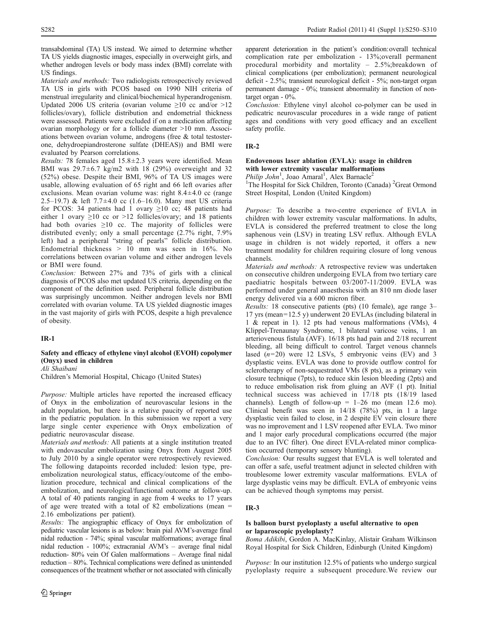transabdominal (TA) US instead. We aimed to determine whether TA US yields diagnostic images, especially in overweight girls, and whether androgen levels or body mass index (BMI) correlate with US findings.

Materials and methods: Two radiologists retrospectively reviewed TA US in girls with PCOS based on 1990 NIH criteria of menstrual irregularity and clinical/biochemical hyperandrogenism. Updated 2006 US criteria (ovarian volume  $\geq 10$  cc and/or  $>12$ follicles/ovary), follicle distribution and endometrial thickness were assessed. Patients were excluded if on a medication affecting ovarian morphology or for a follicle diameter >10 mm. Associations between ovarian volume, androgens (free & total testosterone, dehydroepiandrosterone sulfate (DHEAS)) and BMI were evaluated by Pearson correlations.

*Results:* 78 females aged  $15.8 \pm 2.3$  years were identified. Mean BMI was  $29.7\pm6.7$  kg/m2 with 18 (29%) overweight and 32 (52%) obese. Despite their BMI, 96% of TA US images were usable, allowing evaluation of 65 right and 66 left ovaries after exclusions. Mean ovarian volume was: right  $8.4 \pm 4.0$  cc (range 2.5–19.7) & left 7.7±4.0 cc (1.6–16.0). Many met US criteria for PCOS: 34 patients had 1 ovary ≥10 cc; 48 patients had either 1 ovary  $\geq 10$  cc or  $>12$  follicles/ovary; and 18 patients had both ovaries ≥10 cc. The majority of follicles were distributed evenly; only a small percentage (2.7% right, 7.9% left) had a peripheral "string of pearls" follicle distribution. Endometrial thickness > 10 mm was seen in 16%. No correlations between ovarian volume and either androgen levels or BMI were found.

Conclusion: Between 27% and 73% of girls with a clinical diagnosis of PCOS also met updated US criteria, depending on the component of the definition used. Peripheral follicle distribution was surprisingly uncommon. Neither androgen levels nor BMI correlated with ovarian volume. TA US yielded diagnostic images in the vast majority of girls with PCOS, despite a high prevalence of obesity.

## IR-1

## Safety and efficacy of ethylene vinyl alcohol (EVOH) copolymer (Onyx) used in children

Ali Shaibani

Children's Memorial Hospital, Chicago (United States)

Purpose: Multiple articles have reported the increased efficacy of Onyx in the embolization of neurovascular lesions in the adult population, but there is a relative paucity of reported use in the pediatric population. In this submission we report a very large single center experience with Onyx embolization of pediatric neurovascular disease.

Materials and methods: All patients at a single institution treated with endovascular embolization using Onyx from August 2005 to July 2010 by a single operator were retrospectively reviewed. The following datapoints recorded included: lesion type, preembolization neurological status, efficacy/outcome of the embolization procedure, technical and clinical complications of the embolization, and neurological/functional outcome at follow-up. A total of 40 patients ranging in age from 4 weeks to 17 years of age were treated with a total of 82 embolizations (mean = 2.16 embolizations per patient).

Results: The angiographic efficacy of Onyx for embolization of pediatric vascular lesions is as below: brain pial AVM's-average final nidal reduction - 74%; spinal vascular malformations; average final nidal reduction - 100%; extracranial AVM's – average final nidal reduction- 80% vein Of Galen malformations – Average final nidal reduction – 80%. Technical complications were defined as unintended consequences of the treatment whether or not associated with clinically

apparent deterioration in the patient's condition:overall technical complication rate per embolization - 13%;overall permanent procedural morbidity and mortality – 2.5%;breakdown of clinical complications (per embolization); permanent neurological deficit - 2.5%; transient neurological deficit - 5%; non-target organ permanent damage - 0%; transient abnormality in function of nontarget organ - 0%.

Conclusion: Ethylene vinyl alcohol co-polymer can be used in pedicatric neurovascular procedures in a wide range of patient ages and conditions with very good efficacy and an excellent safety profile.

## IR-2

## Endovenous laser ablation (EVLA): usage in children with lower extremity vascular malformations

Philip John<sup>1</sup>, Joao Amaral<sup>1</sup>, Alex Barnacle<sup>2</sup> <sup>1</sup>The Hospital for Sick Children, Toronto (Canada)<sup>2</sup>Great Ormond

Street Hospital, London (United Kingdom)

Purpose: To describe a two-centre experience of EVLA in children with lower extremity vascular malformations. In adults, EVLA is considered the preferred treatment to close the long saphenous vein (LSV) in treating LSV reflux. Although EVLA usage in children is not widely reported, it offers a new treatment modality for children requiring closure of long venous channels.

Materials and methods: A retrospective review was undertaken on consecutive children undergoing EVLA from two tertiary care paediatric hospitals between 03/2007-11/2009. EVLA was performed under general anaesthesia with an 810 nm diode laser energy delivered via a 600 micron fiber.

Results: 18 consecutive patients (pts) (10 female), age range 3– 17 yrs (mean=12.5 y) underwent 20 EVLAs (including bilateral in 1 & repeat in 1). 12 pts had venous malformations (VMs), 4 Klippel-Trenaunay Syndrome, 1 bilateral varicose veins, 1 an arteriovenous fistula (AVF). 16/18 pts had pain and 2/18 recurrent bleeding, all being difficult to control. Target venous channels lased  $(n=20)$  were 12 LSVs, 5 embryonic veins (EV) and 3 dysplastic veins. EVLA was done to provide outflow control for sclerotherapy of non-sequestrated VMs (8 pts), as a primary vein closure technique (7pts), to reduce skin lesion bleeding (2pts) and to reduce embolisation risk from gluing an AVF (1 pt). Initial technical success was achieved in 17/18 pts (18/19 lased channels). Length of follow-up =  $1-26$  mo (mean 12.6 mo). Clinical benefit was seen in 14/18 (78%) pts, in 1 a large dysplastic vein failed to close, in 2 despite EV vein closure there was no improvement and 1 LSV reopened after EVLA. Two minor and 1 major early procedural complications occurred (the major due to an IVC filter). One direct EVLA-related minor complication occurred (temporary sensory blunting).

Conclusion: Our results suggest that EVLA is well tolerated and can offer a safe, useful treatment adjunct in selected children with troublesome lower extremity vascular malformations. EVLA of large dysplastic veins may be difficult. EVLA of embryonic veins can be achieved though symptoms may persist.

## IR-3

## Is balloon burst pyeloplasty a useful alternative to open or laparoscopic pyeloplasty?

Boma Adikibi, Gordon A. MacKinlay, Alistair Graham Wilkinson Royal Hospital for Sick Children, Edinburgh (United Kingdom)

Purpose: In our institution 12.5% of patients who undergo surgical pyeloplasty require a subsequent procedure.We review our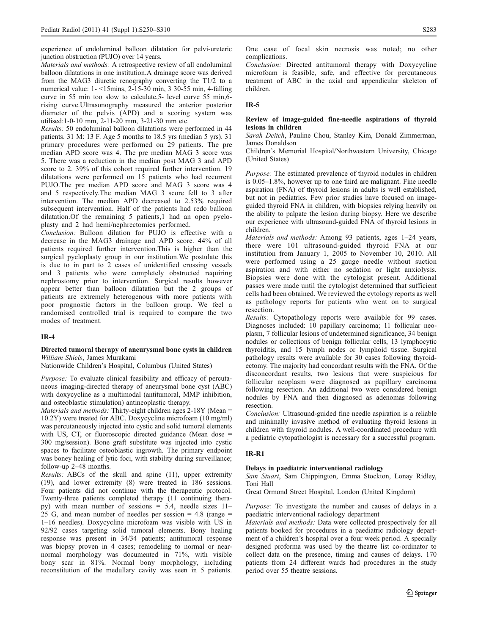experience of endoluminal balloon dilatation for pelvi-ureteric junction obstruction (PUJO) over 14 years.

Materials and methods: A retrospective review of all endoluminal balloon dilatations in one institution.A drainage score was derived from the MAG3 diuretic renography converting the T1/2 to a numerical value: 1- <15mins, 2-15-30 min, 3 30-55 min, 4-falling curve in 55 min too slow to calculate,5- level curve 55 min,6 rising curve.Ultrasonography measured the anterior posterior diameter of the pelvis (APD) and a scoring system was utilised:1-0-10 mm, 2-11-20 mm, 3-21-30 mm etc.

Results: 50 endoluminal balloon dilatations were performed in 44 patients. 31 M: 13 F. Age 5 months to 18.5 yrs (median 5 yrs). 31 primary procedures were performed on 29 patients. The pre median APD score was 4. The pre median MAG 3 score was 5. There was a reduction in the median post MAG 3 and APD score to 2. 39% of this cohort required further intervention. 19 dilatations were performed on 15 patients who had recurrent PUJO.The pre median APD score and MAG 3 score was 4 and 5 respectively.The median MAG 3 score fell to 3 after intervention. The median APD decreased to 2.53% required subsequent intervention. Half of the patients had redo balloon dilatation.Of the remaining 5 patients,1 had an open pyeloplasty and 2 had hemi/nephrectomies performed.

Conclusion: Balloon dilation for PUJO is effective with a decrease in the MAG3 drainage and APD score. 44% of all patients required further intervention.This is higher than the surgical pyeloplasty group in our institution.We postulate this is due to in part to 2 cases of unidentified crossing vessels and 3 patients who were completely obstructed requiring nephrostomy prior to intervention. Surgical results however appear better than balloon dilatation but the 2 groups of patients are extremely heterogenous with more patients with poor prognostic factors in the balloon group. We feel a randomised controlled trial is required to compare the two modes of treatment.

## IR-4

## Directed tumoral therapy of aneurysmal bone cysts in children William Shiels, James Murakami

Nationwide Children's Hospital, Columbus (United States)

Purpose: To evaluate clinical feasibility and efficacy of percutaneous imaging-directed therapy of aneurysmal bone cyst (ABC) with doxycycline as a multimodal (antitumoral, MMP inhibition, and osteoblastic stimulation) antineoplastic therapy.

Materials and methods: Thirty-eight children ages 2-18Y (Mean = 10.2Y) were treated for ABC. Doxycycline microfoam (10 mg/ml) was percutaneously injected into cystic and solid tumoral elements with US, CT, or fluoroscopic directed guidance (Mean dose = 300 mg/session). Bone graft substitute was injected into cystic spaces to facilitate osteoblastic ingrowth. The primary endpoint was boney healing of lytic foci, with stability during surveillance; follow-up 2–48 months.

Results: ABCs of the skull and spine (11), upper extremity (19), and lower extremity (8) were treated in 186 sessions. Four patients did not continue with the therapeutic protocol. Twenty-three patients completed therapy (11 continuing therapy) with mean number of sessions = 5.4, needle sizes 11– 25 G, and mean number of needles per session = 4.8 (range = 1–16 needles). Doxycycline microfoam was visible with US in 92/92 cases targeting solid tumoral elements. Bony healing response was present in 34/34 patients; antitumoral response was biopsy proven in 4 cases; remodeling to normal or nearnormal morphology was documented in 71%, with visible bony scar in 81%. Normal bony morphology, including reconstitution of the medullary cavity was seen in 5 patients. One case of focal skin necrosis was noted; no other complications.

Conclusion: Directed antitumoral therapy with Doxycycline microfoam is feasible, safe, and effective for percutaneous treatment of ABC in the axial and appendicular skeleton of children.

### IR-5

### Review of image-guided fine-needle aspirations of thyroid lesions in children

Sarah Deitch, Pauline Chou, Stanley Kim, Donald Zimmerman, James Donaldson

Children's Memorial Hospital/Northwestern University, Chicago (United States)

Purpose: The estimated prevalence of thyroid nodules in children is 0.05–1.8%, however up to one third are malignant. Fine needle aspiration (FNA) of thyroid lesions in adults is well established, but not in pediatrics. Few prior studies have focused on imageguided thyroid FNA in children, with biopsies relying heavily on the ability to palpate the lesion during biopsy. Here we describe our experience with ultrasound-guided FNA of thyroid lesions in children.

Materials and methods: Among 93 patients, ages 1–24 years, there were 101 ultrasound-guided thyroid FNA at our institution from January 1, 2005 to November 10, 2010. All were performed using a 25 gauge needle without suction aspiration and with either no sedation or light anxiolysis. Biopsies were done with the cytologist present. Additional passes were made until the cytologist determined that sufficient cells had been obtained. We reviewed the cytology reports as well as pathology reports for patients who went on to surgical resection.

Results: Cytopathology reports were available for 99 cases. Diagnoses included: 10 papillary carcinoma; 11 follicular neoplasm, 7 follicular lesions of undetermined significance, 34 benign nodules or collections of benign follicular cells, 13 lymphocytic thyroiditis, and 15 lymph nodes or lymphoid tissue. Surgical pathology results were available for 30 cases following thyroidectomy. The majority had concordant results with the FNA. Of the disconcordant results, two lesions that were suspicious for follicular neoplasm were diagnosed as papillary carcinoma following resection. An additional two were considered benign nodules by FNA and then diagnosed as adenomas following resection.

Conclusion: Ultrasound-guided fine needle aspiration is a reliable and minimally invasive method of evaluating thyroid lesions in children with thyroid nodules. A well-coordinated procedure with a pediatric cytopathologist is necessary for a successful program.

### IR-R1

### Delays in paediatric interventional radiology

Sam Stuart, Sam Chippington, Emma Stockton, Lonay Ridley, Toni Hall

Great Ormond Street Hospital, London (United Kingdom)

Purpose: To investigate the number and causes of delays in a paediatric interventional radiology department

Materials and methods: Data were collected prospectively for all patients booked for procedures in a paediatric radiology department of a children's hospital over a four week period. A specially designed proforma was used by the theatre list co-ordinator to collect data on the presence, timing and causes of delays. 170 patients from 24 different wards had procedures in the study period over 55 theatre sessions.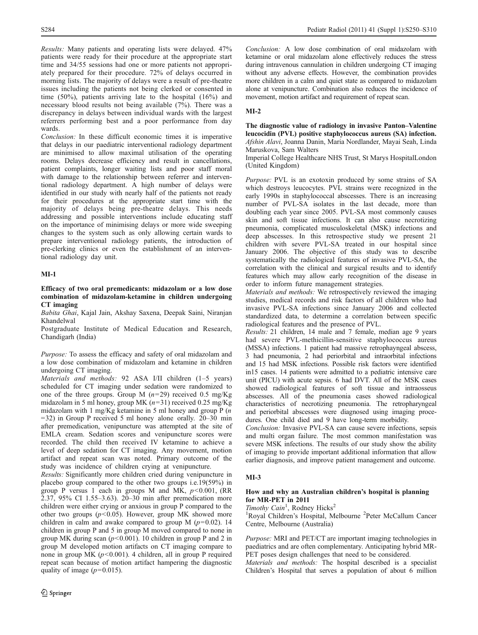Results: Many patients and operating lists were delayed. 47% patients were ready for their procedure at the appropriate start time and 34/55 sessions had one or more patients not appropriately prepared for their procedure. 72% of delays occurred in morning lists. The majority of delays were a result of pre-theatre issues including the patients not being clerked or consented in time (50%), patients arriving late to the hospital (16%) and necessary blood results not being available (7%). There was a discrepancy in delays between individual wards with the largest referrers performing best and a poor performance from day wards.

Conclusion: In these difficult economic times it is imperative that delays in our paediatric interventional radiology department are minimised to allow maximal utilisation of the operating rooms. Delays decrease efficiency and result in cancellations, patient complaints, longer waiting lists and poor staff moral with damage to the relationship between referrer and interventional radiology department. A high number of delays were identified in our study with nearly half of the patients not ready for their procedures at the appropriate start time with the majority of delays being pre-theatre delays. This needs addressing and possible interventions include educating staff on the importance of minimising delays or more wide sweeping changes to the system such as only allowing certain wards to prepare interventional radiology patients, the introduction of pre-clerking clinics or even the establishment of an interventional radiology day unit.

## MI-1

### Efficacy of two oral premedicants: midazolam or a low dose combination of midazolam-ketamine in children undergoing CT imaging

Babita Ghai, Kajal Jain, Akshay Saxena, Deepak Saini, Niranjan Khandelwal

Postgraduate Institute of Medical Education and Research, Chandigarh (India)

Purpose: To assess the efficacy and safety of oral midazolam and a low dose combination of midazolam and ketamine in children undergoing CT imaging.

Materials and methods: 92 ASA I/II children (1–5 years) scheduled for CT imaging under sedation were randomized to one of the three groups. Group M  $(n=29)$  received 0.5 mg/Kg midazolam in 5 ml honey, group MK (n=31) received 0.25 mg/Kg midazolam with 1 mg/Kg ketamine in 5 ml honey and group  $P(n)$ =32) in Group P received 5 ml honey alone orally. 20–30 min after premedication, venipuncture was attempted at the site of EMLA cream. Sedation scores and venipuncture scores were recorded. The child then received IV ketamine to achieve a level of deep sedation for CT imaging. Any movement, motion artifact and repeat scan was noted. Primary outcome of the study was incidence of children crying at venipuncture.

Results: Significantly more children cried during venipuncture in placebo group compared to the other two groups i.e.19(59%) in group P versus 1 each in groups M and MK,  $p < 0.001$ , (RR  $2.37,95\%$  CI 1.55–3.63).  $20-30$  min after premedication more children were either crying or anxious in group P compared to the other two groups ( $p$ <0.05). However, group MK showed more children in calm and awake compared to group M  $(p=0.02)$ . 14 children in group P and 5 in group M moved compared to none in group MK during scan  $(p<0.001)$ . 10 children in group P and 2 in group M developed motion artifacts on CT imaging compare to none in group MK ( $p < 0.001$ ). 4 children, all in group P required repeat scan because of motion artifact hampering the diagnostic quality of image  $(p=0.015)$ .

Conclusion: A low dose combination of oral midazolam with ketamine or oral midazolam alone effectively reduces the stress during intravenous cannulation in children undergoing CT imaging without any adverse effects. However, the combination provides more children in a calm and quiet state as compared to midazolam alone at venipuncture. Combination also reduces the incidence of movement, motion artifact and requirement of repeat scan.

## MI-2

The diagnostic value of radiology in invasive Panton–Valentine leucocidin (PVL) positive staphylococcus aureus (SA) infection. Afshin Alavi, Joanna Danin, Maria Nordlander, Mayai Seah, Linda Maruskova, Sam Walters

Imperial College Healthcare NHS Trust, St Marys HospitalLondon (United Kingdom)

Purpose: PVL is an exotoxin produced by some strains of SA which destroys leucocytes. PVL strains were recognized in the early 1990s in staphylococcal abscesses. There is an increasing number of PVL-SA isolates in the last decade, more than doubling each year since 2005. PVL-SA most commonly causes skin and soft tissue infections. It can also cause necrotizing pneumonia, complicated musculoskeletal (MSK) infections and deep abscesses. In this retrospective study we present 21 children with severe PVL-SA treated in our hospital since January 2006. The objective of this study was to describe systematically the radiological features of invasive PVL-SA, the correlation with the clinical and surgical results and to identify features which may allow early recognition of the disease in order to inform future management strategies.

Materials and methods: We retrospectively reviewed the imaging studies, medical records and risk factors of all children who had invasive PVL-SA infections since January 2006 and collected standardized data, to determine a correlation between specific radiological features and the presence of PVL.

Results: 21 children, 14 male and 7 female, median age 9 years had severe PVL-methicillin-sensitive staphylococcus aureus (MSSA) infections. 1 patient had massive retrophayngeal abscess, 3 had pneumonia, 2 had periorbital and intraorbital infections and 15 had MSK infections. Possible risk factors were identified in15 cases. 14 patients were admitted to a pediatric intensive care unit (PICU) with acute sepsis. 6 had DVT. All of the MSK cases showed radiological features of soft tissue and intraosseus abscesses. All of the pneumonia cases showed radiological characteristics of necrotizing pneumonia. The retropharyngeal and periorbital abscesses were diagnosed using imaging procedures. One child died and 9 have long-term morbidity.

Conclusion: Invasive PVL-SA can cause severe infections, sepsis and multi organ failure. The most common manifestation was severe MSK infections. The results of our study show the ability of imaging to provide important additional information that allow earlier diagnosis, and improve patient management and outcome.

## MI-3

### How and why an Australian children's hospital is planning for MR-PET in 2011

Timothy Cain<sup>1</sup>, Rodney Hicks<sup>2</sup>

<sup>1</sup>Royal Children's Hospital, Melbourne <sup>2</sup>Peter McCallum Cancer Centre, Melbourne (Australia)

Purpose: MRI and PET/CT are important imaging technologies in paediatrics and are often complementary. Anticipating hybrid MR-PET poses design challenges that need to be considered.

Materials and methods: The hospital described is a specialist Children's Hospital that serves a population of about 6 million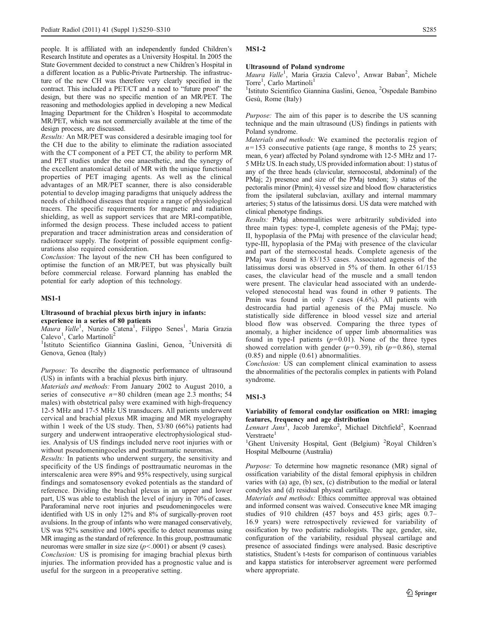people. It is affiliated with an independently funded Children's Research Institute and operates as a University Hospital. In 2005 the State Government decided to construct a new Children's Hospital in a different location as a Public-Private Partnership. The infrastructure of the new CH was therefore very clearly specified in the contract. This included a PET/CT and a need to "future proof" the design, but there was no specific mention of an MR/PET. The reasoning and methodologies applied in developing a new Medical Imaging Department for the Children's Hospital to accommodate MR/PET, which was not commercially available at the time of the design process, are discussed.

Results: An MR/PET was considered a desirable imaging tool for the CH due to the ability to eliminate the radiation associated with the CT component of a PET CT, the ability to perform MR and PET studies under the one anaesthetic, and the synergy of the excellent anatomical detail of MR with the unique functional properties of PET imaging agents. As well as the clinical advantages of an MR/PET scanner, there is also considerable potential to develop imaging paradigms that uniquely address the needs of childhood diseases that require a range of physiological tracers. The specific requirements for magnetic and radiation shielding, as well as support services that are MRI-compatible, informed the design process. These included access to patient preparation and tracer administration areas and consideration of radiotracer supply. The footprint of possible equipment configurations also required consideration.

Conclusion: The layout of the new CH has been configured to optimise the function of an MR/PET, but was physically built before commercial release. Forward planning has enabled the potential for early adoption of this technology.

### MS1-1

### Ultrasound of brachial plexus birth injury in infants: experience in a series of 80 patients

Maura Valle<sup>1</sup>, Nunzio Catena<sup>1</sup>, Filippo Senes<sup>1</sup>, Maria Grazia Calevo<sup>1</sup>, Carlo Martinoli<sup>2</sup>

<sup>1</sup>Istituto Scientifico Giannina Gaslini, Genoa, <sup>2</sup>Università di Genova, Genoa (Italy)

Purpose: To describe the diagnostic performance of ultrasound (US) in infants with a brachial plexus birth injury.

Materials and methods: From January 2002 to August 2010, a series of consecutive  $n=80$  children (mean age 2.3 months; 54 males) with obstetrical palsy were examined with high-frequency 12-5 MHz and 17-5 MHz US transducers. All patients underwent cervical and brachial plexus MR imaging and MR myelography within 1 week of the US study. Then, 53/80 (66%) patients had surgery and underwent intraoperative electrophysiological studies. Analysis of US findings included nerve root injuries with or without pseudomeningoceles and posttraumatic neuromas.

Results: In patients who underwent surgery, the sensitivity and specificity of the US findings of posttraumatic neuromas in the interscalenic area were 89% and 95% respectively, using surgical findings and somatosensory evoked potentials as the standard of reference. Dividing the brachial plexus in an upper and lower part, US was able to establish the level of injury in 70% of cases. Paraforaminal nerve root injuries and pseudomeningoceles were identified with US in only 12% and 8% of surgically-proven root avulsions. In the group of infants who were managed conservatively, US was 92% sensitive and 100% specific to detect neuromas using MR imaging as the standard of reference. In this group, posttraumatic neuromas were smaller in size size  $(p< .0001)$  or absent (9 cases).

Conclusion: US is promising for imaging brachial plexus birth injuries. The information provided has a prognostic value and is useful for the surgeon in a preoperative setting.

#### MS1-2

#### Ultrasound of Poland syndrome

Maura Valle<sup>1</sup>, Maria Grazia Calevo<sup>1</sup>, Anwar Baban<sup>2</sup>, Michele Torre<sup>1</sup>, Carlo Martinoli<sup>1</sup>

<sup>1</sup>Istituto Scientifico Giannina Gaslini, Genoa, <sup>2</sup>Ospedale Bambino Gesù, Rome (Italy)

Purpose: The aim of this paper is to describe the US scanning technique and the main ultrasound (US) findings in patients with Poland syndrome.

Materials and methods: We examined the pectoralis region of  $n=153$  consecutive patients (age range, 8 months to 25 years; mean, 6 year) affected by Poland syndrome with 12-5 MHz and 17- 5 MHz US. In each study, US provided information about: 1) status of any of the three heads (clavicular, sternocostal, abdominal) of the PMaj; 2) presence and size of the PMaj tendon; 3) status of the pectoralis minor (Pmin); 4) vessel size and blood flow characteristics from the ipsilateral subclavian, axillary and internal mammary arteries; 5) status of the latissimus dorsi. US data were matched with clinical phenotype findings.

Results: PMaj abnormalities were arbitrarily subdivided into three main types: type-I, complete agenesis of the PMaj; type-II, hypoplasia of the PMaj with presence of the clavicular head; type-III, hypoplasia of the PMaj with presence of the clavicular and part of the sternocostal heads. Complete agenesis of the PMaj was found in 83/153 cases. Associated agenesis of the latissimus dorsi was observed in 5% of them. In other 61/153 cases, the clavicular head of the muscle and a small tendon were present. The clavicular head associated with an underdeveloped stenocostal head was found in other 9 patients. The Pmin was found in only 7 cases (4.6%). All patients with destrocardia had partial agenesis of the PMaj muscle. No statistically side difference in blood vessel size and arterial blood flow was observed. Comparing the three types of anomaly, a higher incidence of upper limb abnormalities was found in type-I patients  $(p=0.01)$ . None of the three types showed correlation with gender ( $p=0.39$ ), rib ( $p=0.86$ ), sternal (0.85) and nipple (0.61) abnormalities.

Conclusion: US can complement clinical examination to assess the abnormalities of the pectoralis complex in patients with Poland syndrome.

### MS1-3

## Variability of femoral condylar ossification on MRI: imaging features, frequency and age distribution

Lennart Jans<sup>1</sup>, Jacob Jaremko<sup>2</sup>, Michael Ditchfield<sup>2</sup>, Koenraad Verstraete<sup>1</sup>

<sup>1</sup>Ghent University Hospital, Gent (Belgium) <sup>2</sup>Royal Children's Hospital Melbourne (Australia)

Purpose: To determine how magnetic resonance (MR) signal of ossification variability of the distal femoral epiphysis in children varies with (a) age, (b) sex, (c) distribution to the medial or lateral condyles and (d) residual physeal cartilage.

Materials and methods: Ethics committee approval was obtained and informed consent was waived. Consecutive knee MR imaging studies of 910 children (457 boys and 453 girls; ages 0.7– 16.9 years) were retrospectively reviewed for variability of ossification by two pediatric radiologists. The age, gender, site, configuration of the variability, residual physeal cartilage and presence of associated findings were analysed. Basic descriptive statistics, Student's t-tests for comparison of continuous variables and kappa statistics for interobserver agreement were performed where appropriate.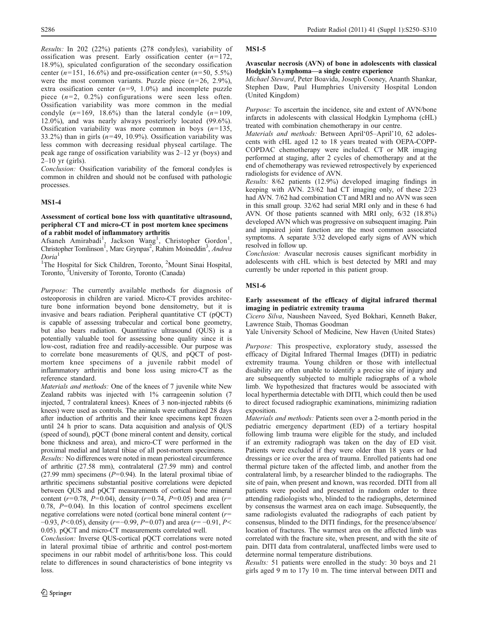Results: In 202 (22%) patients (278 condyles), variability of ossification was present. Early ossification center  $(n=172)$ , 18.9%), spiculated configuration of the secondary ossification center ( $n=151$ , 16.6%) and pre-ossification center ( $n=50$ , 5.5%) were the most common variants. Puzzle piece  $(n=26, 2.9\%)$ , extra ossification center  $(n=9, 1.0\%)$  and incomplete puzzle piece  $(n=2, 0.2\%)$  configurations were seen less often. Ossification variability was more common in the medial condyle  $(n=169, 18.6%)$  than the lateral condyle  $(n=109, 18.6%)$ 12.0%), and was nearly always posteriorly located (99.6%). Ossification variability was more common in boys  $(n=135,$ 33.2%) than in girls  $(n=49, 10.9\%)$ . Ossification variability was less common with decreasing residual physeal cartilage. The peak age range of ossification variability was 2–12 yr (boys) and  $2-10$  yr (girls).

Conclusion: Ossification variability of the femoral condyles is common in children and should not be confused with pathologic processes.

## MS1-4

### Assessment of cortical bone loss with quantitative ultrasound, peripheral CT and micro-CT in post mortem knee specimens of a rabbit model of inflammatory arthritis

Afsaneh Amirabadi<sup>1</sup>, Jackson Wang<sup>1</sup>, Christopher Gordon<sup>1</sup>, Christopher Tomlinson<sup>1</sup>, Marc Grynpas<sup>2</sup>, Rahim Moineddin<sup>3</sup>, Andrea Doria<sup>1</sup>

<sup>1</sup>The Hospital for Sick Children, Toronto, <sup>2</sup>Mount Sinai Hospital, Toronto, <sup>3</sup>University of Toronto, Toronto (Canada)

Purpose: The currently available methods for diagnosis of osteoporosis in children are varied. Micro-CT provides architecture bone information beyond bone densitometry, but it is invasive and bears radiation. Peripheral quantitative CT (pQCT) is capable of assessing trabecular and cortical bone geometry, but also bears radiation. Quantitative ultrasound (QUS) is a potentially valuable tool for assessing bone quality since it is low-cost, radiation free and readily-accessible. Our purpose was to correlate bone measurements of QUS, and pQCT of postmortem knee specimens of a juvenile rabbit model of inflammatory arthritis and bone loss using micro-CT as the reference standard.

Materials and methods: One of the knees of 7 juvenile white New Zealand rabbits was injected with 1% carrageenin solution (7 injected, 7 contralateral knees). Knees of 3 non-injected rabbits (6 knees) were used as controls. The animals were euthanized 28 days after induction of arthritis and their knee specimens kept frozen until 24 h prior to scans. Data acquisition and analysis of QUS (speed of sound), pQCT (bone mineral content and density, cortical bone thickness and area), and micro-CT were performed in the proximal medial and lateral tibiae of all post-mortem specimens.

Results: No differences were noted in mean periosteal circumference of arthritic (27.58 mm), contralateral (27.59 mm) and control (27.99 mm) specimens ( $P=0.94$ ). In the lateral proximal tibiae of arthritic specimens substantial positive correlations were depicted between QUS and pQCT measurements of cortical bone mineral content ( $r=0.78$ ,  $P=0.04$ ), density ( $r=0.74$ ,  $P=0.05$ ) and area ( $r=$ 0.78,  $P=0.04$ ). In this location of control specimens excellent negative correlations were noted (cortical bone mineral content  $(r=$  $-0.93$ ,  $P<0.05$ ), density (r= $-0.99$ ,  $P=0.07$ ) and area (r=  $-0.91$ ,  $P<$ 0.05). pQCT and micro-CT measurements correlated well.

Conclusion: Inverse QUS-cortical pQCT correlations were noted in lateral proximal tibiae of arthritic and control post-mortem specimens in our rabbit model of arthritis/bone loss. This could relate to differences in sound characteristics of bone integrity vs loss.

### MS1-5

### Avascular necrosis (AVN) of bone in adolescents with classical Hodgkin's Lymphoma—a single centre experience

Michael Steward, Peter Boavida, Joseph Cooney, Ananth Shankar, Stephen Daw, Paul Humphries University Hospital London (United Kingdom)

Purpose: To ascertain the incidence, site and extent of AVN/bone infarcts in adolescents with classical Hodgkin Lymphoma (cHL) treated with combination chemotherapy in our centre.

Materials and methods: Between April'05–April'10, 62 adolescents with cHL aged 12 to 18 years treated with OEPA-COPP-COPDAC chemotherapy were included. CT or MR imaging performed at staging, after 2 cycles of chemotherapy and at the end of chemotherapy was reviewed retrospectively by experienced radiologists for evidence of AVN.

Results: 8/62 patients (12.9%) developed imaging findings in keeping with AVN. 23/62 had CT imaging only, of these 2/23 had AVN. 7/62 had combination CT and MRI and no AVN was seen in this small group. 32/62 had serial MRI only and in these 6 had AVN. Of those patients scanned with MRI only, 6/32 (18.8%) developed AVN which was progressive on subsequent imaging. Pain and impaired joint function are the most common associated symptoms. A separate 3/32 developed early signs of AVN which resolved in follow up.

Conclusion: Avascular necrosis causes significant morbidity in adolescents with cHL which is best detected by MRI and may currently be under reported in this patient group.

## MS1-6

## Early assessment of the efficacy of digital infrared thermal imaging in pediatric extremity trauma

Cicero Silva, Nausheen Naveed, Syed Bokhari, Kenneth Baker, Lawrence Staib, Thomas Goodman

Yale University School of Medicine, New Haven (United States)

Purpose: This prospective, exploratory study, assessed the efficacy of Digital Infrared Thermal Images (DITI) in pediatric extremity trauma. Young children or those with intellectual disability are often unable to identify a precise site of injury and are subsequently subjected to multiple radiographs of a whole limb. We hypothesized that fractures would be associated with local hyperthermia detectable with DITI, which could then be used to direct focused radiographic examinations, minimizing radiation exposition.

Materials and methods: Patients seen over a 2-month period in the pediatric emergency department (ED) of a tertiary hospital following limb trauma were eligible for the study, and included if an extremity radiograph was taken on the day of ED visit. Patients were excluded if they were older than 18 years or had dressings or ice over the area of trauma. Enrolled patients had one thermal picture taken of the affected limb, and another from the contralateral limb, by a researcher blinded to the radiographs. The site of pain, when present and known, was recorded. DITI from all patients were pooled and presented in random order to three attending radiologists who, blinded to the radiographs, determined by consensus the warmest area on each image. Subsequently, the same radiologists evaluated the radiographs of each patient by consensus, blinded to the DITI findings, for the presence/absence/ location of fractures. The warmest area on the affected limb was correlated with the fracture site, when present, and with the site of pain. DITI data from contralateral, unaffected limbs were used to determine normal temperature distributions.

Results: 51 patients were enrolled in the study: 30 boys and 21 girls aged 9 m to 17y 10 m. The time interval between DITI and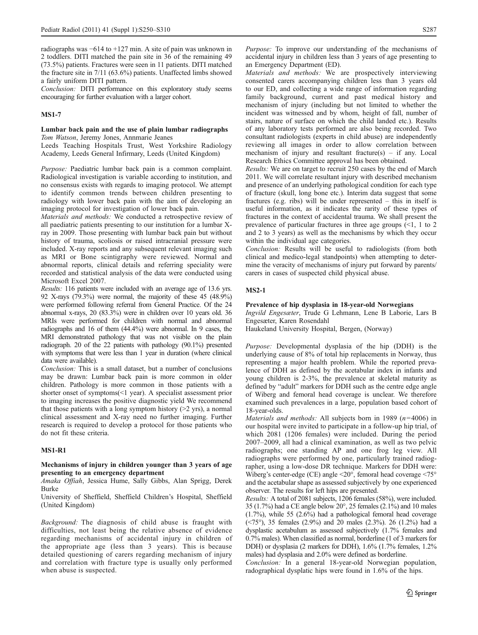radiographs was −614 to +127 min. A site of pain was unknown in 2 toddlers. DITI matched the pain site in 36 of the remaining 49 (73.5%) patients. Fractures were seen in 11 patients. DITI matched the fracture site in 7/11 (63.6%) patients. Unaffected limbs showed a fairly uniform DITI pattern.

Conclusion: DITI performance on this exploratory study seems encouraging for further evaluation with a larger cohort.

### MS1-7

### Lumbar back pain and the use of plain lumbar radiographs Tom Watson, Jeremy Jones, Annmarie Jeanes

Leeds Teaching Hospitals Trust, West Yorkshire Radiology Academy, Leeds General Infirmary, Leeds (United Kingdom)

Purpose: Paediatric lumbar back pain is a common complaint. Radiological investigation is variable according to institution, and no consensus exists with regards to imaging protocol. We attempt to identify common trends between children presenting to radiology with lower back pain with the aim of developing an imaging protocol for investigation of lower back pain.

Materials and methods: We conducted a retrospective review of all paediatric patients presenting to our institution for a lumbar Xray in 2009. Those presenting with lumbar back pain but without history of trauma, scoliosis or raised intracranial pressure were included. X-ray reports and any subsequent relevant imaging such as MRI or Bone scintigraphy were reviewed. Normal and abnormal reports, clinical details and referring speciality were recorded and statistical analysis of the data were conducted using Microsoft Excel 2007.

Results: 116 patients were included with an average age of 13.6 yrs. 92 X-rays (79.3%) were normal, the majority of these 45 (48.9%) were performed following referral from General Practice. Of the 24 abnormal x-rays, 20 (83.3%) were in children over 10 years old. 36 MRIs were performed for children with normal and abnormal radiographs and 16 of them (44.4%) were abnormal. In 9 cases, the MRI demonstrated pathology that was not visible on the plain radiograph. 20 of the 22 patients with pathology (90.1%) presented with symptoms that were less than 1 year in duration (where clinical data were available).

Conclusion: This is a small dataset, but a number of conclusions may be drawn: Lumbar back pain is more common in older children. Pathology is more common in those patients with a shorter onset of symptoms(<1 year). A specialist assessment prior to imaging increases the positive diagnostic yield We recommend that those patients with a long symptom history  $(>2$  yrs), a normal clinical assessment and X-ray need no further imaging. Further research is required to develop a protocol for those patients who do not fit these criteria.

## MS1-R1

### Mechanisms of injury in children younger than 3 years of age presenting to an emergency department

Amaka Offiah, Jessica Hume, Sally Gibbs, Alan Sprigg, Derek Burke

University of Sheffield, Sheffield Children's Hospital, Sheffield (United Kingdom)

Background: The diagnosis of child abuse is fraught with difficulties, not least being the relative absence of evidence regarding mechanisms of accidental injury in children of the appropriate age (less than 3 years). This is because detailed questioning of carers regarding mechanism of injury and correlation with fracture type is usually only performed when abuse is suspected.

Purpose: To improve our understanding of the mechanisms of accidental injury in children less than 3 years of age presenting to an Emergency Department (ED).

Materials and methods: We are prospectively interviewing consented carers accompanying children less than 3 years old to our ED, and collecting a wide range of information regarding family background, current and past medical history and mechanism of injury (including but not limited to whether the incident was witnessed and by whom, height of fall, number of stairs, nature of surface on which the child landed etc.). Results of any laboratory tests performed are also being recorded. Two consultant radiologists (experts in child abuse) are independently reviewing all images in order to allow correlation between mechanism of injury and resultant fracture(s) – if any. Local Research Ethics Committee approval has been obtained.

Results: We are on target to recruit 250 cases by the end of March 2011. We will correlate resultant injury with described mechanism and presence of an underlying pathological condition for each type of fracture (skull, long bone etc.). Interim data suggest that some fractures (e.g. ribs) will be under represented – this in itself is useful information, as it indicates the rarity of these types of fractures in the context of accidental trauma. We shall present the prevalence of particular fractures in three age groups (<1, 1 to 2 and 2 to 3 years) as well as the mechanisms by which they occur within the individual age categories.

Conclusion: Results will be useful to radiologists (from both clinical and medico-legal standpoints) when attempting to determine the veracity of mechanisms of injury put forward by parents/ carers in cases of suspected child physical abuse.

## MS2-1

### Prevalence of hip dysplasia in 18-year-old Norwegians

Ingvild Engesæter, Trude G Lehmann, Lene B Laborie, Lars B Engesæter, Karen Rosendahl

Haukeland University Hospital, Bergen, (Norway)

Purpose: Developmental dysplasia of the hip (DDH) is the underlying cause of 8% of total hip replacements in Norway, thus representing a major health problem. While the reported prevalence of DDH as defined by the acetabular index in infants and young children is 2-3%, the prevalence at skeletal maturity as defined by "adult" markers for DDH such as the centre edge angle of Wiberg and femoral head coverage is unclear. We therefore examined such prevalences in a large, population based cohort of 18-year-olds.

*Materials and methods:* All subjects born in 1989 ( $n=4006$ ) in our hospital were invited to participate in a follow-up hip trial, of which 2081 (1206 females) were included. During the period 2007–2009, all had a clinical examination, as well as two pelvic radiographs; one standing AP and one frog leg view. All radiographs were performed by one, particularly trained radiographer, using a low-dose DR technique. Markers for DDH were: Wiberg's center-edge (CE) angle <20°, femoral head coverage <75° and the acetabular shape as assessed subjectively by one experienced observer. The results for left hips are presented.

Results: A total of 2081 subjects, 1206 females (58%), were included. 35 (1.7%) had a CE angle below 20°, 25 females (2.1%) and 10 males (1.7%), while 55 (2.6%) had a pathological femoral head coverage (<75°), 35 females (2.9%) and 20 males (2.3%). 26 (1.2%) had a dysplastic acetabulum as assessed subjectively (1.7% females and 0.7% males). When classified as normal, borderline (1 of 3 markers for DDH) or dysplasia (2 markers for DDH), 1.6% (1.7% females, 1.2% males) had dysplasia and 2.0% were defined as borderline.

Conclusion: In a general 18-year-old Norwegian population, radographical dysplatic hips were found in 1.6% of the hips.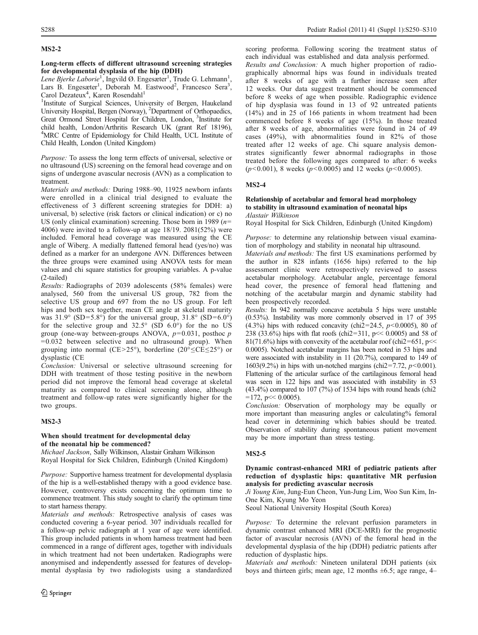## MS2-2

## Long-term effects of different ultrasound screening strategies for developmental dysplasia of the hip (DDH)

Lene Bjerke Laborie<sup>1</sup>, Ingvild Ø. Engesæter<sup>1</sup>, Trude G. Lehmann<sup>1</sup>, Lars B. Engesæter<sup>1</sup>, Deborah M. Eastwood<sup>2</sup>, Francesco Sera<sup>3</sup>, Carol Dezateux<sup>4</sup>, Karen Rosendahl<sup>1</sup>

<sup>1</sup>Institute of Surgical Sciences, University of Bergen, Haukeland University Hospital, Bergen (Norway), <sup>2</sup>Department of Orthopaedics, Great Ormond Street Hospital for Children, London, <sup>3</sup> Institute for child health, London/Arthritis Research UK (grant Ref 18196), 4 MRC Centre of Epidemiology for Child Health, UCL Institute of Child Health, London (United Kingdom)

Purpose: To assess the long term effects of universal, selective or no ultrasound (US) screening on the femoral head coverage and on signs of undergone avascular necrosis (AVN) as a complication to treatment.

Materials and methods: During 1988–90, 11925 newborn infants were enrolled in a clinical trial designed to evaluate the effectiveness of 3 different screening strategies for DDH: a) universal, b) selective (risk factors or clinical indication) or c) no US (only clinical examination) screening. Those born in 1989 ( $n=$ 4006) were invited to a follow-up at age 18/19. 2081(52%) were included. Femoral head coverage was measured using the CE angle of Wiberg. A medially flattened femoral head (yes/no) was defined as a marker for an undergone AVN. Differences between the three groups were examined using ANOVA tests for mean values and chi square statistics for grouping variables. A p-value (2-tailed)

Results: Radiographs of 2039 adolescents (58% females) were analysed, 560 from the universal US group, 782 from the selective US group and 697 from the no US group. For left hips and both sex together, mean CE angle at skeletal maturity was  $31.9^\circ$  (SD=5.8°) for the universal group,  $31.8^\circ$  (SD=6.0°) for the selective group and  $32.5^{\circ}$  (SD  $6.0^{\circ}$ ) for the no US group (one-way between-groups ANOVA,  $p=0.031$ , posthoc  $p$ =0.032 between selective and no ultrasound group). When grouping into normal (CE>25°), borderline (20°≤CE≤25°) or dysplastic (CE

Conclusion: Universal or selective ultrasound screening for DDH with treatment of those testing positive in the newborn period did not improve the femoral head coverage at skeletal maturity as compared to clinical screening alone, although treatment and follow-up rates were significantly higher for the two groups.

## MS2-3

## When should treatment for developmental delay of the neonatal hip be commenced?

Michael Jackson, Sally Wilkinson, Alastair Graham Wilkinson Royal Hospital for Sick Children, Edinburgh (United Kingdom)

Purpose: Supportive harness treatment for developmental dysplasia of the hip is a well-established therapy with a good evidence base. However, controversy exists concerning the optimum time to commence treatment. This study sought to clarify the optimum time to start harness therapy.

Materials and methods: Retrospective analysis of cases was conducted covering a 6-year period. 307 individuals recalled for a follow-up pelvic radiograph at 1 year of age were identified. This group included patients in whom harness treatment had been commenced in a range of different ages, together with individuals in which treatment had not been undertaken. Radiographs were anonymised and independently assessed for features of developmental dysplasia by two radiologists using a standardized scoring proforma. Following scoring the treatment status of each individual was established and data analysis performed. Results and Conclusion: A much higher proportion of radio-

graphically abnormal hips was found in individuals treated after 8 weeks of age with a further increase seen after 12 weeks. Our data suggest treatment should be commenced before 8 weeks of age when possible. Radiographic evidence of hip dysplasia was found in 13 of 92 untreated patients (14%) and in 25 of 166 patients in whom treatment had been commenced before 8 weeks of age (15%). In those treated after 8 weeks of age, abnormalities were found in 24 of 49 cases (49%), with abnormalities found in 82% of those treated after 12 weeks of age. Chi square analysis demonstrates significantly fewer abnormal radiographs in those treated before the following ages compared to after: 6 weeks ( $p$ <0.001), 8 weeks ( $p$ <0.0005) and 12 weeks ( $p$ <0.0005).

## MS2-4

## Relationship of acetabular and femoral head morphology to stability in ultrasound examination of neonatal hips Alastair Wilkinson

Royal Hospital for Sick Children, Edinburgh (United Kingdom)

Purpose: to determine any relationship between visual examination of morphology and stability in neonatal hip ultrasound.

Materials and methods: The first US examinations performed by the author in 828 infants (1656 hips) referred to the hip assessment clinic were retrospectively reviewed to assess acetabular morphology. Acetabular angle, percentage femoral head cover, the presence of femoral head flattening and notching of the acetabular margin and dynamic stability had been prospectively recorded.

Results: In 942 normally concave acetabula 5 hips were unstable (0.53%). Instability was more commonly observed in 17 of 395 (4.3%) hips with reduced concavity (chi2=24.5,  $p$ <0.0005), 80 of 238 (33.6%) hips with flat roofs (chi2=311, p<< 0.0005) and 58 of 81(71.6%) hips with convexity of the acetabular roof (chi2=651, p $\ll$ 0.0005). Notched acetabular margins has been noted in 53 hips and were associated with instability in 11 (20.7%), compared to 149 of 1603(9.2%) in hips with un-notched margins (chi2=7.72,  $p$ <0.001). Flattening of the articular surface of the cartilaginous femoral head was seen in 122 hips and was associated with instability in 53 (43.4%) compared to 107 (7%) of 1534 hips with round heads (chi2  $=172$ , p $<< 0.0005$ ).

Conclusion: Observation of morphology may be equally or more important than measuring angles or calculating% femoral head cover in determining which babies should be treated. Observation of stability during spontaneous patient movement may be more important than stress testing.

## MS2-5

## Dynamic contrast-enhanced MRI of pediatric patients after reduction of dysplastic hips: quantitative MR perfusion analysis for predicting avascular necrosis

Ji Young Kim, Jung-Eun Cheon, Yun-Jung Lim, Woo Sun Kim, In-One Kim, Kyung Mo Yeon

Seoul National University Hospital (South Korea)

Purpose: To determine the relevant perfusion parameters in dynamic contrast enhanced MRI (DCE-MRI) for the prognostic factor of avascular necrosis (AVN) of the femoral head in the developmental dysplasia of the hip (DDH) pediatric patients after reduction of dysplastic hips.

Materials and methods: Nineteen unilateral DDH patients (six boys and thirteen girls; mean age, 12 months ±6.5; age range, 4–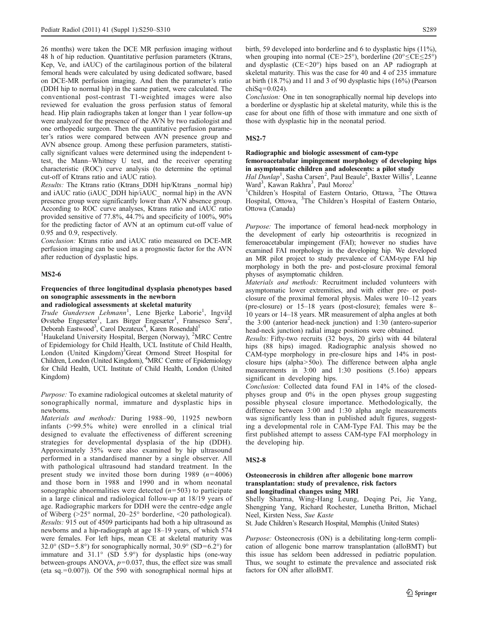26 months) were taken the DCE MR perfusion imaging without 48 h of hip reduction. Quantitative perfusion parameters (Ktrans, Kep, Ve, and iAUC) of the cartilaginous portion of the bilateral femoral heads were calculated by using dedicated software, based on DCE-MR perfusion imaging. And then the parameter's ratio (DDH hip to normal hip) in the same patient, were calculated. The conventional post-contrast T1-weighted images were also reviewed for evaluation the gross perfusion status of femoral head. Hip plain radiographs taken at longer than 1 year follow-up were analyzed for the presence of the AVN by two radiologist and one orthopedic surgeon. Then the quantitative perfusion parameter's ratios were compared between AVN presence group and AVN absence group. Among these perfusion parameters, statistically significant values were determined using the independent ttest, the Mann–Whitney U test, and the receiver operating characteristic (ROC) curve analysis (to determine the optimal cut-off of Ktrans ratio and iAUC ratio).

Results: The Ktrans ratio (Ktrans\_DDH hip/Ktrans \_normal hip) and iAUC ratio (iAUC\_DDH hip/ $\overline{i}$ AUC\_ normal hip) in the AVN presence group were significantly lower than AVN absence group. According to ROC curve analyses, Ktrans ratio and iAUC ratio provided sensitive of 77.8%, 44.7% and specificity of 100%, 90% for the predicting factor of AVN at an optimum cut-off value of 0.95 and 0.9, respectively.

Conclusion: Ktrans ratio and iAUC ratio measured on DCE-MR perfusion imaging can be used as a prognostic factor for the AVN after reduction of dysplastic hips.

#### MS2-6

## Frequencies of three longitudinal dysplasia phenotypes based on sonographic assessments in the newborn

## and radiological assessments at skeletal maturity

Trude Gundersen Lehmann<sup>1</sup>, Lene Bjerke Laborie<sup>1</sup>, Ingvild Øvstebø Engesæter<sup>1</sup>, Lars Birger Engesæter<sup>1</sup>, Fransesco Sera<sup>2</sup>, Deborah Eastwood<sup>3</sup>, Carol Dezateux<sup>4</sup>, Karen Rosendahl<sup>1</sup>

<sup>1</sup>Haukeland University Hospital, Bergen (Norway), <sup>2</sup>MRC Centre of Epidemiology for Child Health, UCL Institute of Child Health, London (United Kingdom)<sup>3</sup>Great Ormond Street Hospital for Children, London (United Kingdom), <sup>4</sup>MRC Centre of Epidemiology for Child Health, UCL Institute of Child Health, London (United Kingdom)

Purpose: To examine radiological outcomes at skeletal maturity of sonographically normal, immature and dysplastic hips in newborns.

Materials and methods: During 1988–90, 11925 newborn infants (>99.5% white) were enrolled in a clinical trial designed to evaluate the effectiveness of different screening strategies for developmental dysplasia of the hip (DDH). Approximately 35% were also examined by hip ultrasound performed in a standardised manner by a single observer. All with pathological ultrasound had standard treatment. In the present study we invited those born during 1989  $(n=4006)$ and those born in 1988 and 1990 and in whom neonatal sonographic abnormalities were detected  $(n=503)$  to participate in a large clinical and radiological follow-up at 18/19 years of age. Radiographic markers for DDH were the centre-edge angle of Wiberg (>25° normal, 20–25° borderline, <20 pathological). Results: 915 out of 4509 participants had both a hip ultrasound as newborns and a hip-radiograph at age 18–19 years, of which 574 were females. For left hips, mean CE at skeletal maturity was 32.0° (SD=5.8°) for sonographically normal, 30.9° (SD=6.2°) for immature and 31.1° (SD 5.9°) for dysplastic hips (one-way between-groups ANOVA,  $p=0.037$ , thus, the effect size was small (eta sq.  $= 0.007$ )). Of the 590 with sonographical normal hips at

birth, 59 developed into borderline and 6 to dysplastic hips (11%), when grouping into normal (CE>25°), borderline (20° $\leq$ CE $\leq$ 25°) and dysplastic (CE<20°) hips based on an AP radiograph at skeletal maturity. This was the case for 40 and 4 of 235 immature at birth (18.7%) and 11 and 3 of 90 dysplastic hips (16%) (Pearson  $chi$ Sq=0.024).

Conclusion: One in ten sonographically normal hip develops into a borderline or dysplastic hip at skeletal maturity, while this is the case for about one fifth of those with immature and one sixth of those with dysplastic hip in the neonatal period.

### MS2-7

## Radiographic and biologic assessment of cam-type

## femoroacetabular impingement morphology of developing hips in asymptomatic children and adolescents: a pilot study

Hal Dunlap<sup>1</sup>, Sasha Carsen<sup>2</sup>, Paul Beaule<sup>2</sup>, Baxter Willis<sup>3</sup>, Leanne Ward<sup>3</sup>, Kawan Rakhra<sup>3</sup>, Paul Moroz<sup>1</sup>

<sup>1</sup>Children's Hospital of Eastern Ontario, Ottawa, <sup>2</sup>The Ottawa Hospital, Ottowa, <sup>3</sup>The Children's Hospital of Eastern Ontario, Ottowa (Canada)

Purpose: The importance of femoral head-neck morphology in the development of early hip osteoarthritis is recognized in femeroacetabular impingement (FAI); however no studies have examined FAI morphology in the developing hip. We developed an MR pilot project to study prevalence of CAM-type FAI hip morphology in both the pre- and post-closure proximal femoral physes of asymptomatic children.

Materials and methods: Recruitment included volunteers with asymptomatic lower extremities, and with either pre- or postclosure of the proximal femoral physis. Males were 10–12 years (pre-closure) or 15–18 years (post-closure); females were 8– 10 years or 14–18 years. MR measurement of alpha angles at both the 3:00 (anterior head-neck junction) and 1:30 (antero-superior head-neck junction) radial image positions were obtained.

Results: Fifty-two recruits (32 boys, 20 girls) with 44 bilateral hips (88 hips) imaged. Radiographic analysis showed no CAM-type morphology in pre-closure hips and 14% in postclosure hips (alpha>50o). The difference between alpha angle measurements in 3:00 and 1:30 positions (5.16o) appears significant in developing hips.

Conclusion: Collected data found FAI in 14% of the closedphyses group and 0% in the open physes group suggesting possible physeal closure importance. Methodologically, the difference between 3:00 and 1:30 alpha angle measurements was significantly less than in published adult figures, suggesting a developmental role in CAM-Type FAI. This may be the first published attempt to assess CAM-type FAI morphology in the developing hip.

### MS2-8

### Osteonecrosis in children after allogenic bone marrow transplantation: study of prevalence, risk factors and longitudinal changes using MRI

Shelly Sharma, Wing-Hang Leung, Deqing Pei, Jie Yang, Shengping Yang, Richard Rochester, Lunetha Britton, Michael Neel, Kirsten Ness, Sue Kaste

St. Jude Children's Research Hospital, Memphis (United States)

Purpose: Osteonecrosis (ON) is a debilitating long-term complication of allogenic bone marrow transplantation (alloBMT) but this issue has seldom been addressed in pediatric population. Thus, we sought to estimate the prevalence and associated risk factors for ON after alloBMT.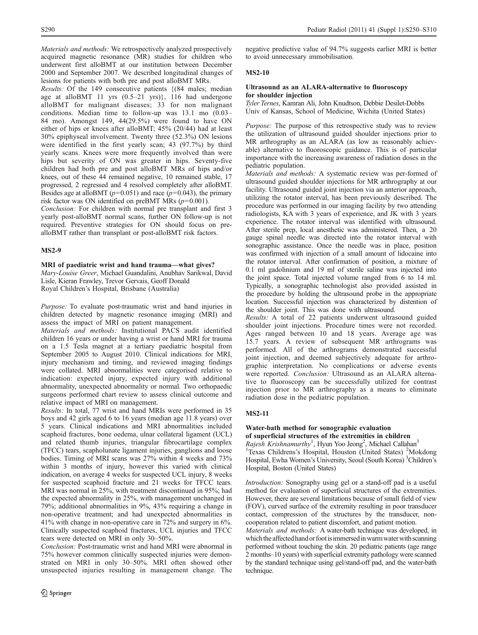Materials and methods: We retrospectively analyzed prospectively acquired magnetic resonance (MR) studies for children who underwent first alloBMT at our institution between December 2000 and September 2007. We described longitudinal changes of lesions for patients with both pre and post alloBMT MRs.

Results: Of the 149 consecutive patients {(84 males; median age at alloBMT 11 yrs (0.5–21 yrs)}, 116 had undergone alloBMT for malignant diseases; 33 for non malignant conditions. Median time to follow-up was 13.1 mo (0.03– 84 mo). Amongst 149, 44(29.5%) were found to have ON either of hips or knees after alloBMT; 45% (20/44) had at least 30% epiphyseal involvement. Twenty three (52.3%) ON lesions were identified in the first yearly scan; 43 (97.7%) by third yearly scans. Knees were more frequently involved than were hips but severity of ON was greater in hips. Seventy-five children had both pre and post alloBMT MRs of hips and/or knees, out of these 44 remained negative, 10 remained stable, 17 progressed, 2 regressed and 4 resolved completely after alloBMT. Besides age at alloBMT ( $p=0.051$ ) and race ( $p=0.043$ ), the primary risk factor was ON identified on preBMT MRs  $(p=0.001)$ .

Conclusion: For children with normal pre transplant and first 3 yearly post-alloBMT normal scans, further ON follow-up is not required. Preventive strategies for ON should focus on prealloBMT rather than transplant or post-alloBMT risk factors.

## MS2-9

## MRI of paediatric wrist and hand trauma—what gives?

Mary-Louise Greer, Michael Guandalini, Anubhav Sarikwal, David Lisle, Kieran Frawley, Trevor Gervais, Geoff Donald Royal Children's Hospital, Brisbane (Australia)

Purpose: To evaluate post-traumatic wrist and hand injuries in children detected by magnetic resonance imaging (MRI) and assess the impact of MRI on patient management.

Materials and methods: Institutional PACS audit identified children 16 years or under having a wrist or hand MRI for trauma on a 1.5 Tesla magnet at a tertiary paediatric hospital from September 2005 to August 2010. Clinical indications for MRI, injury mechanism and timing, and reviewed imaging findings were collated. MRI abnormalities were categorised relative to indication: expected injury, expected injury with additional abnormality, unexpected abnormality or normal. Two orthopaedic surgeons performed chart review to assess clinical outcome and relative impact of MRI on management.

Results: In total, 77 wrist and hand MRIs were performed in 35 boys and 42 girls aged 6 to 16 years (median age 11.8 years) over 5 years. Clinical indications and MRI abnormalities included scaphoid fractures, bone oedema, ulnar collateral ligament (UCL) and related thumb injuries, triangular fibrocartilage complex (TFCC) tears, scapholunate ligament injuries, ganglions and loose bodies. Timing of MRI scans was 27% within 4 weeks and 73% within 3 months of injury, however this varied with clinical indication, on average 4 weeks for suspected UCL injury, 8 weeks for suspected scaphoid fracture and 21 weeks for TFCC tears. MRI was normal in 25%, with treatment discontinued in 95%; had the expected abnormality in 25%, with management unchanged in 79%; additional abnormalities in 9%, 43% requiring a change in non-operative treatment; and had unexpected abnormalities in 41% with change in non-operative care in 72% and surgery in 6%. Clinically suspected scaphoid fractures, UCL injuries and TFCC tears were detected on MRI in only 30–50%.

Conclusion: Post-traumatic wrist and hand MRI were abnormal in 75% however common clinically suspected injuries were demonstrated on MRI in only 30–50%. MRI often showed other unsuspected injuries resulting in management change. The negative predictive value of 94.7% suggests earlier MRI is better to avoid unnecessary immobilisation.

## MS2-10

### Ultrasound as an ALARA-alternative to fluoroscopy for shoulder injection

Tyler Ternes, Kamran Ali, John Knudtson, Debbie Desilet-Dobbs Univ of Kansas, School of Medicine, Wichita (United States)

Purpose: The purpose of this retrospective study was to review the utilization of ultrasound guided shoulder injections prior to MR arthrography as an ALARA (as low as reasonably achievable) alternative to fluoroscopic guidance. This is of particular importance with the increasing awareness of radiation doses in the pediatric population.

Materials and methods: A systematic review was per-formed of ultrasound guided shoulder injections for MR arthrography at our facility. Ultrasound guided joint injection via an anterior approach, utilizing the rotator interval, has been previously described. The procedure was performed in our imaging facility by two attending radiologists, KA with 3 years of experience, and JK with 3 years experience. The rotator interval was identified with ultrasound. After sterile prep, local anesthetic was administered. Then, a 20 gauge spinal needle was directed into the rotator interval with sonographic assistance. Once the needle was in place, position was confirmed with injection of a small amount of lidocaine into the rotator interval. After confirmation of position, a mixture of 0.1 ml gadolinium and 19 ml of sterile saline was injected into the joint space. Total injected volume ranged from 6 to 14 ml. Typically, a sonographic technologist also provided assisted in the procedure by holding the ultrasound probe in the appropriate location. Successful injection was characterized by distention of the shoulder joint. This was done with ultrasound.

Results: A total of 22 patients underwent ultrasound guided shoulder joint injections. Procedure times were not recorded. Ages ranged between 10 and 18 years. Average age was 15.7 years. A review of subsequent MR arthrograms was performed. All of the arthrograms demonstrated successful joint injection, and deemed subjectively adequate for arthrographic interpretation. No complications or adverse events were reported. Conclusion: Ultrasound as an ALARA alternative to fluoroscopy can be successfully utilized for contrast injection prior to MR arthrography as a means to eliminate radiation dose in the pediatric population.

## MS2-11

## Water-bath method for sonographic evaluation of superficial structures of the extremities in children

Rajesh Krishnamurthy<sup>1</sup>, Hyun Yoo Jeong<sup>2</sup>, Michael Callahan<sup>3</sup> <sup>1</sup>Texas Childrens's Hospital, Houston (United States) <sup>2</sup>Mokdong Hospital, Ewha Women's University, Seoul (South Korea)<sup>3</sup> Children's Hospital, Boston (United States)

Introduction: Sonography using gel or a stand-off pad is a useful method for evaluation of superficial structures of the extremities. However, there are several limitations because of small field of view (FOV), curved surface of the extremity resulting in poor transducer contact, compression of the structures by the transducer, noncooperation related to patient discomfort, and patient motion.

Materials and methods: A water-bath technique was developed, in which the affected hand or foot is immersed in warm water with scanning performed without touching the skin. 20 pediatric patients (age range 2 months–10 years) with superficial extremity pathology were scanned by the standard technique using gel/stand-off pad, and the water-bath technique.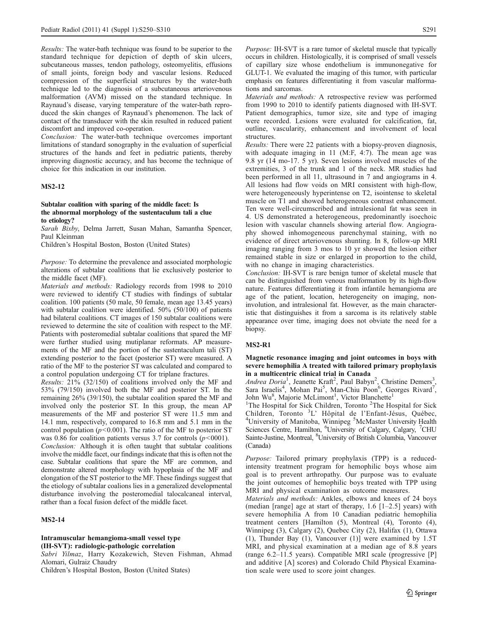Results: The water-bath technique was found to be superior to the standard technique for depiction of depth of skin ulcers, subcutaneous masses, tendon pathology, osteomyelitis, effusions of small joints, foreign body and vascular lesions. Reduced compression of the superficial structures by the water-bath technique led to the diagnosis of a subcutaneous arteriovenous malformation (AVM) missed on the standard technique. In Raynaud's disease, varying temperature of the water-bath reproduced the skin changes of Raynaud's phenomenon. The lack of contact of the transducer with the skin resulted in reduced patient discomfort and improved co-operation.

Conclusion: The water-bath technique overcomes important limitations of standard sonography in the evaluation of superficial structures of the hands and feet in pediatric patients, thereby improving diagnostic accuracy, and has become the technique of choice for this indication in our institution.

### MS2-12

### Subtalar coalition with sparing of the middle facet: Is the abnormal morphology of the sustentaculum tali a clue to etiology?

Sarah Bixby, Delma Jarrett, Susan Mahan, Samantha Spencer, Paul Kleinman

Children's Hospital Boston, Boston (United States)

Purpose: To determine the prevalence and associated morphologic alterations of subtalar coalitions that lie exclusively posterior to the middle facet (MF).

Materials and methods: Radiology records from 1998 to 2010 were reviewed to identify CT studies with findings of subtalar coalition. 100 patients (50 male, 50 female, mean age 13.45 years) with subtalar coalition were identified. 50% (50/100) of patients had bilateral coalitions. CT images of 150 subtalar coalitions were reviewed to determine the site of coalition with respect to the MF. Patients with posteromedial subtalar coalitions that spared the MF were further studied using mutiplanar reformats. AP measurements of the MF and the portion of the sustentaculum tali (ST) extending posterior to the facet (posterior ST) were measured. A ratio of the MF to the posterior ST was calculated and compared to a control population undergoing CT for triplane fractures.

Results: 21% (32/150) of coalitions involved only the MF and 53% (79/150) involved both the MF and posterior ST. In the remaining 26% (39/150), the subtalar coalition spared the MF and involved only the posterior ST. In this group, the mean AP measurements of the MF and posterior ST were 11.5 mm and 14.1 mm, respectively, compared to 16.8 mm and 5.1 mm in the control population ( $p$ <0.001). The ratio of the MF to posterior ST was 0.86 for coalition patients versus 3.7 for controls  $(p<0.001)$ . Conclusion: Although it is often taught that subtalar coalitions involve the middle facet, our findings indicate that this is often not the case. Subtalar coalitions that spare the MF are common, and demonstrate altered morphology with hypoplasia of the MF and elongation of the ST posterior to the MF. These findings suggest that the etiology of subtalar coalions lies in a generalized developmental disturbance involving the posteromedial talocalcaneal interval, rather than a focal fusion defect of the middle facet.

### MS2-14

### Intramuscular hemangioma-small vessel type (IH-SVT): radiologic-pathologic correlation

Sabri Yilmaz, Harry Kozakewich, Steven Fishman, Ahmad Alomari, Gulraiz Chaudry

Children's Hospital Boston, Boston (United States)

Purpose: IH-SVT is a rare tumor of skeletal muscle that typically occurs in children. Histologically, it is comprised of small vessels of capillary size whose endothelium is immunonegative for GLUT-1. We evaluated the imaging of this tumor, with particular emphasis on features differentiating it from vascular malformations and sarcomas.

Materials and methods: A retrospective review was performed from 1990 to 2010 to identify patients diagnosed with IH-SVT. Patient demographics, tumor size, site and type of imaging were recorded. Lesions were evaluated for calcification, fat, outline, vascularity, enhancement and involvement of local structures.

Results: There were 22 patients with a biopsy-proven diagnosis, with adequate imaging in 11 (M:F, 4:7). The mean age was 9.8 yr (14 mo-17. 5 yr). Seven lesions involved muscles of the extremities, 3 of the trunk and 1 of the neck. MR studies had been performed in all 11, ultrasound in 7 and angiograms in 4. All lesions had flow voids on MRI consistent with high-flow, were heterogeneously hyperintense on T2, isointense to skeletal muscle on T1 and showed heterogeneous contrast enhancement. Ten were well-circumscribed and intralesional fat was seen in 4. US demonstrated a heterogeneous, predominantly isoechoic lesion with vascular channels showing arterial flow. Angiography showed inhomogeneous parenchymal staining, with no evidence of direct arteriovenous shunting. In 8, follow-up MRI imaging ranging from 3 mos to 10 yr showed the lesion either remained stable in size or enlarged in proportion to the child, with no change in imaging characteristics.

Conclusion: IH-SVT is rare benign tumor of skeletal muscle that can be distinguished from venous malformation by its high-flow nature. Features differentiating it from infantile hemangioma are age of the patient, location, heterogeneity on imaging, noninvolution, and intralesional fat. However, as the main characteristic that distinguishes it from a sarcoma is its relatively stable appearance over time, imaging does not obviate the need for a biopsy.

## MS2-R1

## Magnetic resonance imaging and joint outcomes in boys with severe hemophilia A treated with tailored primary prophylaxis in a multicentric clinical trial in Canada

Andrea Doria<sup>1</sup>, Jeanette Kraft<sup>2</sup>, Paul Babyn<sup>2</sup>, Christine Demers<sup>3</sup> , Sara Israelis<sup>4</sup>, Mohan Pai<sup>5</sup>, Man-Chiu Poon<sup>6</sup>, Georges Rivard<sup>7</sup>, John Wu<sup>8</sup>, Majorie McLimont<sup>1</sup>, Victor Blanchette<sup>1</sup>

<sup>1</sup>The Hospital for Sick Children, Toronto <sup>2</sup>The Hospital for Sick Children, Toronto <sup>3</sup>L' Hôpital de l'Enfant-Jésus, Québec, University of Manitoba, Winnipeg <sup>5</sup>McMaster University Health Sciences Centre, Hamilton, <sup>6</sup>University of Calgary, Calgary, <sup>7</sup>CHU Sainte-Justine, Montreal, <sup>8</sup> University of British Columbia, Vancouver (Canada)

Purpose: Tailored primary prophylaxis (TPP) is a reducedintensity treatment program for hemophilic boys whose aim goal is to prevent arthropathy. Our purpose was to evaluate the joint outcomes of hemophilic boys treated with TPP using MRI and physical examination as outcome measures.

Materials and methods: Ankles, elbows and knees of 24 boys (median [range] age at start of therapy, 1.6 [1–2.5] years) with severe hemophilia A from 10 Canadian pediatric hemophilia treatment centers [Hamilton (5), Montreal (4), Toronto (4), Winnipeg (3), Calgary (2), Quebec City (2), Halifax (1), Ottawa (1), Thunder Bay (1), Vancouver (1)] were examined by 1.5T MRI, and physical examination at a median age of 8.8 years (range 6.2–11.5 years). Compatible MRI scale (progressive [P] and additive [A] scores) and Colorado Child Physical Examination scale were used to score joint changes.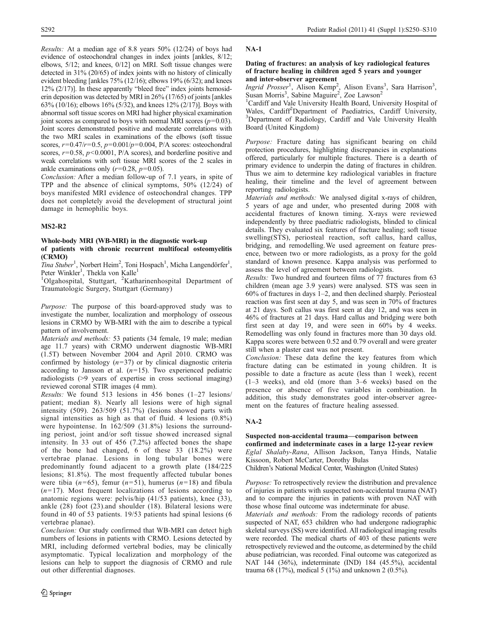Results: At a median age of 8.8 years 50% (12/24) of boys had evidence of osteochondral changes in index joints [ankles, 8/12; elbows, 5/12; and knees, 0/12] on MRI. Soft tissue changes were detected in 31% (20/65) of index joints with no history of clinically evident bleeding [ankles 75% (12/16); elbows 19% (6/32); and knees 12% (2/17)]. In these apparently "bleed free" index joints hemosiderin deposition was detected by MRI in 26% (17/65) of joints [ankles 63% (10/16); elbows 16% (5/32), and knees 12% (2/17)]. Boys with abnormal soft tissue scores on MRI had higher physical examination joint scores as compared to boys with normal MRI scores  $(p=0.03)$ . Joint scores demonstrated positive and moderate correlations with the two MRI scales in examinations of the elbows (soft tissue scores,  $r=0.47/r=0.5$ ,  $p=0.001/p=0.004$ , P/A scores: osteochondral scores,  $r=0.58$ ,  $p<0.0001$ ,  $P/A$  scores), and borderline positive and weak correlations with soft tissue MRI scores of the 2 scales in ankle examinations only  $(r=0.28, p=0.05)$ .

Conclusion: After a median follow-up of 7.1 years, in spite of TPP and the absence of clinical symptoms, 50% (12/24) of boys manifested MRI evidence of osteochondral changes. TPP does not completely avoid the development of structural joint damage in hemophilic boys.

## MS2-R2

## Whole-body MRI (WB-MRI) in the diagnostic work-up of patients with chronic recurrent multifocal osteomyelitis (CRMO)

Tina Stuber<sup>1</sup>, Norbert Heim<sup>2</sup>, Toni Hospach<sup>1</sup>, Micha Langendörfer<sup>1</sup>, Peter Winkler<sup>1</sup>, Thekla von Kalle<sup>1</sup>

<sup>1</sup>Olgahospital, Stuttgart, <sup>2</sup>Katharinenhospital Department of Traumatologic Surgery, Stuttgart (Germany)

Purpose: The purpose of this board-approved study was to investigate the number, localization and morphology of osseous lesions in CRMO by WB-MRI with the aim to describe a typical pattern of involvement.

Materials and methods: 53 patients (34 female, 19 male; median age 11.7 years) with CRMO underwent diagnostic WB-MRI (1.5T) between November 2004 and April 2010. CRMO was confirmed by histology  $(n=37)$  or by clinical diagnostic criteria according to Jansson et al.  $(n=15)$ . Two experienced pediatric radiologists (>9 years of expertise in cross sectional imaging) reviewed coronal STIR images (4 mm).

Results: We found 513 lesions in 456 bones (1–27 lesions/ patient; median 8). Nearly all lesions were of high signal intensity (509). 263/509 (51.7%) (lesions showed parts with signal intensities as high as that of fluid. 4 lesions (0.8%) were hypointense. In 162/509 (31.8%) lesions the surrounding periost, joint and/or soft tissue showed increased signal intensity. In 33 out of 456 (7.2%) affected bones the shape of the bone had changed, 6 of these 33 (18.2%) were vertebrae planae. Lesions in long tubular bones were predominantly found adjacent to a growth plate (184/225 lesions; 81.8%). The most frequently affected tubular bones were tibia ( $n=65$ ), femur ( $n=51$ ), humerus ( $n=18$ ) and fibula  $(n=17)$ . Most frequent localizations of lesions according to anatomic regions were: pelvis/hip (41/53 patients), knee (33), ankle (28) foot (23).and shoulder (18). Bilateral lesions were found in 40 of 53 patients. 19/53 patients had spinal lesions (6 vertebrae planae).

Conclusion: Our study confirmed that WB-MRI can detect high numbers of lesions in patients with CRMO. Lesions detected by MRI, including deformed vertebral bodies, may be clinically asymptomatic. Typical localization and morphology of the lesions can help to support the diagnosis of CRMO and rule out other differential diagnoses.

## NA-1

## Dating of fractures: an analysis of key radiological features of fracture healing in children aged 5 years and younger and inter-observer agreement

Ingrid Prosser<sup>1</sup>, Alison Kemp<sup>2</sup>, Alison Evans<sup>3</sup>, Sara Harrison<sup>3</sup>, Susan Morris<sup>3</sup>, Sabine Maguire<sup>2</sup>, Zoe Lawson<sup>2</sup>

<sup>1</sup>Cardiff and Vale University Health Board, University Hospital of Wales, Cardiff<sup>2</sup>Department of Paediatrics, Cardiff University, 3<br>
<sup>3</sup>Department of Padiology Cardiff and Vale University Health <sup>3</sup>Department of Radiology, Cardiff and Vale University Health Board (United Kingdom)

Purpose: Fracture dating has significant bearing on child protection procedures, highlighting discrepancies in explanations offered, particularly for multiple fractures. There is a dearth of primary evidence to underpin the dating of fractures in children. Thus we aim to determine key radiological variables in fracture healing, their timeline and the level of agreement between reporting radiologists.

Materials and methods: We analysed digital x-rays of children, 5 years of age and under, who presented during 2008 with accidental fractures of known timing. X-rays were reviewed independently by three paediatric radiologists, blinded to clinical details. They evaluated six features of fracture healing; soft tissue swelling(STS), periosteal reaction, soft callus, hard callus, bridging, and remodelling.We used agreement on feature presence, between two or more radiologists, as a proxy for the gold standard of known presence. Kappa analysis was performed to assess the level of agreement between radiologists.

Results: Two hundred and fourteen films of 77 fractures from 63 children (mean age 3.9 years) were analysed. STS was seen in 60% of fractures in days 1–2, and then declined sharply. Periosteal reaction was first seen at day 5, and was seen in 70% of fractures at 21 days. Soft callus was first seen at day 12, and was seen in 46% of fractures at 21 days. Hard callus and bridging were both first seen at day 19, and were seen in 60% by 4 weeks. Remodelling was only found in fractures more than 30 days old. Kappa scores were between 0.52 and 0.79 overall and were greater still when a plaster cast was not present.

Conclusion: These data define the key features from which fracture dating can be estimated in young children. It is possible to date a fracture as acute (less than 1 week), recent (1–3 weeks), and old (more than 3–6 weeks) based on the presence or absence of five variables in combination. In addition, this study demonstrates good inter-observer agreement on the features of fracture healing assessed.

## NA-2

## Suspected non-accidental trauma—comparison between confirmed and indeterminate cases in a large 12-year review

Eglal Shalaby-Rana, Allison Jackson, Tanya Hinds, Natalie Kissoon, Robert McCarter, Dorothy Bulas

Children's National Medical Center, Washington (United States)

Purpose: To retrospectively review the distribution and prevalence of injuries in patients with suspected non-accidental trauma (NAT) and to compare the injuries in patients with proven NAT with those whose final outcome was indeterminate for abuse.

Materials and methods: From the radiology records of patients suspected of NAT, 653 children who had undergone radiographic skeletal surveys (SS) were identified. All radiological imaging results were recorded. The medical charts of 403 of these patients were retrospectively reviewed and the outcome, as determined by the child abuse pediatrician, was recorded. Final outcome was categorized as NAT 144 (36%), indeterminate (IND) 184 (45.5%), accidental trauma 68 (17%), medical 5 (1%) and unknown 2 (0.5%).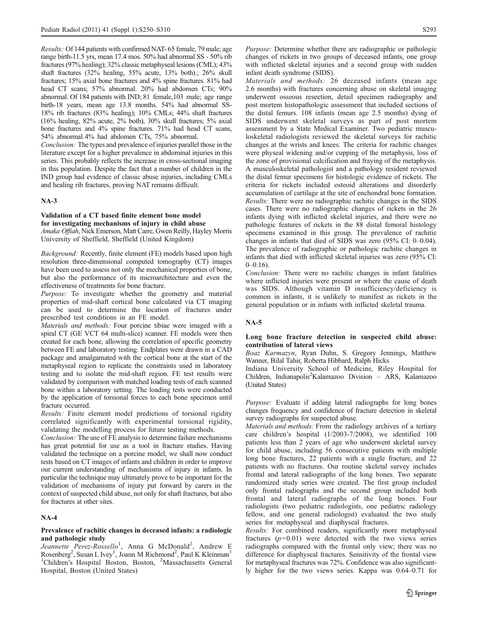Results: Of 144 patients with confirmed NAT- 65 female, 79 male; age range birth-11.5 yrs, mean 17.4 mos. 50% had abnormal SS - 50% rib fractures (97% healing); 32% classic metaphyseal lesions (CML); 43% shaft fractures (32% healing, 55% acute, 13% both).; 26% skull fractures; 15% axial bone fractures and 4% spine fractures. 81% had head CT scans; 57% abnormal. 20% had abdomen CTs; 90% abnormal. Of 184 patients with IND; 81 female,103 male; age range birth-18 years, mean age 13.8 months. 54% had abnormal SS-18% rib fractures (83% healing); 10% CMLs; 44% shaft fractures (16% healing, 82% acute, 2% both), 30% skull fractures; 5% axial bone fractures and 4% spine fractures. 71% had head CT scans, 54% abnormal.4% had abdomen CTs, 75% abnormal.

Conclusion: The types and prevalence of injuries parallel those in the literature except for a higher prevalence in abdominal injuries in this series. This probably reflects the increase in cross-sectional imaging in this population. Despite the fact that a number of children in the IND group had evidence of classic abuse injuries, including CMLs and healing rib fractures, proving NAT remains difficult.

## NA-3

### Validation of a CT based finite element bone model for investigating mechanisms of injury in child abuse

Amaka Offiah, Nick Emerson, Matt Carre, Gwen Reilly, Hayley Morris University of Sheffield, Sheffield (United Kingdom)

Background: Recently, finite element (FE) models based upon high resolution three-dimensional computed tomography (CT) images have been used to assess not only the mechanical properties of bone, but also the performance of its microarchitecture and even the effectiveness of treatments for bone fracture.

Purpose: To investigate whether the geometry and material properties of mid-shaft cortical bone calculated via CT imaging can be used to determine the location of fractures under prescribed test conditions in an FE model.

Materials and methods: Four porcine tibiae were imaged with a spiral CT (GE VCT 64 multi-slice) scanner. FE models were then created for each bone, allowing the correlation of specific geometry between FE and laboratory testing. Endplates were drawn in a CAD package and amalgamated with the cortical bone at the start of the metaphyseal region to replicate the constraints used in laboratory testing and to isolate the mid-shaft region. FE test results were validated by comparison with matched loading tests of each scanned bone within a laboratory setting. The loading tests were conducted by the application of torsional forces to each bone specimen until fracture occurred.

Results: Finite element model predictions of torsional rigidity correlated significantly with experimental torsional rigidity, validating the modelling process for future testing methods.

Conclusion: The use of FE analysis to determine failure mechanisms has great potential for use as a tool in fracture studies. Having validated the technique on a porcine model, we shall now conduct tests based on CT images of infants and children in order to improve our current understanding of mechanisms of injury in infants. In particular the technique may ultimately prove to be important for the validation of mechanisms of injury put forward by carers in the context of suspected child abuse, not only for shaft fractures, but also for fractures at other sites.

## $NA-4$

### Prevalence of rachitic changes in deceased infants: a radiologic and pathologic study

Jeannette Perez-Rossello<sup>1</sup>, Anna G McDonald<sup>2</sup>, Andrew E Rosenberg<sup>2</sup>, Susan L Ivey<sup>1</sup>, Joann M Richmond<sup>2</sup>, Paul K Kleinman<sup>1</sup> <sup>1</sup>Children's Hospital Boston, Boston, <sup>2</sup>Massachusetts General Hospital, Boston (United States)

Purpose: Determine whether there are radiographic or pathologic changes of rickets in two groups of deceased infants, one group with inflicted skeletal injuries and a second group with sudden infant death syndrome (SIDS).

Materials and methods: 26 deceased infants (mean age 2.6 months) with fractures concerning abuse on skeletal imaging underwent osseous resection, detail specimen radiography and post mortem histopathologic assessment that included sections of the distal femurs. 108 infants (mean age 2.5 months) dying of SIDS underwent skeletal surveys as part of post mortem assessment by a State Medical Examiner. Two pediatric musculoskeletal radiologists reviewed the skeletal surveys for rachitic changes at the wrists and knees. The criteria for rachitic changes were physeal widening and/or cupping of the metaphysis, loss of the zone of provisional calcification and fraying of the metaphysis. A musculoskeletal pathologist and a pathology resident reviewed the distal femur specimens for histologic evidence of rickets. The criteria for rickets included osteoid alterations and disorderly accumulation of cartilage at the site of enchondral bone formation. Results: There were no radiographic rachitic changes in the SIDS cases. There were no radiographic changes of rickets in the 26 infants dying with inflicted skeletal injuries, and there were no pathologic features of rickets in the 88 distal femoral histology specimens examined in this group. The prevalence of rachitic changes in infants that died of SIDS was zero (95% CI: 0–0.04). The prevalence of radiographic or pathologic rachitic changes in infants that died with inflicted skeletal injuries was zero (95% CI:  $0-0.16$ ).

Conclusion: There were no rachitic changes in infant fatalities where inflicted injuries were present or where the cause of death was SIDS. Although vitamin D insufficiency/deficiency is common in infants, it is unlikely to manifest as rickets in the general population or in infants with inflicted skeletal trauma.

## NA-5

## Long bone fracture detection in suspected child abuse: contribution of lateral views

Boaz Karmazyn, Ryan Duhn, S. Gregory Jennings, Matthew Wanner, Bilal Tahir, Roberta Hibbard, Ralph Hicks

Indiana University School of Medicine, Riley Hospital for Children, Indianapolis<sup>2</sup>Kalamazoo Division - ARS, Kalamazoo (United States)

Purpose: Evaluate if adding lateral radiographs for long bones changes frequency and confidence of fracture detection in skeletal survey radiographs for suspected abuse.

Materials and methods: From the radiology archives of a tertiary care children's hospital (1/2003-7/2008), we identified 100 patients less than 2 years of age who underwent skeletal survey for child abuse, including 56 consecutive patients with multiple long bone fractures, 22 patients with a single fracture, and 22 patients with no fractures. Our routine skeletal survey includes frontal and lateral radiographs of the long bones. Two separate randomized study series were created. The first group included only frontal radiographs and the second group included both frontal and lateral radiographs of the long bones. Four radiologists (two pediatric radiologists, one pediatric radiology fellow, and one general radiologist) evaluated the two study series for metaphyseal and diaphyseal fractures.

Results: For combined readers, significantly more metaphyseal fractures  $(p=0.01)$  were detected with the two views series radiographs compared with the frontal only view; there was no difference for diaphyseal fractures. Sensitivity of the frontal view for metaphyseal fractures was 72%. Confidence was also significantly higher for the two views series. Kappa was 0.64–0.71 for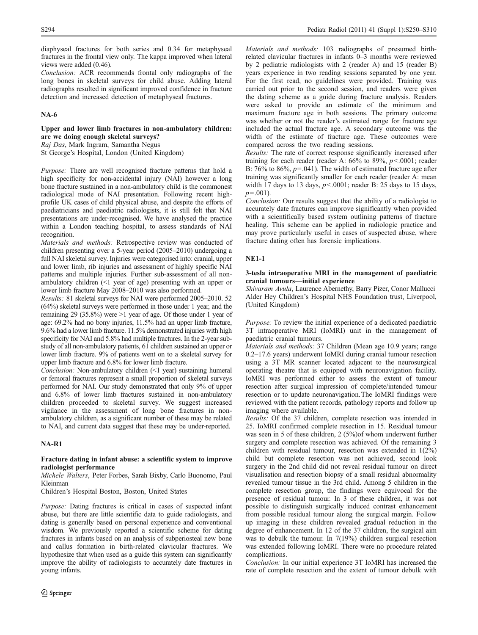diaphyseal fractures for both series and 0.34 for metaphyseal fractures in the frontal view only. The kappa improved when lateral views were added (0.46).

Conclusion: ACR recommends frontal only radiographs of the long bones in skeletal surveys for child abuse. Adding lateral radiographs resulted in significant improved confidence in fracture detection and increased detection of metaphyseal fractures.

## NA-6

## Upper and lower limb fractures in non-ambulatory children: are we doing enough skeletal surveys?

Raj Das, Mark Ingram, Samantha Negus

St George's Hospital, London (United Kingdom)

Purpose: There are well recognised fracture patterns that hold a high specificity for non-accidental injury (NAI) however a long bone fracture sustained in a non-ambulatory child is the commonest radiological mode of NAI presentation. Following recent highprofile UK cases of child physical abuse, and despite the efforts of paediatricians and paediatric radiologists, it is still felt that NAI presentations are under-recognised. We have analysed the practice within a London teaching hospital, to assess standards of NAI recognition.

Materials and methods: Retrospective review was conducted of children presenting over a 5-year period (2005–2010) undergoing a full NAI skeletal survey. Injuries were categorised into: cranial, upper and lower limb, rib injuries and assessment of highly specific NAI patterns and multiple injuries. Further sub-assessment of all nonambulatory children (<1 year of age) presenting with an upper or lower limb fracture May 2008–2010 was also performed.

Results: 81 skeletal surveys for NAI were performed 2005–2010. 52 (64%) skeletal surveys were performed in those under 1 year, and the remaining 29 (35.8%) were >1 year of age. Of those under 1 year of age: 69.2% had no bony injuries, 11.5% had an upper limb fracture, 9.6% had a lower limb fracture. 11.5% demonstrated injuries with high specificity for NAI and 5.8% had multiple fractures. In the 2-year substudy of all non-ambulatory patients, 61 children sustained an upper or lower limb fracture. 9% of patients went on to a skeletal survey for upper limb fracture and 6.8% for lower limb fracture.

Conclusion: Non-ambulatory children (<1 year) sustaining humeral or femoral fractures represent a small proportion of skeletal surveys performed for NAI. Our study demonstrated that only 9% of upper and 6.8% of lower limb fractures sustained in non-ambulatory children proceeded to skeletal survey. We suggest increased vigilance in the assessment of long bone fractures in nonambulatory children, as a significant number of these may be related to NAI, and current data suggest that these may be under-reported.

## NA-R1

## Fracture dating in infant abuse: a scientific system to improve radiologist performance

Michele Walters, Peter Forbes, Sarah Bixby, Carlo Buonomo, Paul Kleinman

Children's Hospital Boston, Boston, United States

Purpose: Dating fractures is critical in cases of suspected infant abuse, but there are little scientific data to guide radiologists, and dating is generally based on personal experience and conventional wisdom. We previously reported a scientific scheme for dating fractures in infants based on an analysis of subperiosteal new bone and callus formation in birth-related clavicular fractures. We hypothesize that when used as a guide this system can significantly improve the ability of radiologists to accurately date fractures in young infants.

Materials and methods: 103 radiographs of presumed birthrelated clavicular fractures in infants 0–3 months were reviewed by 2 pediatric radiologists with 2 (reader A) and 15 (reader B) years experience in two reading sessions separated by one year. For the first read, no guidelines were provided. Training was carried out prior to the second session, and readers were given the dating scheme as a guide during fracture analysis. Readers were asked to provide an estimate of the minimum and maximum fracture age in both sessions. The primary outcome was whether or not the reader's estimated range for fracture age included the actual fracture age. A secondary outcome was the width of the estimate of fracture age. These outcomes were compared across the two reading sessions.

Results: The rate of correct response significantly increased after training for each reader (reader A:  $66\%$  to 89%,  $p < .0001$ ; reader B:  $76\%$  to  $86\%, p=.041$ ). The width of estimated fracture age after training was significantly smaller for each reader (reader A: mean width 17 days to 13 days,  $p < .0001$ ; reader B: 25 days to 15 days,  $p=.001$ ).

Conclusion: Our results suggest that the ability of a radiologist to accurately date fractures can improve significantly when provided with a scientifically based system outlining patterns of fracture healing. This scheme can be applied in radiologic practice and may prove particularly useful in cases of suspected abuse, where fracture dating often has forensic implications.

## NE1-1

## 3-tesla intraoperative MRI in the management of paediatric cranial tumours—initial experience

Shivaram Avula, Laurence Abernethy, Barry Pizer, Conor Mallucci Alder Hey Children's Hospital NHS Foundation trust, Liverpool, (United Kingdom)

Purpose: To review the initial experience of a dedicated paediatric 3T intraoperative MRI (IoMRI) unit in the management of paediatric cranial tumours.

Materials and methods: 37 Children (Mean age 10.9 years; range 0.2–17.6 years) underwent IoMRI during cranial tumour resection using a 3T MR scanner located adjacent to the neurosurgical operating theatre that is equipped with neuronavigation facility. IoMRI was performed either to assess the extent of tumour resection after surgical impression of complete/intended tumour resection or to update neuronavigation.The IoMRI findings were reviewed with the patient records, pathology reports and follow up imaging where available.

Results: Of the 37 children, complete resection was intended in 25. IoMRI confirmed complete resection in 15. Residual tumour was seen in 5 of these children, 2 (5%)of whom underwent further surgery and complete resection was achieved. Of the remaining 3 children with residual tumour, resection was extended in 1(2%) child but complete resection was not achieved, second look surgery in the 2nd child did not reveal residual tumour on direct visualisation and resection biopsy of a small residual abnormality revealed tumour tissue in the 3rd child. Among 5 children in the complete resection group, the findings were equivocal for the presence of residual tumour. In 3 of these children, it was not possible to distinguish surgically induced contrast enhancement from possible residual tumour along the surgical margin. Follow up imaging in these children revealed gradual reduction in the degree of enhancement. In 12 of the 37 children, the surgical aim was to debulk the tumour. In 7(19%) children surgical resection was extended following IoMRI. There were no procedure related complications.

Conclusion: In our initial experience 3T IoMRI has increased the rate of complete resection and the extent of tumour debulk with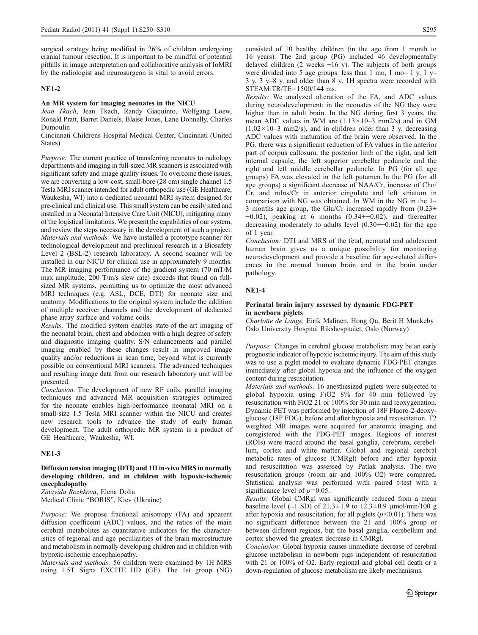surgical strategy being modified in 26% of children undergoing cranial tumour resection. It is important to be mindful of potential pitfalls in image interpretation and collaborative analysis of IoMRI by the radiologist and neurosurgeon is vital to avoid errors.

## NE1-2

### An MR system for imaging neonates in the NICU

Jean Tkach, Jean Tkach, Randy Giaquinto, Wolfgang Loew, Ronald Pratt, Barret Daniels, Blaise Jones, Lane Donnelly, Charles Dumoulin

Cincinnati Childrens Hospital Medical Center, Cincinnati (United States)

Purpose: The current practice of transferring neonates to radiology departments and imaging in full-sized MR scanners is associated with significant safety and image quality issues. To overcome these issues, we are converting a low-cost, small-bore (28 cm) single channel 1.5 Tesla MRI scanner intended for adult orthopedic use (GE Healthcare, Waukesha, WI) into a dedicated neonatal MRI system designed for pre-clinical and clinical use. This small system can be easily sited and installed in a Neonatal Intensive Care Unit (NICU), mitigating many of the logistical limitations. We present the capabilities of our system, and review the steps necessary in the development of such a project. Materials and methods: We have installed a prototype scanner for technological development and preclinical research in a Biosafety Level 2 (BSL-2) research laboratory. A second scanner will be installed in our NICU for clinical use in approximately 9 months. The MR imaging performance of the gradient system (70 mT/M max amplitude; 200 T/m/s slew rate) exceeds that found on fullsized MR systems, permitting us to optimize the most advanced MRI techniques (e.g. ASL, DCE, DTI) for neonate size and anatomy. Modifications to the original system include the addition of multiple receiver channels and the development of dedicated phase array surface and volume coils.

Results: The modified system enables state-of-the-art imaging of the neonatal brain, chest and abdomen with a high degree of safety and diagnostic imaging quality. S/N enhancements and parallel imaging enabled by these changes result in improved image quality and/or reductions in scan time, beyond what is currently possible on conventional MRI scanners. The advanced techniques and resulting image data from our research laboratory unit will be presented.

Conclusion: The development of new RF coils, parallel imaging techniques and advanced MR acquisition strategies optimized for the neonate enables high-performance neonatal MRI on a small-size 1.5 Tesla MRI scanner within the NICU and creates new research tools to advance the study of early human development. The adult orthopedic MR system is a product of GE Healthcare, Waukesha, WI.

## NE1-3

## Diffusion tension imaging (DTI) and 1H in-vivo MRS in normally developing children, and in children with hypoxic-ischemic encephalopathy

Zinayida Rozhkova, Elena Dolia Medical Clinic "BORIS", Kiev (Ukraine)

Purpose: We propose fractional anisotropy (FA) and apparent diffusion coefficeint (ADC) values, and the ratios of the main cerebral metabolites as quantitative indicators for the characteristics of regional and age peculiarities of the brain microstructure and metabolism in normally developing children and in children with hypoxic-ischemic encephalopathy.

Materials and methods: 56 children were examined by 1H MRS using 1.5T Signa EXCITE HD (GE). The 1st group (NG) consisted of 10 healthy children (in the age from 1 month to 16 years). The 2nd group (PG) included 46 developmentally delayed children (2 weeks −16 y). The subjects of both groups were divided into 5 age groups: less than 1 mo, 1 mo– 1 y, 1 y– 3 y, 3 y–8 y, and older than 8 y. 1H spectra were recorded with STEAM:TR/TE=1500/144 ms.

Results: We analyzed alteration of the FA, and ADC values during neurodevelopment: in the neonates of the NG they were higher than in adult brain. In the NG during first 3 years, the mean ADC values in WM are  $(1.13 \times 10^{-3} \text{ mm2/s})$  and in GM  $(1.02 \times 10^{-3} \text{ mm}^2/\text{s})$ , and in children older than 3 y. decreasing ADC values with maturation of the brain were observed. In the PG, there was a significant reduction of FA values in the anterior part of corpus callosum, the posterior limb of the right, and left internal capsule, the left superior cerebellar peduncle and the right and left middle cerebellar peduncle. In PG (for all age groups) FA was elevated in the left putamen. In the PG (for all age groups) a significant decrease of NAA/Cr, increase of Cho/ Cr, and mIns/Cr in anterior cingulate and left striatum in comparison with NG was obtained. In WM in the NG in the 1– 3 months age group, the Glu/Cr increased rapidly from (0.23+  $-0.02$ ), peaking at 6 months  $(0.34+-0.02)$ , and thereafter decreasing moderately to adults level (0.30+−0.02) for the age of 1 year.

Conclusion: DTI and MRS of the fetal, neonatal and adolescent human brain gives us a unique possibility for monitoring neurodevelopment and provide a baseline for age-related differences in the normal human brain and in the brain under pathology.

## NE1-4

### Perinatal brain injury assessed by dynamic FDG-PET in newborn piglets

Charlotte de Lange, Eirik Malinen, Hong Qu, Berit H Munkeby Oslo University Hospital Rikshospitalet, Oslo (Norway)

Purpose: Changes in cerebral glucose metabolism may be an early prognostic indicator of hypoxic ischemic injury. The aim of this study was to use a piglet model to evaluate dynamic FDG-PET changes immediately after global hypoxia and the influence of the oxygen content during resuscitation.

Materials and methods: 16 anesthesized piglets were subjected to global hypoxia using FiO2 8% for 40 min followed by resuscitation with FiO2 21 or 100% for 30 min and reoxygenation. Dynamic PET was performed by injection of 18F Fluoro-2-deoxyglucose (18F FDG), before and after hypoxia and resuscitation. T2 weighted MR images were acquired for anatomic imaging and coregistered with the FDG-PET images. Regions of interest (ROIs) were traced around the basal ganglia, cerebrum, cerebellum, cortex and white matter. Global and regional cerebral metabolic rates of glucose (CMRgl) before and after hypoxia and resuscitation was assessed by Patlak analysis. The two resuscitation groups (room air and 100% O2) were compared. Statistical analysis was performed with paired t-test with a significance level of  $p=0.05$ .

Results: Global CMRgl was significantly reduced from a mean baseline level ( $\pm 1$  SD) of 21.3 $\pm 1.9$  to 12.3 $\pm 0.9$  μmol/min/100 g after hypoxia and resuscitation, for all piglets  $(p<0.01)$ . There was no significant difference between the 21 and 100% group or between different regions, but the basal ganglia, cerebellum and cortex showed the greatest decrease in CMRgl.

Conclusion: Global hypoxia causes immediate decrease of cerebral glucose metabolism in newborn pigs independent of resuscitation with 21 or 100% of O2. Early regional and global cell death or a down-regulation of glucose metabolism are likely mechanisms.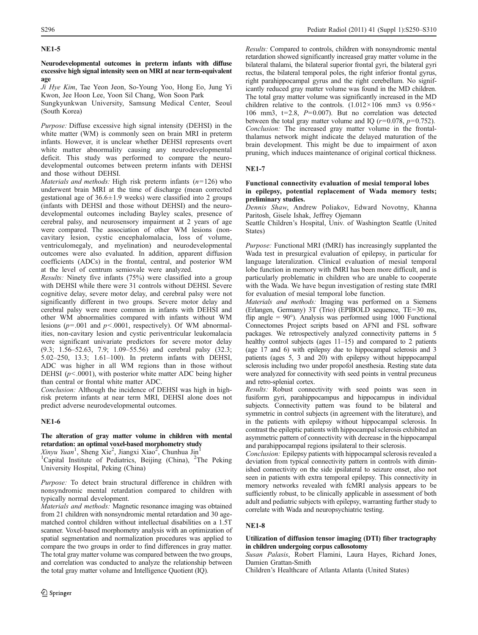## NE1-5

## Neurodevelopmental outcomes in preterm infants with diffuse excessive high signal intensity seen on MRI at near term-equivalent age

Ji Hye Kim, Tae Yeon Jeon, So-Young Yoo, Hong Eo, Jung Yi Kwon, Jee Hoon Lee, Yoon Sil Chang, Won Soon Park

Sungkyunkwan University, Samsung Medical Center, Seoul (South Korea)

Purpose: Diffuse excessive high signal intensity (DEHSI) in the white matter (WM) is commonly seen on brain MRI in preterm infants. However, it is unclear whether DEHSI represents overt white matter abnormality causing any neurodevelopmental deficit. This study was performed to compare the neurodevelopmental outcomes between preterm infants with DEHSI and those without DEHSI.

*Materials and methods:* High risk preterm infants  $(n=126)$  who underwent brain MRI at the time of discharge (mean corrected gestational age of  $36.6 \pm 1.9$  weeks) were classified into 2 groups (infants with DEHSI and those without DEHSI) and the neurodevelopmental outcomes including Bayley scales, presence of cerebral palsy, and neurosensory impairment at 2 years of age were compared. The association of other WM lesions (noncavitary lesion, cystic encephalomalacia, loss of volume, ventriculomegaly, and myelination) and neurodevelopmental outcomes were also evaluated. In addition, apparent diffusion coefficients (ADCs) in the frontal, central, and posterior WM at the level of centrum semiovale were analyzed.

Results: Ninety five infants (75%) were classified into a group with DEHSI while there were 31 controls without DEHSI. Severe cognitive delay, severe motor delay, and cerebral palsy were not significantly different in two groups. Severe motor delay and cerebral palsy were more common in infants with DEHSI and other WM abnormalities compared with infants without WM lesions ( $p = .001$  and  $p < .0001$ , respectively). Of WM abnormalities, non-cavitary lesion and cystic periventricular leukomalacia were significant univariate predictors for severe motor delay (9.3; 1.56–52.63, 7.9; 1.09–55.56) and cerebral palsy (32.3; 5.02–250, 13.3; 1.61–100). In preterm infants with DEHSI, ADC was higher in all WM regions than in those without DEHSI ( $p$ <.0001), with posterior white matter ADC being higher than central or frontal white matter ADC.

Conclusion: Although the incidence of DEHSI was high in highrisk preterm infants at near term MRI, DEHSI alone does not predict adverse neurodevelopmental outcomes.

## NE1-6

## The alteration of gray matter volume in children with mental retardation: an optimal voxel-based morphometry study

Xinyu Yuan<sup>1</sup>, Sheng Xie<sup>2</sup>, Jiangxi Xiao<sup>2</sup>, Chunhua Jin<sup>1</sup>

<sup>1</sup>Capital Institute of Pediatrics, Beijing (China), <sup>2</sup>The Peking University Hospital, Peking (China)

Purpose: To detect brain structural difference in children with nonsyndromic mental retardation compared to children with typically normal development.

Materials and methods: Magnetic resonance imaging was obtained from 21 children with nonsyndromic mental retardation and 30 agematched control children without intellectual disabilities on a 1.5T scanner. Voxel-based morphometry analysis with an optimization of spatial segmentation and normalization procedures was applied to compare the two groups in order to find differences in gray matter. The total gray matter volume was compared between the two groups, and correlation was conducted to analyze the relationship between the total gray matter volume and Intelligence Quotient (IQ).

Results: Compared to controls, children with nonsyndromic mental retardation showed significantly increased gray matter volume in the bilateral thalami, the bilateral superior frontal gyri, the bilateral gyri rectus, the bilateral temporal poles, the right inferior frontal gyrus, right parahippocampal gyrus and the right cerebellum. No significantly reduced gray matter volume was found in the MD children. The total gray matter volume was significantly increased in the MD children relative to the controls.  $(1.012 \times 106 \text{ mm}^3 \text{ vs } 0.956 \times$ 106 mm3,  $t=2.8$ ,  $P=0.007$ ). But no correlation was detected between the total gray matter volume and IQ ( $r=0.078$ ,  $p=0.752$ ). Conclusion: The increased gray matter volume in the frontalthalamus network might indicate the delayed maturation of the brain development. This might be due to impairment of axon pruning, which induces maintenance of original cortical thickness.

## NE1-7

## Functional connectivity evaluation of mesial temporal lobes in epilepsy, potential replacement of Wada memory tests; preliminary studies.

Dennis Shaw, Andrew Poliakov, Edward Novotny, Khanna Paritosh, Gisele Ishak, Jeffrey Ojemann

Seattle Children's Hospital, Univ. of Washington Seattle (United States)

Purpose: Functional MRI (fMRI) has increasingly supplanted the Wada test in presurgical evaluation of epilepsy, in particular for language lateralization. Clinical evaluation of mesial temporal lobe function in memory with fMRI has been more difficult, and is particularly problematic in children who are unable to cooperate with the Wada. We have begun investigation of resting state fMRI for evaluation of mesial temporal lobe function.

Materials and methods: Imaging was performed on a Siemens (Erlangen, Germany) 3T (Trio) (EPIBOLD sequence, TE=30 ms, flip angle =  $90^{\circ}$ ). Analysis was performed using 1000 Functional Connectomes Project scripts based on AFNI and FSL software packages. We retrospectively analyzed connectivity patterns in 5 healthy control subjects (ages 11–15) and compared to 2 patients (age 17 and 6) with epilepsy due to hippocampal sclerosis and 3 patients (ages 5, 3 and 20) with epilepsy without hipppocampal sclerosis including two under propofol anesthesia. Resting state data were analyzed for connectivity with seed points in ventral precuneus and retro-splenial cortex.

Results: Robust connectivity with seed points was seen in fusiform gyri, parahippocampus and hippocampus in individual subjects. Connectivity pattern was found to be bilateral and symmetric in control subjects (in agreement with the literature), and in the patients with epilepsy without hippocampal sclerosis. In contrast the epileptic patients with hippocampal sclerosis exhibited an asymmetric pattern of connectivity with decrease in the hippocampal and parahippocampal regions ipsilateral to their sclerosis.

Conclusion: Epilepsy patients with hippocampal sclerosis revealed a deviation from typical connectivity pattern in controls with diminished connectivity on the side ipsilateral to seizure onset, also not seen in patients with extra temporal epilepsy. This connectivity in memory networks revealed with fcMRI analysis appears to be sufficiently robust, to be clinically applicable in assessment of both adult and pediatric subjects with epilepsy, warranting further study to correlate with Wada and neuropsychiatric testing.

## NE1-8

## Utilization of diffusion tensor imaging (DTI) fiber tractography in children undergoing corpus callosotomy

Susan Palasis, Robert Flamini, Laura Hayes, Richard Jones, Damien Grattan-Smith

Children's Healthcare of Atlanta Atlanta (United States)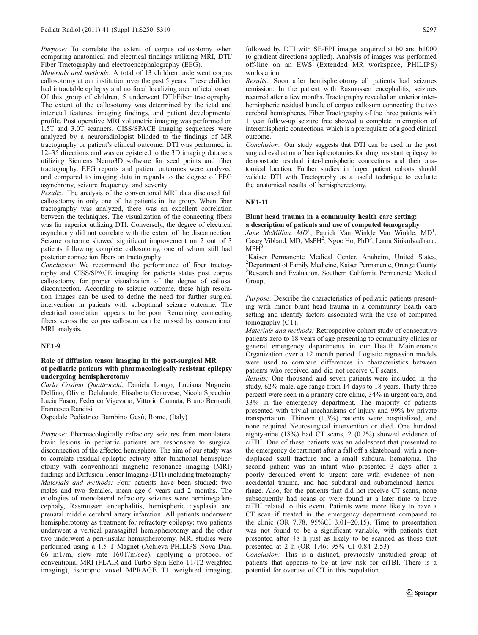Purpose: To correlate the extent of corpus callosotomy when comparing anatomical and electrical findings utilizing MRI, DTI/ Fiber Tractography and electroencephalography (EEG).

Materials and methods: A total of 13 children underwent corpus callosotomy at our institution over the past 5 years. These children had intractable epilepsy and no focal localizing area of ictal onset. Of this group of children, 5 underwent DTI/Fiber tractography. The extent of the callosotomy was determined by the ictal and interictal features, imaging findings, and patient developmental profile. Post operative MRI volumetric imaging was performed on 1.5T and 3.0T scanners. CISS/SPACE imaging sequences were analyzed by a neuroradiologist blinded to the findings of MR tractography or patient's clinical outcome. DTI was performed in 12–35 directions and was coregistered to the 3D imaging data sets utilizing Siemens Neuro3D software for seed points and fiber tractography. EEG reports and patient outcomes were analyzed and compared to imaging data in regards to the degree of EEG asynchrony, seizure frequency, and severity.

Results: The analysis of the conventional MRI data disclosed full callosotomy in only one of the patients in the group. When fiber tractography was analyzed, there was an excellent correlation between the techniques. The visualization of the connecting fibers was far superior utilizing DTI. Conversely, the degree of electrical asynchrony did not correlate with the extent of the disconnection. Seizure outcome showed significant improvement on 2 out of 3 patients following complete callosotomy, one of whom still had posterior connection fibers on tractography.

Conclusion: We recommend the performance of fiber tractography and CISS/SPACE imaging for patients status post corpus callosotomy for proper visualization of the degree of callosal disconnection. According to seizure outcome, these high resolution images can be used to define the need for further surgical intervention in patients with suboptimal seizure outcome. The electrical correlation appears to be poor. Remaining connecting fibers across the corpus callosum can be missed by conventional MRI analysis.

### NE1-9

### Role of diffusion tensor imaging in the post-surgical MR of pediatric patients with pharmacologically resistant epilepsy undergoing hemispherotomy

Carlo Cosimo Quattrocchi, Daniela Longo, Luciana Nogueira Delfino, Olivier Delalande, Elisabetta Genovese, Nicola Specchio, Lucia Fusco, Federico Vigevano, Vittorio Cannatà, Bruno Bernardi, Francesco Randisi

Ospedale Pediatrico Bambino Gesù, Rome, (Italy)

Purpose: Pharmacologically refractory seizures from monolateral brain lesions in pediatric patients are responsive to surgical disconnection of the affected hemisphere. The aim of our study was to correlate residual epileptic activity after functional hemispherotomy with conventional magnetic resonance imaging (MRI) findings and Diffusion Tensor Imaging (DTI) including tractography. Materials and methods: Four patients have been studied: two males and two females, mean age 6 years and 2 months. The etiologies of monolateral refractory seizures were hemimegalencephaly, Rasmussen encephalitis, hemispheric dysplasia and prenatal middle cerebral artery infarction. All patients underwent hemispherotomy as treatment for refractory epilepsy: two patients underwent a vertical parasagittal hemispherotomy and the other two underwent a peri-insular hemispherotomy. MRI studies were performed using a 1.5 T Magnet (Achieva PHILIPS Nova Dual 66 mT/m, slew rate 160T/m/sec), applying a protocol of conventional MRI (FLAIR and Turbo-Spin-Echo T1/T2 weighted imaging), isotropic voxel MPRAGE T1 weighted imaging,

followed by DTI with SE-EPI images acquired at b0 and b1000 (6 gradient directions applied). Analysis of images was performed off-line on an EWS (Extended MR workspace, PHILIPS) workstation.

Results: Soon after hemispherotomy all patients had seizures remission. In the patient with Rasmussen encephalitis, seizures recurred after a few months. Tractography revealed an anterior interhemispheric residual bundle of corpus callosum connecting the two cerebral hemispheres. Fiber Tractography of the three patients with 1 year follow-up seizure free showed a complete interruption of interemispheric connections, which is a prerequisite of a good clinical outcome.

Conclusion: Our study suggests that DTI can be used in the post surgical evaluation of hemispherotomies for drug resistant epilepsy to demonstrate residual inter-hemispheric connections and their anatomical location. Further studies in larger patient cohorts should validate DTI with Tractography as a useful technique to evaluate the anatomical results of hemispherectomy.

### NE1-11

### Blunt head trauma in a community health care setting: a description of patients and use of computed tomography

Jane McMillan, MD<sup>1</sup>, Patrick Van Winkle Van Winkle, MD<sup>1</sup>, Casey Vibbard, MD, MsPH<sup>2</sup>, Ngoc Ho, PhD<sup>3</sup>, Laura Sirikulvadhana,  $MPH<sup>3</sup>$ 

 Kaiser Permanente Medical Center, Anaheim, United States, Department of Family Medicine, Kaiser Permanente, Orange County Research and Evaluation, Southern California Permanente Medical Group,

Purpose: Describe the characteristics of pediatric patients presenting with minor blunt head trauma in a community health care setting and identify factors associated with the use of computed tomography (CT).

Materials and methods: Retrospective cohort study of consecutive patients zero to 18 years of age presenting to community clinics or general emergency departments in our Health Maintenance Organization over a 12 month period. Logistic regression models were used to compare differences in characteristics between patients who received and did not receive CT scans.

Results: One thousand and seven patients were included in the study, 62% male, age range from 14 days to 18 years. Thirty-three percent were seen in a primary care clinic, 34% in urgent care, and 33% in the emergency department. The majority of patients presented with trivial mechanisms of injury and 99% by private transportation. Thirteen (1.3%) patients were hospitalized, and none required Neurosurgical intervention or died. One hundred eighty-nine (18%) had CT scans, 2 (0.2%) showed evidence of ciTBI. One of these patients was an adolescent that presented to the emergency department after a fall off a skateboard, with a nondisplaced skull fracture and a small subdural hematoma. The second patient was an infant who presented 3 days after a poorly described event to urgent care with evidence of nonaccidental trauma, and had subdural and subarachnoid hemorrhage. Also, for the patients that did not receive CT scans, none subsequently had scans or were found at a later time to have ciTBI related to this event. Patients were more likely to have a CT scan if treated in the emergency department compared to the clinic (OR 7.78, 95%CI 3.01–20.15). Time to presentation was not found to be a significant variable, with patients that presented after 48 h just as likely to be scanned as those that presented at 2 h (OR 1.46; 95% CI 0.84–2.53).

Conclusion: This is a distinct, previously unstudied group of patients that appears to be at low risk for ciTBI. There is a potential for overuse of CT in this population.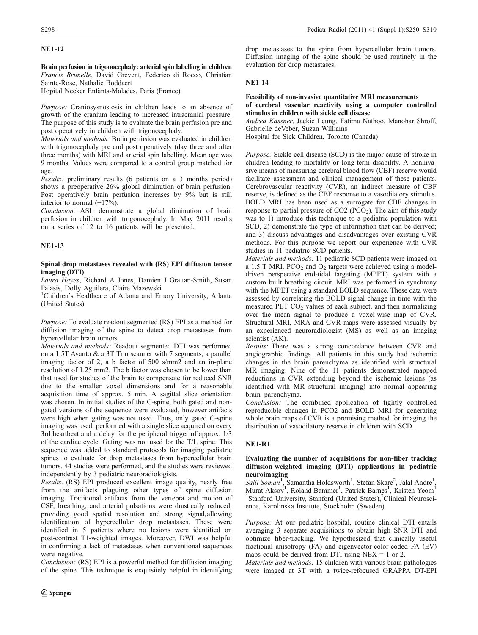## NE1-12

Brain perfusion in trigonocephaly: arterial spin labelling in children Francis Brunelle, David Grevent, Federico di Rocco, Christian Sainte-Rose, Nathalie Boddaert

Hopital Necker Enfants-Malades, Paris (France)

Purpose: Craniosysnostosis in children leads to an absence of growth of the cranium leading to increased intracranial pressure. The purpose of this study is to evaluate the brain perfusion pre and post operatively in children with trigonocephaly.

Materials and methods: Brain perfusion was evaluated in children with trigonocephaly pre and post operatively (day three and after three months) with MRI and arterial spin labelling. Mean age was 9 months. Values were compared to a control group matched for age.

Results: preliminary results (6 patients on a 3 months period) shows a preoperative 26% global diminution of brain perfusion. Post operatively brain perfusion increases by 9% but is still inferior to normal (−17%).

Conclusion: ASL demonstrate a global diminution of brain perfusion in children with trogonocephaly. In May 2011 results on a series of 12 to 16 patients will be presented.

## NE1-13

## Spinal drop metastases revealed with (RS) EPI diffusion tensor imaging (DTI)

Laura Hayes, Richard A Jones, Damien J Grattan-Smith, Susan Palasis, Dolly Aguilera, Claire Mazewski

<sup>1</sup>Children's Healthcare of Atlanta and Emory University, Atlanta (United States)

Purpose: To evaluate readout segmented (RS) EPI as a method for diffusion imaging of the spine to detect drop metastases from hypercellular brain tumors.

Materials and methods: Readout segmented DTI was performed on a 1.5T Avanto & a 3T Trio scanner with 7 segments, a parallel imaging factor of 2, a b factor of 500 s/mm2 and an in-plane resolution of 1.25 mm2. The b factor was chosen to be lower than that used for studies of the brain to compensate for reduced SNR due to the smaller voxel dimensions and for a reasonable acquisition time of approx. 5 min. A sagittal slice orientation was chosen. In initial studies of the C-spine, both gated and nongated versions of the sequence were evaluated, however artifacts were high when gating was not used. Thus, only gated C-spine imaging was used, performed with a single slice acquired on every 3rd heartbeat and a delay for the peripheral trigger of approx. 1/3 of the cardiac cycle. Gating was not used for the T/L spine. This sequence was added to standard protocols for imaging pediatric spines to evaluate for drop metastases from hypercellular brain tumors. 44 studies were performed, and the studies were reviewed independently by 3 pediatric neuroradiologists.

Results: (RS) EPI produced excellent image quality, nearly free from the artifacts plaguing other types of spine diffusion imaging. Traditional artifacts from the vertebra and motion of CSF, breathing, and arterial pulsations were drastically reduced, providing good spatial resolution and strong signal,allowing identification of hypercellular drop metastases. These were identified in 5 patients where no lesions were identified on post-contrast T1-weighted images. Moreover, DWI was helpful in confirming a lack of metastases when conventional sequences were negative.

Conclusion: (RS) EPI is a powerful method for diffusion imaging of the spine. This technique is exquisitely helpful in identifying

drop metastases to the spine from hypercellular brain tumors. Diffusion imaging of the spine should be used routinely in the evaluation for drop metastases.

## NE1-14

## Feasibility of non-invasive quantitative MRI measurements of cerebral vascular reactivity using a computer controlled stimulus in children with sickle cell disease

Andrea Kassner, Jackie Leung, Fatima Nathoo, Manohar Shroff, Gabrielle deVeber, Suzan Williams

Hospital for Sick Children, Toronto (Canada)

Purpose: Sickle cell disease (SCD) is the major cause of stroke in children leading to mortality or long-term disability. A noninvasive means of measuring cerebral blood flow (CBF) reserve would facilitate assessment and clinical management of these patients. Cerebrovascular reactivity (CVR), an indirect measure of CBF reserve, is defined as the CBF response to a vasodilatory stimulus. BOLD MRI has been used as a surrogate for CBF changes in response to partial pressure of  $CO2 (PCO<sub>2</sub>)$ . The aim of this study was to 1) introduce this technique to a pediatric population with SCD, 2) demonstrate the type of information that can be derived; and 3) discuss advantages and disadvantages over existing CVR methods. For this purpose we report our experience with CVR studies in 11 pediatric SCD patients.

Materials and methods: 11 pediatric SCD patients were imaged on a 1.5 T MRI. PCO<sub>2</sub> and  $O_2$  targets were achieved using a modeldriven perspective end-tidal targeting (MPET) system with a custom built breathing circuit. MRI was performed in synchrony with the MPET using a standard BOLD sequence. These data were assessed by correlating the BOLD signal change in time with the measured PET  $CO<sub>2</sub>$  values of each subject, and then normalizing over the mean signal to produce a voxel-wise map of CVR. Structural MRI, MRA and CVR maps were assessed visually by an experienced neuroradiologist (MS) as well as an imaging scientist (AK).

Results: There was a strong concordance between CVR and angiographic findings. All patients in this study had ischemic changes in the brain parenchyma as identified with structural MR imaging. Nine of the 11 patients demonstrated mapped reductions in CVR extending beyond the ischemic lesions (as identified with MR structural imaging) into normal appearing brain parenchyma.

Conclusion: The combined application of tightly controlled reproducible changes in PCO2 and BOLD MRI for generating whole brain maps of CVR is a promising method for imaging the distribution of vasodilatory reserve in children with SCD.

## NE1-R1

## Evaluating the number of acquisitions for non-fiber tracking diffusion-weighted imaging (DTI) applications in pediatric neuroimaging

Salil Soman<sup>1</sup>, Samantha Holdsworth<sup>1</sup>, Stefan Skare<sup>2</sup>, Jalal Andre<sup>1</sup>, Murat Aksoy<sup>1</sup>, Roland Bammer<sup>1</sup>, Patrick Barnes<sup>1</sup>, Kristen Yeom<sup>1</sup> <sup>1</sup>Stanford University, Stanford (United States),<sup>2</sup>Clinical Neuroscience, Karolinska Institute, Stockholm (Sweden)

Purpose: At our pediatric hospital, routine clinical DTI entails averaging 3 separate acquisitions to obtain high SNR DTI and optimize fiber-tracking. We hypothesized that clinically useful fractional anisotropy (FA) and eigenvector-color-coded FA (EV) maps could be derived from DTI using  $NEX = 1$  or 2.

Materials and methods: 15 children with various brain pathologies were imaged at 3T with a twice-refocused GRAPPA DT-EPI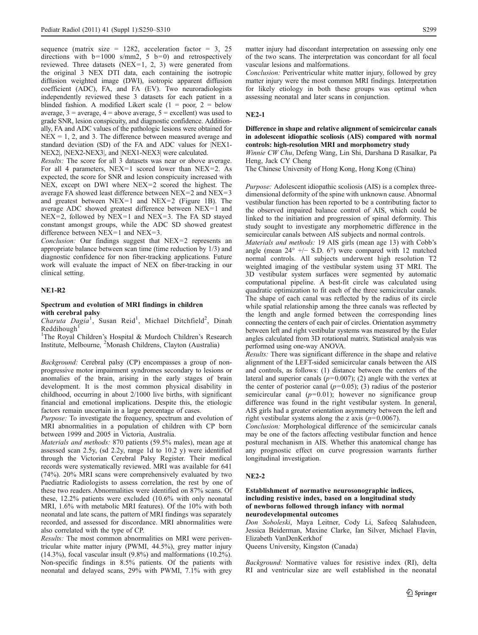sequence (matrix size = 1282, acceleration factor = 3, 25 directions with  $b=1000 \text{ s/mm2}$ , 5  $b=0$ ) and retrospectively reviewed. Three datasets (NEX=1, 2, 3) were generated from the original 3 NEX DTI data, each containing the isotropic diffusion weighted image (DWI), isotropic apparent diffusion coefficient (ADC), FA, and FA (EV). Two neuroradiologists independently reviewed these 3 datasets for each patient in a blinded fashion. A modified Likert scale  $(1 = poor, 2 = below$ average,  $3$  = average,  $4$  = above average,  $5$  = excellent) was used to grade SNR, lesion conspicuity, and diagnostic confidence. Additionally, FA and ADC values of the pathologic lesions were obtained for  $NEX = 1, 2, and 3$ . The difference between measured average and standard deviation (SD) of the FA and ADC values for |NEX1- NEX2|, |NEX2-NEX3|, and |NEX1-NEX3| were calculated.

Results: The score for all 3 datasets was near or above average. For all 4 parameters, NEX=1 scored lower than NEX=2. As expected, the score for SNR and lesion conspicuity increased with NEX, except on DWI where NEX=2 scored the highest. The average FA showed least difference between NEX=2 and NEX=3 and greatest between NEX=1 and NEX=2 (Figure 1B). The average ADC showed greatest difference between NEX=1 and  $NEX=2$ , followed by  $NEX=1$  and  $NEX=3$ . The FA SD stayed constant amongst groups, while the ADC SD showed greatest difference between  $NEX=1$  and  $NEX=3$ .

Conclusion: Our findings suggest that NEX=2 represents an appropriate balance between scan time (time reduction by 1/3) and diagnostic confidence for non fiber-tracking applications. Future work will evaluate the impact of NEX on fiber-tracking in our clinical setting.

### NE1-R2

### Spectrum and evolution of MRI findings in children with cerebral palsy

Charuta Dagia<sup>1</sup>, Susan Reid<sup>1</sup>, Michael Ditchfield<sup>2</sup>, Dinah Reddihough

<sup>1</sup>The Royal Children's Hospital & Murdoch Children's Research Institute, Melbourne, <sup>2</sup> Monash Childrens, Clayton (Australia)

Background: Cerebral palsy (CP) encompasses a group of nonprogressive motor impairment syndromes secondary to lesions or anomalies of the brain, arising in the early stages of brain development. It is the most common physical disability in childhood, occurring in about 2/1000 live births, with significant financial and emotional implications. Despite this, the etiologic factors remain uncertain in a large percentage of cases.

Purpose: To investigate the frequency, spectrum and evolution of MRI abnormalities in a population of children with CP born between 1999 and 2005 in Victoria, Australia.

Materials and methods: 870 patients (59.5% males), mean age at assessed scan 2.5y, (sd 2.2y, range 1d to 10.2 y) were identified through the Victorian Cerebral Palsy Register. Their medical records were systematically reviewed. MRI was available for 641 (74%). 20% MRI scans were comprehensively evaluated by two Paediatric Radiologists to assess correlation, the rest by one of these two readers.Abnormalities were identified on 87% scans. Of these, 12.2% patients were excluded (10.6% with only neonatal MRI, 1.6% with metabolic MRI features). Of the 10% with both neonatal and late scans, the pattern of MRI findings was separately recorded, and assessed for discordance. MRI abnormalities were also correlated with the type of CP.

Results: The most common abnormalities on MRI were periventricular white matter injury (PWMI, 44.5%), grey matter injury (14.3%), focal vascular insult (9.8%) and malformations (10.2%). Non-specific findings in 8.5% patients. Of the patients with neonatal and delayed scans, 29% with PWMI, 7.1% with grey matter injury had discordant interpretation on assessing only one of the two scans. The interpretation was concordant for all focal vascular lesions and malformations.

Conclusion: Periventricular white matter injury, followed by grey matter injury were the most common MRI findings. Interpretation for likely etiology in both these groups was optimal when assessing neonatal and later scans in conjunction.

### NE2-1

Difference in shape and relative alignment of semicircular canals in adolescent idiopathic scoliosis (AIS) compared with normal controls: high-resolution MRI and morphometry study

Winnie CW Chu, Defeng Wang, Lin Shi, Darshana D Rasalkar, Pa Heng, Jack CY Cheng

The Chinese University of Hong Kong, Hong Kong (China)

Purpose: Adolescent idiopathic scoliosis (AIS) is a complex threedimensional deformity of the spine with unknown cause. Abnormal vestibular function has been reported to be a contributing factor to the observed impaired balance control of AIS, which could be linked to the initiation and progression of spinal deformity. This study sought to investigate any morphometric difference in the semicircular canals between AIS subjects and normal controls.

Materials and methods: 19 AIS girls (mean age 13) with Cobb's angle (mean 24° +/− S.D. 6°) were compared with 12 matched normal controls. All subjects underwent high resolution T2 weighted imaging of the vestibular system using 3T MRI. The 3D vestibular system surfaces were segmented by automatic computational pipeline. A best-fit circle was calculated using quadratic optimization to fit each of the three semicircular canals. The shape of each canal was reflected by the radius of its circle while spatial relationship among the three canals was reflected by the length and angle formed between the corresponding lines connecting the centers of each pair of circles. Orientation asymmetry between left and right vestibular systems was measured by the Euler angles calculated from 3D rotational matrix. Statistical analysis was performed using one-way ANOVA.

Results: There was significant difference in the shape and relative alignment of the LEFT-sided semicircular canals between the AIS and controls, as follows: (1) distance between the centers of the lateral and superior canals ( $p=0.007$ ); (2) angle with the vertex at the center of posterior canal  $(p=0.05)$ ; (3) radius of the posterior semicircular canal  $(p=0.01)$ ; however no significance group difference was found in the right vestibular system. In general, AIS girls had a greater orientation asymmetry between the left and right vestibular systems along the z axis  $(p=0.0067)$ .

Conclusion: Morphological difference of the semicircular canals may be one of the factors affecting vestibular function and hence postural mechanism in AIS. Whether this anatomical change has any prognostic effect on curve progression warrants further longitudinal investigation.

### NE2-2

### Establishment of normative neurosonographic indices, including resistive index, based on a longitudinal study of newborns followed through infancy with normal neurodevelopmental outcomes

Don Soboleski, Maya Leitner, Cody Li, Safeeq Salahudeen, Jessica Beiderman, Maxine Clarke, Ian Silver, Michael Flavin, Elizabeth VanDenKerkhof

Queens University, Kingston (Canada)

Background: Normative values for resistive index (RI), delta RI and ventricular size are well established in the neonatal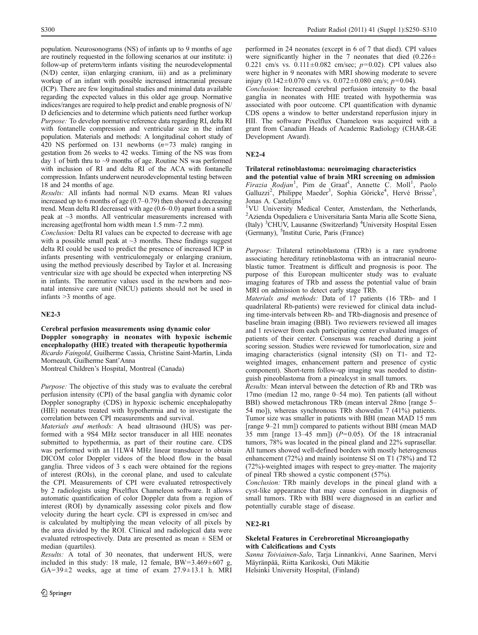population. Neurosonograms (NS) of infants up to 9 months of age are routinely requested in the following scenarios at our institute: i) follow-up of preterm/term infants visiting the neurodevelopmental (N/D) center, ii)an enlarging cranium, iii) and as a preliminary workup of an infant with possible increased intracranial pressure (ICP). There are few longitudinal studies and minimal data available regarding the expected values in this older age group. Normative indices/ranges are required to help predict and enable prognosis of N/ D deficiencies and to determine which patients need further workup Purpose: To develop normative reference data regarding RI, delta RI with fontanelle compression and ventricular size in the infant population. Materials and methods: A longitudinal cohort study of 420 NS performed on 131 newborns (n=73 male) ranging in gestation from 26 weeks to 42 weeks. Timing of the NS was from day 1 of birth thru to ~9 months of age. Routine NS was performed with inclusion of RI and delta RI of the ACA with fontanelle compression. Infants underwent neurodevelopmental testing between 18 and 24 months of age.

Results: All infants had normal N/D exams. Mean RI values increased up to 6 months of age (0.7–0.79) then showed a decreasing trend. Mean delta RI decreased with age (0.6–0.0) apart from a small peak at ~3 months. All ventricular measurements increased with increasing age(frontal horn width mean 1.5 mm–7.2 mm).

Conclusion: Delta RI values can be expected to decrease with age with a possible small peak at  $\sim$ 3 months. These findings suggest delta RI could be used to predict the presence of increased ICP in infants presenting with ventriculomegaly or enlarging cranium, using the method previously described by Taylor et al. Increasing ventricular size with age should be expected when interpreting NS in infants. The normative values used in the newborn and neonatal intensive care unit (NICU) patients should not be used in infants >3 months of age.

### NE2-3

Cerebral perfusion measurements using dynamic color Doppler sonography in neonates with hypoxic ischemic encephalopathy (HIE) treated with therapeutic hypothermia Ricardo Faingold, Guilherme Cassia, Christine Saint-Martin, Linda Morneault, Guilherme Sant'Anna

Montreal Children's Hospital, Montreal (Canada)

Purpose: The objective of this study was to evaluate the cerebral perfusion intensity (CPI) of the basal ganglia with dynamic color Doppler sonography (CDS) in hypoxic ischemic encephalopathy (HIE) neonates treated with hypothermia and to investigate the correlation between CPI measurements and survival.

Materials and methods: A head ultrasound (HUS) was performed with a 9S4 MHz sector transducer in all HIE neonates submitted to hypothermia, as part of their routine care. CDS was performed with an 11LW4 MHz linear transducer to obtain DICOM color Doppler videos of the blood flow in the basal ganglia. Three videos of 3 s each were obtained for the regions of interest (ROIs), in the coronal plane, and used to calculate the CPI. Measurements of CPI were evaluated retrospectively by 2 radiologists using Pixelflux Chameleon software. It allows automatic quantification of color Doppler data from a region of interest (ROI) by dynamically assessing color pixels and flow velocity during the heart cycle. CPI is expressed in cm/sec and is calculated by multiplying the mean velocity of all pixels by the area divided by the ROI. Clinical and radiological data were evaluated retrospectively. Data are presented as mean  $\pm$  SEM or median (quartiles).

Results: A total of 30 neonates, that underwent HUS, were included in this study: 18 male, 12 female,  $BW=3.469\pm607$  g,  $GA=39\pm2$  weeks, age at time of exam  $27.9\pm13.1$  h. MRI performed in 24 neonates (except in 6 of 7 that died). CPI values were significantly higher in the 7 neonates that died  $(0.226 \pm$ 0.221 cm/s vs.  $0.111 \pm 0.082$  cm/sec;  $p=0.02$ ). CPI values also were higher in 9 neonates with MRI showing moderate to severe injury (0.142±0.070 cm/s vs. 0.072±0.080 cm/s;  $p=0.04$ ).

Conclusion: Increased cerebral perfusion intensity to the basal ganglia in neonates with HIE treated with hypothermia was associated with poor outcome. CPI quantification with dynamic CDS opens a window to better understand reperfusion injury in HII. The software Pixelflux Chameleon was acquired with a grant from Canadian Heads of Academic Radiology (CHAR-GE Development Award).

### NE2-4

#### Trilateral retinoblastoma: neuroimaging characteristics

and the potential value of brain MRI screening on admission Firazia Rodjan<sup>1</sup>, Pim de Graaf<sup>1</sup>, Annette C. Moll<sup>1</sup>, Paolo Galluzzi<sup>2</sup>, Philippe Maeder<sup>3</sup>, Sophia Göricke<sup>4</sup>, Hervé Brisse<sup>5</sup>, Jonas A. Castelijns<sup>1</sup>

<sup>1</sup>VU University Medical Center, Amsterdam, the Netherlands, 2 Azienda Ospedaliera e Universitaria Santa Maria alle Scotte Siena, (Italy) <sup>3</sup>CHUV, Lausanne (Switzerland) <sup>4</sup>University Hospital Essen (Germany), <sup>5</sup> Institut Curie, Paris (France)

Purpose: Trilateral retinoblastoma (TRb) is a rare syndrome associating hereditary retinoblastoma with an intracranial neuroblastic tumor. Treatment is difficult and prognosis is poor. The purpose of this European multicenter study was to evaluate imaging features of TRb and assess the potential value of brain MRI on admission to detect early stage TRb.

Materials and methods: Data of 17 patients (16 TRb- and 1 quadrilateral Rb-patients) were reviewed for clinical data including time-intervals between Rb- and TRb-diagnosis and presence of baseline brain imaging (BBI). Two reviewers reviewed all images and 1 reviewer from each participating center evaluated images of patients of their center. Consensus was reached during a joint scoring session. Studies were reviewed for tumorlocation, size and imaging characteristics (signal intensity (SI) on T1- and T2 weighted images, enhancement pattern and presence of cystic component). Short-term follow-up imaging was needed to distinguish pineoblastoma from a pinealcyst in small tumors.

Results: Mean interval between the detection of Rb and TRb was 17mo (median 12 mo, range 0–54 mo). Ten patients (all without BBI) showed metachronous TRb (mean interval 28mo [range 5– 54 mo]), whereas synchronous TRb showedin 7 (41%) patients. Tumor size was smaller in patients with BBI (mean MAD 15 mm [range 9–21 mm]) compared to patients without BBI (mean MAD 35 mm [range 13–45 mm])  $(P=0.05)$ . Of the 18 intracranial tumors, 78% was located in the pineal gland and 22% suprasellar. All tumors showed well-defined borders with mostly heterogenous enhancement (72%) and mainly isointense SI on T1 (78%) and T2 (72%)-weighted images with respect to grey-matter. The majority of pineal TRb showed a cystic component (57%).

Conclusion: TRb mainly develops in the pineal gland with a cyst-like appearance that may cause confusion in diagnosis of small tumors. TRb with BBI were diagnosed in an earlier and potentially curable stage of disease.

## NE2-R1

### Skeletal Features in Cerebroretinal Microangiopathy with Calcifications and Cysts

Sanna Toiviainen-Salo, Tarja Linnankivi, Anne Saarinen, Mervi Mäyränpää, Riitta Karikoski, Outi Mäkitie Helsinki University Hospital, (Finland)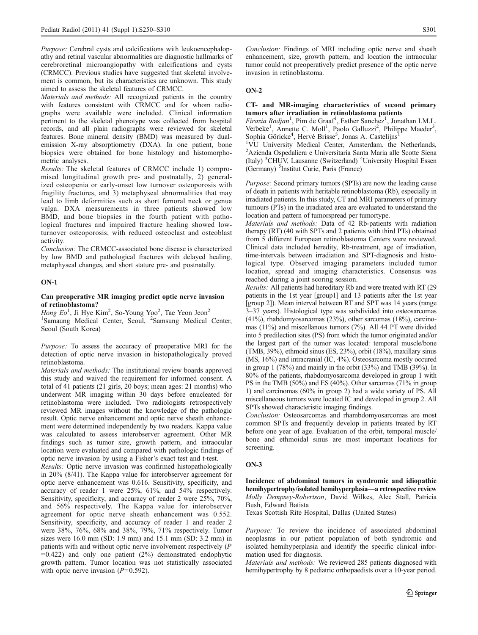Purpose: Cerebral cysts and calcifications with leukoencephalopathy and retinal vascular abnormalities are diagnostic hallmarks of cerebroretinal microangiopathy with calcifications and cysts (CRMCC). Previous studies have suggested that skeletal involvement is common, but its characteristics are unknown. This study aimed to assess the skeletal features of CRMCC.

Materials and methods: All recognized patients in the country with features consistent with CRMCC and for whom radiographs were available were included. Clinical information pertinent to the skeletal phenotype was collected from hospital records, and all plain radiographs were reviewed for skeletal features. Bone mineral density (BMD) was measured by dualemission X-ray absorptiometry (DXA). In one patient, bone biopsies were obtained for bone histology and histomorphometric analyses.

Results: The skeletal features of CRMCC include 1) compromised longitudinal growth pre- and postnatally, 2) generalized osteopenia or early-onset low turnover osteoporosis with fragility fractures, and 3) metaphyseal abnormalities that may lead to limb deformities such as short femoral neck or genua valga. DXA measurements in three patients showed low BMD, and bone biopsies in the fourth patient with pathological fractures and impaired fracture healing showed lowturnover osteoporosis, with reduced osteoclast and osteoblast activity.

Conclusion: The CRMCC-associated bone disease is characterized by low BMD and pathological fractures with delayed healing, metaphyseal changes, and short stature pre- and postnatally.

### ON-1

### Can preoperative MR imaging predict optic nerve invasion of retinoblastoma?

Hong  $Eo<sup>1</sup>$ , Ji Hye Kim<sup>2</sup>, So-Young Yoo<sup>2</sup>, Tae Yeon Jeon<sup>2</sup> <sup>1</sup>Samaung Medical Center, Seoul, <sup>2</sup>Samsung Medical Center, Seoul (South Korea)

Purpose: To assess the accuracy of preoperative MRI for the detection of optic nerve invasion in histopathologically proved retinoblastoma.

Materials and methods: The institutional review boards approved this study and waived the requirement for informed consent. A total of 41 patients (21 girls, 20 boys; mean ages: 21 months) who underwent MR imaging within 30 days before enucleated for retinoblastoma were included. Two radiologists retrospectively reviewed MR images without the knowledge of the pathologic result. Optic nerve enhancement and optic nerve sheath enhancement were determined independently by two readers. Kappa value was calculated to assess interobserver agreement. Other MR findings such as tumor size, growth pattern, and intraocular location were evaluated and compared with pathologic findings of optic nerve invasion by using a Fisher's exact test and t-test.

Results: Optic nerve invasion was confirmed histopathologically in 20% (8/41). The Kappa value for interobserver agreement for optic nerve enhancement was 0.616. Sensitivity, specificity, and accuracy of reader 1 were 25%, 61%, and 54% respectively. Sensitivity, specificity, and accuracy of reader 2 were 25%, 70%, and 56% respectively. The Kappa value for interobserver agreement for optic nerve sheath enhancement was 0.552. Sensitivity, specificity, and accuracy of reader 1 and reader 2 were 38%, 76%, 68% and 38%, 79%, 71% respectively. Tumor sizes were 16.0 mm (SD: 1.9 mm) and 15.1 mm (SD: 3.2 mm) in patients with and without optic nerve involvement respectively (P  $=0.422$ ) and only one patient  $(2%)$  demonstrated endophytic growth pattern. Tumor location was not statistically associated with optic nerve invasion  $(P=0.592)$ .

Conclusion: Findings of MRI including optic nerve and sheath enhancement, size, growth pattern, and location the intraocular tumor could not preoperatively predict presence of the optic nerve invasion in retinoblastoma.

### ON-2

## CT- and MR-imaging characteristics of second primary tumors after irradiation in retinoblastoma patients

Firazia Rodjan<sup>1</sup>, Pim de Graaf<sup>1</sup>, Esther Sanchez<sup>1</sup>, Jonathan I.M.L. Verbeke<sup>1</sup>, Annette C. Moll<sup>1</sup>, Paolo Galluzzi<sup>2</sup>, Philippe Maeder<sup>3</sup>, Sophia Göricke<sup>4</sup>, Hervé Brisse<sup>5</sup>, Jonas A. Castelijns<sup>1</sup>

<sup>1</sup>VU University Medical Center, Amsterdam, the Netherlands, 2 Azienda Ospedaliera e Universitaria Santa Maria alle Scotte Siena (Italy) <sup>3</sup>CHUV, Lausanne (Switzerland) <sup>4</sup>University Hospital Essen (Germany) <sup>5</sup> Institut Curie, Paris (France)

Purpose: Second primary tumors (SPTs) are now the leading cause of death in patients with heritable retinoblastoma (Rb), especially in irradiated patients. In this study, CT and MRI parameters of primary tumours (PTs) in the irradiated area are evaluated to understand the location and pattern of tumorspread per tumortype.

Materials and methods: Data of 42 Rb-patients with radiation therapy (RT) (40 with SPTs and 2 patients with third PTs) obtained from 5 different European retinoblastoma Centers were reviewed. Clinical data included heredity, Rb-treatment, age of irradiation, time-intervals between irradiation and SPT-diagnosis and histological type. Observed imaging parameters included tumor location, spread and imaging characteristics. Consensus was reached during a joint scoring session.

Results: All patients had hereditary Rb and were treated with RT (29 patients in the 1st year [group1] and 13 patients after the 1st year [group 2]). Mean interval between RT and SPT was 14 years (range 3–37 years). Histological type was subdivided into osteosarcomas (41%), rhabdomyosarcomas (23%), other sarcomas (18%), carcinomas (11%) and miscellanous tumors (7%). All 44 PT were divided into 5 predilection sites (PS) from which the tumor originated and/or the largest part of the tumor was located: temporal muscle/bone (TMB, 39%), ethmoid sinus (ES, 23%), orbit (18%), maxillary sinus (MS, 16%) and intracranial (IC, 4%). Osteosarcoma mostly occured in group 1 (78%) and mainly in the orbit (33%) and TMB (39%). In 80% of the patients, rhabdomyosarcoma developed in group 1 with PS in the TMB (50%) and ES (40%). Other sarcomas (71% in group 1) and carcinomas (60% in group 2) had a wide variety of PS. All miscellaneous tumors were located IC and developed in group 2. All SPTs showed characteristic imaging findings.

Conclusion: Osteosarcomas and rhambdomyosarcomas are most common SPTs and frequently develop in patients treated by RT before one year of age. Evaluation of the orbit, temporal muscle/ bone and ethmoidal sinus are most important locations for screening.

### ON-3

Incidence of abdominal tumors in syndromic and idiopathic hemihypertrophy/isolated hemihyperplasia—a retrospective review Molly Dempsey-Robertson, David Wilkes, Alec Stall, Patricia Bush, Edward Batista

Texas Scottish Rite Hospital, Dallas (United States)

Purpose: To review the incidence of associated abdominal neoplasms in our patient population of both syndromic and isolated hemihyperplasia and identify the specific clinical information used for diagnosis.

Materials and methods: We reviewed 285 patients diagnosed with hemihypertrophy by 8 pediatric orthopaedists over a 10-year period.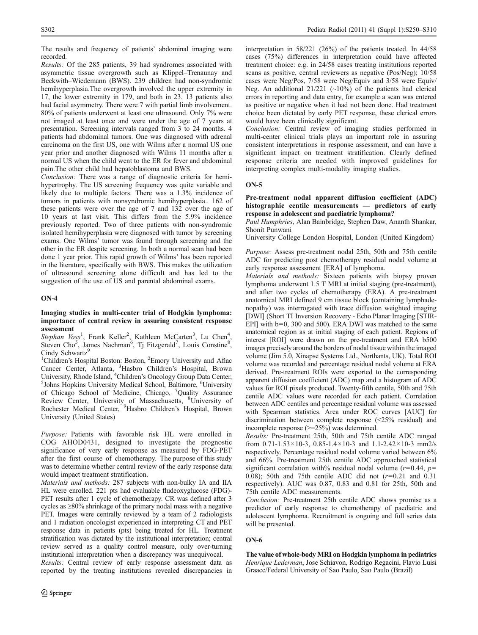The results and frequency of patients' abdominal imaging were recorded.

Results: Of the 285 patients, 39 had syndromes associated with asymmetric tissue overgrowth such as Klippel–Trenaunay and Beckwith–Wiedemann (BWS). 239 children had non-syndromic hemihyperplasia. The overgrowth involved the upper extremity in 17, the lower extremity in 179, and both in 23. 13 patients also had facial asymmetry. There were 7 with partial limb involvement. 80% of patients underwent at least one ultrasound. Only 7% were not imaged at least once and were under the age of 7 years at presentation. Screening intervals ranged from 3 to 24 months. 4 patients had abdominal tumors. One was diagnosed with adrenal carcinoma on the first US, one with Wilms after a normal US one year prior and another diagnosed with Wilms 11 months after a normal US when the child went to the ER for fever and abdominal pain.The other child had hepatoblastoma and BWS.

Conclusion: There was a range of diagnostic criteria for hemihypertrophy. The US screening frequency was quite variable and likely due to multiple factors. There was a 1.3% incidence of tumors in patients with nonsyndromic hemihyperplasia.. 162 of these patients were over the age of 7 and 132 over the age of 10 years at last visit. This differs from the 5.9% incidence previously reported. Two of three patients with non-syndromic isolated hemihyperplasia were diagnosed with tumor by screening exams. One Wilms' tumor was found through screening and the other in the ER despite screening. In both a normal scan had been done 1 year prior. This rapid growth of Wilms' has been reported in the literature, specifically with BWS. This makes the utilization of ultrasound screening alone difficult and has led to the suggestion of the use of US and parental abdominal exams.

## ON-4

### Imaging studies in multi-center trial of Hodgkin lymphoma: importance of central review in assuring consistent response assessment

Stephan Voss<sup>1</sup>, Frank Keller<sup>2</sup>, Kathleen McCarten<sup>3</sup>, Lu Chen<sup>4</sup>, Steven Cho<sup>5</sup>, James Nachman<sup>6</sup>, Tj Fitzgerald<sup>7</sup>, Louis Constine<sup>8</sup>, Cindy Schwartz<sup>9</sup>

<sup>1</sup>Children's Hospital Boston: Boston, <sup>2</sup>Emory University and Aflac Cancer Center, Atlanta, <sup>3</sup> Hasbro Children's Hospital, Brown University, Rhode Island, <sup>4</sup>Children's Oncology Group Data Center, Johns Hopkins University Medical School, Baltimore, <sup>6</sup>University of Chicago School of Medicine, Chicago, <sup>7</sup>Quality Assurance Review Center, University of Massachusetts, <sup>8</sup>University of Rochester Medical Center, <sup>9</sup>Hasbro Children's Hospital, Brown University (United States)

Purpose: Patients with favorable risk HL were enrolled in COG AHOD0431, designed to investigate the prognostic significance of very early response as measured by FDG-PET after the first course of chemotherapy. The purpose of this study was to determine whether central review of the early response data would impact treatment stratification.

Materials and methods: 287 subjects with non-bulky IA and IIA HL were enrolled. 221 pts had evaluable fludeoxyglucose (FDG)- PET results after 1 cycle of chemotherapy. CR was defined after 3 cycles as ≥80% shrinkage of the primary nodal mass with a negative PET. Images were centrally reviewed by a team of 2 radiologists and 1 radiation oncologist experienced in interpreting CT and PET response data in patients (pts) being treated for HL. Treatment stratification was dictated by the institutional interpretation; central review served as a quality control measure, only over-turning institutional interpretation when a discrepancy was unequivocal.

Results: Central review of early response assessment data as reported by the treating institutions revealed discrepancies in interpretation in 58/221 (26%) of the patients treated. In 44/58 cases (75%) differences in interpretation could have affected treatment choice: e.g. in 24/58 cases treating institutions reported scans as positive, central reviewers as negative (Pos/Neg); 10/58 cases were Neg/Pos, 7/58 were Neg/Equiv and 3/58 were Equiv/ Neg. An additional  $21/221$  (~10%) of the patients had clerical errors in reporting and data entry, for example a scan was entered as positive or negative when it had not been done. Had treatment choice been dictated by early PET response, these clerical errors would have been clinically significant.

Conclusion: Central review of imaging studies performed in multi-center clinical trials plays an important role in assuring consistent interpretations in response assessment, and can have a significant impact on treatment stratification. Clearly defined response criteria are needed with improved guidelines for interpreting complex multi-modality imaging studies.

## $ON-5$

Pre-treatment nodal apparent diffusion coefficient (ADC) histographic centile measurements — predictors of early response in adolescent and paediatric lymphoma?

Paul Humphries, Alan Bainbridge, Stephen Daw, Ananth Shankar, Shonit Punwani

University College London Hospital, London (United Kingdom)

Purpose: Assess pre-treatment nodal 25th, 50th and 75th centile ADC for predicting post chemotherapy residual nodal volume at early response assessment [ERA] of lymphoma.

Materials and methods: Sixteen patients with biopsy proven lymphoma underwent 1.5 T MRI at initial staging (pre-treatment), and after two cycles of chemotherapy (ERA). A pre-treatment anatomical MRI defined 9 cm tissue block (containing lymphadenopathy) was interrogated with trace diffusion weighted imaging [DWI] (Short TI Inversion Recovery - Echo Planar Imaging [STIR-EPI] with b=0, 300 and 500). ERA DWI was matched to the same anatomical region as at initial staging of each patient. Regions of interest [ROI] were drawn on the pre-treatment and ERA b500 images precisely around the borders of nodal tissue within the imaged volume (Jim 5.0, Xinapse Systems Ltd., Northants, UK). Total ROI volume was recorded and percentage residual nodal volume at ERA derived. Pre-treatment ROIs were exported to the corresponding apparent diffusion coefficient (ADC) map and a histogram of ADC values for ROI pixels produced. Twenty-fifth centile, 50th and 75th centile ADC values were recorded for each patient. Correlation between ADC centiles and percentage residual volume was assessed with Spearman statistics. Area under ROC curves [AUC] for discrimination between complete response (<25% residual) and incomplete response (>=25%) was determined.

Results: Pre-treatment 25th, 50th and 75th centile ADC ranged from  $0.71 - 1.53 \times 10 - 3$ ,  $0.85 - 1.4 \times 10 - 3$  and  $1.1 - 2.42 \times 10 - 3$  mm2/s respectively. Percentage residual nodal volume varied between 6% and 66%. Pre-treatment 25th centile ADC approached statistical significant correlation with% residual nodal volume ( $r=0.44$ ,  $p=$ 0.08); 50th and 75th centile ADC did not  $(r=0.21$  and 0.31 respectively). AUC was 0.87, 0.83 and 0.81 for 25th, 50th and 75th centile ADC measurements.

Conclusion: Pre-treatment 25th centile ADC shows promise as a predictor of early response to chemotherapy of paediatric and adolescent lymphoma. Recruitment is ongoing and full series data will be presented.

### ON-6

The value of whole-body MRI on Hodgkin lymphoma in pediatrics Henrique Lederman, Jose Schiavon, Rodrigo Regacini, Flavio Luisi Graacc/Federal University of Sao Paulo, Sao Paulo (Brazil)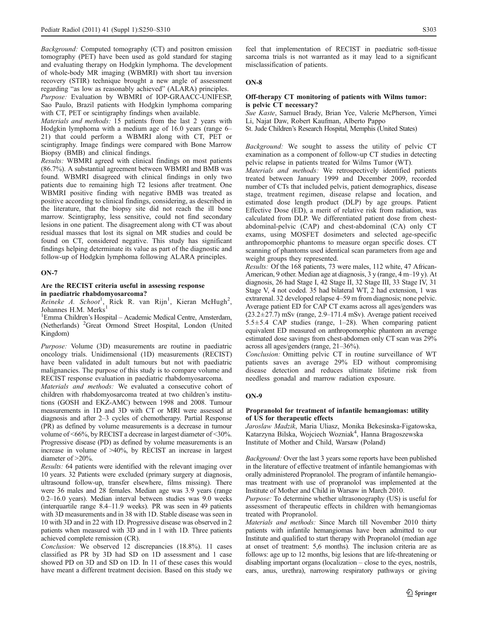Background: Computed tomography (CT) and positron emission tomography (PET) have been used as gold standard for staging and evaluating therapy on Hodgkin lymphoma. The development of whole-body MR imaging (WBMRI) with short tau inversion recovery (STIR) technique brought a new angle of assessment regarding "as low as reasonably achieved" (ALARA) principles. Purpose: Evaluation by WBMRI of IOP-GRAACC-UNIFESP, Sao Paulo, Brazil patients with Hodgkin lymphoma comparing

with CT, PET or scintigraphy findings when available.

Materials and methods: 15 patients from the last 2 years with Hodgkin lymphoma with a medium age of 16.0 years (range 6– 21) that could perform a WBMRI along with CT, PET or scintigraphy. Image findings were compared with Bone Marrow Biopsy (BMB) and clinical findings.

Results: WBMRI agreed with clinical findings on most patients (86.7%). A substantial agreement between WBMRI and BMB was found. WBMRI disagreed with clinical findings in only two patients due to remaining high T2 lesions after treatment. One WBMRI positive finding with negative BMB was treated as positive according to clinical findings, considering, as described in the literature, that the biopsy site did not reach the ill bone marrow. Scintigraphy, less sensitive, could not find secondary lesions in one patient. The disagreement along with CT was about residual masses that lost its signal on MR studies and could be found on CT, considered negative. This study has significant findings helping determinate its value as part of the diagnostic and follow-up of Hodgkin lymphoma following ALARA principles.

### ON-7

## Are the RECIST criteria useful in assessing response in paediatric rhabdomyosarcoma?

 $R$ eineke A. Schoot<sup>1</sup>, Rick R. van Rijn<sup>1</sup>, Kieran McHugh<sup>2</sup>, Johannes H.M. Merks<sup>1</sup>

<sup>1</sup> Emma Children's Hospital - Academic Medical Centre, Amsterdam, (Netherlands) <sup>2</sup>Great Ormond Street Hospital, London (United Kingdom)

Purpose: Volume (3D) measurements are routine in paediatric oncology trials. Unidimensional (1D) measurements (RECIST) have been validated in adult tumours but not with paediatric malignancies. The purpose of this study is to compare volume and RECIST response evaluation in paediatric rhabdomyosarcoma.

Materials and methods: We evaluated a consecutive cohort of children with rhabdomyosarcoma treated at two children's institutions (GOSH and EKZ-AMC) between 1998 and 2008. Tumour measurements in 1D and 3D with CT or MRI were assessed at diagnosis and after 2–3 cycles of chemotherapy. Partial Response (PR) as defined by volume measurements is a decrease in tumour volume of <66%, by RECIST a decrease in largest diameter of <30%. Progressive disease (PD) as defined by volume measurements is an increase in volume of >40%, by RECIST an increase in largest diameter of >20%.

Results: 64 patients were identified with the relevant imaging over 10 years. 32 Patients were excluded (primary surgery at diagnosis, ultrasound follow-up, transfer elsewhere, films missing). There were 36 males and 28 females. Median age was 3.9 years (range 0.2–16.0 years). Median interval between studies was 9.0 weeks (interquartile range 8.4–11.9 weeks). PR was seen in 49 patients with 3D measurements and in 38 with 1D. Stable disease was seen in 10 with 3D and in 22 with 1D. Progressive disease was observed in 2 patients when measured with 3D and in 1 with 1D. Three patients achieved complete remission (CR).

Conclusion: We observed 12 discrepancies (18.8%). 11 cases classified as PR by 3D had SD on 1D assessment and 1 case showed PD on 3D and SD on 1D. In 11 of these cases this would have meant a different treatment decision. Based on this study we

feel that implementation of RECIST in paediatric soft-tissue sarcoma trials is not warranted as it may lead to a significant misclassification of patients.

## ON-8

### Off-therapy CT monitoring of patients with Wilms tumor: is pelvic CT necessary?

Sue Kaste, Samuel Brady, Brian Yee, Valerie McPherson, Yimei Li, Najat Daw, Robert Kaufman, Alberto Pappo

St. Jude Children's Research Hospital, Memphis (United States)

Background: We sought to assess the utility of pelvic CT examination as a component of follow-up CT studies in detecting pelvic relapse in patients treated for Wilms Tumor (WT).

Materials and methods: We retrospectively identified patients treated between January 1999 and December 2009, recorded number of CTs that included pelvis, patient demographics, disease stage, treatment regimen, disease relapse and location, and estimated dose length product (DLP) by age groups. Patient Effective Dose (ED), a merit of relative risk from radiation, was calculated from DLP. We differentiated patient dose from chestabdominal-pelvic (CAP) and chest-abdominal (CA) only CT exams, using MOSFET dosimeters and selected age-specific anthropomorphic phantoms to measure organ specific doses. CT scanning of phantoms used identical scan parameters from age and weight groups they represented.

Results: Of the 168 patients, 73 were males, 112 white, 47 African-American, 9 other. Median age at diagnosis, 3 y (range, 4 m–19 y). At diagnosis, 26 had Stage I, 42 Stage II, 32 Stage III, 33 Stage IV, 31 Stage V, 4 not coded. 35 had bilateral WT, 2 had extension, 1 was extrarenal. 32 developed relapse 4–59 m from diagnosis; none pelvic. Average patient ED for CAP CT exams across all ages/genders was  $(23.2\pm27.7)$  mSv (range, 2.9–171.4 mSv). Average patient received 5.5 $\pm$ 5.4 CAP studies (range, 1–28). When comparing patient equivalent ED measured on anthropomorphic phantom an average estimated dose savings from chest-abdomen only CT scan was 29% across all ages/genders (range, 21–36%).

Conclusion: Omitting pelvic CT in routine surveillance of WT patients saves an average 29% ED without compromising disease detection and reduces ultimate lifetime risk from needless gonadal and marrow radiation exposure.

### ON-9

## Propranolol for treatment of infantile hemangiomas: utility of US for therapeutic effects

Jaroslaw Madzik, Maria Uliasz, Monika Bekesinska-Figatowska, Katarzyna Bilska, Wojciech Wozniak<sup>4</sup>, Hanna Bragoszewska Institute of Mother and Child, Warsaw (Poland)

Background: Over the last 3 years some reports have been published in the literature of effective treatment of infantile hemangiomas with orally administered Propranolol. The program of infantile hemangiomas treatment with use of propranolol was implemented at the Institute of Mother and Child in Warsaw in March 2010.

Purpose: To determine whether ultrasonography (US) is useful for assessment of therapeutic effects in children with hemangiomas treated with Propranolol.

Materials and methods: Since March till November 2010 thirty patients with infantile hemangiomas have been admitted to our Institute and qualified to start therapy with Propranolol (median age at onset of treatment: 5,6 months). The inclusion criteria are as follows: age up to 12 months, big lesions that are life-threatening or disabling important organs (localization – close to the eyes, nostrils, ears, anus, urethra), narrowing respiratory pathways or giving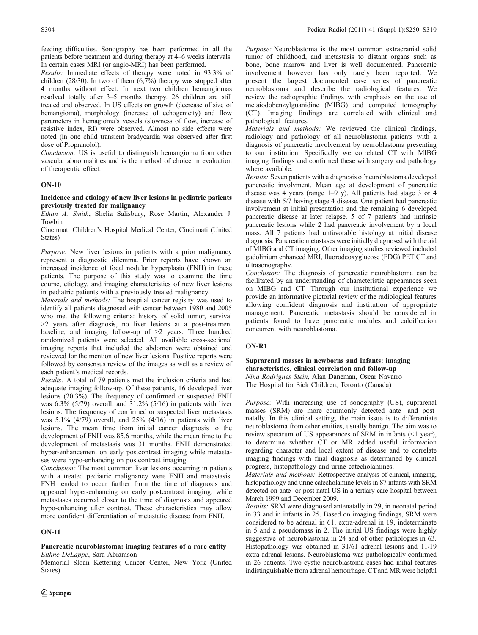feeding difficulties. Sonography has been performed in all the patients before treatment and during therapy at 4–6 weeks intervals. In certain cases MRI (or angio-MRI) has been performed.

Results: Immediate effects of therapy were noted in 93,3% of children  $(28/30)$ . In two of them  $(6,7%)$  therapy was stopped after 4 months without effect. In next two children hemangiomas resolved totally after 3–5 months therapy. 26 children are still treated and observed. In US effects on growth (decrease of size of hemangioma), morphology (increase of echogenicity) and flow parameters in hemagioma's vessels (slowness of flow, increase of resistive index, RI) were observed. Almost no side effects were noted (in one child transient bradycardia was observed after first dose of Propranolol).

Conclusion: US is useful to distinguish hemangioma from other vascular abnormalities and is the method of choice in evaluation of therapeutic effect.

## ON-10

## Incidence and etiology of new liver lesions in pediatric patients previously treated for malignancy

Ethan A. Smith, Shelia Salisbury, Rose Martin, Alexander J. Towbin

Cincinnati Children's Hospital Medical Center, Cincinnati (United States)

Purpose: New liver lesions in patients with a prior malignancy represent a diagnostic dilemma. Prior reports have shown an increased incidence of focal nodular hyperplasia (FNH) in these patients. The purpose of this study was to examine the time course, etiology, and imaging characteristics of new liver lesions in pediatric patients with a previously treated malignancy.

Materials and methods: The hospital cancer registry was used to identify all patients diagnosed with cancer between 1980 and 2005 who met the following criteria: history of solid tumor, survival >2 years after diagnosis, no liver lesions at a post-treatment baseline, and imaging follow-up of >2 years. Three hundred randomized patients were selected. All available cross-sectional imaging reports that included the abdomen were obtained and reviewed for the mention of new liver lesions. Positive reports were followed by consensus review of the images as well as a review of each patient's medical records.

Results: A total of 79 patients met the inclusion criteria and had adequate imaging follow-up. Of these patients, 16 developed liver lesions (20.3%). The frequency of confirmed or suspected FNH was  $6.3\%$  (5/79) overall, and  $31.2\%$  (5/16) in patients with liver lesions. The frequency of confirmed or suspected liver metastasis was 5.1% (4/79) overall, and 25% (4/16) in patients with liver lesions. The mean time from initial cancer diagnosis to the development of FNH was 85.6 months, while the mean time to the development of metastasis was 31 months. FNH demonstrated hyper-enhancement on early postcontrast imaging while metastases were hypo-enhancing on postcontrast imaging.

Conclusion: The most common liver lesions occurring in patients with a treated pediatric malignancy were FNH and metastasis. FNH tended to occur farther from the time of diagnosis and appeared hyper-enhancing on early postcontrast imaging, while metastases occurred closer to the time of diagnosis and appeared hypo-enhancing after contrast. These characteristics may allow more confident differentiation of metastatic disease from FNH.

## ON-11

## Pancreatic neuroblastoma: imaging features of a rare entity Eithne DeLappe, Sara Abramson

Memorial Sloan Kettering Cancer Center, New York (United States)

Purpose: Neuroblastoma is the most common extracranial solid tumor of childhood, and metastasis to distant organs such as bone, bone marrow and liver is well documented. Pancreatic involvement however has only rarely been reported. We present the largest documented case series of pancreatic neuroblastoma and describe the radiological features. We review the radiographic findings with emphasis on the use of metaiodobenzylguanidine (MIBG) and computed tomography (CT). Imaging findings are correlated with clinical and pathological features.

Materials and methods: We reviewed the clinical findings, radiology and pathology of all neuroblastoma patients with a diagnosis of pancreatic involvement by neuroblastoma presenting to our institution. Specifically we correlated CT with MIBG imaging findings and confirmed these with surgery and pathology where available.

Results: Seven patients with a diagnosis of neuroblastoma developed pancreatic involvment. Mean age at development of pancreatic disease was 4 years (range  $1-9$  y). All patients had stage 3 or 4 disease with 5/7 having stage 4 disease. One patient had pancreatic involvement at initial presentation and the remaining 6 developed pancreatic disease at later relapse. 5 of 7 patients had intrinsic pancreatic lesions while 2 had pancreatic involvement by a local mass. All 7 patients had unfavorable histology at initial disease diagnosis. Pancreatic metastases were initially diagnosed with the aid of MIBG and CT imaging. Other imaging studies reviewed included gadolinium enhanced MRI, fluorodeoxyglucose (FDG) PET CT and ultrasonography.

Conclusion: The diagnosis of pancreatic neuroblastoma can be facilitated by an understanding of characteristic appearances seen on MIBG and CT. Through our institutional experience we provide an informative pictorial review of the radiological features allowing confident diagnosis and institution of appropriate management. Pancreatic metastasis should be considered in patients found to have pancreatic nodules and calcification concurrent with neuroblastoma.

## ON-R1

## Suprarenal masses in newborns and infants: imaging characteristics, clinical correlation and follow-up Nina Rodrigues Stein, Alan Daneman, Oscar Navarro The Hospital for Sick Children, Toronto (Canada)

Purpose: With increasing use of sonography (US), suprarenal masses (SRM) are more commonly detected ante- and postnatally. In this clinical setting, the main issue is to differentiate neuroblastoma from other entities, usually benign. The aim was to review spectrum of US appearances of SRM in infants (<1 year), to determine whether CT or MR added useful information regarding character and local extent of disease and to correlate imaging findings with final diagnosis as determined by clinical progress, histopathology and urine catecholamines.

Materials and methods: Retrospective analysis of clinical, imaging, histopathology and urine catecholamine levels in 87 infants with SRM detected on ante- or post-natal US in a tertiary care hospital between March 1999 and December 2009.

Results: SRM were diagnosed antenatally in 29, in neonatal period in 33 and in infants in 25. Based on imaging findings, SRM were considered to be adrenal in 61, extra-adrenal in 19, indeterminate in 5 and a pseudomass in 2. The initial US findings were highly suggestive of neuroblastoma in 24 and of other pathologies in 63. Histopathology was obtained in 31/61 adrenal lesions and 11/19 extra-adrenal lesions. Neuroblastoma was pathologically confirmed in 26 patients. Two cystic neuroblastoma cases had initial features indistinguishable from adrenal hemorrhage. CT and MR were helpful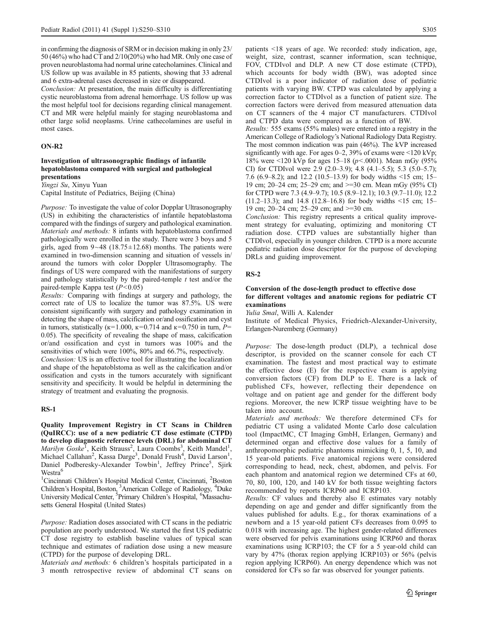in confirming the diagnosis of SRM or in decision making in only 23/ 50 (46%) who had CT and 2/10(20%) who had MR. Only one case of proven neuroblastoma had normal urine catecholamines. Clinical and US follow up was available in 85 patients, showing that 33 adrenal and 6 extra-adrenal cases decreased in size or disappeared.

Conclusion: At presentation, the main difficulty is differentiating cystic neuroblastoma from adrenal hemorrhage. US follow up was the most helpful tool for decisions regarding clinical management. CT and MR were helpful mainly for staging neuroblastoma and other large solid neoplasms. Urine cathecolamines are useful in most cases.

### ON-R2

## Investigation of ultrasonographic findings of infantile hepatoblastoma compared with surgical and pathological presentations

Yingzi Su, Xinyu Yuan

Capital Institute of Pediatrics, Beijing (China)

Purpose: To investigate the value of color Dopplar Ultrasonography (US) in exhibiting the characteristics of infantile hepatoblastoma compared with the findings of surgery and pathological examination. Materials and methods: 8 infants with hepatoblastoma confirmed pathologically were enrolled in the study. There were 3 boys and 5 girls, aged from  $9~-48$  (18.75 $\pm$ 12.68) months. The patients were examined in two-dimension scanning and situation of vessels in/ around the tumors with color Doppler Ultrasomography. The findings of US were compared with the manifestations of surgery and pathology statistically by the paired-temple  $t$  test and/or the paired-temple Kappa test  $(P<0.05)$ 

Results: Comparing with findings at surgery and pathology, the correct rate of US to localize the tumor was 87.5%. US were consistent significantly with surgery and pathology examination in detecting the shape of mass, calcification or/and ossification and cyst in tumors, statistically ( $\kappa$ =1.000,  $\kappa$ =0.714 and  $\kappa$ =0.750 in turn, P= 0.05). The specificity of revealing the shape of mass, calcification or/and ossification and cyst in tumors was 100% and the sensitivities of which were 100%, 80% and 66.7%, respectively.

Conclusion: US is an effective tool for illustrating the localization and shape of the hepatoblstoma as well as the calcification and/or ossification and cysts in the tumors accurately with significant sensitivity and specificity. It would be helpful in determining the strategy of treatment and evaluating the prognosis.

### RS-1

Quality Improvement Registry in CT Scans in Children (QuIRCC): use of a new pediatric CT dose estimate (CTPD) to develop diagnostic reference levels (DRL) for abdominal CT Marilyn Goske<sup>T</sup>, Keith Strauss<sup>2</sup>, Laura Coombs<sup>3</sup>, Keith Mandel<sup>1</sup>, Michael Callahan<sup>2</sup>, Kassa Darge<sup>3</sup>, Donald Frush<sup>4</sup>, David Larson<sup>1</sup>, Daniel Podberesky-Alexander Towbin<sup>1</sup>, Jeffrey Prince<sup>5</sup>, Sjirk Westra<sup>6</sup>

<sup>1</sup>Cincinnati Children's Hospital Medical Center, Cincinnati, <sup>2</sup>Boston Children's Hospital, Boston, <sup>3</sup> American College of Radiology, <sup>4</sup> Duke University Medical Center, <sup>5</sup>Primary Children's Hospital, <sup>6</sup>Massachusetts General Hospital (United States)

Purpose: Radiation doses associated with CT scans in the pediatric population are poorly understood. We started the first US pediatric CT dose registry to establish baseline values of typical scan technique and estimates of radiation dose using a new measure (CTPD) for the purpose of developing DRL.

Materials and methods: 6 children's hospitals participated in a 3 month retrospective review of abdominal CT scans on patients <18 years of age. We recorded: study indication, age, weight, size, contrast, scanner information, scan technique, FOV, CTDIvol and DLP. A new CT dose estimate (CTPD), which accounts for body width (BW), was adopted since CTDIvol is a poor indicator of radiation dose of pediatric patients with varying BW. CTPD was calculated by applying a correction factor to CTDIvol as a function of patient size. The correction factors were derived from measured attenuation data on CT scanners of the 4 major CT manufacturers. CTDIvol and CTPD data were compared as a function of BW.

Results: 555 exams (55% males) were entered into a registry in the American College of Radiology's National Radiology Data Registry. The most common indication was pain (46%). The kVP increased significantly with age. For ages 0–2, 39% of exams were <120 kVp; 18% were <120 kVp for ages 15–18 ( $p$  < 0001). Mean mGy (95% CI) for CTDIvol were  $2.9$  ( $2.0-3.9$ );  $4.8$  ( $4.1-5.5$ );  $5.3$  ( $5.0-5.7$ ); 7.6 (6.9–8.2); and 12.2 (10.5–13.9) for body widths <15 cm; 15– 19 cm; 20–24 cm; 25–29 cm; and >=30 cm. Mean mGy (95% CI) for CTPD were 7.3 (4.9–9.7); 10.5 (8.9–12.1); 10.3 (9.7–11.0); 12.2 (11.2–13.3); and 14.8 (12.8–16.8) for body widths <15 cm; 15– 19 cm; 20–24 cm; 25–29 cm; and >=30 cm.

Conclusion: This registry represents a critical quality improvement strategy for evaluating, optimizing and monitoring CT radiation dose. CTPD values are substantially higher than CTDIvol, especially in younger children. CTPD is a more accurate pediatric radiation dose descriptor for the purpose of developing DRLs and guiding improvement.

## RS-2

## Conversion of the dose-length product to effective dose for different voltages and anatomic regions for pediatric CT examinations

Yulia Smal, Willi A. Kalender

Institute of Medical Physics, Friedrich-Alexander-University, Erlangen-Nuremberg (Germany)

Purpose: The dose-length product (DLP), a technical dose descriptor, is provided on the scanner console for each CT examination. The fastest and most practical way to estimate the effective dose (E) for the respective exam is applying conversion factors (CF) from DLP to E. There is a lack of published CFs, however, reflecting their dependence on voltage and on patient age and gender for the different body regions. Moreover, the new ICRP tissue weighting have to be taken into account.

Materials and methods: We therefore determined CFs for pediatric CT using a validated Monte Carlo dose calculation tool (ImpactMC, CT Imaging GmbH, Erlangen, Germany) and determined organ and effective dose values for a family of anthropomorphic pediatric phantoms mimicking 0, 1, 5, 10, and 15 year-old patients. Five anatomical regions were considered corresponding to head, neck, chest, abdomen, and pelvis. For each phantom and anatomical region we determined CFs at 60, 70, 80, 100, 120, and 140 kV for both tissue weighting factors recommended by reports ICRP60 and ICRP103.

Results: CF values and thereby also E estimates vary notably depending on age and gender and differ significantly from the values published for adults. E.g., for thorax examinations of a newborn and a 15 year-old patient CFs decreases from 0.095 to 0.018 with increasing age. The highest gender-related differences were observed for pelvis examinations using ICRP60 and thorax examinations using ICRP103; the CF for a 5 year-old child can vary by 47% (thorax region applying ICRP103) or 56% (pelvis region applying ICRP60). An energy dependence which was not considered for CFs so far was observed for younger patients.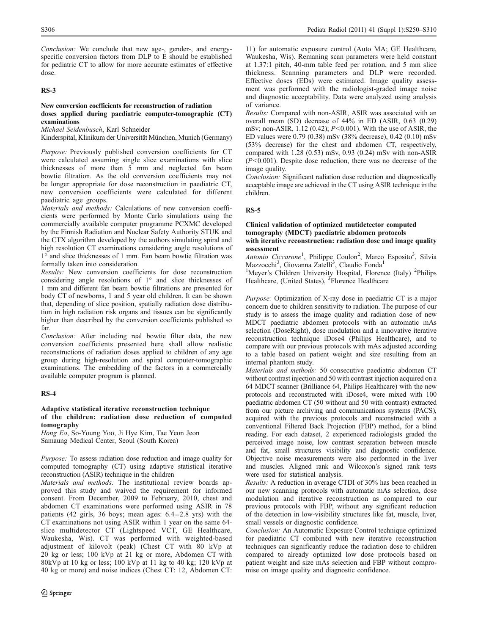Conclusion: We conclude that new age-, gender-, and energyspecific conversion factors from DLP to E should be established for pediatric CT to allow for more accurate estimates of effective dose.

## RS-3

## New conversion coefficients for reconstruction of radiation doses applied during paediatric computer-tomographic (CT) examinations

Michael Seidenbusch, Karl Schneider

Kinderspital, Klinikum der Universität München, Munich (Germany)

Purpose: Previously published conversion coefficients for CT were calculated assuming single slice examinations with slice thicknesses of more than 5 mm and neglected fan beam bowtie filtration. As the old conversion coefficients may not be longer appropriate for dose reconstruction in paediatric CT, new conversion coefficients were calculated for different paediatric age groups.

Materials and methods: Calculations of new conversion coefficients were performed by Monte Carlo simulations using the commercially available computer programme PCXMC developed by the Finnish Radiation and Nuclear Safety Authority STUK and the CTX algorithm developed by the authors simulating spiral and high resolution CT examinations considering angle resolutions of 1° and slice thicknesses of 1 mm. Fan beam bowtie filtration was formally taken into consideration.

Results: New conversion coefficients for dose reconstruction considering angle resolutions of 1° and slice thicknesses of 1 mm and different fan beam bowtie filtrations are presented for body CT of newborns, 1 and 5 year old children. It can be shown that, depending of slice position, spatially radiation dose distribution in high radiation risk organs and tissues can be significantly higher than described by the conversion coefficients published so far.

Conclusion: After including real bowtie filter data, the new conversion coefficients presented here shall allow realistic reconstructions of radiation doses applied to children of any age group during high-resolution and spiral computer-tomographic examinations. The embedding of the factors in a commercially available computer program is planned.

## RS-4

### Adaptive statistical iterative reconstruction technique of the children: radiation dose reduction of computed tomography

Hong Eo, So-Young Yoo, Ji Hye Kim, Tae Yeon Jeon Samaung Medical Center, Seoul (South Korea)

Purpose: To assess radiation dose reduction and image quality for computed tomography (CT) using adaptive statistical iterative reconstruction (ASIR) technique in the children

Materials and methods: The institutional review boards approved this study and waived the requirement for informed consent. From December, 2009 to February, 2010, chest and abdomen CT examinations were performed using ASIR in 78 patients (42 girls, 36 boys; mean ages:  $6.4 \pm 2.8$  yrs) with the CT examinations not using ASIR within 1 year on the same 64 slice multidetector CT (Lightspeed VCT, GE Healthcare, Waukesha, Wis). CT was performed with weighted-based adjustment of kilovolt (peak) (Chest CT with 80 kVp at 20 kg or less; 100 kVp at 21 kg or more, Abdomen CT with 80kVp at 10 kg or less; 100 kVp at 11 kg to 40 kg; 120 kVp at 40 kg or more) and noise indices (Chest CT: 12, Abdomen CT:

11) for automatic exposure control (Auto MA; GE Healthcare, Waukesha, Wis). Remaning scan parameters were held constant at 1.37:1 pitch, 40-mm table feed per rotation, and 5 mm slice thickness. Scanning parameters and DLP were recorded. Effective doses (EDs) were estimated. Image quality assessment was performed with the radiologist-graded image noise and diagnostic acceptability. Data were analyzed using analysis of variance.

Results: Compared with non-ASIR, ASIR was associated with an overall mean (SD) decrease of 44% in ED (ASIR, 0.63 (0.29) mSv; non-ASIR, 1.12 (0.42);  $P \le 0.001$ ). With the use of ASIR, the ED values were 0.79 (0.38) mSv (38% decrease), 0.42 (0.10) mSv (53% decrease) for the chest and abdomen CT, respectively, compared with 1.28 (0.53) mSv, 0.93 (0.24) mSv with non-ASIR  $(P<0.001)$ . Despite dose reduction, there was no decrease of the image quality.

Conclusion: Significant radiation dose reduction and diagnostically acceptable image are achieved in the CT using ASIR technique in the children.

## RS-5

### Clinical validation of optimized mutidetector computed tomography (MDCT) paediatric abdomen protocols with iterative reconstruction: radiation dose and image quality assessment

Antonio Ciccarone<sup>1</sup>, Philippe Coulon<sup>2</sup>, Marco Esposito<sup>3</sup>, Silvia Mazzocchi<sup>3</sup>, Giovanna Zatelli<sup>3</sup>, Claudio Fonda<sup>1</sup>

<sup>1</sup>Meyer's Children University Hospital, Florence (Italy) <sup>2</sup>Philips Healthcare, (United States), <sup>3</sup>Florence Healthcare

Purpose: Optimization of X-ray dose in paediatric CT is a major concern due to children sensitivity to radiation. The purpose of our study is to assess the image quality and radiation dose of new MDCT paediatric abdomen protocols with an automatic mAs selection (DoseRight), dose modulation and a innovative iterative reconstruction technique iDose4 (Philips Healthcare), and to compare with our previous protocols with mAs adjusted according to a table based on patient weight and size resulting from an internal phantom study.

Materials and methods: 50 consecutive paediatric abdomen CT without contrast injection and 50 with contrast injection acquired on a 64 MDCT scanner (Brilliance 64, Philips Healthcare) with the new protocols and reconstructed with iDose4, were mixed with 100 paediatric abdomen CT (50 without and 50 with contrast) extracted from our picture archiving and communications systems (PACS), acquired with the previous protocols and reconstructed with a conventional Filtered Back Projection (FBP) method, for a blind reading. For each dataset, 2 experienced radiologists graded the perceived image noise, low contrast separation between muscle and fat, small structures visibility and diagnostic confidence. Objective noise measurements were also performed in the liver and muscles. Aligned rank and Wilcoxon's signed rank tests were used for statistical analysis.

Results: A reduction in average CTDI of 30% has been reached in our new scanning protocols with automatic mAs selection, dose modulation and iterative reconstruction as compared to our previous protocols with FBP, without any significant reduction of the detection in low-visibility structures like fat, muscle, liver, small vessels or diagnostic confidence.

Conclusion: An Automatic Exposure Control technique optimized for paediatric CT combined with new iterative reconstruction techniques can significantly reduce the radiation dose to children compared to already optimized low dose protocols based on patient weight and size mAs selection and FBP without compromise on image quality and diagnostic confidence.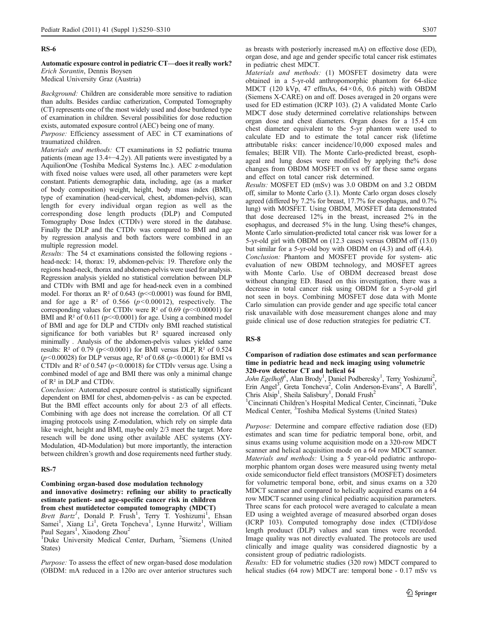### RS-6

Automatic exposure control in pediatric CT—does it really work? Erich Sorantin, Dennis Boysen

Medical University Graz (Austria)

Background: Children are considerable more sensitive to radiation than adults. Besides cardiac catherization, Computed Tomography (CT) represents one of the most widely used and dose burdened type of examination in children. Several possibilities for dose reduction exists, automated exposure control (AEC) being one of many.

Purpose: Efficiency assessment of AEC in CT examinations of traumatized children.

Materials and methods: CT examinations in 52 pediatric trauma patients (mean age 13.4+−4.2y). All patients were investigated by a AquilionOne (Toshiba Medical Systems Inc.). AEC z-modulation with fixed noise values were used, all other parameters were kept constant. Patients demographic data, including, age (as a marker of body composition) weight, height, body mass index (BMI), type of examination (head-cervical, chest, abdomen-pelvis), scan length for every individual organ region as well as the corresponding dose length products (DLP) and Computed Tomography Dose Index (CTDIv) were stored in the database. Finally the DLP and the CTDIv was compared to BMI and age by regression analysis and both factors were combined in an multiple regression model.

Results: The 54 ct examinations consisted the following regions head-neck: 14, thorax: 19, abdomen-pelvis: 19. Therefore only the regions head-neck, thorax and abdomen-pelvis were used for analysis. Regression analysis yielded no statistical correlation between DLP and CTDIv with BMI and age for head-neck even in a combined model. For thorax an  $R^2$  of 0.643 (p $\leq 0.0001$ ) was found for BMI, and for age a  $\mathbb{R}^2$  of 0.566 ( $p \le 0.00012$ ), respectively. The corresponding values for CTDIv were  $R^2$  of 0.69 (p $\leq 0.00001$ ) for BMI and  $R^2$  of 0.611 (p $\leq 0.0001$ ) for age. Using a combined model of BMI and age for DLP and CTDIv only BMI reached statistical significance for both variables but R<sup>2</sup> squared increased only minimally . Analysis of the abdomen-pelvis values yielded same results:  $R^2$  of 0.79 (p<<0.0001) for BMI versus DLP,  $R^2$  of 0.524 ( $p$ <0.00028) for DLP versus age, R<sup>2</sup> of 0.68 ( $p$ <0.0001) for BMI vs CTDIv and  $R^2$  of 0.547 ( $p < 0.00018$ ) for CTDIv versus age. Using a combined model of age and BMI there was only a minimal change of R² in DLP and CTDIv.

Conclusion: Automated exposure control is statistically significant dependent on BMI for chest, abdomen-pelvis - as can be expected. But the BMI effect accounts only for about 2/3 of all effects. Combining with age does not increase the correlation. Of all CT imaging protocols using Z-modulation, which rely on simple data like weight, height and BMI, maybe only 2/3 meet the target. More reseach will be done using other available AEC systems (XY-Modulation, 4D-Modulation) but more importantly, the interaction between children's growth and dose requirements need further study.

### RS-7

Combining organ-based dose modulation technology and innovative dosimetry: refining our ability to practically estimate patient- and age-specific cancer risk in children from chest mutidetector computed tomography (MDCT)

Brett Bartz<sup>1</sup>, Donald P. Frush<sup>1</sup>, Terry T. Yoshizumi<sup>1</sup>, Ehsan Samei<sup>1</sup>, Xiang Li<sup>1</sup>, Greta Toncheva<sup>1</sup>, Lynne Hurwitz<sup>1</sup>, William Paul Segars<sup>1</sup>, Xiaodong Zhou<sup>2</sup>

<sup>1</sup>Duke University Medical Center, Durham, <sup>2</sup>Siemens (United States)

Purpose: To assess the effect of new organ-based dose modulation (OBDM: mA reduced in a 120o arc over anterior structures such

as breasts with posteriorly increased mA) on effective dose (ED), organ dose, and age and gender specific total cancer risk estimates in pediatric chest MDCT.

Materials and methods: (1) MOSFET dosimetry data were obtained in a 5-yr-old anthropomorphic phantom for 64-slice MDCT (120 kVp, 47 effmAs, 64×0.6, 0.6 pitch) with OBDM (Siemens X-CARE) on and off. Doses averaged in 20 organs were used for ED estimation (ICRP 103). (2) A validated Monte Carlo MDCT dose study determined correlative relationships between organ dose and chest diameters. Organ doses for a 15.4 cm chest diameter equivalent to the 5-yr phantom were used to calculate ED and to estimate the total cancer risk (lifetime attributable risks: cancer incidence/10,000 exposed males and females; BEIR VII). The Monte Carlo-predicted breast, esophageal and lung doses were modified by applying the% dose changes from OBDM MOSFET on vs off for these same organs and effect on total cancer risk determined.

Results: MOSFET ED (mSv) was 3.0 OBDM on and 3.2 OBDM off, similar to Monte Carlo (3.1). Monte Carlo organ doses closely agreed (differed by 7.2% for breast, 17.7% for esophagus, and 0.7% lung) with MOSFET. Using OBDM, MOSFET data demonstrated that dose decreased 12% in the breast, increased 2% in the esophagus, and decreased 5% in the lung. Using these% changes, Monte Carlo simulation-predicted total cancer risk was lower for a 5-yr-old girl with OBDM on (12.3 cases) versus OBDM off (13.0) but similar for a 5-yr-old boy with OBDM on (4.3) and off (4.4).

Conclusion: Phantom and MOSFET provide for system- atic evaluation of new OBDM technology, and MOSFET agrees with Monte Carlo. Use of OBDM decreased breast dose without changing ED. Based on this investigation, there was a decrease in total cancer risk using OBDM for a 5-yr-old girl not seen in boys. Combining MOSFET dose data with Monte Carlo simulation can provide gender and age specific total cancer risk unavailable with dose measurement changes alone and may guide clinical use of dose reduction strategies for pediatric CT.

### RS-8

### Comparison of radiation dose estimates and scan performance time in pediatric head and neck imaging using volumetric 320-row detector CT and helical 64

John Egelhoff<sup>1</sup>, Alan Brody<sup>1</sup>, Daniel Podberesky<sup>1</sup>, Terry Yoshizumi<sup>2</sup>, Erin Angel<sup>3</sup>, Greta Toncheva<sup>2</sup>, Colin Anderson-Evans<sup>2</sup>, A Barelli<sup>3</sup>, Chris Alsip<sup>1</sup>, Sheila Salisbury<sup>1</sup>, Donald Frush<sup>2</sup>

<sup>1</sup>Cincinnati Children's Hospital Medical Center, Cincinnati, <sup>2</sup>Duke Medical Center, <sup>3</sup>Toshiba Medical Systems (United States)

Purpose: Determine and compare effective radiation dose (ED) estimates and scan time for pediatric temporal bone, orbit, and sinus exams using volume acquisition mode on a 320-row MDCT scanner and helical acquisition mode on a 64 row MDCT scanner. Materials and methods: Using a 5 year-old pediatric anthropomorphic phantom organ doses were measured using twenty metal oxide semiconductor field effect transistors (MOSFET) dosimeters for volumetric temporal bone, orbit, and sinus exams on a 320 MDCT scanner and compared to helically acquired exams on a 64 row MDCT scanner using clinical pediatric acquisition parameters. Three scans for each protocol were averaged to calculate a mean ED using a weighted average of measured absorbed organ doses (ICRP 103). Computed tomography dose index (CTDI)/dose length produuct (DLP) values and scan times were recorded. Image quality was not directly evaluated. The protocols are used clinically and image quality was considered diagnostic by a consistent group of pediatric radiologists.

Results: ED for volumetric studies (320 row) MDCT compared to helical studies (64 row) MDCT are: temporal bone - 0.17 mSv vs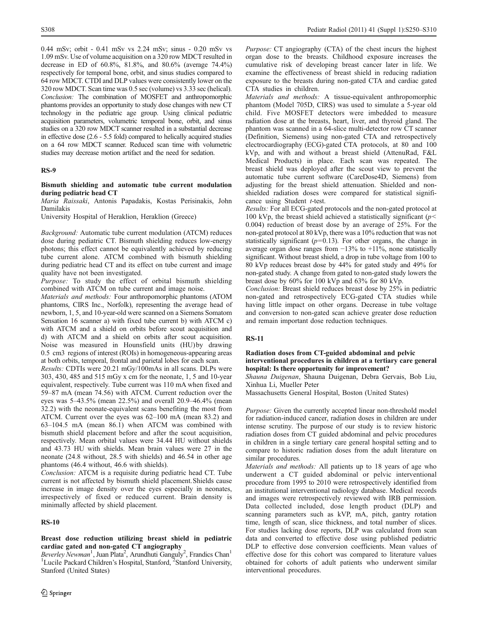0.44 mSv; orbit - 0.41 mSv vs 2.24 mSv; sinus - 0.20 mSv vs 1.09 mSv. Use of volume acquisition on a 320 row MDCT resulted in decrease in ED of 60.8%, 81.8%, and 80.6% (average 74.4%) respectively for temporal bone, orbit, and sinus studies compared to 64 row MDCT. CTDI and DLP values were consistently lower on the 320 row MDCT. Scan time was 0.5 sec (volume) vs 3.33 sec (helical). Conclusion: The combination of MOSFET and anthropomorphic phantoms provides an opportunity to study dose changes with new CT technology in the pediatric age group. Using clinical pediatric acquisition parameters, volumetric temporal bone, orbit, and sinus studies on a 320 row MDCT scanner resulted in a substantial decrease in effective dose (2.6 - 5.5 fold) compared to helically acquired studies on a 64 row MDCT scanner. Reduced scan time with volumetric studies may decrease motion artifact and the need for sedation.

## RS-9

### Bismuth shielding and automatic tube current modulation during pediatric head CT

Maria Raissaki, Antonis Papadakis, Kostas Perisinakis, John Damilakis

University Hospital of Heraklion, Heraklion (Greece)

Background: Automatic tube current modulation (ATCM) reduces dose during pediatric CT. Bismuth shielding reduces low-energy photons; this effect cannot be equivalently achieved by reducing tube current alone. ATCM combined with bismuth shielding during pediatric head CT and its effect on tube current and image quality have not been investigated.

Purpose: To study the effect of orbital bismuth shielding combined with ATCM on tube current and image noise.

Materials and methods: Four anthropomorphic phantoms (ATOM phantoms, CIRS Inc., Norfolk), representing the average head of newborn, 1, 5, and 10-year-old were scanned on a Siemens Somatom Sensation 16 scanner a) with fixed tube current b) with ATCM c) with ATCM and a shield on orbits before scout acquisition and d) with ATCM and a shield on orbits after scout acquisition. Noise was measured in Hounsfield units (HU)by drawing 0.5 cm3 regions of interest (ROIs) in homogeneous-appearing areas at both orbits, temporal, frontal and parietal lobes for each scan.

Results: CDTIs were 20.21 mGy/100mAs in all scans. DLPs were 303, 430, 485 and 515 mGy x cm for the neonate, 1, 5 and 10-year equivalent, respectively. Tube current was 110 mA when fixed and 59–87 mA (mean 74.56) with ATCM. Current reduction over the eyes was 5–43.5% (mean 22.5%) and overall 20.9–46.4% (mean 32.2) with the neonate-equivalent scans benefiting the most from ATCM. Current over the eyes was 62–100 mA (mean 83.2) and 63–104.5 mA (mean 86.1) when ATCM was combined with bismuth shield placement before and after the scout acquisition, respectively. Mean orbital values were 34.44 HU without shields and 43.73 HU with shields. Mean brain values were 27 in the neonate (24.8 without, 28.5 with shields) and 46.54 in other age phantoms (46.4 without, 46.6 with shields).

Conclusion: ATCM is a requisite during pediatric head CT. Tube current is not affected by bismuth shield placement.Shields cause increase in image density over the eyes especially in neonates, irrespectively of fixed or reduced current. Brain density is minimally affected by shield placement.

## RS-10

## Breast dose reduction utilizing breast shield in pediatric cardiac gated and non-gated CT angiography

Beverley Newman<sup>1</sup>, Juan Plata<sup>2</sup>, Arundhuti Ganguly<sup>2</sup>, Frandics Chan<sup>1</sup> <sup>1</sup>Lucile Packard Children's Hospital, Stanford, <sup>2</sup>Stanford University, Stanford (United States)

Purpose: CT angiography (CTA) of the chest incurs the highest organ dose to the breasts. Childhood exposure increases the cumulative risk of developing breast cancer later in life. We examine the effectiveness of breast shield in reducing radiation exposure to the breasts during non-gated CTA and cardiac gated CTA studies in children.

Materials and methods: A tissue-equivalent anthropomorphic phantom (Model 705D, CIRS) was used to simulate a 5-year old child. Five MOSFET detectors were imbedded to measure radiation dose at the breasts, heart, liver, and thyroid gland. The phantom was scanned in a 64-slice multi-detector row CT scanner (Definition, Siemens) using non-gated CTA and retrospectively electrocardiography (ECG)-gated CTA protocols, at 80 and 100 kVp, and with and without a breast shield (AttenuRad, F&L Medical Products) in place. Each scan was repeated. The breast shield was deployed after the scout view to prevent the automatic tube current software (CareDose4D, Siemens) from adjusting for the breast shield attenuation. Shielded and nonshielded radiation doses were compared for statistical significance using Student  $t$ -test.

Results: For all ECG-gated protocols and the non-gated protocol at 100 kVp, the breast shield achieved a statistically significant ( $p$  < 0.004) reduction of breast dose by an average of 25%. For the non-gated protocol at 80 kVp, there was a 10% reduction that was not statistically significant  $(p=0.13)$ . For other organs, the change in average organ dose ranges from −13% to +11%, none statistically significant. Without breast shield, a drop in tube voltage from 100 to 80 kVp reduces breast dose by 44% for gated study and 49% for non-gated study. A change from gated to non-gated study lowers the breast dose by 60% for 100 kVp and 63% for 80 kVp.

Conclusion: Breast shield reduces breast dose by 25% in pediatric non-gated and retrospectively ECG-gated CTA studies while having little impact on other organs. Decrease in tube voltage and conversion to non-gated scan achieve greater dose reduction and remain important dose reduction techniques.

### RS-11

## Radiation doses from CT-guided abdominal and pelvic interventional procedures in children at a tertiary care general hospital: Is there opportunity for improvement?

Shauna Duigenan, Shauna Duigenan, Debra Gervais, Bob Liu, Xinhua Li, Mueller Peter

Massachusetts General Hospital, Boston (United States)

Purpose: Given the currently accepted linear non-threshold model for radiation-induced cancer, radiation doses in children are under intense scrutiny. The purpose of our study is to review historic radiation doses from CT guided abdominal and pelvic procedures in children in a single tertiary care general hospital setting and to compare to historic radiation doses from the adult literature on similar procedures.

Materials and methods: All patients up to 18 years of age who underwent a CT guided abdominal or pelvic interventional procedure from 1995 to 2010 were retrospectively identified from an institutional interventional radiology database. Medical records and images were retrospectively reviewed with IRB permission. Data collected included, dose length product (DLP) and scanning parameters such as kVP, mA, pitch, gantry rotation time, length of scan, slice thickness, and total number of slices. For studies lacking dose reports, DLP was calculated from scan data and converted to effective dose using published pediatric DLP to effective dose conversion coefficients. Mean values of effective dose for this cohort was compared to literature values obtained for cohorts of adult patients who underwent similar interventional procedures.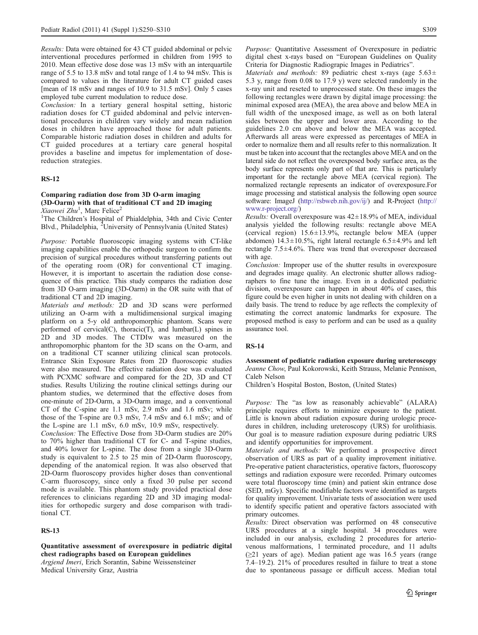Results: Data were obtained for 43 CT guided abdominal or pelvic interventional procedures performed in children from 1995 to 2010. Mean effective dose dose was 13 mSv with an interquartile range of 5.5 to 13.8 mSv and total range of 1.4 to 94 mSv. This is compared to values in the literature for adult CT guided cases [mean of 18 mSv and ranges of 10.9 to 31.5 mSv]. Only 5 cases employed tube current modulation to reduce dose.

Conclusion: In a tertiary general hospital setting, historic radiation doses for CT guided abdominal and pelvic interventional procedures in children vary widely and mean radiation doses in children have approached those for adult patients. Comparable historic radiation doses in children and adults for CT guided procedures at a tertiary care general hospital provides a baseline and impetus for implementation of dosereduction strategies.

## RS-12

## Comparing radiation dose from 3D O-arm imaging (3D-Oarm) with that of traditional CT and 2D imaging Xiaowei Zhu<sup>1</sup>, Marc Felice<sup>2</sup>

<sup>1</sup>The Children's Hospital of Phialdelphia, 34th and Civic Center Blvd., Philadelphia, <sup>2</sup>University of Pennsylvania (United States)

Purpose: Portable fluoroscopic imaging systems with CT-like imaging capabilities enable the orthopedic surgeon to confirm the precision of surgical procedures without transferring patients out of the operating room (OR) for conventional CT imaging. However, it is important to ascertain the radiation dose consequence of this practice. This study compares the radiation dose from 3D O-arm imaging (3D-Oarm) in the OR suite with that of traditional CT and 2D imaging.

Materials and methods: 2D and 3D scans were performed utilizing an O-arm with a multidimensional surgical imaging platform on a 5-y old anthropomorphic phantom. Scans were performed of cervical(C), thoracic(T), and lumbar(L) spines in 2D and 3D modes. The CTDIw was measured on the anthropomorphic phantom for the 3D scans on the O-arm, and on a traditional CT scanner utilizing clinical scan protocols. Entrance Skin Exposure Rates from 2D fluoroscopic studies were also measured. The effective radiation dose was evaluated with PCXMC software and compared for the 2D, 3D and CT studies. Results Utilizing the routine clinical settings during our phantom studies, we determined that the effective doses from one-minute of 2D-Oarm, a 3D-Oarm image, and a conventional CT of the C-spine are 1.1 mSv, 2.9 mSv and 1.6 mSv; while those of the T-spine are 0.3 mSv, 7.4 mSv and 6.1 mSv; and of the L-spine are 1.1 mSv, 6.0 mSv, 10.9 mSv, respectively.

Conclusion: The Effective Dose from 3D-Oarm studies are 20% to 70% higher than traditional CT for C- and T-spine studies, and 40% lower for L-spine. The dose from a single 3D-Oarm study is equivalent to 2.5 to 25 min of 2D-Oarm fluoroscopy, depending of the anatomical region. It was also observed that 2D-Oarm fluoroscopy provides higher doses than conventional C-arm fluoroscopy, since only a fixed 30 pulse per second mode is available. This phantom study provided practical dose references to clinicians regarding 2D and 3D imaging modalities for orthopedic surgery and dose comparison with traditional CT.

### RS-13

Quantitative assessment of overexposure in pediatric digital chest radiographs based on European guidelines Argjend Imeri, Erich Sorantin, Sabine Weissensteiner Medical University Graz, Austria

Purpose: Quantitative Assessment of Overexposure in pediatric digital chest x-rays based on "European Guidelines on Quality Criteria for Diagnostic Radiograpic Images in Pediatrics".

Materials and methods: 89 pediatric chest x-rays (age  $5.63\pm$ 5.3 y, range from 0.08 to 17.9 y) were selected randomly in the x-ray unit and reseted to unprocessed state. On these images the following rectangles were drawn by digital image processing: the minimal exposed area (MEA), the area above and below MEA in full width of the unexposed image, as well as on both lateral sides between the upper and lower area. According to the guidelines 2.0 cm above and below the MEA was accepted. Afterwards all areas were expressed as percentages of MEA in order to normalize them and all results refer to this normalization. It must be taken into account that the rectangles above MEA and on the lateral side do not reflect the overexposed body surface area, as the body surface represents only part of that are. This is particularly important for the rectangle above MEA (cervical region). The normalized rectangle represents an indicator of overexposure.For image processing and statistical analysis the following open source software: ImageJ (<http://rsbweb.nih.gov/ij/>) and R-Project ([http://](http://www.r-project.org/) [www.r-project.org/](http://www.r-project.org/))

*Results:* Overall overexposure was  $42 \pm 18.9\%$  of MEA, individual analysis yielded the following results: rectangle above MEA (cervical region) 15.6±13.9%, rectangle below MEA (upper abdomen)  $14.3 \pm 10.5\%$ , right lateral rectangle  $6.5 \pm 4.9\%$  and left rectangle 7.5±4.6%. There was trend that overexposer decreased with age.

Conclusion: Improper use of the shutter results in overexposure and degrades image quality. An electronic shutter allows radiographers to fine tune the image. Even in a dedicated pediatric division, overexposure can happen in about 40% of cases, this figure could be even higher in units not dealing with children on a daily basis. The trend to reduce by age reflects the complexity of estimating the correct anatomic landmarks for exposure. The proposed method is easy to perform and can be used as a quality assurance tool.

### RS-14

Assessment of pediatric radiation exposure during ureteroscopy Jeanne Chow, Paul Kokorowski, Keith Strauss, Melanie Pennison, Caleb Nelson

Children's Hospital Boston, Boston, (United States)

Purpose: The "as low as reasonably achievable" (ALARA) principle requires efforts to minimize exposure to the patient. Little is known about radiation exposure during urologic procedures in children, including ureteroscopy (URS) for urolithiasis. Our goal is to measure radiation exposure during pediatric URS and identify opportunities for improvement.

Materials and methods: We performed a prospective direct observation of URS as part of a quality improvement initiative. Pre-operative patient characteristics, operative factors, fluoroscopy settings and radiation exposure were recorded. Primary outcomes were total fluoroscopy time (min) and patient skin entrance dose (SED, mGy). Specific modifiable factors were identified as targets for quality improvement. Univariate tests of association were used to identify specific patient and operative factors associated with primary outcomes.

Results: Direct observation was performed on 48 consecutive URS procedures at a single hospital. 34 procedures were included in our analysis, excluding 2 procedures for arteriovenous malformations, 1 terminated procedure, and 11 adults (≥21 years of age). Median patient age was 16.5 years (range 7.4–19.2). 21% of procedures resulted in failure to treat a stone due to spontaneous passage or difficult access. Median total